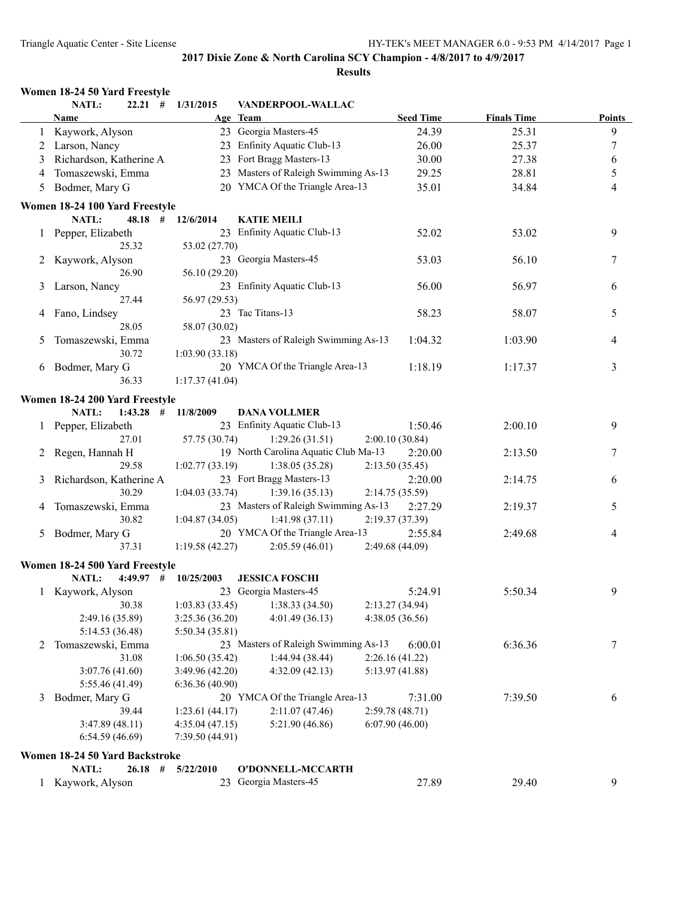|   | NATL:                          | $22.21$ # $1/31/2015$    | VANDERPOOL-WALLAC                    |                  |                    |               |
|---|--------------------------------|--------------------------|--------------------------------------|------------------|--------------------|---------------|
|   | <b>Name</b>                    |                          | Age Team                             | <b>Seed Time</b> | <b>Finals Time</b> | <b>Points</b> |
|   | 1 Kaywork, Alyson              |                          | 23 Georgia Masters-45                | 24.39            | 25.31              | 9             |
|   | 2 Larson, Nancy                |                          | 23 Enfinity Aquatic Club-13          | 26.00            | 25.37              | $\tau$        |
| 3 | Richardson, Katherine A        |                          | 23 Fort Bragg Masters-13             | 30.00            | 27.38              | 6             |
| 4 | Tomaszewski, Emma              |                          | 23 Masters of Raleigh Swimming As-13 | 29.25            | 28.81              | 5             |
| 5 | Bodmer, Mary G                 |                          | 20 YMCA Of the Triangle Area-13      | 35.01            | 34.84              | 4             |
|   | Women 18-24 100 Yard Freestyle |                          |                                      |                  |                    |               |
|   | NATL:                          | 48.18 # 12/6/2014        | <b>KATIE MEILI</b>                   |                  |                    |               |
|   | 1 Pepper, Elizabeth            |                          | 23 Enfinity Aquatic Club-13          | 52.02            | 53.02              | 9             |
|   | 25.32                          | 53.02 (27.70)            |                                      |                  |                    |               |
|   | Kaywork, Alyson                |                          | 23 Georgia Masters-45                | 53.03            | 56.10              | 7             |
|   | 26.90                          | 56.10 (29.20)            |                                      |                  |                    |               |
| 3 | Larson, Nancy                  |                          | 23 Enfinity Aquatic Club-13          | 56.00            | 56.97              | 6             |
|   | 27.44                          | 56.97 (29.53)            |                                      |                  |                    |               |
|   | Fano, Lindsey                  |                          | 23 Tac Titans-13                     | 58.23            | 58.07              | 5             |
|   | 28.05                          | 58.07 (30.02)            |                                      |                  |                    |               |
| 5 | Tomaszewski, Emma              |                          | 23 Masters of Raleigh Swimming As-13 | 1:04.32          | 1:03.90            | 4             |
|   | 30.72                          | 1:03.90(33.18)           |                                      |                  |                    |               |
|   | 6 Bodmer, Mary G               |                          | 20 YMCA Of the Triangle Area-13      | 1:18.19          | 1:17.37            | 3             |
|   | 36.33                          | 1:17.37(41.04)           |                                      |                  |                    |               |
|   | Women 18-24 200 Yard Freestyle |                          |                                      |                  |                    |               |
|   | <b>NATL:</b><br>$1:43.28$ #    | 11/8/2009                | <b>DANA VOLLMER</b>                  |                  |                    |               |
|   | 1 Pepper, Elizabeth            |                          | 23 Enfinity Aquatic Club-13          | 1:50.46          | 2:00.10            | 9             |
|   | 27.01                          | 57.75 (30.74)            | 1:29.26(31.51)                       | 2:00.10(30.84)   |                    |               |
|   | Regen, Hannah H                |                          | 19 North Carolina Aquatic Club Ma-13 | 2:20.00          | 2:13.50            | 7             |
|   | 29.58                          | 1:02.77(33.19)           | 1:38.05(35.28)                       | 2:13.50(35.45)   |                    |               |
|   | Richardson, Katherine A        |                          | 23 Fort Bragg Masters-13             | 2:20.00          | 2:14.75            | 6             |
| 3 | 30.29                          | 1:04.03(33.74)           | 1:39.16(35.13)                       | 2:14.75 (35.59)  |                    |               |
|   |                                |                          | 23 Masters of Raleigh Swimming As-13 | 2:27.29          | 2:19.37            | 5             |
| 4 | Tomaszewski, Emma<br>30.82     |                          |                                      |                  |                    |               |
|   |                                | 1:04.87(34.05)           | 1:41.98(37.11)                       | 2:19.37 (37.39)  |                    |               |
| 5 | Bodmer, Mary G                 |                          | 20 YMCA Of the Triangle Area-13      | 2:55.84          | 2:49.68            | 4             |
|   | 37.31                          | 1:19.58(42.27)           | 2:05.59(46.01)                       | 2:49.68 (44.09)  |                    |               |
|   | Women 18-24 500 Yard Freestyle |                          |                                      |                  |                    |               |
|   | <b>NATL:</b>                   | $4:49.97$ # $10/25/2003$ | <b>JESSICA FOSCHI</b>                |                  |                    |               |
|   | 1 Kaywork, Alyson              |                          | 23 Georgia Masters-45                | 5:24.91          | 5:50.34            | 9             |
|   | 30.38                          | 1:03.83(33.45)           | 1:38.33(34.50)                       | 2:13.27 (34.94)  |                    |               |
|   | 2:49.16 (35.89)                | 3:25.36(36.20)           | 4:01.49 (36.13)                      | 4:38.05 (36.56)  |                    |               |
|   | 5:14.53 (36.48)                | 5:50.34 (35.81)          |                                      |                  |                    |               |
| 2 | Tomaszewski, Emma              |                          | 23 Masters of Raleigh Swimming As-13 | 6:00.01          | 6:36.36            | 7             |
|   | 31.08                          | 1:06.50(35.42)           | 1:44.94 (38.44)                      | 2:26.16 (41.22)  |                    |               |
|   | 3:07.76 (41.60)                | 3:49.96(42.20)           | 4:32.09(42.13)                       | 5:13.97 (41.88)  |                    |               |
|   | 5:55.46 (41.49)                | 6:36.36(40.90)           |                                      |                  |                    |               |
| 3 | Bodmer, Mary G                 |                          | 20 YMCA Of the Triangle Area-13      | 7:31.00          | 7:39.50            | 6             |
|   | 39.44                          | 1:23.61(44.17)           | 2:11.07(47.46)                       | 2:59.78(48.71)   |                    |               |
|   | 3:47.89(48.11)                 | 4:35.04(47.15)           | 5:21.90 (46.86)                      | 6:07.90(46.00)   |                    |               |
|   | 6:54.59(46.69)                 | 7:39.50 (44.91)          |                                      |                  |                    |               |
|   | Women 18-24 50 Yard Backstroke |                          |                                      |                  |                    |               |
|   | NATL:<br>$26.18$ #             | 5/22/2010                | O'DONNELL-MCCARTH                    |                  |                    |               |
| 1 | Kaywork, Alyson                |                          | 23 Georgia Masters-45                | 27.89            | 29.40              | 9             |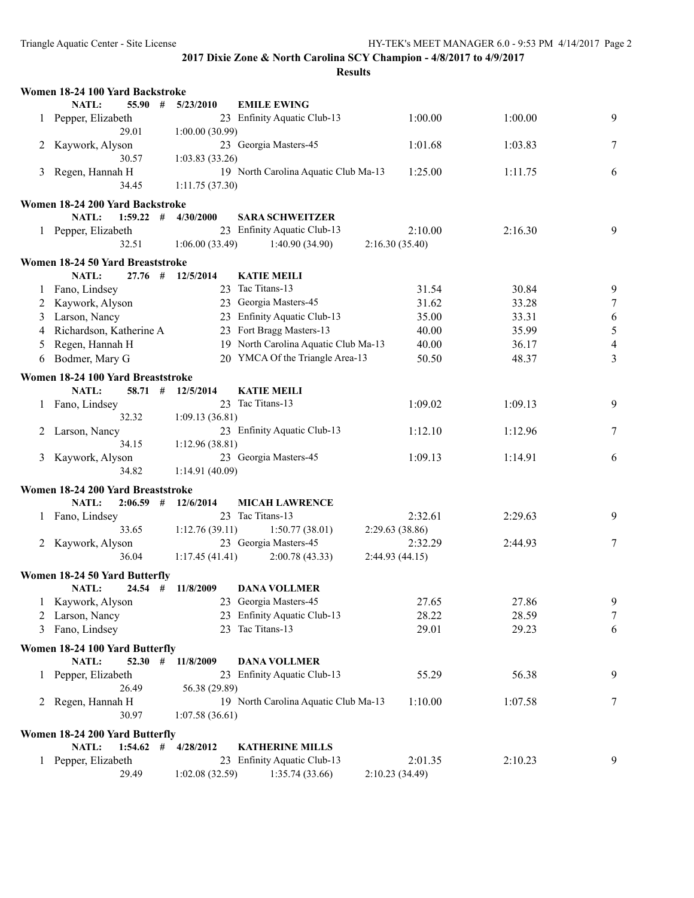|              | Women 18-24 100 Yard Backstroke   |                 |                                      |                 |         |                |
|--------------|-----------------------------------|-----------------|--------------------------------------|-----------------|---------|----------------|
|              | NATL:<br>55.90#                   | 5/23/2010       | <b>EMILE EWING</b>                   |                 |         |                |
|              | 1 Pepper, Elizabeth               |                 | 23 Enfinity Aquatic Club-13          | 1:00.00         | 1:00.00 | 9              |
|              | 29.01                             | 1:00.00(30.99)  |                                      |                 |         |                |
|              | 2 Kaywork, Alyson                 |                 | 23 Georgia Masters-45                | 1:01.68         | 1:03.83 | 7              |
|              | 30.57                             | 1:03.83(33.26)  |                                      |                 |         |                |
| 3            | Regen, Hannah H                   |                 | 19 North Carolina Aquatic Club Ma-13 | 1:25.00         | 1:11.75 | 6              |
|              | 34.45                             | 1:11.75(37.30)  |                                      |                 |         |                |
|              | Women 18-24 200 Yard Backstroke   |                 |                                      |                 |         |                |
|              | NATL:<br>$1:59.22$ #              | 4/30/2000       | <b>SARA SCHWEITZER</b>               |                 |         |                |
|              | 1 Pepper, Elizabeth               |                 | 23 Enfinity Aquatic Club-13          | 2:10.00         | 2:16.30 | 9              |
|              | 32.51                             | 1:06.00(33.49)  | 1:40.90 (34.90)                      | 2:16.30(35.40)  |         |                |
|              |                                   |                 |                                      |                 |         |                |
|              | Women 18-24 50 Yard Breaststroke  |                 |                                      |                 |         |                |
|              | NATL:<br>27.76#                   | 12/5/2014       | <b>KATIE MEILI</b>                   |                 |         |                |
|              | 1 Fano, Lindsey                   |                 | 23 Tac Titans-13                     | 31.54           | 30.84   | 9              |
| 2            | Kaywork, Alyson                   |                 | 23 Georgia Masters-45                | 31.62           | 33.28   | $\tau$         |
| 3            | Larson, Nancy                     |                 | 23 Enfinity Aquatic Club-13          | 35.00           | 33.31   | 6              |
|              | 4 Richardson, Katherine A         |                 | 23 Fort Bragg Masters-13             | 40.00           | 35.99   | $\sqrt{5}$     |
| 5            | Regen, Hannah H                   |                 | 19 North Carolina Aquatic Club Ma-13 | 40.00           | 36.17   | $\overline{4}$ |
| 6            | Bodmer, Mary G                    |                 | 20 YMCA Of the Triangle Area-13      | 50.50           | 48.37   | $\overline{3}$ |
|              | Women 18-24 100 Yard Breaststroke |                 |                                      |                 |         |                |
|              | NATL:<br>$58.71$ #                | 12/5/2014       | <b>KATIE MEILI</b>                   |                 |         |                |
|              |                                   |                 | 23 Tac Titans-13                     | 1:09.02         | 1:09.13 | 9              |
|              | 1 Fano, Lindsey<br>32.32          |                 |                                      |                 |         |                |
|              |                                   | 1:09.13(36.81)  | 23 Enfinity Aquatic Club-13          |                 |         |                |
| 2            | Larson, Nancy                     |                 |                                      | 1:12.10         | 1:12.96 | 7              |
|              | 34.15                             | 1:12.96(38.81)  |                                      |                 |         |                |
| 3            | Kaywork, Alyson                   |                 | 23 Georgia Masters-45                | 1:09.13         | 1:14.91 | 6              |
|              | 34.82                             | 1:14.91(40.09)  |                                      |                 |         |                |
|              | Women 18-24 200 Yard Breaststroke |                 |                                      |                 |         |                |
|              | NATL:<br>2:06.59<br>#             | 12/6/2014       | <b>MICAH LAWRENCE</b>                |                 |         |                |
| $\perp$      | Fano, Lindsey                     |                 | 23 Tac Titans-13                     | 2:32.61         | 2:29.63 | 9              |
|              | 33.65                             | 1:12.76(39.11)  | 1:50.77(38.01)                       | 2:29.63(38.86)  |         |                |
|              | 2 Kaywork, Alyson                 |                 | 23 Georgia Masters-45                | 2:32.29         | 2:44.93 | 7              |
|              | 36.04                             | 1:17.45(41.41)  | 2:00.78(43.33)                       | 2:44.93(44.15)  |         |                |
|              | Women 18-24 50 Yard Butterfly     |                 |                                      |                 |         |                |
|              | NATL:<br>$24.54$ #                | 11/8/2009       | <b>DANA VOLLMER</b>                  |                 |         |                |
|              | 1 Kaywork, Alyson                 |                 | 23 Georgia Masters-45                | 27.65           | 27.86   | 9              |
|              | 2 Larson, Nancy                   |                 | 23 Enfinity Aquatic Club-13          | 28.22           | 28.59   | $\tau$         |
| 3            | Fano, Lindsey                     |                 | 23 Tac Titans-13                     | 29.01           | 29.23   | 6              |
|              |                                   |                 |                                      |                 |         |                |
|              | Women 18-24 100 Yard Butterfly    |                 |                                      |                 |         |                |
|              | <b>NATL:</b><br>$52.30$ #         | 11/8/2009       | <b>DANA VOLLMER</b>                  |                 |         |                |
| $\mathbf{1}$ | Pepper, Elizabeth                 |                 | 23 Enfinity Aquatic Club-13          | 55.29           | 56.38   | 9              |
|              | 26.49                             | 56.38 (29.89)   |                                      |                 |         |                |
|              | 2 Regen, Hannah H                 |                 | 19 North Carolina Aquatic Club Ma-13 | 1:10.00         | 1:07.58 | 7              |
|              | 30.97                             | 1:07.58(36.61)  |                                      |                 |         |                |
|              | Women 18-24 200 Yard Butterfly    |                 |                                      |                 |         |                |
|              | NATL:<br>1:54.62<br>#             | 4/28/2012       | <b>KATHERINE MILLS</b>               |                 |         |                |
|              | 1 Pepper, Elizabeth               |                 | 23 Enfinity Aquatic Club-13          | 2:01.35         | 2:10.23 | 9              |
|              | 29.49                             | 1:02.08 (32.59) | 1:35.74(33.66)                       | 2:10.23 (34.49) |         |                |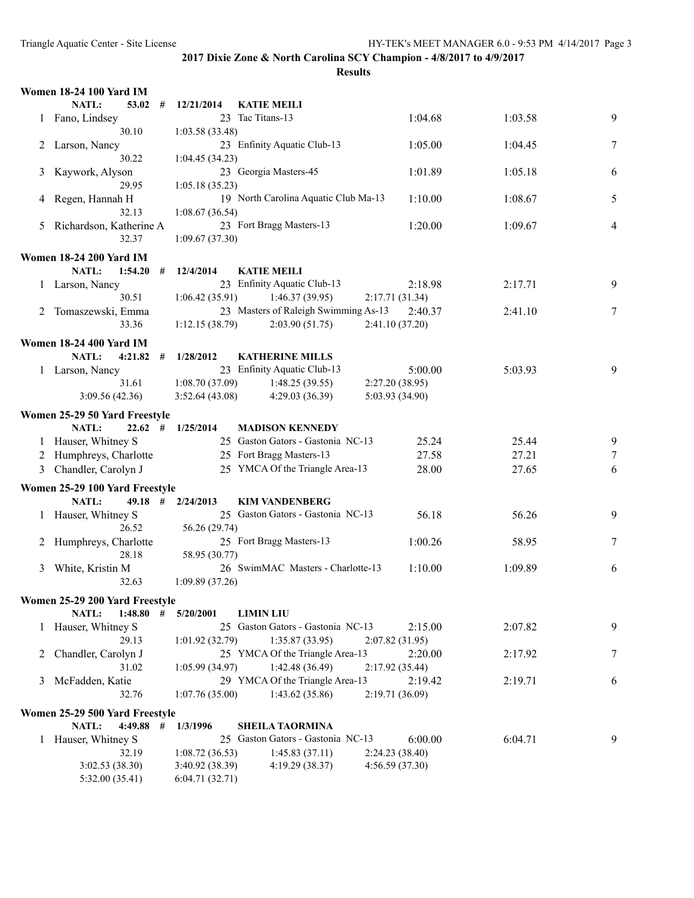|    | <b>Women 18-24 100 Yard IM</b> |   |                 |                                      |                 |         |                |
|----|--------------------------------|---|-----------------|--------------------------------------|-----------------|---------|----------------|
|    | NATL:<br>53.02                 | # | 12/21/2014      | <b>KATIE MEILI</b>                   |                 |         |                |
|    | 1 Fano, Lindsey                |   |                 | 23 Tac Titans-13                     | 1:04.68         | 1:03.58 | 9              |
|    | 30.10                          |   | 1:03.58(33.48)  |                                      |                 |         |                |
| 2  | Larson, Nancy                  |   |                 | 23 Enfinity Aquatic Club-13          | 1:05.00         | 1:04.45 | 7              |
|    | 30.22                          |   | 1:04.45(34.23)  |                                      |                 |         |                |
| 3  | Kaywork, Alyson                |   |                 | 23 Georgia Masters-45                | 1:01.89         | 1:05.18 | 6              |
|    | 29.95                          |   | 1:05.18(35.23)  |                                      |                 |         |                |
|    | Regen, Hannah H                |   |                 | 19 North Carolina Aquatic Club Ma-13 | 1:10.00         | 1:08.67 | 5              |
| 4  | 32.13                          |   |                 |                                      |                 |         |                |
|    |                                |   | 1:08.67(36.54)  |                                      |                 |         |                |
| 5. | Richardson, Katherine A        |   |                 | 23 Fort Bragg Masters-13             | 1:20.00         | 1:09.67 | $\overline{4}$ |
|    | 32.37                          |   | 1:09.67(37.30)  |                                      |                 |         |                |
|    | <b>Women 18-24 200 Yard IM</b> |   |                 |                                      |                 |         |                |
|    | NATL:<br>1:54.20               | # | 12/4/2014       | <b>KATIE MEILI</b>                   |                 |         |                |
|    | 1 Larson, Nancy                |   |                 | 23 Enfinity Aquatic Club-13          | 2:18.98         | 2:17.71 | 9              |
|    | 30.51                          |   | 1:06.42(35.91)  | 1:46.37(39.95)                       | 2:17.71(31.34)  |         |                |
|    | 2 Tomaszewski, Emma            |   |                 | 23 Masters of Raleigh Swimming As-13 | 2:40.37         | 2:41.10 | 7              |
|    | 33.36                          |   | 1:12.15(38.79)  | 2:03.90(51.75)                       | 2:41.10 (37.20) |         |                |
|    |                                |   |                 |                                      |                 |         |                |
|    | <b>Women 18-24 400 Yard IM</b> |   |                 |                                      |                 |         |                |
|    | NATL:<br>4:21.82               | # | 1/28/2012       | <b>KATHERINE MILLS</b>               |                 |         |                |
|    | 1 Larson, Nancy                |   |                 | 23 Enfinity Aquatic Club-13          | 5:00.00         | 5:03.93 | 9              |
|    | 31.61                          |   | 1:08.70(37.09)  | 1:48.25(39.55)                       | 2:27.20 (38.95) |         |                |
|    | 3:09.56(42.36)                 |   | 3:52.64(43.08)  | 4:29.03(36.39)                       | 5:03.93 (34.90) |         |                |
|    | Women 25-29 50 Yard Freestyle  |   |                 |                                      |                 |         |                |
|    | $22.62$ #                      |   |                 |                                      |                 |         |                |
|    | <b>NATL:</b>                   |   | 1/25/2014       | <b>MADISON KENNEDY</b>               |                 |         |                |
|    | 1 Hauser, Whitney S            |   |                 | 25 Gaston Gators - Gastonia NC-13    | 25.24           | 25.44   | 9              |
| 2  | Humphreys, Charlotte           |   |                 | 25 Fort Bragg Masters-13             | 27.58           | 27.21   | 7              |
| 3  | Chandler, Carolyn J            |   |                 | 25 YMCA Of the Triangle Area-13      | 28.00           | 27.65   | 6              |
|    | Women 25-29 100 Yard Freestyle |   |                 |                                      |                 |         |                |
|    | <b>NATL:</b><br>$49.18$ #      |   | 2/24/2013       | <b>KIM VANDENBERG</b>                |                 |         |                |
|    | 1 Hauser, Whitney S            |   |                 | 25 Gaston Gators - Gastonia NC-13    | 56.18           | 56.26   | 9              |
|    | 26.52                          |   | 56.26 (29.74)   |                                      |                 |         |                |
| 2  | Humphreys, Charlotte           |   |                 | 25 Fort Bragg Masters-13             | 1:00.26         | 58.95   | 7              |
|    | 28.18                          |   | 58.95 (30.77)   |                                      |                 |         |                |
|    | White, Kristin M               |   |                 | 26 SwimMAC Masters - Charlotte-13    | 1:10.00         |         |                |
| 3  |                                |   |                 |                                      |                 | 1:09.89 | 6              |
|    | 32.63                          |   | 1:09.89(37.26)  |                                      |                 |         |                |
|    | Women 25-29 200 Yard Freestyle |   |                 |                                      |                 |         |                |
|    | NATL:<br>1:48.80               | # | 5/20/2001       | <b>LIMIN LIU</b>                     |                 |         |                |
|    | 1 Hauser, Whitney S            |   |                 | 25 Gaston Gators - Gastonia NC-13    | 2:15.00         | 2:07.82 | 9              |
|    | 29.13                          |   | 1:01.92(32.79)  | 1:35.87(33.95)                       | 2:07.82(31.95)  |         |                |
| 2  | Chandler, Carolyn J            |   |                 | 25 YMCA Of the Triangle Area-13      | 2:20.00         | 2:17.92 | 7              |
|    | 31.02                          |   | 1:05.99(34.97)  | 1:42.48 (36.49)                      | 2:17.92(35.44)  |         |                |
| 3  | McFadden, Katie                |   |                 | 29 YMCA Of the Triangle Area-13      | 2:19.42         | 2:19.71 | 6              |
|    | 32.76                          |   | 1:07.76(35.00)  | 1:43.62(35.86)                       | 2:19.71 (36.09) |         |                |
|    |                                |   |                 |                                      |                 |         |                |
|    | Women 25-29 500 Yard Freestyle |   |                 |                                      |                 |         |                |
|    | NATL:<br>$4:49.88$ #           |   | 1/3/1996        | <b>SHEILA TAORMINA</b>               |                 |         |                |
| 1  | Hauser, Whitney S              |   |                 | 25 Gaston Gators - Gastonia NC-13    | 6:00.00         | 6:04.71 | 9              |
|    | 32.19                          |   | 1:08.72(36.53)  | 1:45.83(37.11)                       | 2:24.23 (38.40) |         |                |
|    | 3:02.53(38.30)                 |   | 3:40.92 (38.39) | 4:19.29 (38.37)                      | 4:56.59 (37.30) |         |                |
|    | 5:32.00 (35.41)                |   | 6:04.71(32.71)  |                                      |                 |         |                |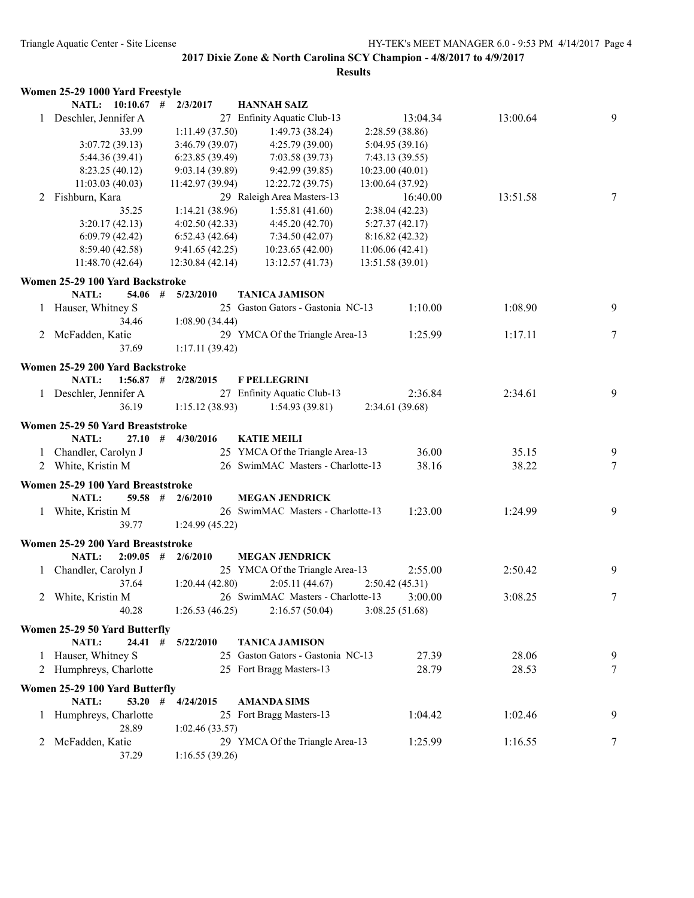|   | Women 25-29 1000 Yard Freestyle   |                  |                                   |                  |          |   |
|---|-----------------------------------|------------------|-----------------------------------|------------------|----------|---|
|   | NATL: 10:10.67 #                  | 2/3/2017         | <b>HANNAH SAIZ</b>                |                  |          |   |
|   | Deschler, Jennifer A              |                  | 27 Enfinity Aquatic Club-13       | 13:04.34         | 13:00.64 | 9 |
|   | 33.99                             | 1:11.49 (37.50)  | 1:49.73(38.24)                    | 2:28.59 (38.86)  |          |   |
|   | 3:07.72(39.13)                    | 3:46.79(39.07)   | 4:25.79 (39.00)                   | 5:04.95(39.16)   |          |   |
|   | 5:44.36 (39.41)                   | 6:23.85(39.49)   | 7:03.58 (39.73)                   | 7:43.13(39.55)   |          |   |
|   | 8:23.25(40.12)                    | 9:03.14(39.89)   | 9:42.99(39.85)                    | 10:23.00(40.01)  |          |   |
|   | 11:03.03 (40.03)                  | 11:42.97 (39.94) | 12:22.72 (39.75)                  | 13:00.64 (37.92) |          |   |
| 2 | Fishburn, Kara                    |                  | 29 Raleigh Area Masters-13        | 16:40.00         | 13:51.58 | 7 |
|   | 35.25                             | 1:14.21 (38.96)  | 1:55.81(41.60)                    | 2:38.04(42.23)   |          |   |
|   | 3:20.17(42.13)                    | 4:02.50(42.33)   | 4:45.20(42.70)                    | 5:27.37(42.17)   |          |   |
|   | 6:09.79(42.42)                    | 6:52.43(42.64)   | 7:34.50(42.07)                    | 8:16.82(42.32)   |          |   |
|   | 8:59.40 (42.58)                   | 9:41.65(42.25)   | 10:23.65(42.00)                   | 11:06.06(42.41)  |          |   |
|   | 11:48.70 (42.64)                  | 12:30.84 (42.14) | 13:12.57(41.73)                   | 13:51.58(39.01)  |          |   |
|   | Women 25-29 100 Yard Backstroke   |                  |                                   |                  |          |   |
|   | NATL:<br>$54.06$ #                | 5/23/2010        | <b>TANICA JAMISON</b>             |                  |          |   |
|   | Hauser, Whitney S                 |                  | 25 Gaston Gators - Gastonia NC-13 | 1:10.00          | 1:08.90  | 9 |
|   | 34.46                             | 1:08.90 (34.44)  |                                   |                  |          |   |
|   | 2 McFadden, Katie                 |                  | 29 YMCA Of the Triangle Area-13   | 1:25.99          | 1:17.11  | 7 |
|   | 37.69                             | 1:17.11(39.42)   |                                   |                  |          |   |
|   | Women 25-29 200 Yard Backstroke   |                  |                                   |                  |          |   |
|   | NATL:<br>$1:56.87$ #              | 2/28/2015        | <b>F PELLEGRINI</b>               |                  |          |   |
|   | 1 Deschler, Jennifer A            |                  | 27 Enfinity Aquatic Club-13       | 2:36.84          | 2:34.61  | 9 |
|   | 36.19                             | 1:15.12(38.93)   | 1:54.93(39.81)                    | 2:34.61 (39.68)  |          |   |
|   |                                   |                  |                                   |                  |          |   |
|   | Women 25-29 50 Yard Breaststroke  |                  |                                   |                  |          |   |
|   | NATL:<br>27.10#                   | 4/30/2016        | <b>KATIE MEILI</b>                |                  |          |   |
|   | 1 Chandler, Carolyn J             |                  | 25 YMCA Of the Triangle Area-13   | 36.00            | 35.15    | 9 |
|   | 2 White, Kristin M                |                  | 26 SwimMAC Masters - Charlotte-13 | 38.16            | 38.22    | 7 |
|   | Women 25-29 100 Yard Breaststroke |                  |                                   |                  |          |   |
|   | <b>NATL:</b><br>$59.58$ #         | 2/6/2010         | <b>MEGAN JENDRICK</b>             |                  |          |   |
|   | 1 White, Kristin M                |                  | 26 SwimMAC Masters - Charlotte-13 | 1:23.00          | 1:24.99  | 9 |
|   | 39.77                             | 1:24.99(45.22)   |                                   |                  |          |   |
|   | Women 25-29 200 Yard Breaststroke |                  |                                   |                  |          |   |
|   | NATL:<br>$2:09.05$ #              | 2/6/2010         | <b>MEGAN JENDRICK</b>             |                  |          |   |
|   | Chandler, Carolyn J               |                  | 25 YMCA Of the Triangle Area-13   | 2:55.00          | 2:50.42  | 9 |
|   | 37.64                             | 1:20.44(42.80)   | 2:05.11(44.67)                    | 2:50.42(45.31)   |          |   |
| 2 | White, Kristin M                  |                  | 26 SwimMAC Masters - Charlotte-13 | 3:00.00          | 3:08.25  | 7 |
|   | 40.28                             | 1:26.53(46.25)   | 2:16.57(50.04)                    | 3:08.25(51.68)   |          |   |
|   |                                   |                  |                                   |                  |          |   |
|   | Women 25-29 50 Yard Butterfly     |                  |                                   |                  |          |   |
|   | 24.41#<br>NATL:                   | 5/22/2010        | <b>TANICA JAMISON</b>             |                  |          |   |
|   | Hauser, Whitney S                 |                  | 25 Gaston Gators - Gastonia NC-13 | 27.39            | 28.06    | 9 |
|   | 2 Humphreys, Charlotte            |                  | 25 Fort Bragg Masters-13          | 28.79            | 28.53    | 7 |
|   | Women 25-29 100 Yard Butterfly    |                  |                                   |                  |          |   |
|   | NATL:<br>$53.20$ #                | 4/24/2015        | <b>AMANDA SIMS</b>                |                  |          |   |
|   | 1 Humphreys, Charlotte            |                  | 25 Fort Bragg Masters-13          | 1:04.42          | 1:02.46  | 9 |
|   | 28.89                             | 1:02.46(33.57)   |                                   |                  |          |   |
|   | 2 McFadden, Katie                 |                  | 29 YMCA Of the Triangle Area-13   | 1:25.99          | 1:16.55  | 7 |
|   | 37.29                             | 1:16.55(39.26)   |                                   |                  |          |   |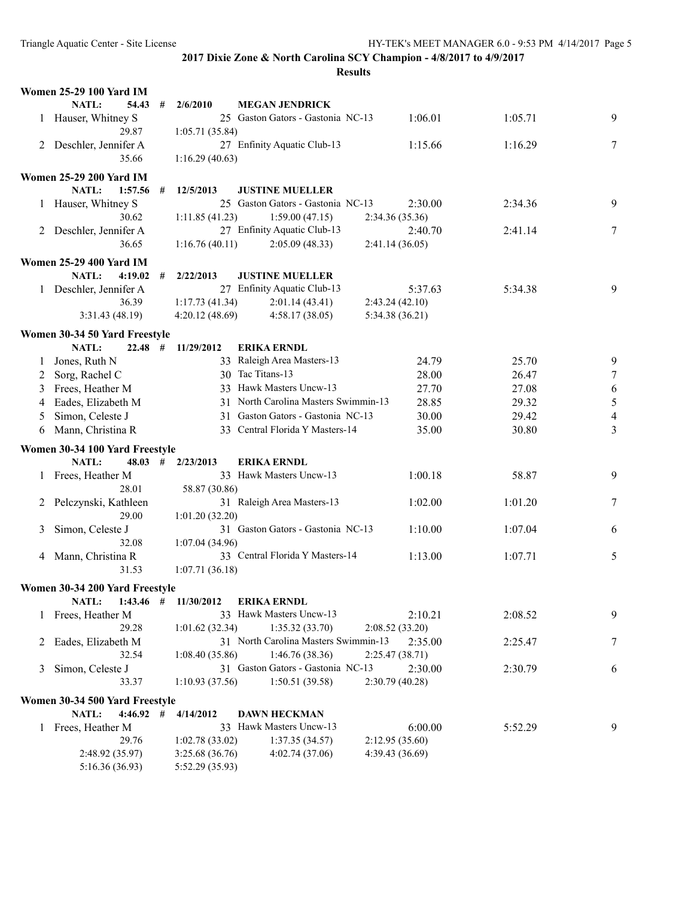|   | <b>Women 25-29 100 Yard IM</b>  |   |                 |                                      |                           |         |                  |
|---|---------------------------------|---|-----------------|--------------------------------------|---------------------------|---------|------------------|
|   | <b>NATL:</b><br>54.43           | # | 2/6/2010        | <b>MEGAN JENDRICK</b>                |                           |         |                  |
|   | 1 Hauser, Whitney S             |   |                 | 25 Gaston Gators - Gastonia NC-13    | 1:06.01                   | 1:05.71 | 9                |
|   | 29.87                           |   | 1:05.71(35.84)  |                                      |                           |         |                  |
|   | 2 Deschler, Jennifer A          |   |                 | 27 Enfinity Aquatic Club-13          | 1:15.66                   | 1:16.29 | 7                |
|   | 35.66                           |   | 1:16.29(40.63)  |                                      |                           |         |                  |
|   | <b>Women 25-29 200 Yard IM</b>  |   |                 |                                      |                           |         |                  |
|   | <b>NATL:</b><br>$1:57.56$ #     |   | 12/5/2013       | <b>JUSTINE MUELLER</b>               |                           |         |                  |
|   | 1 Hauser, Whitney S             |   |                 | 25 Gaston Gators - Gastonia NC-13    | 2:30.00                   | 2:34.36 | 9                |
|   | 30.62                           |   | 1:11.85(41.23)  | 1:59.00(47.15)                       |                           |         |                  |
|   |                                 |   |                 | 27 Enfinity Aquatic Club-13          | 2:34.36(35.36)<br>2:40.70 | 2:41.14 | 7                |
|   | 2 Deschler, Jennifer A<br>36.65 |   | 1:16.76(40.11)  |                                      |                           |         |                  |
|   |                                 |   |                 | 2:05.09(48.33)                       | 2:41.14(36.05)            |         |                  |
|   | <b>Women 25-29 400 Yard IM</b>  |   |                 |                                      |                           |         |                  |
|   | NATL:<br>4:19.02                | # | 2/22/2013       | <b>JUSTINE MUELLER</b>               |                           |         |                  |
|   | 1 Deschler, Jennifer A          |   |                 | 27 Enfinity Aquatic Club-13          | 5:37.63                   | 5:34.38 | 9                |
|   | 36.39                           |   | 1:17.73(41.34)  | 2:01.14(43.41)                       | 2:43.24(42.10)            |         |                  |
|   | 3:31.43(48.19)                  |   | 4:20.12(48.69)  | 4:58.17(38.05)                       | 5:34.38 (36.21)           |         |                  |
|   | Women 30-34 50 Yard Freestyle   |   |                 |                                      |                           |         |                  |
|   | $22.48$ #<br>NATL:              |   | 11/29/2012      | <b>ERIKA ERNDL</b>                   |                           |         |                  |
| 1 | Jones, Ruth N                   |   |                 | 33 Raleigh Area Masters-13           | 24.79                     | 25.70   | 9                |
| 2 | Sorg, Rachel C                  |   |                 | 30 Tac Titans-13                     | 28.00                     | 26.47   | $\boldsymbol{7}$ |
| 3 | Frees, Heather M                |   |                 | 33 Hawk Masters Uncw-13              | 27.70                     | 27.08   | 6                |
| 4 | Eades, Elizabeth M              |   |                 | 31 North Carolina Masters Swimmin-13 | 28.85                     | 29.32   | 5                |
| 5 | Simon, Celeste J                |   |                 | 31 Gaston Gators - Gastonia NC-13    | 30.00                     | 29.42   | $\overline{4}$   |
| 6 | Mann, Christina R               |   |                 | 33 Central Florida Y Masters-14      | 35.00                     | 30.80   | 3                |
|   |                                 |   |                 |                                      |                           |         |                  |
|   | Women 30-34 100 Yard Freestyle  |   |                 |                                      |                           |         |                  |
|   | <b>NATL:</b><br>48.03           | # | 2/23/2013       | <b>ERIKA ERNDL</b>                   |                           |         |                  |
|   | Frees, Heather M                |   |                 | 33 Hawk Masters Uncw-13              | 1:00.18                   | 58.87   | 9                |
|   | 28.01                           |   | 58.87 (30.86)   |                                      |                           |         |                  |
|   | Pelczynski, Kathleen            |   |                 | 31 Raleigh Area Masters-13           | 1:02.00                   | 1:01.20 | 7                |
|   | 29.00                           |   | 1:01.20(32.20)  |                                      |                           |         |                  |
| 3 | Simon, Celeste J                |   |                 | 31 Gaston Gators - Gastonia NC-13    | 1:10.00                   | 1:07.04 | 6                |
|   | 32.08                           |   | 1:07.04(34.96)  |                                      |                           |         |                  |
|   | 4 Mann, Christina R             |   |                 | 33 Central Florida Y Masters-14      | 1:13.00                   | 1:07.71 | 5                |
|   | 31.53                           |   | 1:07.71(36.18)  |                                      |                           |         |                  |
|   | Women 30-34 200 Yard Freestyle  |   |                 |                                      |                           |         |                  |
|   | NATL:<br>$1:43.46$ #            |   | 11/30/2012      | <b>ERIKA ERNDL</b>                   |                           |         |                  |
| 1 | Frees, Heather M                |   |                 | 33 Hawk Masters Uncw-13              | 2:10.21                   | 2:08.52 | 9                |
|   | 29.28                           |   | 1:01.62(32.34)  | 1:35.32(33.70)                       | 2:08.52(33.20)            |         |                  |
| 2 | Eades, Elizabeth M              |   |                 | 31 North Carolina Masters Swimmin-13 | 2:35.00                   | 2:25.47 | 7                |
|   | 32.54                           |   | 1:08.40 (35.86) | 1:46.76(38.36)                       | 2:25.47 (38.71)           |         |                  |
| 3 | Simon, Celeste J                |   |                 | 31 Gaston Gators - Gastonia NC-13    | 2:30.00                   | 2:30.79 | 6                |
|   | 33.37                           |   | 1:10.93 (37.56) | 1:50.51(39.58)                       | 2:30.79 (40.28)           |         |                  |
|   | Women 30-34 500 Yard Freestyle  |   |                 |                                      |                           |         |                  |
|   | 4:46.92#<br><b>NATL:</b>        |   | 4/14/2012       | <b>DAWN HECKMAN</b>                  |                           |         |                  |
|   | 1 Frees, Heather M              |   |                 | 33 Hawk Masters Uncw-13              | 6:00.00                   | 5:52.29 | 9                |
|   | 29.76                           |   | 1:02.78(33.02)  | 1:37.35(34.57)                       | 2:12.95(35.60)            |         |                  |
|   | 2:48.92 (35.97)                 |   | 3:25.68 (36.76) | 4:02.74 (37.06)                      | 4:39.43 (36.69)           |         |                  |
|   | 5:16.36(36.93)                  |   | 5:52.29 (35.93) |                                      |                           |         |                  |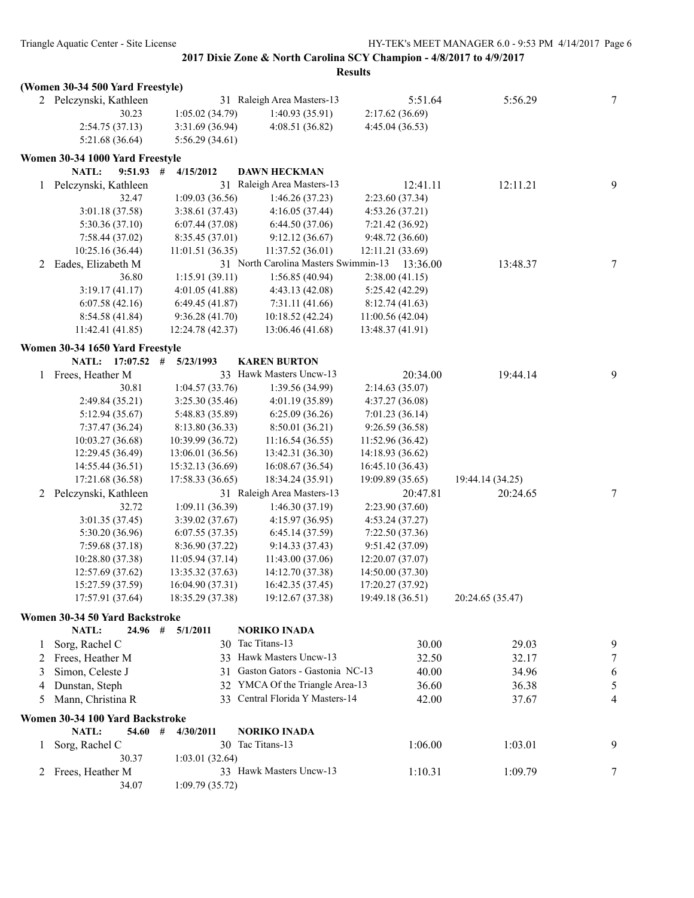|              | (Women 30-34 500 Yard Freestyle) |                  |                                      |                  |                  |   |
|--------------|----------------------------------|------------------|--------------------------------------|------------------|------------------|---|
|              | 2 Pelczynski, Kathleen           |                  | 31 Raleigh Area Masters-13           | 5:51.64          | 5:56.29          | 7 |
|              | 30.23                            | 1:05.02(34.79)   | 1:40.93 (35.91)                      | 2:17.62(36.69)   |                  |   |
|              | 2:54.75(37.13)                   | 3:31.69 (36.94)  | 4:08.51 (36.82)                      | 4:45.04 (36.53)  |                  |   |
|              | 5:21.68(36.64)                   | 5:56.29(34.61)   |                                      |                  |                  |   |
|              | Women 30-34 1000 Yard Freestyle  |                  |                                      |                  |                  |   |
|              | NATL:<br>$9:51.93$ #             | 4/15/2012        | <b>DAWN HECKMAN</b>                  |                  |                  |   |
| $\mathbf{1}$ | Pelczynski, Kathleen             |                  | 31 Raleigh Area Masters-13           | 12:41.11         | 12:11.21         | 9 |
|              | 32.47                            | 1:09.03(36.56)   | 1:46.26(37.23)                       | 2:23.60 (37.34)  |                  |   |
|              | 3:01.18 (37.58)                  | 3:38.61(37.43)   | 4:16.05(37.44)                       | 4:53.26(37.21)   |                  |   |
|              | 5:30.36 (37.10)                  | 6:07.44(37.08)   | 6:44.50(37.06)                       | 7:21.42(36.92)   |                  |   |
|              | 7:58.44 (37.02)                  | 8:35.45 (37.01)  | 9:12.12(36.67)                       | 9:48.72(36.60)   |                  |   |
|              | 10:25.16 (36.44)                 | 11:01.51(36.35)  | 11:37.52 (36.01)                     | 12:11.21 (33.69) |                  |   |
| 2            | Eades, Elizabeth M               |                  | 31 North Carolina Masters Swimmin-13 | 13:36.00         | 13:48.37         | 7 |
|              | 36.80                            | 1:15.91(39.11)   | 1:56.85(40.94)                       | 2:38.00(41.15)   |                  |   |
|              | 3:19.17(41.17)                   | 4:01.05 (41.88)  | 4:43.13(42.08)                       | 5:25.42 (42.29)  |                  |   |
|              | 6:07.58(42.16)                   | 6:49.45(41.87)   | 7:31.11(41.66)                       | 8:12.74(41.63)   |                  |   |
|              | 8:54.58(41.84)                   | 9:36.28(41.70)   | 10:18.52 (42.24)                     | 11:00.56 (42.04) |                  |   |
|              | 11:42.41(41.85)                  | 12:24.78 (42.37) | 13:06.46 (41.68)                     | 13:48.37 (41.91) |                  |   |
|              | Women 30-34 1650 Yard Freestyle  |                  |                                      |                  |                  |   |
|              | NATL: 17:07.52                   | #<br>5/23/1993   | <b>KAREN BURTON</b>                  |                  |                  |   |
| 1            | Frees, Heather M                 |                  | 33 Hawk Masters Uncw-13              | 20:34.00         | 19:44.14         | 9 |
|              | 30.81                            | 1:04.57(33.76)   | 1:39.56 (34.99)                      | 2:14.63(35.07)   |                  |   |
|              | 2:49.84 (35.21)                  | 3:25.30 (35.46)  | 4:01.19 (35.89)                      | 4:37.27 (36.08)  |                  |   |
|              | 5:12.94 (35.67)                  | 5:48.83 (35.89)  | 6:25.09(36.26)                       | 7:01.23(36.14)   |                  |   |
|              | 7:37.47 (36.24)                  | 8:13.80 (36.33)  | 8:50.01 (36.21)                      | 9:26.59 (36.58)  |                  |   |
|              | 10:03.27 (36.68)                 | 10:39.99 (36.72) | 11:16.54(36.55)                      | 11:52.96 (36.42) |                  |   |
|              | 12:29.45 (36.49)                 | 13:06.01 (36.56) | 13:42.31 (36.30)                     | 14:18.93 (36.62) |                  |   |
|              | 14:55.44 (36.51)                 | 15:32.13 (36.69) | 16:08.67 (36.54)                     | 16:45.10 (36.43) |                  |   |
|              | 17:21.68 (36.58)                 | 17:58.33 (36.65) | 18:34.24 (35.91)                     | 19:09.89 (35.65) | 19:44.14 (34.25) |   |
| 2            | Pelczynski, Kathleen             |                  | 31 Raleigh Area Masters-13           | 20:47.81         | 20:24.65         | 7 |
|              | 32.72                            | 1:09.11(36.39)   | 1:46.30(37.19)                       | 2:23.90 (37.60)  |                  |   |
|              | 3:01.35(37.45)                   | 3:39.02(37.67)   | 4:15.97 (36.95)                      | 4:53.24(37.27)   |                  |   |
|              | 5:30.20 (36.96)                  | 6:07.55(37.35)   | 6:45.14(37.59)                       | 7:22.50 (37.36)  |                  |   |
|              | 7:59.68 (37.18)                  | 8:36.90 (37.22)  | 9:14.33 (37.43)                      | 9:51.42 (37.09)  |                  |   |
|              | 10:28.80 (37.38)                 | 11:05.94(37.14)  | 11:43.00(37.06)                      | 12:20.07 (37.07) |                  |   |
|              | 12:57.69 (37.62)                 | 13:35.32 (37.63) | 14:12.70 (37.38)                     | 14:50.00(37.30)  |                  |   |
|              | 15:27.59 (37.59)                 | 16:04.90 (37.31) | 16:42.35 (37.45)                     | 17:20.27 (37.92) |                  |   |
|              | 17:57.91 (37.64)                 | 18:35.29 (37.38) | 19:12.67 (37.38)                     | 19:49.18 (36.51) | 20:24.65 (35.47) |   |
|              | Women 30-34 50 Yard Backstroke   |                  |                                      |                  |                  |   |
|              | NATL:<br>24.96#                  | 5/1/2011         | <b>NORIKO INADA</b>                  |                  |                  |   |
| $\perp$      | Sorg, Rachel C                   |                  | 30 Tac Titans-13                     | 30.00            | 29.03            | 9 |
| 2            | Frees, Heather M                 |                  | 33 Hawk Masters Uncw-13              | 32.50            | 32.17            | 7 |
| 3            | Simon, Celeste J                 |                  | 31 Gaston Gators - Gastonia NC-13    | 40.00            | 34.96            | 6 |
| 4            | Dunstan, Steph                   |                  | 32 YMCA Of the Triangle Area-13      | 36.60            | 36.38            | 5 |
| 5            | Mann, Christina R                |                  | 33 Central Florida Y Masters-14      | 42.00            | 37.67            | 4 |
|              | Women 30-34 100 Yard Backstroke  |                  |                                      |                  |                  |   |
|              | NATL:<br>54.60#                  | 4/30/2011        | <b>NORIKO INADA</b>                  |                  |                  |   |
| 1            | Sorg, Rachel C                   |                  | 30 Tac Titans-13                     | 1:06.00          | 1:03.01          | 9 |
|              | 30.37                            | 1:03.01(32.64)   |                                      |                  |                  |   |
| 2            | Frees, Heather M                 |                  | 33 Hawk Masters Uncw-13              | 1:10.31          | 1:09.79          | 7 |
|              | 34.07                            | 1:09.79(35.72)   |                                      |                  |                  |   |
|              |                                  |                  |                                      |                  |                  |   |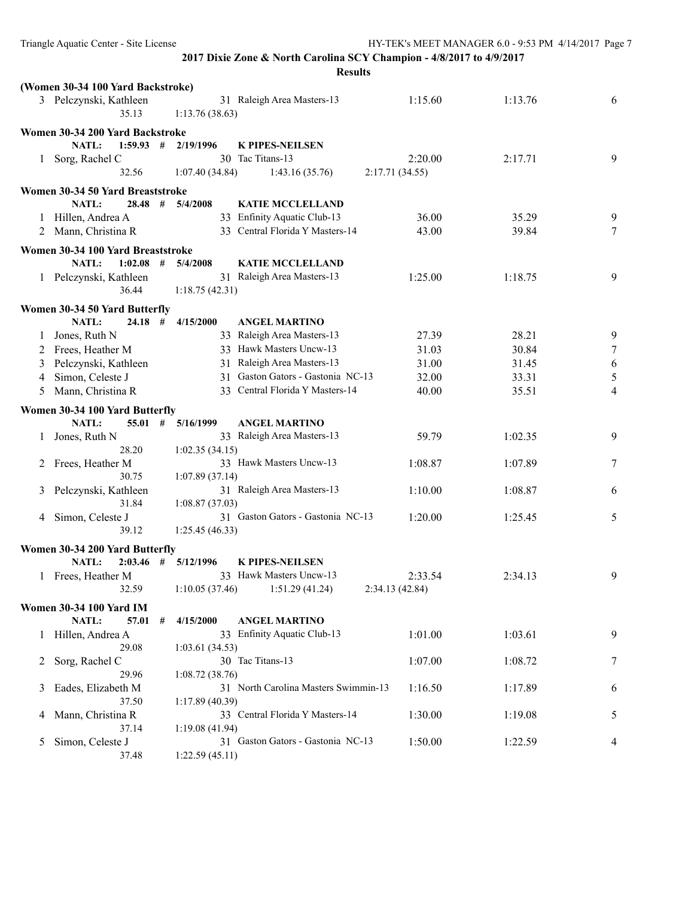**Results (Women 30-34 100 Yard Backstroke)** 3 Pelczynski, Kathleen 31 Raleigh Area Masters-13 1:15.60 1:13.76 6 35.13 1:13.76 (38.63) **Women 30-34 200 Yard Backstroke NATL: 1:59.93 # 2/19/1996 K PIPES-NEILSEN** 1 Sorg, Rachel C 30 Tac Titans-13 2:20.00 2:17.71 9 32.56 1:07.40 (34.84) 1:43.16 (35.76) 2:17.71 (34.55) **Women 30-34 50 Yard Breaststroke NATL: 28.48 # 5/4/2008 KATIE MCCLELLAND** 1 Hillen, Andrea A 33 Enfinity Aquatic Club-13 36.00 35.29 9 9 2 Mann, Christina R 33 Central Florida Y Masters-14 43.00 39.84 7 **Women 30-34 100 Yard Breaststroke NATL: 1:02.08 # 5/4/2008 KATIE MCCLELLAND** 1 Pelczynski, Kathleen 31 Raleigh Area Masters-13 1:25.00 1:18.75 9 36.44 1:18.75 (42.31) **Women 30-34 50 Yard Butterfly NATL: 24.18 # 4/15/2000 ANGEL MARTINO** 1 Jones, Ruth N 33 Raleigh Area Masters-13 27.39 28.21 9 2 Frees, Heather M 33 Hawk Masters Uncw-13 31.03 30.84 7 3 Pelczynski, Kathleen 31 Raleigh Area Masters-13 31.00 31.45 6 4 Simon, Celeste J 31 Gaston Gators - Gastonia NC-13 32.00 33.31 5 5 Mann, Christina R 33 Central Florida Y Masters-14 40.00 35.51 4 **Women 30-34 100 Yard Butterfly NATL: 55.01 # 5/16/1999 ANGEL MARTINO** 1 Jones, Ruth N 33 Raleigh Area Masters-13 59.79 1:02.35 9 28.20 1:02.35 (34.15) 2 Frees, Heather M 33 Hawk Masters Uncw-13 1:08.87 1:07.89 7 30.75 1:07.89 (37.14) 3 Pelczynski, Kathleen 31 Raleigh Area Masters-13 1:10.00 1:08.87 6 31.84 1:08.87 (37.03) 4 Simon, Celeste J 31 Gaston Gators - Gastonia NC-13 1:20.00 1:25.45 5 39.12 1:25.45 (46.33) **Women 30-34 200 Yard Butterfly NATL: 2:03.46 # 5/12/1996 K PIPES-NEILSEN** 1 Frees, Heather M 33 Hawk Masters Uncw-13 2:33.54 2:34.13 9 32.59 1:10.05 (37.46) 1:51.29 (41.24) 2:34.13 (42.84) **Women 30-34 100 Yard IM NATL: 57.01 # 4/15/2000 ANGEL MARTINO** 1 Hillen, Andrea A 33 Enfinity Aquatic Club-13 1:01.00 1:03.61 9 29.08 1:03.61 (34.53) 2 Sorg, Rachel C 30 Tac Titans-13 1:07.00 1:08.72 7 29.96 1:08.72 (38.76) 3 Eades, Elizabeth M 31 North Carolina Masters Swimmin-13 1:16.50 1:17.89 6 37.50 1:17.89 (40.39) 4 Mann, Christina R 33 Central Florida Y Masters-14 1:30.00 1:19.08 5 37.14 1:19.08 (41.94) 5 Simon, Celeste J 31 Gaston Gators - Gastonia NC-13 1:50.00 1:22.59 4 37.48 1:22.59 (45.11)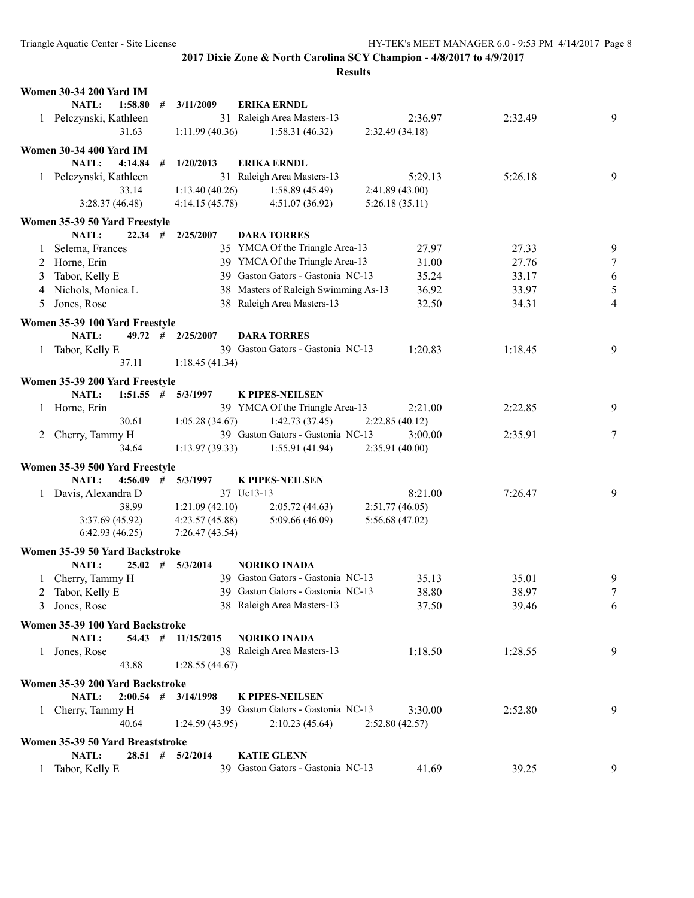|   | <b>Women 30-34 200 Yard IM</b>                      |   |                                 |                                                                      |                 |         |        |
|---|-----------------------------------------------------|---|---------------------------------|----------------------------------------------------------------------|-----------------|---------|--------|
|   | NATL:<br>1:58.80                                    | # | 3/11/2009                       | <b>ERIKA ERNDL</b>                                                   |                 |         |        |
|   | 1 Pelczynski, Kathleen                              |   |                                 | 31 Raleigh Area Masters-13                                           | 2:36.97         | 2:32.49 | 9      |
|   | 31.63                                               |   | 1:11.99(40.36)                  | 1:58.31(46.32)                                                       | 2:32.49(34.18)  |         |        |
|   | <b>Women 30-34 400 Yard IM</b>                      |   |                                 |                                                                      |                 |         |        |
|   | NATL:<br>4:14.84                                    | # | 1/20/2013                       | <b>ERIKA ERNDL</b>                                                   |                 |         |        |
|   | 1 Pelczynski, Kathleen                              |   |                                 | 31 Raleigh Area Masters-13                                           | 5:29.13         | 5:26.18 | 9      |
|   | 33.14                                               |   | 1:13.40(40.26)                  | 1:58.89(45.49)                                                       | 2:41.89(43.00)  |         |        |
|   | 3:28.37 (46.48)                                     |   | 4:14.15(45.78)                  | 4:51.07(36.92)                                                       | 5:26.18(35.11)  |         |        |
|   |                                                     |   |                                 |                                                                      |                 |         |        |
|   | Women 35-39 50 Yard Freestyle<br>NATL:<br>$22.34$ # |   | 2/25/2007                       | <b>DARA TORRES</b>                                                   |                 |         |        |
|   | 1 Selema, Frances                                   |   |                                 | 35 YMCA Of the Triangle Area-13                                      | 27.97           | 27.33   |        |
|   |                                                     |   |                                 |                                                                      |                 |         | 9      |
|   | 2 Horne, Erin                                       |   |                                 | 39 YMCA Of the Triangle Area-13<br>39 Gaston Gators - Gastonia NC-13 | 31.00           | 27.76   | $\tau$ |
| 3 | Tabor, Kelly E                                      |   |                                 |                                                                      | 35.24           | 33.17   | 6      |
|   | 4 Nichols, Monica L                                 |   |                                 | 38 Masters of Raleigh Swimming As-13                                 | 36.92           | 33.97   | 5      |
| 5 | Jones, Rose                                         |   |                                 | 38 Raleigh Area Masters-13                                           | 32.50           | 34.31   | 4      |
|   | Women 35-39 100 Yard Freestyle                      |   |                                 |                                                                      |                 |         |        |
|   | NATL:                                               |   | $49.72 \quad # \quad 2/25/2007$ | <b>DARA TORRES</b>                                                   |                 |         |        |
|   | 1 Tabor, Kelly E                                    |   |                                 | 39 Gaston Gators - Gastonia NC-13                                    | 1:20.83         | 1:18.45 | 9      |
|   | 37.11                                               |   | 1:18.45(41.34)                  |                                                                      |                 |         |        |
|   | Women 35-39 200 Yard Freestyle                      |   |                                 |                                                                      |                 |         |        |
|   | <b>NATL:</b><br>$1:51.55$ #                         |   | 5/3/1997                        | <b>K PIPES-NEILSEN</b>                                               |                 |         |        |
|   | 1 Horne, Erin                                       |   |                                 | 39 YMCA Of the Triangle Area-13                                      | 2:21.00         | 2:22.85 | 9      |
|   | 30.61                                               |   | 1:05.28(34.67)                  | 1:42.73(37.45)                                                       | 2:22.85(40.12)  |         |        |
|   | 2 Cherry, Tammy H                                   |   |                                 | 39 Gaston Gators - Gastonia NC-13                                    | 3:00.00         | 2:35.91 | 7      |
|   | 34.64                                               |   | 1:13.97(39.33)                  | 1:55.91(41.94)                                                       | 2:35.91(40.00)  |         |        |
|   |                                                     |   |                                 |                                                                      |                 |         |        |
|   | Women 35-39 500 Yard Freestyle                      |   |                                 |                                                                      |                 |         |        |
|   | NATL:<br>$4:56.09$ #                                |   | 5/3/1997                        | <b>K PIPES-NEILSEN</b>                                               |                 |         |        |
|   | 1 Davis, Alexandra D                                |   |                                 | 37 Uc13-13                                                           | 8:21.00         | 7:26.47 | 9      |
|   | 38.99                                               |   | 1:21.09(42.10)                  | 2:05.72(44.63)                                                       | 2:51.77(46.05)  |         |        |
|   | 3:37.69(45.92)                                      |   | 4:23.57(45.88)                  | 5:09.66(46.09)                                                       | 5:56.68 (47.02) |         |        |
|   | 6:42.93(46.25)                                      |   | 7:26.47(43.54)                  |                                                                      |                 |         |        |
|   | Women 35-39 50 Yard Backstroke                      |   |                                 |                                                                      |                 |         |        |
|   | <b>NATL:</b>                                        |   | $25.02$ # $5/3/2014$            | <b>NORIKO INADA</b>                                                  |                 |         |        |
|   | 1 Cherry, Tammy H                                   |   |                                 | 39 Gaston Gators - Gastonia NC-13                                    | 35.13           | 35.01   | 9      |
|   | 2 Tabor, Kelly E                                    |   |                                 | 39 Gaston Gators - Gastonia NC-13                                    | 38.80           | 38.97   | $\tau$ |
|   | 3 Jones, Rose                                       |   |                                 | 38 Raleigh Area Masters-13                                           | 37.50           | 39.46   | 6      |
|   | Women 35-39 100 Yard Backstroke                     |   |                                 |                                                                      |                 |         |        |
|   | NATL:                                               |   | 54.43 # 11/15/2015              | <b>NORIKO INADA</b>                                                  |                 |         |        |
| 1 | Jones, Rose                                         |   |                                 | 38 Raleigh Area Masters-13                                           | 1:18.50         | 1:28.55 | 9      |
|   | 43.88                                               |   | 1:28.55(44.67)                  |                                                                      |                 |         |        |
|   |                                                     |   |                                 |                                                                      |                 |         |        |
|   | Women 35-39 200 Yard Backstroke                     |   |                                 |                                                                      |                 |         |        |
|   | <b>NATL:</b><br>$2:00.54$ #                         |   | 3/14/1998                       | <b>K PIPES-NEILSEN</b>                                               |                 |         |        |
|   | 1 Cherry, Tammy H                                   |   |                                 | 39 Gaston Gators - Gastonia NC-13                                    | 3:30.00         | 2:52.80 | 9      |
|   | 40.64                                               |   | 1:24.59(43.95)                  | 2:10.23(45.64)                                                       | 2:52.80 (42.57) |         |        |
|   | Women 35-39 50 Yard Breaststroke                    |   |                                 |                                                                      |                 |         |        |
|   | NATL:<br>$28.51$ #                                  |   | 5/2/2014                        | <b>KATIE GLENN</b>                                                   |                 |         |        |
| 1 | Tabor, Kelly E                                      |   |                                 | 39 Gaston Gators - Gastonia NC-13                                    | 41.69           | 39.25   | 9      |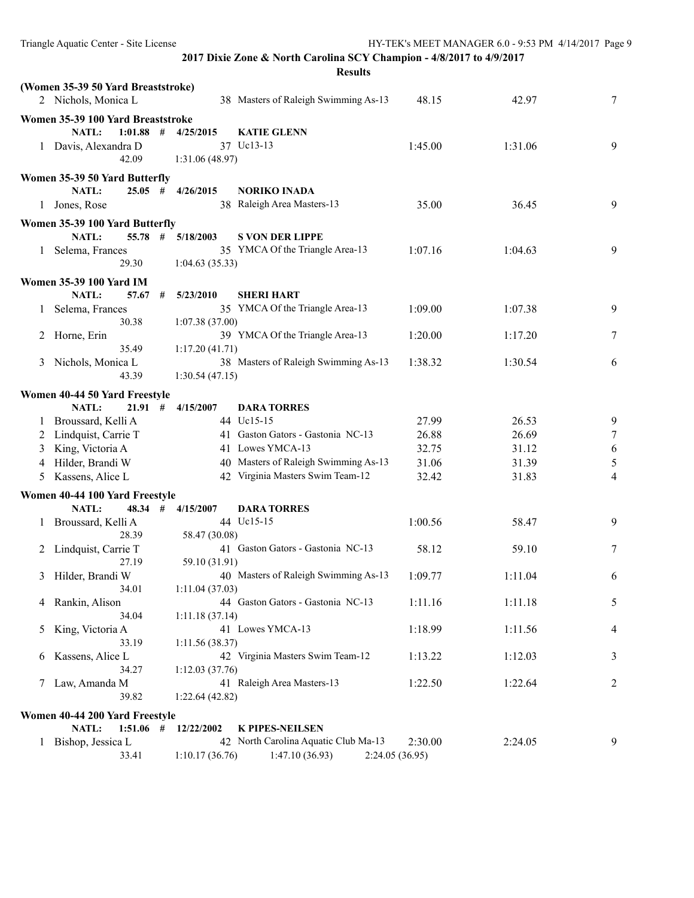|   | (Women 35-39 50 Yard Breaststroke)<br>2 Nichols, Monica L |                                   | 38 Masters of Raleigh Swimming As-13                   | 48.15          | 42.97   | 7              |
|---|-----------------------------------------------------------|-----------------------------------|--------------------------------------------------------|----------------|---------|----------------|
|   | Women 35-39 100 Yard Breaststroke                         |                                   |                                                        |                |         |                |
|   | NATL:<br>1:01.88<br>1 Davis, Alexandra D<br>42.09         | #<br>4/25/2015<br>1:31.06 (48.97) | <b>KATIE GLENN</b><br>37 Uc13-13                       | 1:45.00        | 1:31.06 | 9              |
|   | Women 35-39 50 Yard Butterfly                             |                                   |                                                        |                |         |                |
| 1 | <b>NATL:</b><br>$25.05$ #<br>Jones, Rose                  | 4/26/2015                         | <b>NORIKO INADA</b><br>38 Raleigh Area Masters-13      | 35.00          | 36.45   | $\overline{9}$ |
|   | Women 35-39 100 Yard Butterfly                            |                                   |                                                        |                |         |                |
|   | $55.78$ #<br><b>NATL:</b>                                 | 5/18/2003                         | <b>S VON DER LIPPE</b>                                 |                |         |                |
|   | 1 Selema, Frances<br>29.30                                | 1:04.63(35.33)                    | 35 YMCA Of the Triangle Area-13                        | 1:07.16        | 1:04.63 | 9              |
|   | <b>Women 35-39 100 Yard IM</b>                            |                                   |                                                        |                |         |                |
|   | <b>NATL:</b><br>57.67                                     | 5/23/2010<br>#                    | <b>SHERI HART</b>                                      |                |         |                |
|   | Selema, Frances<br>30.38                                  | 1:07.38(37.00)                    | 35 YMCA Of the Triangle Area-13                        | 1:09.00        | 1:07.38 | 9              |
| 2 | Horne, Erin<br>35.49                                      | 1:17.20(41.71)                    | 39 YMCA Of the Triangle Area-13                        | 1:20.00        | 1:17.20 | 7              |
| 3 | Nichols, Monica L<br>43.39                                | 1:30.54(47.15)                    | 38 Masters of Raleigh Swimming As-13                   | 1:38.32        | 1:30.54 | 6              |
|   |                                                           |                                   |                                                        |                |         |                |
|   | Women 40-44 50 Yard Freestyle                             |                                   |                                                        |                |         |                |
|   | NATL:<br>21.91#                                           | 4/15/2007                         | <b>DARA TORRES</b><br>44 Uc15-15                       |                | 26.53   |                |
|   | Broussard, Kelli A                                        |                                   | 41 Gaston Gators - Gastonia NC-13                      | 27.99          |         | 9              |
| 2 | Lindquist, Carrie T                                       |                                   | 41 Lowes YMCA-13                                       | 26.88<br>32.75 | 26.69   | 7              |
| 3 | King, Victoria A                                          |                                   |                                                        |                | 31.12   | 6              |
| 4 | Hilder, Brandi W                                          |                                   | 40 Masters of Raleigh Swimming As-13                   | 31.06          | 31.39   | 5              |
| 5 | Kassens, Alice L                                          |                                   | 42 Virginia Masters Swim Team-12                       | 32.42          | 31.83   | 4              |
|   | Women 40-44 100 Yard Freestyle                            |                                   |                                                        |                |         |                |
|   | NATL:<br>48.34                                            | #<br>4/15/2007                    | <b>DARA TORRES</b>                                     |                |         |                |
| 1 | Broussard, Kelli A<br>28.39                               | 58.47 (30.08)                     | 44 Uc15-15                                             | 1:00.56        | 58.47   | 9              |
|   | 2 Lindquist, Carrie T<br>27.19                            | 59.10 (31.91)                     | 41 Gaston Gators - Gastonia NC-13                      | 58.12          | 59.10   | 7              |
|   | 3 Hilder, Brandi W<br>34.01                               | 1:11.04(37.03)                    | 40 Masters of Raleigh Swimming As-13                   | 1:09.77        | 1:11.04 | 6              |
|   | 4 Rankin, Alison<br>34.04                                 | 1:11.18(37.14)                    | 44 Gaston Gators - Gastonia NC-13                      | 1:11.16        | 1:11.18 | 5              |
| 5 | King, Victoria A<br>33.19                                 | 1:11.56(38.37)                    | 41 Lowes YMCA-13                                       | 1:18.99        | 1:11.56 | 4              |
| 6 | Kassens, Alice L<br>34.27                                 | 1:12.03(37.76)                    | 42 Virginia Masters Swim Team-12                       | 1:13.22        | 1:12.03 | 3              |
| 7 | Law, Amanda M<br>39.82                                    | 1:22.64(42.82)                    | 41 Raleigh Area Masters-13                             | 1:22.50        | 1:22.64 | 2              |
|   |                                                           |                                   |                                                        |                |         |                |
|   | Women 40-44 200 Yard Freestyle                            |                                   |                                                        |                |         |                |
|   | NATL:<br>$1:51.06$ #                                      | 12/22/2002                        | <b>K PIPES-NEILSEN</b>                                 |                |         |                |
| 1 | Bishop, Jessica L<br>33.41                                | 1:10.17(36.76)                    | 42 North Carolina Aquatic Club Ma-13<br>1:47.10(36.93) | 2:30.00        | 2:24.05 | 9              |
|   |                                                           |                                   |                                                        | 2:24.05(36.95) |         |                |

Triangle Aquatic Center - Site License HY-TEK's MEET MANAGER 6.0 - 9:53 PM 4/14/2017 Page 9

**2017 Dixie Zone & North Carolina SCY Champion - 4/8/2017 to 4/9/2017 Results**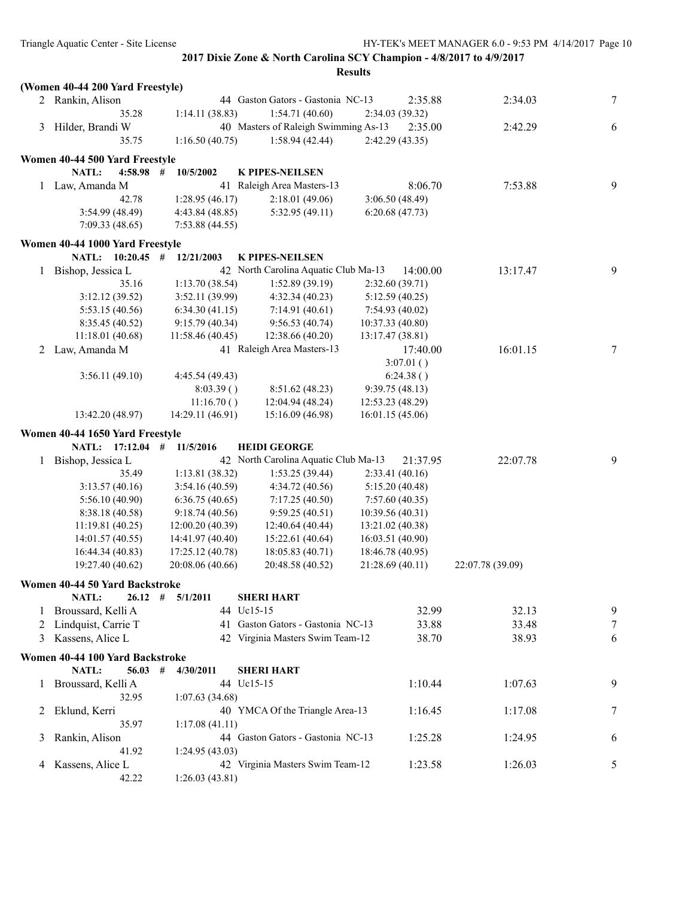|         |                                     |                  | <b>Results</b>                                 |                                    |          |                  |   |
|---------|-------------------------------------|------------------|------------------------------------------------|------------------------------------|----------|------------------|---|
|         | (Women 40-44 200 Yard Freestyle)    |                  |                                                |                                    |          |                  |   |
|         | 2 Rankin, Alison                    |                  | 44 Gaston Gators - Gastonia NC-13              |                                    | 2:35.88  | 2:34.03          | 7 |
|         | 35.28                               | 1:14.11(38.83)   | 1:54.71(40.60)                                 | 2:34.03(39.32)                     |          |                  |   |
|         | 3 Hilder, Brandi W                  |                  | 40 Masters of Raleigh Swimming As-13           |                                    | 2:35.00  | 2:42.29          | 6 |
|         | 35.75                               | 1:16.50(40.75)   | 1:58.94(42.44)                                 | 2:42.29(43.35)                     |          |                  |   |
|         | Women 40-44 500 Yard Freestyle      |                  |                                                |                                    |          |                  |   |
|         | NATL:<br>4:58.98                    | 10/5/2002<br>#   | <b>K PIPES-NEILSEN</b>                         |                                    |          |                  |   |
| 1       | Law, Amanda M                       |                  | 41 Raleigh Area Masters-13                     |                                    | 8:06.70  | 7:53.88          | 9 |
|         | 42.78                               | 1:28.95(46.17)   | 2:18.01(49.06)                                 | 3:06.50(48.49)                     |          |                  |   |
|         | 3:54.99 (48.49)                     | 4:43.84 (48.85)  | 5:32.95(49.11)                                 | 6:20.68(47.73)                     |          |                  |   |
|         | 7:09.33(48.65)                      | 7:53.88(44.55)   |                                                |                                    |          |                  |   |
|         | Women 40-44 1000 Yard Freestyle     |                  |                                                |                                    |          |                  |   |
|         | NATL: 10:20.45 #                    | 12/21/2003       | <b>K PIPES-NEILSEN</b>                         |                                    |          |                  |   |
| 1       | Bishop, Jessica L                   |                  | 42 North Carolina Aquatic Club Ma-13           |                                    | 14:00.00 | 13:17.47         | 9 |
|         | 35.16                               | 1:13.70(38.54)   | 1:52.89(39.19)                                 | 2:32.60(39.71)                     |          |                  |   |
|         | 3:12.12(39.52)                      | 3:52.11(39.99)   | 4:32.34(40.23)                                 | 5:12.59(40.25)                     |          |                  |   |
|         |                                     |                  |                                                |                                    |          |                  |   |
|         | 5:53.15(40.56)                      | 6:34.30(41.15)   | 7:14.91(40.61)                                 | 7:54.93(40.02)<br>10:37.33 (40.80) |          |                  |   |
|         | 8:35.45 (40.52)<br>11:18.01 (40.68) | 9:15.79 (40.34)  | 9:56.53(40.74)                                 |                                    |          |                  |   |
|         | Law, Amanda M                       | 11:58.46(40.45)  | 12:38.66 (40.20)<br>41 Raleigh Area Masters-13 | 13:17.47(38.81)                    |          | 16:01.15         | 7 |
| 2       |                                     |                  |                                                | 3:07.01()                          | 17:40.00 |                  |   |
|         | 3:56.11(49.10)                      | 4:45.54 (49.43)  |                                                | 6:24.38()                          |          |                  |   |
|         |                                     | 8:03.39()        | 8:51.62 (48.23)                                | 9:39.75(48.13)                     |          |                  |   |
|         |                                     | 11:16.70()       | 12:04.94 (48.24)                               | 12:53.23 (48.29)                   |          |                  |   |
|         | 13:42.20 (48.97)                    | 14:29.11 (46.91) | 15:16.09 (46.98)                               | 16:01.15(45.06)                    |          |                  |   |
|         |                                     |                  |                                                |                                    |          |                  |   |
|         | Women 40-44 1650 Yard Freestyle     |                  |                                                |                                    |          |                  |   |
|         | NATL: 17:12.04                      | 11/5/2016<br>#   | <b>HEIDI GEORGE</b>                            |                                    |          |                  |   |
| 1       | Bishop, Jessica L                   |                  | 42 North Carolina Aquatic Club Ma-13           |                                    | 21:37.95 | 22:07.78         | 9 |
|         | 35.49                               | 1:13.81(38.32)   | 1:53.25(39.44)                                 | 2:33.41(40.16)                     |          |                  |   |
|         | 3:13.57(40.16)                      | 3:54.16(40.59)   | 4:34.72 (40.56)                                | 5:15.20(40.48)                     |          |                  |   |
|         | 5:56.10(40.90)                      | 6:36.75(40.65)   | 7:17.25(40.50)                                 | 7:57.60(40.35)                     |          |                  |   |
|         | 8:38.18 (40.58)                     | 9:18.74(40.56)   | 9:59.25(40.51)                                 | 10:39.56(40.31)                    |          |                  |   |
|         | 11:19.81(40.25)                     | 12:00.20(40.39)  | 12:40.64 (40.44)                               | 13:21.02 (40.38)                   |          |                  |   |
|         | 14:01.57(40.55)                     | 14:41.97 (40.40) | 15:22.61 (40.64)                               | 16:03.51 (40.90)                   |          |                  |   |
|         | 16:44.34 (40.83)                    | 17:25.12 (40.78) | 18:05.83 (40.71)                               | 18:46.78 (40.95)                   |          |                  |   |
|         | 19:27.40 (40.62)                    | 20:08.06 (40.66) | 20:48.58 (40.52)                               | 21:28.69 (40.11)                   |          | 22:07.78 (39.09) |   |
|         | Women 40-44 50 Yard Backstroke      |                  |                                                |                                    |          |                  |   |
|         | NATL:<br>26.12#                     | 5/1/2011         | <b>SHERI HART</b>                              |                                    |          |                  |   |
| $\perp$ | Broussard, Kelli A                  |                  | 44 Uc15-15                                     |                                    | 32.99    | 32.13            | 9 |
|         | 2 Lindquist, Carrie T               |                  | 41 Gaston Gators - Gastonia NC-13              |                                    | 33.88    | 33.48            | 7 |
|         | 3 Kassens, Alice L                  |                  | 42 Virginia Masters Swim Team-12               |                                    | 38.70    | 38.93            | 6 |
|         | Women 40-44 100 Yard Backstroke     |                  |                                                |                                    |          |                  |   |
|         | <b>NATL:</b><br>56.03               | #<br>4/30/2011   | <b>SHERI HART</b>                              |                                    |          |                  |   |
| 1       | Broussard, Kelli A                  |                  | 44 Uc15-15                                     |                                    | 1:10.44  | 1:07.63          | 9 |
|         | 32.95                               | 1:07.63 (34.68)  |                                                |                                    |          |                  |   |
| 2       | Eklund, Kerri                       |                  | 40 YMCA Of the Triangle Area-13                |                                    | 1:16.45  | 1:17.08          | 7 |
|         | 35.97                               | 1:17.08(41.11)   |                                                |                                    |          |                  |   |
| 3       | Rankin, Alison                      |                  | 44 Gaston Gators - Gastonia NC-13              |                                    | 1:25.28  | 1:24.95          | 6 |
|         | 41.92                               | 1:24.95(43.03)   |                                                |                                    |          |                  |   |
| 4       | Kassens, Alice L                    |                  | 42 Virginia Masters Swim Team-12               |                                    | 1:23.58  | 1:26.03          | 5 |
|         | 42.22                               | 1:26.03(43.81)   |                                                |                                    |          |                  |   |
|         |                                     |                  |                                                |                                    |          |                  |   |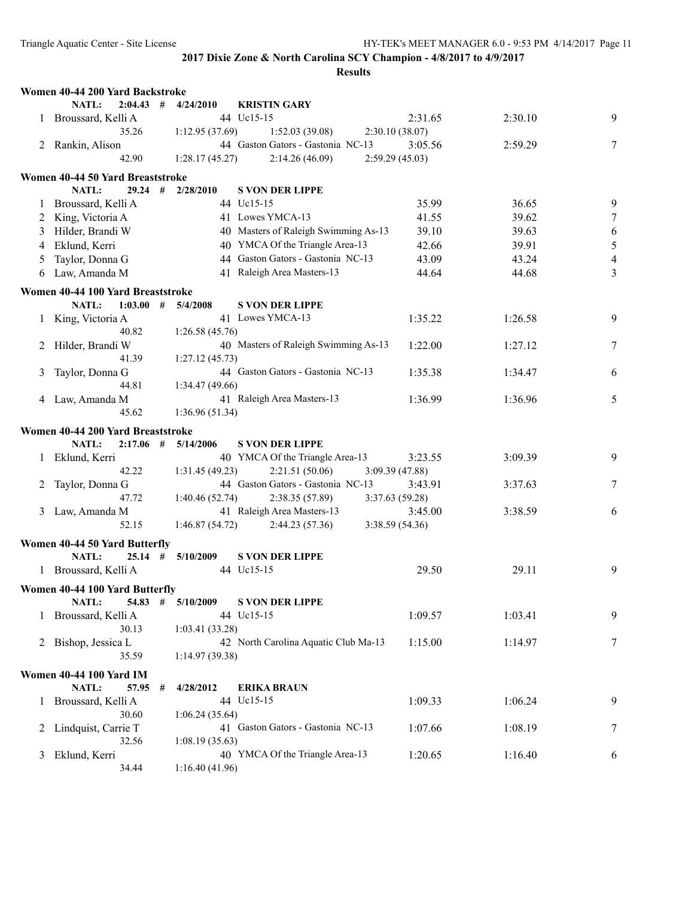|          | Women 40-44 200 Yard Backstroke        |                 |                                                           |                 |         |                |
|----------|----------------------------------------|-----------------|-----------------------------------------------------------|-----------------|---------|----------------|
|          | $2:04.43$ #<br>NATL:                   | 4/24/2010       | <b>KRISTIN GARY</b>                                       |                 |         |                |
|          | 1 Broussard, Kelli A                   |                 | 44 Uc15-15                                                | 2:31.65         | 2:30.10 | 9              |
|          | 35.26                                  | 1:12.95(37.69)  | 1:52.03(39.08)                                            | 2:30.10(38.07)  |         |                |
|          | 2 Rankin, Alison                       |                 | 44 Gaston Gators - Gastonia NC-13                         | 3:05.56         | 2:59.29 | 7              |
|          | 42.90                                  | 1:28.17(45.27)  | 2:14.26 (46.09)                                           | 2:59.29(45.03)  |         |                |
|          | Women 40-44 50 Yard Breaststroke       |                 |                                                           |                 |         |                |
|          | NATL:<br>$29.24$ #                     | 2/28/2010       | <b>S VON DER LIPPE</b>                                    |                 |         |                |
| 1        | Broussard, Kelli A                     |                 | 44 Uc15-15                                                | 35.99           | 36.65   | 9              |
| 2        | King, Victoria A                       |                 | 41 Lowes YMCA-13                                          | 41.55           | 39.62   | $\tau$         |
| 3        | Hilder, Brandi W                       |                 | 40 Masters of Raleigh Swimming As-13                      | 39.10           | 39.63   | $\sqrt{6}$     |
| 4        | Eklund, Kerri                          |                 | 40 YMCA Of the Triangle Area-13                           | 42.66           | 39.91   | $\mathfrak s$  |
| 5        | Taylor, Donna G                        |                 | 44 Gaston Gators - Gastonia NC-13                         | 43.09           | 43.24   | $\overline{4}$ |
| 6        | Law, Amanda M                          |                 | 41 Raleigh Area Masters-13                                | 44.64           | 44.68   | 3              |
|          | Women 40-44 100 Yard Breaststroke      |                 |                                                           |                 |         |                |
|          | <b>NATL:</b><br>$1:03.00$ # $5/4/2008$ |                 | <b>S VON DER LIPPE</b>                                    |                 |         |                |
|          | King, Victoria A                       |                 | 41 Lowes YMCA-13                                          | 1:35.22         | 1:26.58 | 9              |
| 1        | 40.82                                  | 1:26.58(45.76)  |                                                           |                 |         |                |
| 2        | Hilder, Brandi W                       |                 | 40 Masters of Raleigh Swimming As-13                      | 1:22.00         | 1:27.12 | 7              |
|          | 41.39                                  | 1:27.12(45.73)  |                                                           |                 |         |                |
| 3        | Taylor, Donna G                        |                 | 44 Gaston Gators - Gastonia NC-13                         | 1:35.38         | 1:34.47 | 6              |
|          | 44.81                                  | 1:34.47 (49.66) |                                                           |                 |         |                |
|          | 4 Law, Amanda M                        |                 | 41 Raleigh Area Masters-13                                | 1:36.99         | 1:36.96 | 5              |
|          | 45.62                                  | 1:36.96(51.34)  |                                                           |                 |         |                |
|          |                                        |                 |                                                           |                 |         |                |
|          | Women 40-44 200 Yard Breaststroke      |                 |                                                           |                 |         |                |
|          | NATL:<br>$2:17.06$ #<br>Eklund, Kerri  | 5/14/2006       | <b>S VON DER LIPPE</b><br>40 YMCA Of the Triangle Area-13 | 3:23.55         | 3:09.39 | 9              |
|          | 42.22                                  | 1:31.45(49.23)  | 2:21.51(50.06)                                            | 3:09.39(47.88)  |         |                |
|          | Taylor, Donna G                        |                 | 44 Gaston Gators - Gastonia NC-13                         | 3:43.91         | 3:37.63 | 7              |
|          | 47.72                                  | 1:40.46(52.74)  | 2:38.35(57.89)                                            | 3:37.63(59.28)  |         |                |
| 3        | Law, Amanda M                          |                 | 41 Raleigh Area Masters-13                                | 3:45.00         | 3:38.59 | 6              |
|          | 52.15                                  | 1:46.87(54.72)  | 2:44.23(57.36)                                            | 3:38.59 (54.36) |         |                |
|          |                                        |                 |                                                           |                 |         |                |
|          | Women 40-44 50 Yard Butterfly          |                 |                                                           |                 |         |                |
|          | NATL:<br>$25.14$ #                     | 5/10/2009       | <b>S VON DER LIPPE</b>                                    |                 |         |                |
|          | 1 Broussard, Kelli A                   |                 | 44 Uc15-15                                                | 29.50           | 29.11   | 9              |
|          | Women 40-44 100 Yard Butterfly         |                 |                                                           |                 |         |                |
|          | NATL:<br>54.83 #                       | 5/10/2009       | <b>S VON DER LIPPE</b>                                    |                 |         |                |
| $\Gamma$ | Broussard, Kelli A                     |                 | 44 Uc15-15                                                | 1:09.57         | 1:03.41 | 9              |
|          | 30.13                                  | 1:03.41(33.28)  |                                                           |                 |         |                |
|          | 2 Bishop, Jessica L                    |                 | 42 North Carolina Aquatic Club Ma-13                      | 1:15.00         | 1:14.97 | 7              |
|          | 35.59                                  | 1:14.97(39.38)  |                                                           |                 |         |                |
|          | <b>Women 40-44 100 Yard IM</b>         |                 |                                                           |                 |         |                |
|          | NATL:<br>57.95<br>#                    | 4/28/2012       | <b>ERIKA BRAUN</b>                                        |                 |         |                |
|          | 1 Broussard, Kelli A                   |                 | 44 Uc15-15                                                | 1:09.33         | 1:06.24 | 9              |
|          | 30.60                                  | 1:06.24(35.64)  |                                                           |                 |         |                |
| 2        | Lindquist, Carrie T                    |                 | 41 Gaston Gators - Gastonia NC-13                         | 1:07.66         | 1:08.19 | 7              |
|          | 32.56                                  | 1:08.19(35.63)  |                                                           |                 |         |                |
| 3        | Eklund, Kerri                          |                 | 40 YMCA Of the Triangle Area-13                           | 1:20.65         | 1:16.40 | 6              |
|          | 34.44                                  | 1:16.40(41.96)  |                                                           |                 |         |                |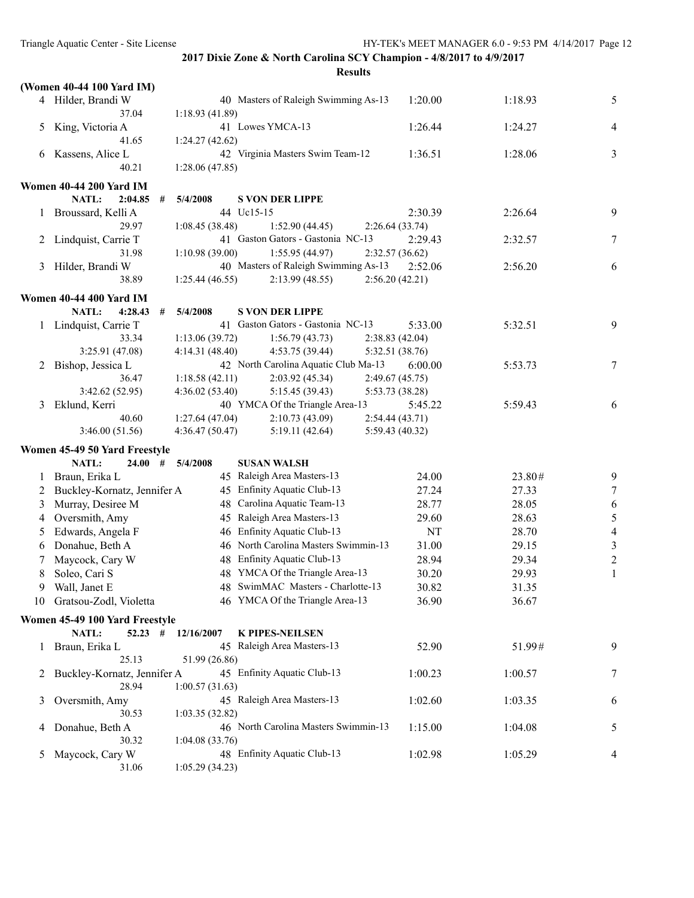|               | (Women 40-44 100 Yard IM)                               |                |                                                     |                           |         |                |
|---------------|---------------------------------------------------------|----------------|-----------------------------------------------------|---------------------------|---------|----------------|
|               | 4 Hilder, Brandi W                                      |                | 40 Masters of Raleigh Swimming As-13                | 1:20.00                   | 1:18.93 | 5              |
|               | 37.04                                                   | 1:18.93(41.89) |                                                     |                           |         |                |
| 5             | King, Victoria A                                        |                | 41 Lowes YMCA-13                                    | 1:26.44                   | 1:24.27 | $\overline{4}$ |
|               | 41.65                                                   | 1:24.27(42.62) |                                                     |                           |         |                |
| 6             | Kassens, Alice L                                        |                | 42 Virginia Masters Swim Team-12                    | 1:36.51                   | 1:28.06 | 3              |
|               | 40.21                                                   | 1:28.06(47.85) |                                                     |                           |         |                |
|               | <b>Women 40-44 200 Yard IM</b>                          |                |                                                     |                           |         |                |
|               | NATL:<br>2:04.85<br>#                                   | 5/4/2008       | <b>S VON DER LIPPE</b>                              |                           |         |                |
|               | Broussard, Kelli A                                      |                | 44 Uc15-15                                          | 2:30.39                   | 2:26.64 | 9              |
|               | 29.97                                                   | 1:08.45(38.48) | 1:52.90(44.45)<br>41 Gaston Gators - Gastonia NC-13 | 2:26.64(33.74)<br>2:29.43 | 2:32.57 | 7              |
| 2             | Lindquist, Carrie T<br>31.98                            | 1:10.98(39.00) | 1:55.95(44.97)                                      | 2:32.57(36.62)            |         |                |
| 3             | Hilder, Brandi W                                        |                | 40 Masters of Raleigh Swimming As-13                | 2:52.06                   | 2:56.20 | 6              |
|               | 38.89                                                   | 1:25.44(46.55) | 2:13.99(48.55)                                      | 2:56.20(42.21)            |         |                |
|               |                                                         |                |                                                     |                           |         |                |
|               | <b>Women 40-44 400 Yard IM</b><br>NATL:<br>4:28.43<br># | 5/4/2008       | <b>S VON DER LIPPE</b>                              |                           |         |                |
|               | 1 Lindquist, Carrie T                                   |                | 41 Gaston Gators - Gastonia NC-13                   | 5:33.00                   | 5:32.51 | 9              |
|               | 33.34                                                   | 1:13.06(39.72) | 1:56.79(43.73)                                      | 2:38.83(42.04)            |         |                |
|               | 3:25.91 (47.08)                                         | 4:14.31(48.40) | 4:53.75 (39.44)                                     | 5:32.51 (38.76)           |         |                |
| 2             | Bishop, Jessica L                                       |                | 42 North Carolina Aquatic Club Ma-13                | 6:00.00                   | 5:53.73 | $\tau$         |
|               | 36.47                                                   | 1:18.58(42.11) | 2:03.92(45.34)                                      | 2:49.67(45.75)            |         |                |
|               | 3:42.62 (52.95)                                         | 4:36.02(53.40) | 5:15.45(39.43)                                      | 5:53.73 (38.28)           |         |                |
| 3             | Eklund, Kerri                                           |                | 40 YMCA Of the Triangle Area-13                     | 5:45.22                   | 5:59.43 | 6              |
|               | 40.60                                                   | 1:27.64(47.04) | 2:10.73(43.09)                                      | 2:54.44(43.71)            |         |                |
|               | 3:46.00(51.56)                                          | 4:36.47(50.47) | 5:19.11(42.64)                                      | 5:59.43 (40.32)           |         |                |
|               | Women 45-49 50 Yard Freestyle                           |                |                                                     |                           |         |                |
|               | NATL:<br>24.00<br>#                                     | 5/4/2008       | <b>SUSAN WALSH</b>                                  |                           |         |                |
| 1             | Braun, Erika L                                          |                | 45 Raleigh Area Masters-13                          | 24.00                     | 23.80#  | 9              |
| 2             | Buckley-Kornatz, Jennifer A                             |                | 45 Enfinity Aquatic Club-13                         | 27.24                     | 27.33   | $\tau$         |
| 3             | Murray, Desiree M                                       |                | 48 Carolina Aquatic Team-13                         | 28.77                     | 28.05   | 6              |
| 4             | Oversmith, Amy                                          |                | 45 Raleigh Area Masters-13                          | 29.60                     | 28.63   | $\sqrt{5}$     |
| 5             | Edwards, Angela F                                       |                | 46 Enfinity Aquatic Club-13                         | NT                        | 28.70   | $\overline{4}$ |
| 6             | Donahue, Beth A                                         |                | 46 North Carolina Masters Swimmin-13                | 31.00                     | 29.15   | $\mathfrak{Z}$ |
|               | Maycock, Cary W                                         |                | 48 Enfinity Aquatic Club-13                         | 28.94                     | 29.34   | $\sqrt{2}$     |
| 8             | Soleo, Cari S                                           |                | 48 YMCA Of the Triangle Area-13                     | 30.20                     | 29.93   | $\mathbf{1}$   |
| 9             | Wall, Janet E                                           |                | 48 SwimMAC Masters - Charlotte-13                   | 30.82                     | 31.35   |                |
|               | 10 Gratsou-Zodl, Violetta                               |                | 46 YMCA Of the Triangle Area-13                     | 36.90                     | 36.67   |                |
|               | Women 45-49 100 Yard Freestyle                          |                |                                                     |                           |         |                |
|               | NATL:<br>$52.23$ #                                      | 12/16/2007     | <b>K PIPES-NEILSEN</b>                              |                           |         |                |
| $\mathbf{1}$  | Braun, Erika L                                          |                | 45 Raleigh Area Masters-13                          | 52.90                     | 51.99#  | 9              |
|               | 25.13                                                   | 51.99 (26.86)  |                                                     |                           |         |                |
| 2             | Buckley-Kornatz, Jennifer A<br>28.94                    |                | 45 Enfinity Aquatic Club-13                         | 1:00.23                   | 1:00.57 | 7              |
|               |                                                         | 1:00.57(31.63) | 45 Raleigh Area Masters-13                          |                           |         |                |
| 3             | Oversmith, Amy<br>30.53                                 | 1:03.35(32.82) |                                                     | 1:02.60                   | 1:03.35 | 6              |
| 4             | Donahue, Beth A                                         |                | 46 North Carolina Masters Swimmin-13                | 1:15.00                   | 1:04.08 | 5              |
|               | 30.32                                                   | 1:04.08(33.76) |                                                     |                           |         |                |
| $\mathcal{L}$ | Maycock, Cary W                                         |                | 48 Enfinity Aquatic Club-13                         | 1:02.98                   | 1:05.29 | 4              |
|               | 31.06                                                   | 1:05.29(34.23) |                                                     |                           |         |                |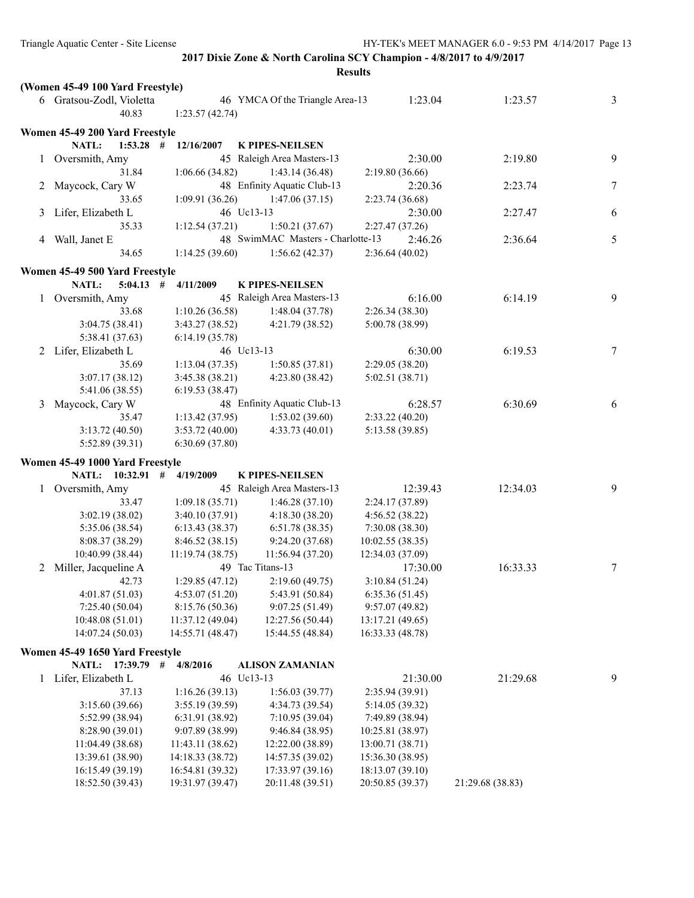|   |                                    |   |                                     |                                     | <b>Results</b> |                                    |                  |   |
|---|------------------------------------|---|-------------------------------------|-------------------------------------|----------------|------------------------------------|------------------|---|
|   | (Women 45-49 100 Yard Freestyle)   |   |                                     |                                     |                |                                    |                  |   |
|   | 6 Gratsou-Zodl, Violetta           |   |                                     | 46 YMCA Of the Triangle Area-13     |                | 1:23.04                            | 1:23.57          | 3 |
|   | 40.83                              |   | 1:23.57(42.74)                      |                                     |                |                                    |                  |   |
|   | Women 45-49 200 Yard Freestyle     |   |                                     |                                     |                |                                    |                  |   |
|   | NATL:<br>$1:53.28$ #               |   | 12/16/2007                          | <b>K PIPES-NEILSEN</b>              |                |                                    |                  |   |
|   | 1 Oversmith, Amy                   |   |                                     | 45 Raleigh Area Masters-13          |                | 2:30.00                            | 2:19.80          | 9 |
|   | 31.84                              |   | 1:06.66(34.82)                      | 1:43.14(36.48)                      |                | 2:19.80(36.66)                     |                  |   |
| 2 | Maycock, Cary W                    |   |                                     | 48 Enfinity Aquatic Club-13         |                | 2:20.36                            | 2:23.74          | 7 |
|   | 33.65                              |   | 1:09.91 (36.26)                     | 1:47.06(37.15)                      |                | 2:23.74(36.68)                     |                  |   |
| 3 | Lifer, Elizabeth L                 |   |                                     | 46 Uc13-13                          |                | 2:30.00                            | 2:27.47          | 6 |
|   | 35.33                              |   | 1:12.54(37.21)                      | 1:50.21(37.67)                      |                | 2:27.47(37.26)                     |                  |   |
|   | 4 Wall, Janet E                    |   |                                     | 48 SwimMAC Masters - Charlotte-13   |                | 2:46.26                            | 2:36.64          | 5 |
|   | 34.65                              |   | 1:14.25(39.60)                      | 1:56.62(42.37)                      |                | 2:36.64 (40.02)                    |                  |   |
|   | Women 45-49 500 Yard Freestyle     |   |                                     |                                     |                |                                    |                  |   |
|   | NATL:<br>5:04.13                   | # | 4/11/2009                           | <b>K PIPES-NEILSEN</b>              |                |                                    |                  |   |
|   | 1 Oversmith, Amy                   |   |                                     | 45 Raleigh Area Masters-13          |                | 6:16.00                            | 6:14.19          | 9 |
|   | 33.68                              |   | 1:10.26(36.58)                      | 1:48.04(37.78)                      |                | 2:26.34(38.30)                     |                  |   |
|   | 3:04.75(38.41)                     |   | 3:43.27(38.52)                      | 4:21.79 (38.52)                     |                | 5:00.78 (38.99)                    |                  |   |
|   | 5:38.41 (37.63)                    |   | 6:14.19(35.78)                      |                                     |                |                                    |                  |   |
| 2 | Lifer, Elizabeth L                 |   |                                     | 46 Uc13-13                          |                | 6:30.00                            | 6:19.53          | 7 |
|   | 35.69                              |   | 1:13.04(37.35)                      | 1:50.85(37.81)                      |                | 2:29.05(38.20)                     |                  |   |
|   | 3:07.17(38.12)                     |   | 3:45.38(38.21)                      | 4:23.80(38.42)                      |                | 5:02.51(38.71)                     |                  |   |
|   | 5:41.06 (38.55)                    |   | 6:19.53(38.47)                      |                                     |                |                                    |                  |   |
| 3 | Maycock, Cary W                    |   |                                     | 48 Enfinity Aquatic Club-13         |                | 6:28.57                            | 6:30.69          | 6 |
|   | 35.47                              |   | 1:13.42(37.95)                      | 1:53.02(39.60)                      |                | 2:33.22(40.20)                     |                  |   |
|   | 3:13.72(40.50)                     |   | 3:53.72(40.00)                      | 4:33.73(40.01)                      |                | 5:13.58 (39.85)                    |                  |   |
|   | 5:52.89(39.31)                     |   | 6:30.69(37.80)                      |                                     |                |                                    |                  |   |
|   | Women 45-49 1000 Yard Freestyle    |   |                                     |                                     |                |                                    |                  |   |
|   | NATL: 10:32.91 #                   |   | 4/19/2009                           | <b>K PIPES-NEILSEN</b>              |                |                                    |                  |   |
|   | 1 Oversmith, Amy                   |   |                                     | 45 Raleigh Area Masters-13          |                | 12:39.43                           | 12:34.03         | 9 |
|   | 33.47                              |   | 1:09.18(35.71)                      | 1:46.28(37.10)                      |                | 2:24.17 (37.89)                    |                  |   |
|   | 3:02.19(38.02)                     |   | 3:40.10(37.91)                      | 4:18.30(38.20)                      |                | 4:56.52(38.22)                     |                  |   |
|   | 5:35.06 (38.54)                    |   | 6:13.43(38.37)                      | 6:51.78(38.35)                      |                | 7:30.08(38.30)                     |                  |   |
|   | 8:08.37 (38.29)                    |   | 8:46.52(38.15)                      | 9:24.20 (37.68)                     |                | 10:02.55 (38.35)                   |                  |   |
|   | 10:40.99 (38.44)                   |   | 11:19.74(38.75)                     | 11:56.94(37.20)                     |                | 12:34.03 (37.09)                   |                  |   |
|   | 2 Miller, Jacqueline A             |   |                                     | 49 Tac Titans-13                    |                | 17:30.00                           | 16:33.33         | 7 |
|   | 42.73                              |   | 1:29.85(47.12)                      | 2:19.60 (49.75)                     |                | 3:10.84 (51.24)                    |                  |   |
|   | 4:01.87(51.03)<br>7:25.40(50.04)   |   | 4:53.07(51.20)                      | 5:43.91 (50.84)                     |                | 6:35.36 (51.45)                    |                  |   |
|   | 10:48.08 (51.01)                   |   | 8:15.76 (50.36)<br>11:37.12 (49.04) | 9:07.25 (51.49)<br>12:27.56 (50.44) |                | 9:57.07(49.82)<br>13:17.21 (49.65) |                  |   |
|   | 14:07.24 (50.03)                   |   | 14:55.71 (48.47)                    | 15:44.55 (48.84)                    |                | 16:33.33 (48.78)                   |                  |   |
|   |                                    |   |                                     |                                     |                |                                    |                  |   |
|   | Women 45-49 1650 Yard Freestyle    |   |                                     |                                     |                |                                    |                  |   |
|   | NATL: 17:39.79 #                   |   | 4/8/2016                            | <b>ALISON ZAMANIAN</b>              |                |                                    |                  |   |
| 1 | Lifer, Elizabeth L                 |   |                                     | 46 Uc13-13                          |                | 21:30.00                           | 21:29.68         | 9 |
|   | 37.13                              |   | 1:16.26(39.13)                      | 1:56.03(39.77)<br>4:34.73 (39.54)   |                | 2:35.94 (39.91)                    |                  |   |
|   | 3:15.60 (39.66)<br>5:52.99 (38.94) |   | 3:55.19 (39.59)<br>6:31.91 (38.92)  | 7:10.95 (39.04)                     |                | 5:14.05 (39.32)<br>7:49.89 (38.94) |                  |   |
|   | 8:28.90 (39.01)                    |   | 9:07.89 (38.99)                     | 9:46.84 (38.95)                     |                | 10:25.81 (38.97)                   |                  |   |
|   | 11:04.49 (38.68)                   |   | 11:43.11 (38.62)                    | 12:22.00 (38.89)                    |                | 13:00.71 (38.71)                   |                  |   |
|   | 13:39.61 (38.90)                   |   | 14:18.33 (38.72)                    | 14:57.35 (39.02)                    |                | 15:36.30 (38.95)                   |                  |   |
|   | 16:15.49 (39.19)                   |   | 16:54.81 (39.32)                    | 17:33.97 (39.16)                    |                | 18:13.07 (39.10)                   |                  |   |
|   | 18:52.50 (39.43)                   |   | 19:31.97 (39.47)                    | 20:11.48 (39.51)                    |                | 20:50.85 (39.37)                   | 21:29.68 (38.83) |   |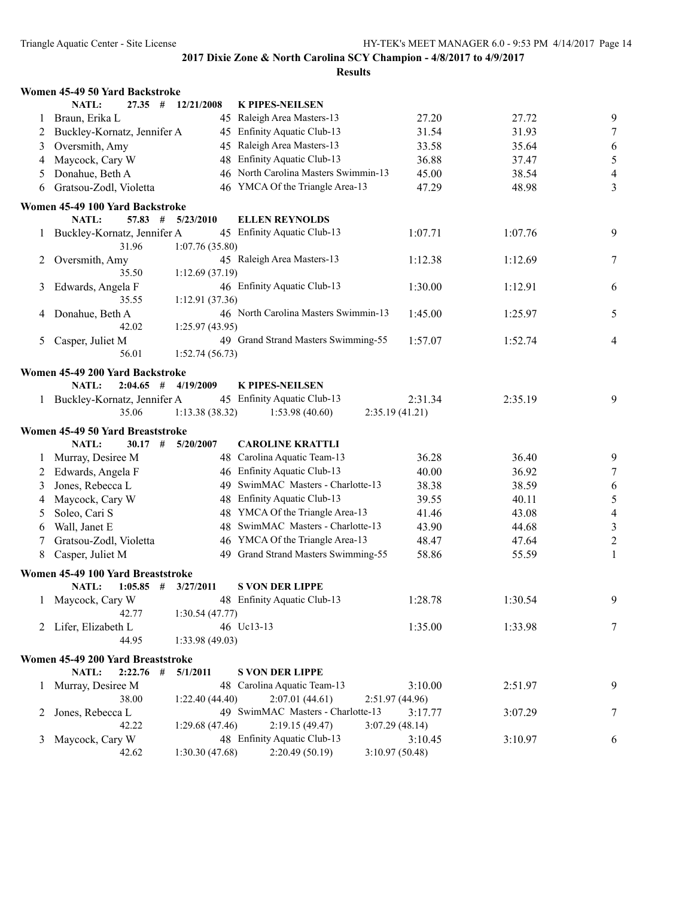|   | Women 45-49 50 Yard Backstroke                          |                |                                      |                 |         |                  |
|---|---------------------------------------------------------|----------------|--------------------------------------|-----------------|---------|------------------|
|   | NATL:<br>$27.35$ #                                      | 12/21/2008     | <b>K PIPES-NEILSEN</b>               |                 |         |                  |
| 1 | Braun, Erika L                                          |                | 45 Raleigh Area Masters-13           | 27.20           | 27.72   | 9                |
| 2 | Buckley-Kornatz, Jennifer A                             |                | 45 Enfinity Aquatic Club-13          | 31.54           | 31.93   | 7                |
| 3 | Oversmith, Amy                                          | 45             | Raleigh Area Masters-13              | 33.58           | 35.64   | 6                |
| 4 | Maycock, Cary W                                         | 48             | Enfinity Aquatic Club-13             | 36.88           | 37.47   | 5                |
| 5 | Donahue, Beth A                                         |                | 46 North Carolina Masters Swimmin-13 | 45.00           | 38.54   | $\overline{4}$   |
| 6 | Gratsou-Zodl, Violetta                                  |                | 46 YMCA Of the Triangle Area-13      | 47.29           | 48.98   | 3                |
|   | Women 45-49 100 Yard Backstroke                         |                |                                      |                 |         |                  |
|   | NATL:<br>$57.83$ #                                      | 5/23/2010      | <b>ELLEN REYNOLDS</b>                |                 |         |                  |
| 1 | Buckley-Kornatz, Jennifer A                             |                | 45 Enfinity Aquatic Club-13          | 1:07.71         | 1:07.76 | 9                |
|   | 31.96                                                   | 1:07.76(35.80) |                                      |                 |         |                  |
| 2 | Oversmith, Amy                                          |                | 45 Raleigh Area Masters-13           | 1:12.38         | 1:12.69 | 7                |
|   | 35.50                                                   | 1:12.69(37.19) |                                      |                 |         |                  |
| 3 | Edwards, Angela F                                       |                | 46 Enfinity Aquatic Club-13          | 1:30.00         | 1:12.91 | 6                |
|   | 35.55                                                   | 1:12.91(37.36) |                                      |                 |         |                  |
| 4 | Donahue, Beth A                                         |                | 46 North Carolina Masters Swimmin-13 | 1:45.00         | 1:25.97 | 5                |
|   | 42.02                                                   | 1:25.97(43.95) |                                      |                 |         |                  |
| 5 | Casper, Juliet M                                        |                | 49 Grand Strand Masters Swimming-55  | 1:57.07         | 1:52.74 | $\overline{4}$   |
|   | 56.01                                                   | 1:52.74(56.73) |                                      |                 |         |                  |
|   |                                                         |                |                                      |                 |         |                  |
|   | Women 45-49 200 Yard Backstroke<br>NATL:<br>$2:04.65$ # |                | <b>K PIPES-NEILSEN</b>               |                 |         |                  |
|   | 1 Buckley-Kornatz, Jennifer A                           | 4/19/2009      | 45 Enfinity Aquatic Club-13          | 2:31.34         | 2:35.19 | 9                |
|   | 35.06                                                   | 1:13.38(38.32) | 1:53.98(40.60)                       | 2:35.19(41.21)  |         |                  |
|   |                                                         |                |                                      |                 |         |                  |
|   | Women 45-49 50 Yard Breaststroke                        |                |                                      |                 |         |                  |
|   | <b>NATL:</b><br>$30.17$ #                               | 5/20/2007      | <b>CAROLINE KRATTLI</b>              |                 |         |                  |
| 1 | Murray, Desiree M                                       |                | 48 Carolina Aquatic Team-13          | 36.28           | 36.40   | 9                |
| 2 | Edwards, Angela F                                       |                | 46 Enfinity Aquatic Club-13          | 40.00           | 36.92   | $\tau$           |
| 3 | Jones, Rebecca L                                        | 49             | SwimMAC Masters - Charlotte-13       | 38.38           | 38.59   | 6                |
| 4 | Maycock, Cary W                                         | 48             | <b>Enfinity Aquatic Club-13</b>      | 39.55           | 40.11   | 5                |
| 5 | Soleo, Cari S                                           | 48             | YMCA Of the Triangle Area-13         | 41.46           | 43.08   | $\overline{4}$   |
| 6 | Wall, Janet E                                           | 48             | SwimMAC Masters - Charlotte-13       | 43.90           | 44.68   | $\mathfrak{Z}$   |
| 7 | Gratsou-Zodl, Violetta                                  | 46             | YMCA Of the Triangle Area-13         | 48.47           | 47.64   | $\boldsymbol{2}$ |
| 8 | Casper, Juliet M                                        |                | 49 Grand Strand Masters Swimming-55  | 58.86           | 55.59   | $\mathbf{1}$     |
|   | Women 45-49 100 Yard Breaststroke                       |                |                                      |                 |         |                  |
|   | NATL:<br>$1:05.85$ #                                    | 3/27/2011      | <b>S VON DER LIPPE</b>               |                 |         |                  |
| 1 | Maycock, Cary W                                         |                | 48 Enfinity Aquatic Club-13          | 1:28.78         | 1:30.54 | 9                |
|   | 42.77                                                   | 1:30.54(47.77) |                                      |                 |         |                  |
|   | 2 Lifer, Elizabeth L                                    |                | 46 Uc13-13                           | 1:35.00         | 1:33.98 | 7                |
|   | 44.95                                                   | 1:33.98(49.03) |                                      |                 |         |                  |
|   | Women 45-49 200 Yard Breaststroke                       |                |                                      |                 |         |                  |
|   | NATL:<br>$2:22.76$ #                                    | 5/1/2011       | <b>S VON DER LIPPE</b>               |                 |         |                  |
| 1 | Murray, Desiree M                                       |                | 48 Carolina Aquatic Team-13          | 3:10.00         | 2:51.97 | 9                |
|   | 38.00                                                   | 1:22.40(44.40) | 2:07.01(44.61)                       | 2:51.97 (44.96) |         |                  |
| 2 | Jones, Rebecca L                                        |                | 49 SwimMAC Masters - Charlotte-13    | 3:17.77         | 3:07.29 | 7                |
|   | 42.22                                                   | 1:29.68(47.46) | 2:19.15(49.47)                       | 3:07.29(48.14)  |         |                  |
| 3 | Maycock, Cary W                                         |                | 48 Enfinity Aquatic Club-13          | 3:10.45         | 3:10.97 | 6                |
|   | 42.62                                                   | 1:30.30(47.68) | 2:20.49 (50.19)                      | 3:10.97(50.48)  |         |                  |
|   |                                                         |                |                                      |                 |         |                  |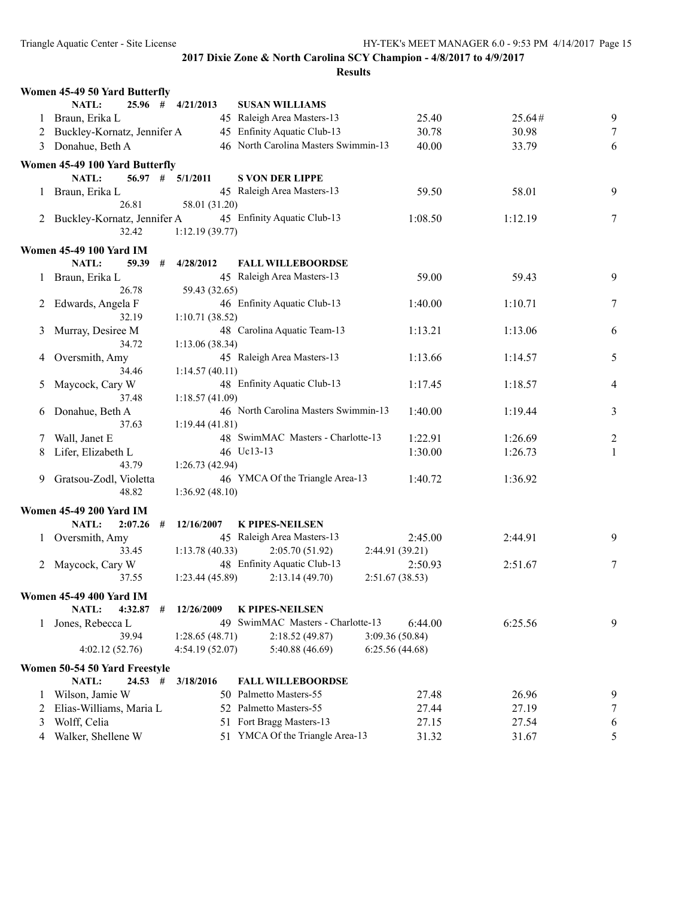|              | Women 45-49 50 Yard Butterfly   |                |                                      |                 |         |                  |
|--------------|---------------------------------|----------------|--------------------------------------|-----------------|---------|------------------|
|              | 25.96 #<br><b>NATL:</b>         | 4/21/2013      | <b>SUSAN WILLIAMS</b>                |                 |         |                  |
| 1            | Braun, Erika L                  |                | 45 Raleigh Area Masters-13           | 25.40           | 25.64#  | 9                |
|              | 2 Buckley-Kornatz, Jennifer A   |                | 45 Enfinity Aquatic Club-13          | 30.78           | 30.98   | 7                |
|              | 3 Donahue, Beth A               |                | 46 North Carolina Masters Swimmin-13 | 40.00           | 33.79   | 6                |
|              | Women 45-49 100 Yard Butterfly  |                |                                      |                 |         |                  |
|              | $56.97$ # $5/1/2011$<br>NATL:   |                | <b>S VON DER LIPPE</b>               |                 |         |                  |
| $\mathbf{I}$ | Braun, Erika L                  |                | 45 Raleigh Area Masters-13           | 59.50           | 58.01   | 9                |
|              | 26.81                           | 58.01 (31.20)  |                                      |                 |         |                  |
| 2            | Buckley-Kornatz, Jennifer A     |                | 45 Enfinity Aquatic Club-13          | 1:08.50         | 1:12.19 | 7                |
|              | 32.42                           | 1:12.19(39.77) |                                      |                 |         |                  |
|              |                                 |                |                                      |                 |         |                  |
|              | <b>Women 45-49 100 Yard IM</b>  |                |                                      |                 |         |                  |
|              | NATL:<br>59.39<br>#             | 4/28/2012      | <b>FALL WILLEBOORDSE</b>             |                 |         |                  |
|              | 1 Braun, Erika L                |                | 45 Raleigh Area Masters-13           | 59.00           | 59.43   | 9                |
|              | 26.78                           | 59.43 (32.65)  |                                      |                 |         |                  |
|              | 2 Edwards, Angela F             |                | 46 Enfinity Aquatic Club-13          | 1:40.00         | 1:10.71 | 7                |
|              | 32.19                           | 1:10.71(38.52) |                                      |                 |         |                  |
| 3            | Murray, Desiree M               |                | 48 Carolina Aquatic Team-13          | 1:13.21         | 1:13.06 | 6                |
|              | 34.72                           | 1:13.06(38.34) |                                      |                 |         |                  |
| 4            | Oversmith, Amy                  |                | 45 Raleigh Area Masters-13           | 1:13.66         | 1:14.57 | 5                |
|              | 34.46                           | 1:14.57(40.11) | 48 Enfinity Aquatic Club-13          |                 |         |                  |
| 5            | Maycock, Cary W<br>37.48        |                |                                      | 1:17.45         | 1:18.57 | 4                |
|              |                                 | 1:18.57(41.09) | 46 North Carolina Masters Swimmin-13 | 1:40.00         |         |                  |
| 6            | Donahue, Beth A                 |                |                                      |                 | 1:19.44 | 3                |
|              | 37.63                           | 1:19.44(41.81) |                                      |                 |         |                  |
| 7            | Wall, Janet E                   |                | 48 SwimMAC Masters - Charlotte-13    | 1:22.91         | 1:26.69 | $\overline{c}$   |
| 8            | Lifer, Elizabeth L<br>43.79     |                | 46 Uc13-13                           | 1:30.00         | 1:26.73 | 1                |
|              |                                 | 1:26.73(42.94) | 46 YMCA Of the Triangle Area-13      |                 |         |                  |
| 9            | Gratsou-Zodl, Violetta<br>48.82 |                |                                      | 1:40.72         | 1:36.92 |                  |
|              |                                 | 1:36.92(48.10) |                                      |                 |         |                  |
|              | <b>Women 45-49 200 Yard IM</b>  |                |                                      |                 |         |                  |
|              | NATL:<br>2:07.26<br>#           | 12/16/2007     | <b>K PIPES-NEILSEN</b>               |                 |         |                  |
|              | 1 Oversmith, Amy                |                | 45 Raleigh Area Masters-13           | 2:45.00         | 2:44.91 | 9                |
|              | 33.45                           | 1:13.78(40.33) | 2:05.70(51.92)                       | 2:44.91 (39.21) |         |                  |
| 2            | Maycock, Cary W                 |                | 48 Enfinity Aquatic Club-13          | 2:50.93         | 2:51.67 | 7                |
|              | 37.55                           | 1:23.44(45.89) | 2:13.14(49.70)                       | 2:51.67(38.53)  |         |                  |
|              | <b>Women 45-49 400 Yard IM</b>  |                |                                      |                 |         |                  |
|              | NATL:<br>4:32.87<br>#           | 12/26/2009     | <b>K PIPES-NEILSEN</b>               |                 |         |                  |
| 1.           | Jones, Rebecca L                |                | 49 SwimMAC Masters - Charlotte-13    | 6:44.00         | 6:25.56 | 9                |
|              | 39.94                           | 1:28.65(48.71) | 2:18.52(49.87)                       | 3:09.36(50.84)  |         |                  |
|              | 4:02.12(52.76)                  | 4:54.19(52.07) | 5:40.88 (46.69)                      | 6:25.56(44.68)  |         |                  |
|              | Women 50-54 50 Yard Freestyle   |                |                                      |                 |         |                  |
|              | NATL:<br>$24.53$ #              | 3/18/2016      | <b>FALL WILLEBOORDSE</b>             |                 |         |                  |
| 1            | Wilson, Jamie W                 |                | 50 Palmetto Masters-55               | 27.48           | 26.96   | 9                |
| 2            | Elias-Williams, Maria L         |                | 52 Palmetto Masters-55               | 27.44           | 27.19   | $\boldsymbol{7}$ |
|              | Wolff, Celia                    |                | 51 Fort Bragg Masters-13             | 27.15           | 27.54   |                  |
| 3            | Walker, Shellene W              |                | 51 YMCA Of the Triangle Area-13      | 31.32           | 31.67   | 6<br>5           |
| 4            |                                 |                |                                      |                 |         |                  |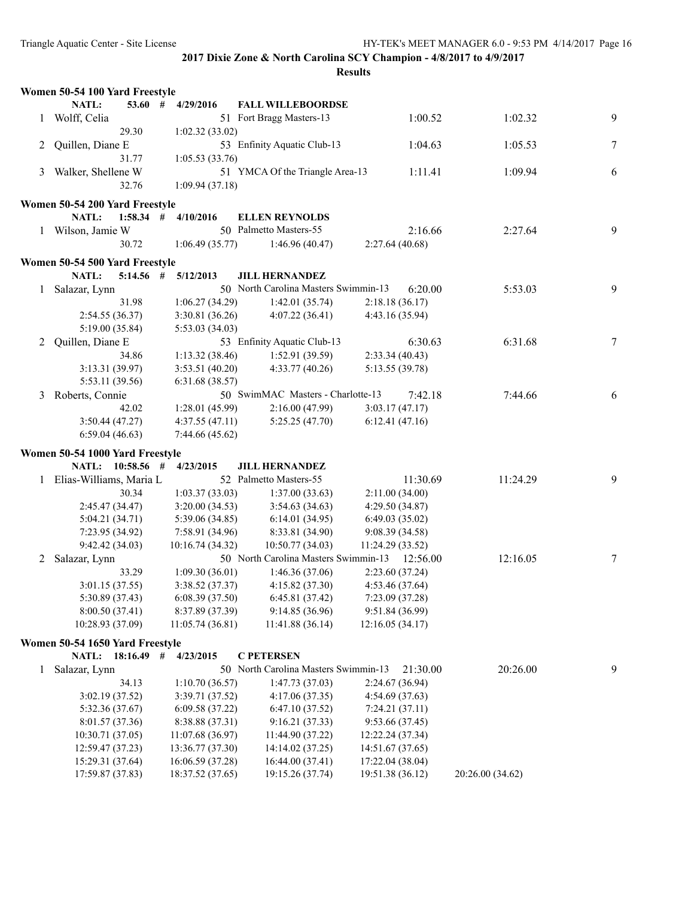|              | Women 50-54 100 Yard Freestyle  |                  |                                      |                  |                  |                 |
|--------------|---------------------------------|------------------|--------------------------------------|------------------|------------------|-----------------|
|              | <b>NATL:</b><br>$53.60$ #       | 4/29/2016        | <b>FALL WILLEBOORDSE</b>             |                  |                  |                 |
| 1            | Wolff, Celia                    |                  | 51 Fort Bragg Masters-13             | 1:00.52          | 1:02.32          | 9               |
|              | 29.30                           | 1:02.32(33.02)   |                                      |                  |                  |                 |
| 2            | Quillen, Diane E                |                  | 53 Enfinity Aquatic Club-13          | 1:04.63          | 1:05.53          | 7               |
|              | 31.77                           | 1:05.53(33.76)   |                                      |                  |                  |                 |
| 3            | Walker, Shellene W              |                  | 51 YMCA Of the Triangle Area-13      | 1:11.41          | 1:09.94          | 6               |
|              | 32.76                           | 1:09.94(37.18)   |                                      |                  |                  |                 |
|              | Women 50-54 200 Yard Freestyle  |                  |                                      |                  |                  |                 |
|              | $1:58.34$ #<br>NATL:            | 4/10/2016        | <b>ELLEN REYNOLDS</b>                |                  |                  |                 |
| $\mathbf{1}$ | Wilson, Jamie W                 |                  | 50 Palmetto Masters-55               | 2:16.66          | 2:27.64          | 9               |
|              | 30.72                           | 1:06.49(35.77)   | 1:46.96(40.47)                       | 2:27.64(40.68)   |                  |                 |
|              |                                 |                  |                                      |                  |                  |                 |
|              | Women 50-54 500 Yard Freestyle  |                  |                                      |                  |                  |                 |
|              | NATL:<br>$5:14.56$ #            | 5/12/2013        | <b>JILL HERNANDEZ</b>                |                  |                  |                 |
| 1            | Salazar, Lynn                   |                  | 50 North Carolina Masters Swimmin-13 | 6:20.00          | 5:53.03          | 9               |
|              | 31.98                           | 1:06.27(34.29)   | 1:42.01(35.74)                       | 2:18.18(36.17)   |                  |                 |
|              | 2:54.55 (36.37)                 | 3:30.81(36.26)   | 4:07.22(36.41)                       | 4:43.16(35.94)   |                  |                 |
|              | 5:19.00 (35.84)                 | 5:53.03(34.03)   |                                      |                  |                  |                 |
| 2            | Quillen, Diane E                |                  | 53 Enfinity Aquatic Club-13          | 6:30.63          | 6:31.68          | $7\phantom{.0}$ |
|              | 34.86                           | 1:13.32(38.46)   | 1:52.91(39.59)                       | 2:33.34(40.43)   |                  |                 |
|              | 3:13.31 (39.97)                 | 3:53.51(40.20)   | 4:33.77(40.26)                       | 5:13.55 (39.78)  |                  |                 |
|              | 5:53.11 (39.56)                 | 6:31.68(38.57)   |                                      |                  |                  |                 |
| 3            | Roberts, Connie                 |                  | 50 SwimMAC Masters - Charlotte-13    | 7:42.18          | 7:44.66          | 6               |
|              | 42.02                           | 1:28.01(45.99)   | 2:16.00(47.99)                       | 3:03.17(47.17)   |                  |                 |
|              | 3:50.44(47.27)                  | 4:37.55(47.11)   | 5:25.25(47.70)                       | 6:12.41(47.16)   |                  |                 |
|              | 6:59.04(46.63)                  | 7:44.66 (45.62)  |                                      |                  |                  |                 |
|              | Women 50-54 1000 Yard Freestyle |                  |                                      |                  |                  |                 |
|              | NATL: 10:58.56 #                | 4/23/2015        | <b>JILL HERNANDEZ</b>                |                  |                  |                 |
| $\mathbf{1}$ | Elias-Williams, Maria L         |                  | 52 Palmetto Masters-55               | 11:30.69         | 11:24.29         | 9               |
|              | 30.34                           | 1:03.37(33.03)   | 1:37.00(33.63)                       | 2:11.00(34.00)   |                  |                 |
|              | 2:45.47 (34.47)                 | 3:20.00(34.53)   | 3:54.63(34.63)                       | 4:29.50(34.87)   |                  |                 |
|              | 5:04.21(34.71)                  | 5:39.06(34.85)   | 6:14.01(34.95)                       | 6:49.03(35.02)   |                  |                 |
|              | 7:23.95 (34.92)                 | 7:58.91 (34.96)  | 8:33.81 (34.90)                      | 9:08.39(34.58)   |                  |                 |
|              | 9:42.42 (34.03)                 | 10:16.74(34.32)  | 10:50.77 (34.03)                     | 11:24.29(33.52)  |                  |                 |
| 2            | Salazar, Lynn                   |                  | 50 North Carolina Masters Swimmin-13 | 12:56.00         | 12:16.05         | 7               |
|              | 33.29                           | 1:09.30(36.01)   | 1:46.36(37.06)                       | 2:23.60 (37.24)  |                  |                 |
|              | 3:01.15(37.55)                  | 3:38.52(37.37)   | 4:15.82(37.30)                       | 4:53.46 (37.64)  |                  |                 |
|              | 5:30.89 (37.43)                 | 6:08.39 (37.50)  | 6:45.81(37.42)                       | 7:23.09 (37.28)  |                  |                 |
|              | 8:00.50 (37.41)                 | 8:37.89 (37.39)  | 9:14.85 (36.96)                      | 9:51.84 (36.99)  |                  |                 |
|              | 10:28.93 (37.09)                | 11:05.74 (36.81) | 11:41.88 (36.14)                     | 12:16.05 (34.17) |                  |                 |
|              | Women 50-54 1650 Yard Freestyle |                  |                                      |                  |                  |                 |
|              | 18:16.49<br><b>NATL:</b>        | #<br>4/23/2015   | <b>C PETERSEN</b>                    |                  |                  |                 |
| 1            | Salazar, Lynn                   |                  | 50 North Carolina Masters Swimmin-13 | 21:30.00         | 20:26.00         | 9               |
|              | 34.13                           | 1:10.70(36.57)   | 1:47.73(37.03)                       | 2:24.67 (36.94)  |                  |                 |
|              | 3:02.19 (37.52)                 | 3:39.71 (37.52)  | 4:17.06(37.35)                       | 4:54.69 (37.63)  |                  |                 |
|              | 5:32.36 (37.67)                 | 6:09.58(37.22)   | 6:47.10(37.52)                       | 7:24.21(37.11)   |                  |                 |
|              | 8:01.57 (37.36)                 | 8:38.88 (37.31)  | 9:16.21(37.33)                       | 9:53.66 (37.45)  |                  |                 |
|              | 10:30.71 (37.05)                | 11:07.68(36.97)  | 11:44.90 (37.22)                     | 12:22.24 (37.34) |                  |                 |
|              | 12:59.47 (37.23)                | 13:36.77 (37.30) | 14:14.02 (37.25)                     | 14:51.67 (37.65) |                  |                 |
|              | 15:29.31 (37.64)                | 16:06.59 (37.28) | 16:44.00 (37.41)                     | 17:22.04 (38.04) |                  |                 |
|              | 17:59.87 (37.83)                | 18:37.52 (37.65) | 19:15.26 (37.74)                     | 19:51.38 (36.12) | 20:26.00 (34.62) |                 |
|              |                                 |                  |                                      |                  |                  |                 |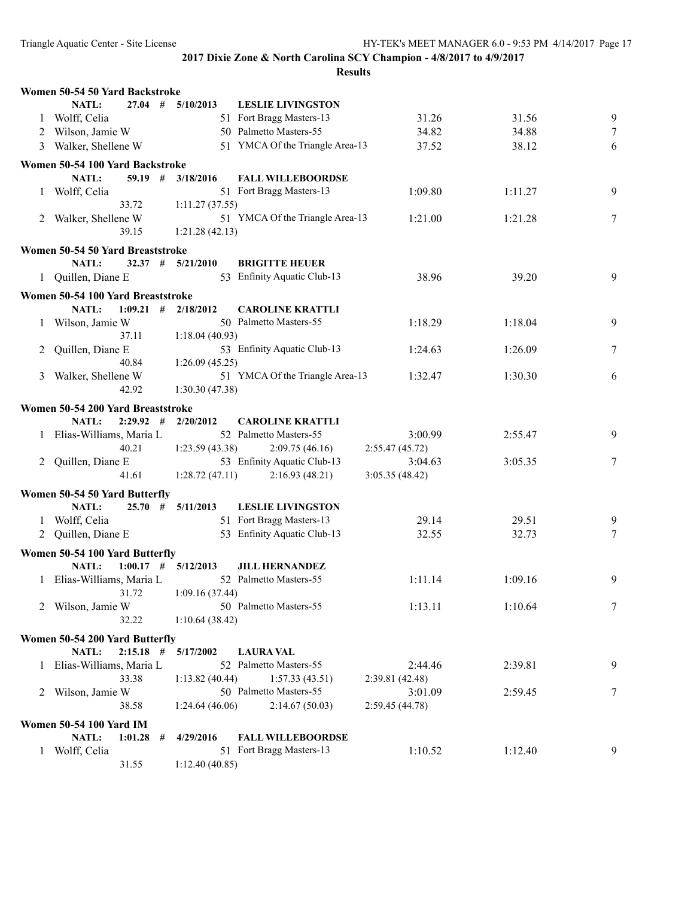|              | Women 50-54 50 Yard Backstroke    |                         |                                 |                 |         |   |
|--------------|-----------------------------------|-------------------------|---------------------------------|-----------------|---------|---|
|              | NATL:<br>$27.04$ #                | 5/10/2013               | <b>LESLIE LIVINGSTON</b>        |                 |         |   |
| 1            | Wolff, Celia                      |                         | 51 Fort Bragg Masters-13        | 31.26           | 31.56   | 9 |
|              | 2 Wilson, Jamie W                 |                         | 50 Palmetto Masters-55          | 34.82           | 34.88   | 7 |
| 3            | Walker, Shellene W                |                         | 51 YMCA Of the Triangle Area-13 | 37.52           | 38.12   | 6 |
|              |                                   |                         |                                 |                 |         |   |
|              | Women 50-54 100 Yard Backstroke   |                         |                                 |                 |         |   |
|              | NATL:                             | $59.19$ # $3/18/2016$   | <b>FALL WILLEBOORDSE</b>        |                 |         |   |
|              | 1 Wolff, Celia                    |                         | 51 Fort Bragg Masters-13        | 1:09.80         | 1:11.27 | 9 |
|              | 33.72                             | 1:11.27(37.55)          |                                 |                 |         |   |
|              | 2 Walker, Shellene W              |                         | 51 YMCA Of the Triangle Area-13 | 1:21.00         | 1:21.28 | 7 |
|              | 39.15                             | 1:21.28(42.13)          |                                 |                 |         |   |
|              | Women 50-54 50 Yard Breaststroke  |                         |                                 |                 |         |   |
|              | NATL:<br>32.37#                   | 5/21/2010               | <b>BRIGITTE HEUER</b>           |                 |         |   |
|              | 1 Quillen, Diane E                |                         | 53 Enfinity Aquatic Club-13     | 38.96           | 39.20   | 9 |
|              |                                   |                         |                                 |                 |         |   |
|              | Women 50-54 100 Yard Breaststroke |                         |                                 |                 |         |   |
|              | NATL:                             | $1:09.21$ # $2/18/2012$ | <b>CAROLINE KRATTLI</b>         |                 |         |   |
|              | 1 Wilson, Jamie W                 |                         | 50 Palmetto Masters-55          | 1:18.29         | 1:18.04 | 9 |
|              | 37.11                             | 1:18.04(40.93)          |                                 |                 |         |   |
|              | 2 Quillen, Diane E                |                         | 53 Enfinity Aquatic Club-13     | 1:24.63         | 1:26.09 | 7 |
|              | 40.84                             | 1:26.09(45.25)          |                                 |                 |         |   |
| 3            | Walker, Shellene W                |                         | 51 YMCA Of the Triangle Area-13 | 1:32.47         | 1:30.30 | 6 |
|              | 42.92                             | 1:30.30(47.38)          |                                 |                 |         |   |
|              | Women 50-54 200 Yard Breaststroke |                         |                                 |                 |         |   |
|              | $2:29.92$ #<br>NATL:              | 2/20/2012               | <b>CAROLINE KRATTLI</b>         |                 |         |   |
|              |                                   |                         | 52 Palmetto Masters-55          |                 |         | 9 |
|              | 1 Elias-Williams, Maria L         |                         |                                 | 3:00.99         | 2:55.47 |   |
|              | 40.21                             | 1:23.59(43.38)          | 2:09.75(46.16)                  | 2:55.47(45.72)  |         |   |
|              | 2 Quillen, Diane E                |                         | 53 Enfinity Aquatic Club-13     | 3:04.63         | 3:05.35 | 7 |
|              | 41.61                             | 1:28.72(47.11)          | 2:16.93(48.21)                  | 3:05.35(48.42)  |         |   |
|              | Women 50-54 50 Yard Butterfly     |                         |                                 |                 |         |   |
|              | NATL:                             | $25.70$ # $5/11/2013$   | <b>LESLIE LIVINGSTON</b>        |                 |         |   |
|              | 1 Wolff, Celia                    |                         | 51 Fort Bragg Masters-13        | 29.14           | 29.51   | 9 |
|              | 2 Quillen, Diane E                |                         | 53 Enfinity Aquatic Club-13     | 32.55           | 32.73   | 7 |
|              |                                   |                         |                                 |                 |         |   |
|              | Women 50-54 100 Yard Butterfly    |                         |                                 |                 |         |   |
|              | NATL:                             | $1:00.17$ # $5/12/2013$ | <b>JILL HERNANDEZ</b>           |                 |         |   |
|              | 1 Elias-Williams, Maria L         |                         | 52 Palmetto Masters-55          | 1:11.14         | 1:09.16 | 9 |
|              | 31.72                             | 1:09.16(37.44)          |                                 |                 |         |   |
|              | 2 Wilson, Jamie W                 |                         | 50 Palmetto Masters-55          | 1:13.11         | 1:10.64 | 7 |
|              | 32.22                             | 1:10.64(38.42)          |                                 |                 |         |   |
|              | Women 50-54 200 Yard Butterfly    |                         |                                 |                 |         |   |
|              | NATL:<br>$2:15.18$ #              | 5/17/2002               | <b>LAURA VAL</b>                |                 |         |   |
| $\mathbf{1}$ | Elias-Williams, Maria L           |                         | 52 Palmetto Masters-55          | 2:44.46         | 2:39.81 | 9 |
|              | 33.38                             | 1:13.82(40.44)          | 1:57.33(43.51)                  | 2:39.81(42.48)  |         |   |
|              | 2 Wilson, Jamie W                 |                         | 50 Palmetto Masters-55          | 3:01.09         | 2:59.45 | 7 |
|              | 38.58                             | 1:24.64(46.06)          | 2:14.67(50.03)                  | 2:59.45 (44.78) |         |   |
|              |                                   |                         |                                 |                 |         |   |
|              | <b>Women 50-54 100 Yard IM</b>    |                         |                                 |                 |         |   |
|              | NATL:<br>$1:01.28$ #              | 4/29/2016               | <b>FALL WILLEBOORDSE</b>        |                 |         |   |
| 1            | Wolff, Celia                      |                         | 51 Fort Bragg Masters-13        | 1:10.52         | 1:12.40 | 9 |
|              | 31.55                             | 1:12.40(40.85)          |                                 |                 |         |   |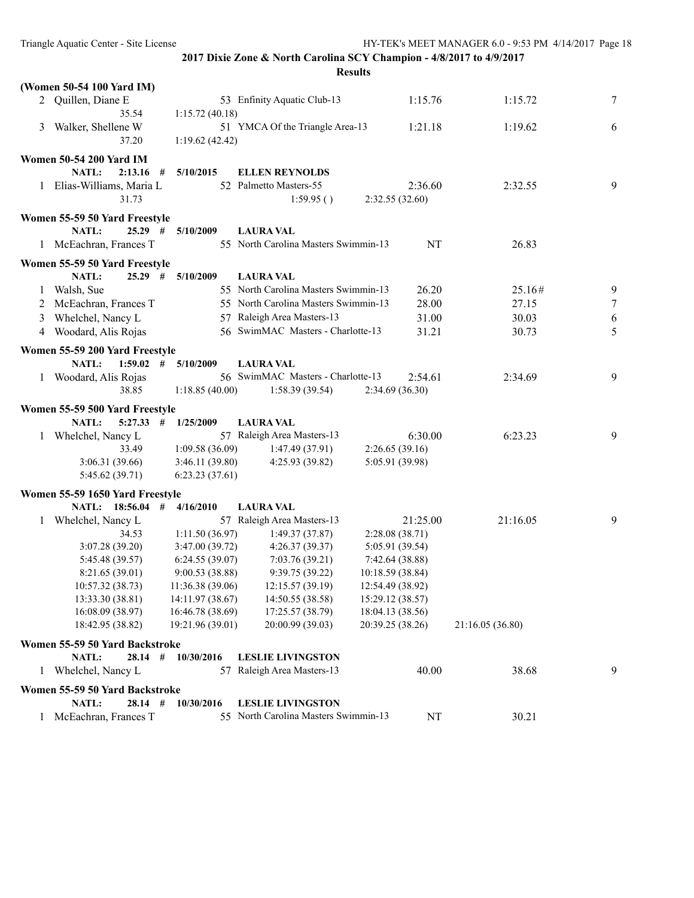|              | (Women 50-54 100 Yard IM)            |                                      |                                                                              |                                      |                  |        |
|--------------|--------------------------------------|--------------------------------------|------------------------------------------------------------------------------|--------------------------------------|------------------|--------|
|              | 2 Quillen, Diane E<br>35.54          | 1:15.72(40.18)                       | 53 Enfinity Aquatic Club-13                                                  | 1:15.76                              | 1:15.72          | 7      |
| 3            | Walker, Shellene W<br>37.20          | 1:19.62(42.42)                       | 51 YMCA Of the Triangle Area-13                                              | 1:21.18                              | 1:19.62          | 6      |
|              | <b>Women 50-54 200 Yard IM</b>       |                                      |                                                                              |                                      |                  |        |
|              | NATL:<br>$2:13.16$ #                 | 5/10/2015                            | <b>ELLEN REYNOLDS</b>                                                        |                                      |                  |        |
|              | 1 Elias-Williams, Maria L            |                                      | 52 Palmetto Masters-55                                                       | 2:36.60                              | 2:32.55          | 9      |
|              | 31.73                                |                                      | 1:59.95()                                                                    | 2:32.55(32.60)                       |                  |        |
|              | Women 55-59 50 Yard Freestyle        |                                      |                                                                              |                                      |                  |        |
|              | NATL:<br>$25.29$ #                   | 5/10/2009                            | <b>LAURA VAL</b>                                                             |                                      |                  |        |
|              | 1 McEachran, Frances T               |                                      | 55 North Carolina Masters Swimmin-13                                         | NT                                   | 26.83            |        |
|              |                                      |                                      |                                                                              |                                      |                  |        |
|              | Women 55-59 50 Yard Freestyle        |                                      |                                                                              |                                      |                  |        |
|              | NATL:<br>$25.29$ #                   | 5/10/2009                            | <b>LAURA VAL</b>                                                             |                                      |                  |        |
| 1            | Walsh, Sue                           |                                      | 55 North Carolina Masters Swimmin-13<br>55 North Carolina Masters Swimmin-13 | 26.20                                | 25.16#           | 9      |
|              | 2 McEachran, Frances T               |                                      | 57 Raleigh Area Masters-13                                                   | 28.00<br>31.00                       | 27.15            | 7      |
| 3            | Whelchel, Nancy L                    |                                      | 56 SwimMAC Masters - Charlotte-13                                            | 31.21                                | 30.03            | 6<br>5 |
| 4            | Woodard, Alis Rojas                  |                                      |                                                                              |                                      | 30.73            |        |
|              | Women 55-59 200 Yard Freestyle       |                                      |                                                                              |                                      |                  |        |
|              | $1:59.02$ #<br>NATL:                 | 5/10/2009                            | <b>LAURA VAL</b>                                                             |                                      |                  |        |
|              | 1 Woodard, Alis Rojas                |                                      | 56 SwimMAC Masters - Charlotte-13                                            | 2:54.61                              | 2:34.69          | 9      |
|              | 38.85                                | 1:18.85(40.00)                       | 1:58.39(39.54)                                                               | 2:34.69 (36.30)                      |                  |        |
|              | Women 55-59 500 Yard Freestyle       |                                      |                                                                              |                                      |                  |        |
|              | <b>NATL:</b><br>$5:27.33$ #          | 1/25/2009                            | <b>LAURA VAL</b>                                                             |                                      |                  |        |
| 1            | Whelchel, Nancy L                    |                                      | 57 Raleigh Area Masters-13                                                   | 6:30.00                              | 6:23.23          | 9      |
|              | 33.49                                | 1:09.58(36.09)                       | 1:47.49(37.91)                                                               | 2:26.65(39.16)                       |                  |        |
|              | 3:06.31(39.66)                       | 3:46.11(39.80)                       | 4:25.93(39.82)                                                               | 5:05.91 (39.98)                      |                  |        |
|              | 5:45.62 (39.71)                      | 6:23.23(37.61)                       |                                                                              |                                      |                  |        |
|              | Women 55-59 1650 Yard Freestyle      |                                      |                                                                              |                                      |                  |        |
|              | NATL: 18:56.04 #                     | 4/16/2010                            | <b>LAURA VAL</b>                                                             |                                      |                  |        |
| $\mathbf{1}$ | Whelchel, Nancy L                    |                                      | 57 Raleigh Area Masters-13                                                   | 21:25.00                             | 21:16.05         | 9      |
|              | 34.53                                | 1:11.50(36.97)                       | 1:49.37(37.87)                                                               | 2:28.08(38.71)                       |                  |        |
|              | 3:07.28(39.20)                       | 3:47.00(39.72)                       | 4:26.37(39.37)                                                               | 5:05.91 (39.54)                      |                  |        |
|              | 5:45.48 (39.57)                      | 6:24.55(39.07)                       | 7:03.76(39.21)                                                               | 7:42.64 (38.88)                      |                  |        |
|              | 8:21.65(39.01)                       | 9:00.53(38.88)                       | 9:39.75(39.22)                                                               | 10:18.59 (38.84)                     |                  |        |
|              | 10:57.32 (38.73)                     | 11:36.38 (39.06)                     | 12:15.57 (39.19)                                                             | 12:54.49 (38.92)                     |                  |        |
|              | 13:33.30 (38.81)                     | 14:11.97 (38.67)                     | 14:50.55 (38.58)                                                             | 15:29.12 (38.57)                     |                  |        |
|              | 16:08.09 (38.97)<br>18:42.95 (38.82) | 16:46.78 (38.69)<br>19:21.96 (39.01) | 17:25.57 (38.79)<br>20:00.99 (39.03)                                         | 18:04.13 (38.56)<br>20:39.25 (38.26) | 21:16.05 (36.80) |        |
|              |                                      |                                      |                                                                              |                                      |                  |        |
|              | Women 55-59 50 Yard Backstroke       |                                      |                                                                              |                                      |                  |        |
|              | NATL:<br>$28.14$ #                   | 10/30/2016                           | <b>LESLIE LIVINGSTON</b>                                                     |                                      |                  |        |
| 1            | Whelchel, Nancy L                    | 57                                   | Raleigh Area Masters-13                                                      | 40.00                                | 38.68            | 9      |
|              | Women 55-59 50 Yard Backstroke       |                                      |                                                                              |                                      |                  |        |
|              | $28.14$ #<br><b>NATL:</b>            | 10/30/2016                           | <b>LESLIE LIVINGSTON</b>                                                     |                                      |                  |        |
| $\mathbf{1}$ | McEachran, Frances T                 |                                      | 55 North Carolina Masters Swimmin-13                                         | NT                                   | 30.21            |        |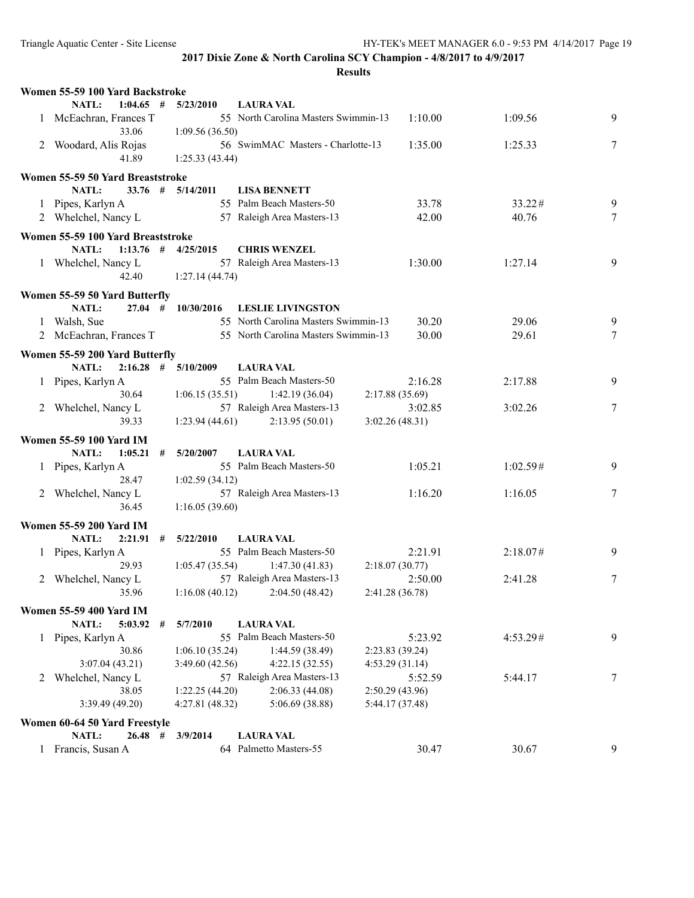|   | Women 55-59 100 Yard Backstroke   |   |                                   |                                              |                                   |          |                 |
|---|-----------------------------------|---|-----------------------------------|----------------------------------------------|-----------------------------------|----------|-----------------|
|   | <b>NATL:</b><br>$1:04.65$ #       |   | 5/23/2010                         | <b>LAURA VAL</b>                             |                                   |          |                 |
|   | 1 McEachran, Frances T<br>33.06   |   | 1:09.56(36.50)                    | 55 North Carolina Masters Swimmin-13         | 1:10.00                           | 1:09.56  | 9               |
|   | 2 Woodard, Alis Rojas             |   |                                   | 56 SwimMAC Masters - Charlotte-13            | 1:35.00                           | 1:25.33  | 7               |
|   | 41.89                             |   | 1:25.33(43.44)                    |                                              |                                   |          |                 |
|   |                                   |   |                                   |                                              |                                   |          |                 |
|   | Women 55-59 50 Yard Breaststroke  |   |                                   |                                              |                                   |          |                 |
|   | NATL:                             |   | $33.76$ # $5/14/2011$             | <b>LISA BENNETT</b>                          |                                   |          |                 |
|   | 1 Pipes, Karlyn A                 |   |                                   | 55 Palm Beach Masters-50                     | 33.78                             | 33.22#   | 9               |
|   | 2 Whelchel, Nancy L               |   |                                   | 57 Raleigh Area Masters-13                   | 42.00                             | 40.76    | 7               |
|   | Women 55-59 100 Yard Breaststroke |   |                                   |                                              |                                   |          |                 |
|   | NATL:                             |   | $1:13.76$ # $4/25/2015$           | <b>CHRIS WENZEL</b>                          |                                   |          |                 |
|   | 1 Whelchel, Nancy L               |   |                                   | 57 Raleigh Area Masters-13                   | 1:30.00                           | 1:27.14  | 9               |
|   | 42.40                             |   | 1:27.14(44.74)                    |                                              |                                   |          |                 |
|   | Women 55-59 50 Yard Butterfly     |   |                                   |                                              |                                   |          |                 |
|   | <b>NATL:</b><br>$27.04$ #         |   | 10/30/2016                        | <b>LESLIE LIVINGSTON</b>                     |                                   |          |                 |
|   | 1 Walsh, Sue                      |   |                                   | 55 North Carolina Masters Swimmin-13         | 30.20                             | 29.06    | 9               |
|   | 2 McEachran, Frances T            |   |                                   | 55 North Carolina Masters Swimmin-13         | 30.00                             | 29.61    | $7\phantom{.0}$ |
|   | Women 55-59 200 Yard Butterfly    |   |                                   |                                              |                                   |          |                 |
|   | <b>NATL:</b><br>$2:16.28$ #       |   | 5/10/2009                         | <b>LAURA VAL</b>                             |                                   |          |                 |
|   | 1 Pipes, Karlyn A                 |   |                                   | 55 Palm Beach Masters-50                     | 2:16.28                           | 2:17.88  | 9               |
|   | 30.64                             |   | 1:06.15(35.51)                    | 1:42.19(36.04)                               | 2:17.88(35.69)                    |          |                 |
|   | 2 Whelchel, Nancy L               |   |                                   | 57 Raleigh Area Masters-13                   | 3:02.85                           | 3:02.26  | 7               |
|   | 39.33                             |   | 1:23.94(44.61)                    | 2:13.95(50.01)                               | 3:02.26(48.31)                    |          |                 |
|   | <b>Women 55-59 100 Yard IM</b>    |   |                                   |                                              |                                   |          |                 |
|   | NATL:<br>1:05.21                  | # | 5/20/2007                         | <b>LAURA VAL</b>                             |                                   |          |                 |
|   | 1 Pipes, Karlyn A                 |   |                                   | 55 Palm Beach Masters-50                     | 1:05.21                           | 1:02.59# | 9               |
|   | 28.47                             |   | 1:02.59(34.12)                    |                                              |                                   |          |                 |
|   | 2 Whelchel, Nancy L               |   |                                   | 57 Raleigh Area Masters-13                   | 1:16.20                           | 1:16.05  | 7               |
|   | 36.45                             |   | 1:16.05(39.60)                    |                                              |                                   |          |                 |
|   | <b>Women 55-59 200 Yard IM</b>    |   |                                   |                                              |                                   |          |                 |
|   | NATL:<br>$2:21.91$ #              |   | 5/22/2010                         | <b>LAURA VAL</b>                             |                                   |          |                 |
|   | 1 Pipes, Karlyn A                 |   |                                   | 55 Palm Beach Masters-50                     | 2:21.91                           | 2:18.07# | 9               |
|   | 29.93                             |   | 1:05.47(35.54)                    | 1:47.30(41.83)                               | 2:18.07(30.77)                    |          |                 |
|   | 2 Whelchel, Nancy L               |   |                                   | 57 Raleigh Area Masters-13                   | 2:50.00                           | 2:41.28  | 7               |
|   | 35.96                             |   | 1:16.08(40.12)                    | 2:04.50(48.42)                               | 2:41.28 (36.78)                   |          |                 |
|   |                                   |   |                                   |                                              |                                   |          |                 |
|   | Women 55-59 400 Yard IM           |   |                                   |                                              |                                   |          |                 |
|   | NATL:<br>5:03.92                  | # | 5/7/2010                          | <b>LAURA VAL</b><br>55 Palm Beach Masters-50 |                                   |          |                 |
|   | 1 Pipes, Karlyn A                 |   |                                   |                                              | 5:23.92                           | 4:53.29# | 9               |
|   | 30.86<br>3:07.04(43.21)           |   | 1:06.10(35.24)<br>3:49.60 (42.56) | 1:44.59(38.49)<br>4:22.15(32.55)             | 2:23.83 (39.24)<br>4:53.29(31.14) |          |                 |
|   | Whelchel, Nancy L                 |   |                                   | 57 Raleigh Area Masters-13                   | 5:52.59                           | 5:44.17  | 7               |
| 2 | 38.05                             |   | 1:22.25(44.20)                    | 2:06.33 (44.08)                              | 2:50.29 (43.96)                   |          |                 |
|   | 3:39.49 (49.20)                   |   | 4:27.81 (48.32)                   | 5:06.69 (38.88)                              | 5:44.17 (37.48)                   |          |                 |
|   |                                   |   |                                   |                                              |                                   |          |                 |
|   | Women 60-64 50 Yard Freestyle     |   |                                   |                                              |                                   |          |                 |
|   | NATL:<br>$26.48$ #                |   | 3/9/2014                          | <b>LAURA VAL</b>                             |                                   |          |                 |
|   | 1 Francis, Susan A                |   |                                   | 64 Palmetto Masters-55                       | 30.47                             | 30.67    | 9               |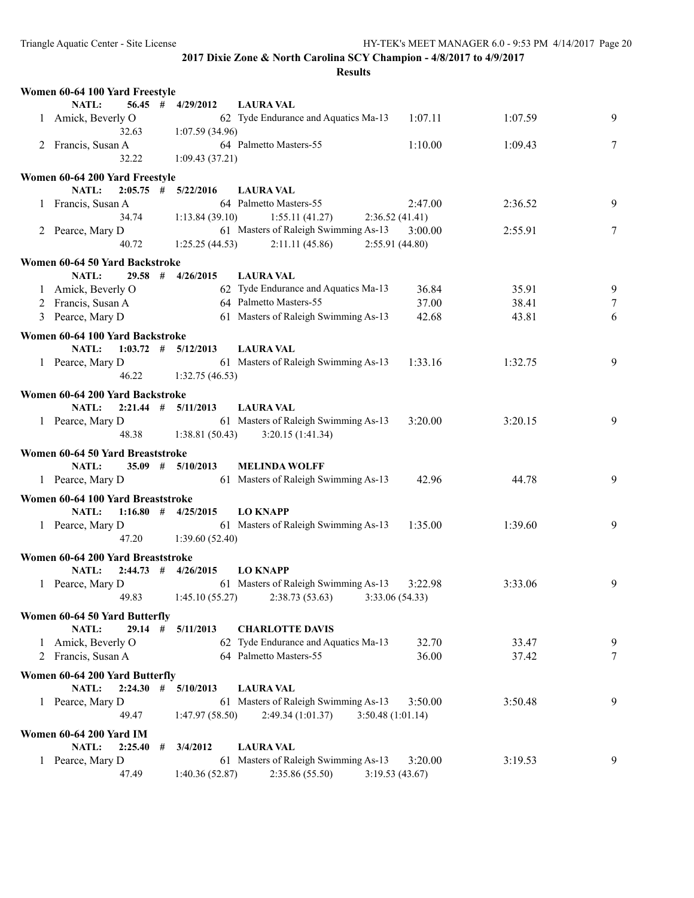|   | Women 60-64 100 Yard Freestyle                |   |                         |                                                          |         |         |   |
|---|-----------------------------------------------|---|-------------------------|----------------------------------------------------------|---------|---------|---|
|   | <b>NATL:</b>                                  |   | $56.45$ # $4/29/2012$   | <b>LAURA VAL</b>                                         |         |         |   |
|   | 1 Amick, Beverly O                            |   |                         | 62 Tyde Endurance and Aquatics Ma-13                     | 1:07.11 | 1:07.59 | 9 |
|   | 32.63                                         |   | 1:07.59 (34.96)         |                                                          |         |         |   |
|   | 2 Francis, Susan A                            |   |                         | 64 Palmetto Masters-55                                   | 1:10.00 | 1:09.43 | 7 |
|   | 32.22                                         |   | 1:09.43(37.21)          |                                                          |         |         |   |
|   | Women 60-64 200 Yard Freestyle                |   |                         |                                                          |         |         |   |
|   | <b>NATL:</b>                                  |   | $2:05.75$ # $5/22/2016$ | <b>LAURA VAL</b>                                         |         |         |   |
|   | 1 Francis, Susan A                            |   |                         | 64 Palmetto Masters-55                                   | 2:47.00 | 2:36.52 | 9 |
|   | 34.74                                         |   | 1:13.84(39.10)          | 1:55.11(41.27)<br>2:36.52(41.41)                         |         |         |   |
|   | 2 Pearce, Mary D                              |   |                         | 61 Masters of Raleigh Swimming As-13                     | 3:00.00 | 2:55.91 | 7 |
|   | 40.72                                         |   | 1:25.25(44.53)          | 2:11.11(45.86)<br>2:55.91(44.80)                         |         |         |   |
|   | Women 60-64 50 Yard Backstroke                |   |                         |                                                          |         |         |   |
|   | NATL:                                         |   | $29.58$ # $4/26/2015$   | <b>LAURA VAL</b>                                         |         |         |   |
|   | 1 Amick, Beverly O                            |   |                         | 62 Tyde Endurance and Aquatics Ma-13                     | 36.84   | 35.91   | 9 |
|   | 2 Francis, Susan A                            |   |                         | 64 Palmetto Masters-55                                   | 37.00   | 38.41   | 7 |
|   | 3 Pearce, Mary D                              |   |                         | 61 Masters of Raleigh Swimming As-13                     | 42.68   | 43.81   | 6 |
|   |                                               |   |                         |                                                          |         |         |   |
|   | Women 60-64 100 Yard Backstroke<br>NATL:      |   | $1:03.72$ # $5/12/2013$ | <b>LAURA VAL</b>                                         |         |         |   |
|   | 1 Pearce, Mary D                              |   |                         | 61 Masters of Raleigh Swimming As-13                     | 1:33.16 | 1:32.75 | 9 |
|   | 46.22                                         |   | 1:32.75(46.53)          |                                                          |         |         |   |
|   |                                               |   |                         |                                                          |         |         |   |
|   | Women 60-64 200 Yard Backstroke               |   |                         |                                                          |         |         |   |
|   | <b>NATL:</b>                                  |   | $2:21.44$ # $5/11/2013$ | <b>LAURA VAL</b>                                         |         |         |   |
|   | 1 Pearce, Mary D                              |   |                         | 61 Masters of Raleigh Swimming As-13                     | 3:20.00 | 3:20.15 | 9 |
|   | 48.38                                         |   | 1:38.81(50.43)          | 3:20.15(1:41.34)                                         |         |         |   |
|   | Women 60-64 50 Yard Breaststroke              |   |                         |                                                          |         |         |   |
|   | NATL:                                         |   | $35.09$ # $5/10/2013$   | <b>MELINDA WOLFF</b>                                     |         |         |   |
|   | 1 Pearce, Mary D                              |   |                         | 61 Masters of Raleigh Swimming As-13                     | 42.96   | 44.78   | 9 |
|   | Women 60-64 100 Yard Breaststroke             |   |                         |                                                          |         |         |   |
|   | NATL:                                         |   | $1:16.80$ # $4/25/2015$ | <b>LO KNAPP</b>                                          |         |         |   |
|   | 1 Pearce, Mary D                              |   |                         | 61 Masters of Raleigh Swimming As-13                     | 1:35.00 | 1:39.60 | 9 |
|   | 47.20                                         |   | 1:39.60(52.40)          |                                                          |         |         |   |
|   | Women 60-64 200 Yard Breaststroke             |   |                         |                                                          |         |         |   |
|   | <b>NATL:</b>                                  |   | $2:44.73$ # $4/26/2015$ | <b>LO KNAPP</b>                                          |         |         |   |
|   | 1 Pearce, Mary D                              |   |                         | 61 Masters of Raleigh Swimming As-13                     | 3:22.98 | 3:33.06 | 9 |
|   | 49.83                                         |   | 1:45.10(55.27)          | 2:38.73 (53.63)<br>3:33.06 (54.33)                       |         |         |   |
|   | Women 60-64 50 Yard Butterfly                 |   |                         |                                                          |         |         |   |
|   | 29.14<br>NATL:                                | # | 5/11/2013               | <b>CHARLOTTE DAVIS</b>                                   |         |         |   |
|   | Amick, Beverly O                              |   |                         | 62 Tyde Endurance and Aquatics Ma-13                     | 32.70   | 33.47   | 9 |
| 2 | Francis, Susan A                              |   |                         | 64 Palmetto Masters-55                                   | 36.00   | 37.42   | 7 |
|   |                                               |   |                         |                                                          |         |         |   |
|   | Women 60-64 200 Yard Butterfly<br>$2:24.30$ # |   |                         |                                                          |         |         |   |
|   | NATL:                                         |   | 5/10/2013               | <b>LAURA VAL</b><br>61 Masters of Raleigh Swimming As-13 |         |         |   |
|   | 1 Pearce, Mary D<br>49.47                     |   | 1:47.97 (58.50)         | 3:50.48 (1:01.14)<br>2:49.34(1:01.37)                    | 3:50.00 | 3:50.48 | 9 |
|   |                                               |   |                         |                                                          |         |         |   |
|   | <b>Women 60-64 200 Yard IM</b>                |   |                         |                                                          |         |         |   |
|   | NATL:<br>2:25.40                              | # | 3/4/2012                | <b>LAURA VAL</b>                                         |         |         |   |
|   | 1 Pearce, Mary D                              |   |                         | 61 Masters of Raleigh Swimming As-13                     | 3:20.00 | 3:19.53 | 9 |
|   | 47.49                                         |   | 1:40.36 (52.87)         | 2:35.86 (55.50)<br>3:19.53(43.67)                        |         |         |   |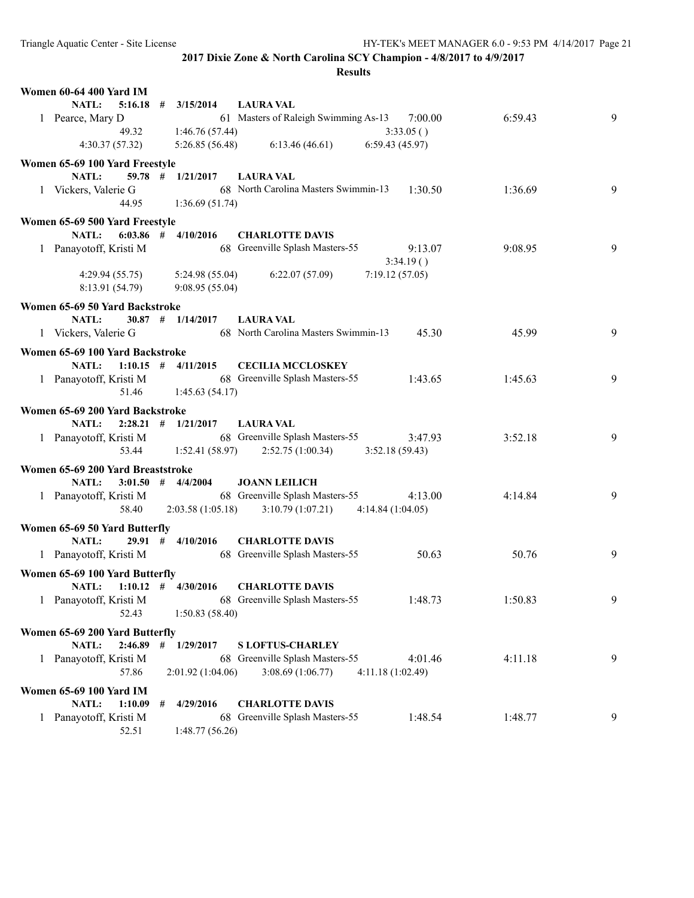| NATL:<br>$5:16.18$ #<br>3/15/2014<br><b>LAURA VAL</b><br>61 Masters of Raleigh Swimming As-13 7:00.00<br>1 Pearce, Mary D<br>6:59.43<br>9<br>1:46.76 (57.44)<br>3:33.05()<br>49.32<br>6:59.43(45.97)<br>4:30.37(57.32)<br>5:26.85(56.48)<br>6:13.46(46.61)<br>Women 65-69 100 Yard Freestyle<br>$59.78$ # $1/21/2017$<br>NATL:<br><b>LAURA VAL</b><br>68 North Carolina Masters Swimmin-13<br>1:30.50<br>9<br>1 Vickers, Valerie G<br>1:36.69<br>44.95<br>1:36.69(51.74)<br>Women 65-69 500 Yard Freestyle<br><b>NATL:</b><br>$6:03.86$ # $4/10/2016$<br><b>CHARLOTTE DAVIS</b><br>68 Greenville Splash Masters-55<br>9<br>1 Panayotoff, Kristi M<br>9:08.95<br>9:13.07<br>3:34.19()<br>6:22.07(57.09)<br>7:19.12(57.05)<br>4:29.94(55.75)<br>5:24.98 (55.04)<br>8:13.91 (54.79)<br>9:08.95(55.04)<br>Women 65-69 50 Yard Backstroke<br>$30.87$ # $1/14/2017$<br><b>NATL:</b><br><b>LAURA VAL</b><br>68 North Carolina Masters Swimmin-13<br>9<br>1 Vickers, Valerie G<br>45.30<br>45.99<br>Women 65-69 100 Yard Backstroke<br><b>NATL:</b><br>$1:10.15$ # $4/11/2015$<br><b>CECILIA MCCLOSKEY</b><br>1 Panayotoff, Kristi M<br>68 Greenville Splash Masters-55<br>9<br>1:43.65<br>1:45.63<br>51.46<br>1:45.63(54.17)<br>Women 65-69 200 Yard Backstroke<br>NATL:<br>$2:28.21$ # $1/21/2017$<br><b>LAURA VAL</b><br>1 Panayotoff, Kristi M 68 Greenville Splash Masters-55<br>3:52.18<br>9<br>3:47.93<br>53.44<br>$1:52.41(58.97)$ $2:52.75(1:00.34)$<br>3:52.18(59.43)<br>Women 65-69 200 Yard Breaststroke<br>$3:01.50$ # $4/4/2004$<br>NATL:<br><b>JOANN LEILICH</b><br>68 Greenville Splash Masters-55<br>1 Panayotoff, Kristi M<br>9<br>4:13.00<br>4:14.84<br>58.40<br>2:03.58(1:05.18)<br>3:10.79(1:07.21)<br>4:14.84(1:04.05)<br>Women 65-69 50 Yard Butterfly<br>$29.91$ # $4/10/2016$<br><b>NATL:</b><br><b>CHARLOTTE DAVIS</b><br>68 Greenville Splash Masters-55<br>9<br>1 Panayotoff, Kristi M<br>50.63<br>50.76<br>Women 65-69 100 Yard Butterfly<br><b>CHARLOTTE DAVIS</b><br>NATL: $1:10.12 \neq 4/30/2016$<br>68 Greenville Splash Masters-55<br>9<br>1 Panayotoff, Kristi M<br>1:48.73<br>1:50.83<br>52.43<br>1:50.83(58.40)<br>Women 65-69 200 Yard Butterfly<br>NATL:<br>$2:46.89$ #<br>1/29/2017<br><b>SLOFTUS-CHARLEY</b><br>68 Greenville Splash Masters-55<br>4:01.46<br>4:11.18<br>9<br>1 Panayotoff, Kristi M<br>57.86<br>2:01.92(1:04.06)<br>3:08.69(1:06.77)<br>4:11.18(1:02.49)<br><b>Women 65-69 100 Yard IM</b><br>NATL:<br><b>CHARLOTTE DAVIS</b><br>1:10.09<br>4/29/2016<br>#<br>1 Panayotoff, Kristi M<br>68 Greenville Splash Masters-55<br>1:48.77<br>1:48.54<br>9<br>52.51<br>1:48.77(56.26) | <b>Women 60-64 400 Yard IM</b> |  |  |  |
|----------------------------------------------------------------------------------------------------------------------------------------------------------------------------------------------------------------------------------------------------------------------------------------------------------------------------------------------------------------------------------------------------------------------------------------------------------------------------------------------------------------------------------------------------------------------------------------------------------------------------------------------------------------------------------------------------------------------------------------------------------------------------------------------------------------------------------------------------------------------------------------------------------------------------------------------------------------------------------------------------------------------------------------------------------------------------------------------------------------------------------------------------------------------------------------------------------------------------------------------------------------------------------------------------------------------------------------------------------------------------------------------------------------------------------------------------------------------------------------------------------------------------------------------------------------------------------------------------------------------------------------------------------------------------------------------------------------------------------------------------------------------------------------------------------------------------------------------------------------------------------------------------------------------------------------------------------------------------------------------------------------------------------------------------------------------------------------------------------------------------------------------------------------------------------------------------------------------------------------------------------------------------------------------------------------------------------------------------------------------------------------------------------------------------------------------------------------------------------------------------------------------------------------------------------------------------------------------------------------------------------|--------------------------------|--|--|--|
|                                                                                                                                                                                                                                                                                                                                                                                                                                                                                                                                                                                                                                                                                                                                                                                                                                                                                                                                                                                                                                                                                                                                                                                                                                                                                                                                                                                                                                                                                                                                                                                                                                                                                                                                                                                                                                                                                                                                                                                                                                                                                                                                                                                                                                                                                                                                                                                                                                                                                                                                                                                                                                  |                                |  |  |  |
|                                                                                                                                                                                                                                                                                                                                                                                                                                                                                                                                                                                                                                                                                                                                                                                                                                                                                                                                                                                                                                                                                                                                                                                                                                                                                                                                                                                                                                                                                                                                                                                                                                                                                                                                                                                                                                                                                                                                                                                                                                                                                                                                                                                                                                                                                                                                                                                                                                                                                                                                                                                                                                  |                                |  |  |  |
|                                                                                                                                                                                                                                                                                                                                                                                                                                                                                                                                                                                                                                                                                                                                                                                                                                                                                                                                                                                                                                                                                                                                                                                                                                                                                                                                                                                                                                                                                                                                                                                                                                                                                                                                                                                                                                                                                                                                                                                                                                                                                                                                                                                                                                                                                                                                                                                                                                                                                                                                                                                                                                  |                                |  |  |  |
|                                                                                                                                                                                                                                                                                                                                                                                                                                                                                                                                                                                                                                                                                                                                                                                                                                                                                                                                                                                                                                                                                                                                                                                                                                                                                                                                                                                                                                                                                                                                                                                                                                                                                                                                                                                                                                                                                                                                                                                                                                                                                                                                                                                                                                                                                                                                                                                                                                                                                                                                                                                                                                  |                                |  |  |  |
|                                                                                                                                                                                                                                                                                                                                                                                                                                                                                                                                                                                                                                                                                                                                                                                                                                                                                                                                                                                                                                                                                                                                                                                                                                                                                                                                                                                                                                                                                                                                                                                                                                                                                                                                                                                                                                                                                                                                                                                                                                                                                                                                                                                                                                                                                                                                                                                                                                                                                                                                                                                                                                  |                                |  |  |  |
|                                                                                                                                                                                                                                                                                                                                                                                                                                                                                                                                                                                                                                                                                                                                                                                                                                                                                                                                                                                                                                                                                                                                                                                                                                                                                                                                                                                                                                                                                                                                                                                                                                                                                                                                                                                                                                                                                                                                                                                                                                                                                                                                                                                                                                                                                                                                                                                                                                                                                                                                                                                                                                  |                                |  |  |  |
|                                                                                                                                                                                                                                                                                                                                                                                                                                                                                                                                                                                                                                                                                                                                                                                                                                                                                                                                                                                                                                                                                                                                                                                                                                                                                                                                                                                                                                                                                                                                                                                                                                                                                                                                                                                                                                                                                                                                                                                                                                                                                                                                                                                                                                                                                                                                                                                                                                                                                                                                                                                                                                  |                                |  |  |  |
|                                                                                                                                                                                                                                                                                                                                                                                                                                                                                                                                                                                                                                                                                                                                                                                                                                                                                                                                                                                                                                                                                                                                                                                                                                                                                                                                                                                                                                                                                                                                                                                                                                                                                                                                                                                                                                                                                                                                                                                                                                                                                                                                                                                                                                                                                                                                                                                                                                                                                                                                                                                                                                  |                                |  |  |  |
|                                                                                                                                                                                                                                                                                                                                                                                                                                                                                                                                                                                                                                                                                                                                                                                                                                                                                                                                                                                                                                                                                                                                                                                                                                                                                                                                                                                                                                                                                                                                                                                                                                                                                                                                                                                                                                                                                                                                                                                                                                                                                                                                                                                                                                                                                                                                                                                                                                                                                                                                                                                                                                  |                                |  |  |  |
|                                                                                                                                                                                                                                                                                                                                                                                                                                                                                                                                                                                                                                                                                                                                                                                                                                                                                                                                                                                                                                                                                                                                                                                                                                                                                                                                                                                                                                                                                                                                                                                                                                                                                                                                                                                                                                                                                                                                                                                                                                                                                                                                                                                                                                                                                                                                                                                                                                                                                                                                                                                                                                  |                                |  |  |  |
|                                                                                                                                                                                                                                                                                                                                                                                                                                                                                                                                                                                                                                                                                                                                                                                                                                                                                                                                                                                                                                                                                                                                                                                                                                                                                                                                                                                                                                                                                                                                                                                                                                                                                                                                                                                                                                                                                                                                                                                                                                                                                                                                                                                                                                                                                                                                                                                                                                                                                                                                                                                                                                  |                                |  |  |  |
|                                                                                                                                                                                                                                                                                                                                                                                                                                                                                                                                                                                                                                                                                                                                                                                                                                                                                                                                                                                                                                                                                                                                                                                                                                                                                                                                                                                                                                                                                                                                                                                                                                                                                                                                                                                                                                                                                                                                                                                                                                                                                                                                                                                                                                                                                                                                                                                                                                                                                                                                                                                                                                  |                                |  |  |  |
|                                                                                                                                                                                                                                                                                                                                                                                                                                                                                                                                                                                                                                                                                                                                                                                                                                                                                                                                                                                                                                                                                                                                                                                                                                                                                                                                                                                                                                                                                                                                                                                                                                                                                                                                                                                                                                                                                                                                                                                                                                                                                                                                                                                                                                                                                                                                                                                                                                                                                                                                                                                                                                  |                                |  |  |  |
|                                                                                                                                                                                                                                                                                                                                                                                                                                                                                                                                                                                                                                                                                                                                                                                                                                                                                                                                                                                                                                                                                                                                                                                                                                                                                                                                                                                                                                                                                                                                                                                                                                                                                                                                                                                                                                                                                                                                                                                                                                                                                                                                                                                                                                                                                                                                                                                                                                                                                                                                                                                                                                  |                                |  |  |  |
|                                                                                                                                                                                                                                                                                                                                                                                                                                                                                                                                                                                                                                                                                                                                                                                                                                                                                                                                                                                                                                                                                                                                                                                                                                                                                                                                                                                                                                                                                                                                                                                                                                                                                                                                                                                                                                                                                                                                                                                                                                                                                                                                                                                                                                                                                                                                                                                                                                                                                                                                                                                                                                  |                                |  |  |  |
|                                                                                                                                                                                                                                                                                                                                                                                                                                                                                                                                                                                                                                                                                                                                                                                                                                                                                                                                                                                                                                                                                                                                                                                                                                                                                                                                                                                                                                                                                                                                                                                                                                                                                                                                                                                                                                                                                                                                                                                                                                                                                                                                                                                                                                                                                                                                                                                                                                                                                                                                                                                                                                  |                                |  |  |  |
|                                                                                                                                                                                                                                                                                                                                                                                                                                                                                                                                                                                                                                                                                                                                                                                                                                                                                                                                                                                                                                                                                                                                                                                                                                                                                                                                                                                                                                                                                                                                                                                                                                                                                                                                                                                                                                                                                                                                                                                                                                                                                                                                                                                                                                                                                                                                                                                                                                                                                                                                                                                                                                  |                                |  |  |  |
|                                                                                                                                                                                                                                                                                                                                                                                                                                                                                                                                                                                                                                                                                                                                                                                                                                                                                                                                                                                                                                                                                                                                                                                                                                                                                                                                                                                                                                                                                                                                                                                                                                                                                                                                                                                                                                                                                                                                                                                                                                                                                                                                                                                                                                                                                                                                                                                                                                                                                                                                                                                                                                  |                                |  |  |  |
|                                                                                                                                                                                                                                                                                                                                                                                                                                                                                                                                                                                                                                                                                                                                                                                                                                                                                                                                                                                                                                                                                                                                                                                                                                                                                                                                                                                                                                                                                                                                                                                                                                                                                                                                                                                                                                                                                                                                                                                                                                                                                                                                                                                                                                                                                                                                                                                                                                                                                                                                                                                                                                  |                                |  |  |  |
|                                                                                                                                                                                                                                                                                                                                                                                                                                                                                                                                                                                                                                                                                                                                                                                                                                                                                                                                                                                                                                                                                                                                                                                                                                                                                                                                                                                                                                                                                                                                                                                                                                                                                                                                                                                                                                                                                                                                                                                                                                                                                                                                                                                                                                                                                                                                                                                                                                                                                                                                                                                                                                  |                                |  |  |  |
|                                                                                                                                                                                                                                                                                                                                                                                                                                                                                                                                                                                                                                                                                                                                                                                                                                                                                                                                                                                                                                                                                                                                                                                                                                                                                                                                                                                                                                                                                                                                                                                                                                                                                                                                                                                                                                                                                                                                                                                                                                                                                                                                                                                                                                                                                                                                                                                                                                                                                                                                                                                                                                  |                                |  |  |  |
|                                                                                                                                                                                                                                                                                                                                                                                                                                                                                                                                                                                                                                                                                                                                                                                                                                                                                                                                                                                                                                                                                                                                                                                                                                                                                                                                                                                                                                                                                                                                                                                                                                                                                                                                                                                                                                                                                                                                                                                                                                                                                                                                                                                                                                                                                                                                                                                                                                                                                                                                                                                                                                  |                                |  |  |  |
|                                                                                                                                                                                                                                                                                                                                                                                                                                                                                                                                                                                                                                                                                                                                                                                                                                                                                                                                                                                                                                                                                                                                                                                                                                                                                                                                                                                                                                                                                                                                                                                                                                                                                                                                                                                                                                                                                                                                                                                                                                                                                                                                                                                                                                                                                                                                                                                                                                                                                                                                                                                                                                  |                                |  |  |  |
|                                                                                                                                                                                                                                                                                                                                                                                                                                                                                                                                                                                                                                                                                                                                                                                                                                                                                                                                                                                                                                                                                                                                                                                                                                                                                                                                                                                                                                                                                                                                                                                                                                                                                                                                                                                                                                                                                                                                                                                                                                                                                                                                                                                                                                                                                                                                                                                                                                                                                                                                                                                                                                  |                                |  |  |  |
|                                                                                                                                                                                                                                                                                                                                                                                                                                                                                                                                                                                                                                                                                                                                                                                                                                                                                                                                                                                                                                                                                                                                                                                                                                                                                                                                                                                                                                                                                                                                                                                                                                                                                                                                                                                                                                                                                                                                                                                                                                                                                                                                                                                                                                                                                                                                                                                                                                                                                                                                                                                                                                  |                                |  |  |  |
|                                                                                                                                                                                                                                                                                                                                                                                                                                                                                                                                                                                                                                                                                                                                                                                                                                                                                                                                                                                                                                                                                                                                                                                                                                                                                                                                                                                                                                                                                                                                                                                                                                                                                                                                                                                                                                                                                                                                                                                                                                                                                                                                                                                                                                                                                                                                                                                                                                                                                                                                                                                                                                  |                                |  |  |  |
|                                                                                                                                                                                                                                                                                                                                                                                                                                                                                                                                                                                                                                                                                                                                                                                                                                                                                                                                                                                                                                                                                                                                                                                                                                                                                                                                                                                                                                                                                                                                                                                                                                                                                                                                                                                                                                                                                                                                                                                                                                                                                                                                                                                                                                                                                                                                                                                                                                                                                                                                                                                                                                  |                                |  |  |  |
|                                                                                                                                                                                                                                                                                                                                                                                                                                                                                                                                                                                                                                                                                                                                                                                                                                                                                                                                                                                                                                                                                                                                                                                                                                                                                                                                                                                                                                                                                                                                                                                                                                                                                                                                                                                                                                                                                                                                                                                                                                                                                                                                                                                                                                                                                                                                                                                                                                                                                                                                                                                                                                  |                                |  |  |  |
|                                                                                                                                                                                                                                                                                                                                                                                                                                                                                                                                                                                                                                                                                                                                                                                                                                                                                                                                                                                                                                                                                                                                                                                                                                                                                                                                                                                                                                                                                                                                                                                                                                                                                                                                                                                                                                                                                                                                                                                                                                                                                                                                                                                                                                                                                                                                                                                                                                                                                                                                                                                                                                  |                                |  |  |  |
|                                                                                                                                                                                                                                                                                                                                                                                                                                                                                                                                                                                                                                                                                                                                                                                                                                                                                                                                                                                                                                                                                                                                                                                                                                                                                                                                                                                                                                                                                                                                                                                                                                                                                                                                                                                                                                                                                                                                                                                                                                                                                                                                                                                                                                                                                                                                                                                                                                                                                                                                                                                                                                  |                                |  |  |  |
|                                                                                                                                                                                                                                                                                                                                                                                                                                                                                                                                                                                                                                                                                                                                                                                                                                                                                                                                                                                                                                                                                                                                                                                                                                                                                                                                                                                                                                                                                                                                                                                                                                                                                                                                                                                                                                                                                                                                                                                                                                                                                                                                                                                                                                                                                                                                                                                                                                                                                                                                                                                                                                  |                                |  |  |  |
|                                                                                                                                                                                                                                                                                                                                                                                                                                                                                                                                                                                                                                                                                                                                                                                                                                                                                                                                                                                                                                                                                                                                                                                                                                                                                                                                                                                                                                                                                                                                                                                                                                                                                                                                                                                                                                                                                                                                                                                                                                                                                                                                                                                                                                                                                                                                                                                                                                                                                                                                                                                                                                  |                                |  |  |  |
|                                                                                                                                                                                                                                                                                                                                                                                                                                                                                                                                                                                                                                                                                                                                                                                                                                                                                                                                                                                                                                                                                                                                                                                                                                                                                                                                                                                                                                                                                                                                                                                                                                                                                                                                                                                                                                                                                                                                                                                                                                                                                                                                                                                                                                                                                                                                                                                                                                                                                                                                                                                                                                  |                                |  |  |  |
|                                                                                                                                                                                                                                                                                                                                                                                                                                                                                                                                                                                                                                                                                                                                                                                                                                                                                                                                                                                                                                                                                                                                                                                                                                                                                                                                                                                                                                                                                                                                                                                                                                                                                                                                                                                                                                                                                                                                                                                                                                                                                                                                                                                                                                                                                                                                                                                                                                                                                                                                                                                                                                  |                                |  |  |  |
|                                                                                                                                                                                                                                                                                                                                                                                                                                                                                                                                                                                                                                                                                                                                                                                                                                                                                                                                                                                                                                                                                                                                                                                                                                                                                                                                                                                                                                                                                                                                                                                                                                                                                                                                                                                                                                                                                                                                                                                                                                                                                                                                                                                                                                                                                                                                                                                                                                                                                                                                                                                                                                  |                                |  |  |  |
|                                                                                                                                                                                                                                                                                                                                                                                                                                                                                                                                                                                                                                                                                                                                                                                                                                                                                                                                                                                                                                                                                                                                                                                                                                                                                                                                                                                                                                                                                                                                                                                                                                                                                                                                                                                                                                                                                                                                                                                                                                                                                                                                                                                                                                                                                                                                                                                                                                                                                                                                                                                                                                  |                                |  |  |  |
|                                                                                                                                                                                                                                                                                                                                                                                                                                                                                                                                                                                                                                                                                                                                                                                                                                                                                                                                                                                                                                                                                                                                                                                                                                                                                                                                                                                                                                                                                                                                                                                                                                                                                                                                                                                                                                                                                                                                                                                                                                                                                                                                                                                                                                                                                                                                                                                                                                                                                                                                                                                                                                  |                                |  |  |  |
|                                                                                                                                                                                                                                                                                                                                                                                                                                                                                                                                                                                                                                                                                                                                                                                                                                                                                                                                                                                                                                                                                                                                                                                                                                                                                                                                                                                                                                                                                                                                                                                                                                                                                                                                                                                                                                                                                                                                                                                                                                                                                                                                                                                                                                                                                                                                                                                                                                                                                                                                                                                                                                  |                                |  |  |  |
|                                                                                                                                                                                                                                                                                                                                                                                                                                                                                                                                                                                                                                                                                                                                                                                                                                                                                                                                                                                                                                                                                                                                                                                                                                                                                                                                                                                                                                                                                                                                                                                                                                                                                                                                                                                                                                                                                                                                                                                                                                                                                                                                                                                                                                                                                                                                                                                                                                                                                                                                                                                                                                  |                                |  |  |  |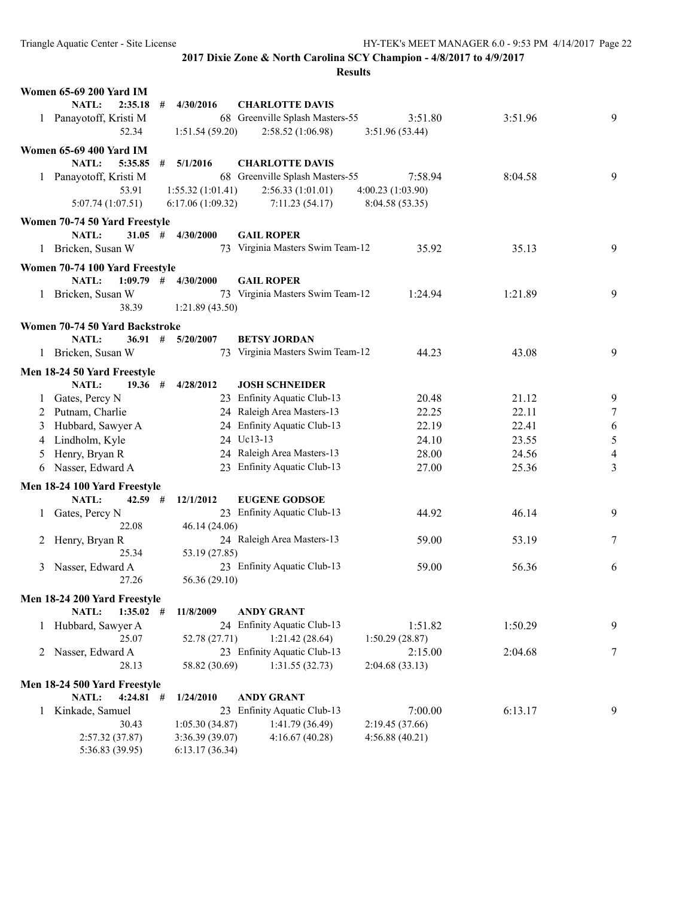#### **Results**

|         | <b>Women 65-69 200 Yard IM</b>                       |   |                  |                                                     |                   |         |        |
|---------|------------------------------------------------------|---|------------------|-----------------------------------------------------|-------------------|---------|--------|
|         | NATL:<br>2:35.18                                     | # | 4/30/2016        | <b>CHARLOTTE DAVIS</b>                              |                   |         |        |
|         | 1 Panayotoff, Kristi M                               |   |                  | 68 Greenville Splash Masters-55                     | 3:51.80           | 3:51.96 | 9      |
|         | 52.34                                                |   | 1:51.54(59.20)   | 2:58.52 (1:06.98)                                   | 3:51.96(53.44)    |         |        |
|         | <b>Women 65-69 400 Yard IM</b>                       |   |                  |                                                     |                   |         |        |
|         | NATL:<br>5:35.85                                     | # | 5/1/2016         | <b>CHARLOTTE DAVIS</b>                              |                   |         |        |
|         | 1 Panayotoff, Kristi M                               |   |                  | 68 Greenville Splash Masters-55                     | 7:58.94           | 8:04.58 | 9      |
|         | 53.91                                                |   | 1:55.32(1:01.41) | 2:56.33(1:01.01)                                    | 4:00.23 (1:03.90) |         |        |
|         | 5:07.74(1:07.51)                                     |   | 6:17.06(1:09.32) | 7:11.23(54.17)                                      | 8:04.58 (53.35)   |         |        |
|         | Women 70-74 50 Yard Freestyle                        |   |                  |                                                     |                   |         |        |
|         | NATL:<br>$31.05$ #                                   |   | 4/30/2000        | <b>GAIL ROPER</b>                                   |                   |         |        |
| $\perp$ | Bricken, Susan W                                     |   |                  | 73 Virginia Masters Swim Team-12                    | 35.92             | 35.13   | 9      |
|         | Women 70-74 100 Yard Freestyle                       |   |                  |                                                     |                   |         |        |
|         | $1:09.79$ #<br>NATL:                                 |   | 4/30/2000        | <b>GAIL ROPER</b>                                   |                   |         |        |
| 1       | Bricken, Susan W                                     |   |                  | 73 Virginia Masters Swim Team-12                    | 1:24.94           | 1:21.89 | 9      |
|         | 38.39                                                |   | 1:21.89(43.50)   |                                                     |                   |         |        |
|         | Women 70-74 50 Yard Backstroke                       |   |                  |                                                     |                   |         |        |
|         | NATL:<br>36.91#                                      |   | 5/20/2007        | <b>BETSY JORDAN</b>                                 |                   |         |        |
|         | 1 Bricken, Susan W                                   |   |                  | 73 Virginia Masters Swim Team-12                    | 44.23             | 43.08   | 9      |
|         | Men 18-24 50 Yard Freestyle                          |   |                  |                                                     |                   |         |        |
|         | NATL:<br>19.36#                                      |   | 4/28/2012        | <b>JOSH SCHNEIDER</b>                               |                   |         |        |
| $\perp$ | Gates, Percy N                                       |   |                  | 23 Enfinity Aquatic Club-13                         | 20.48             | 21.12   | 9      |
|         | 2 Putnam, Charlie                                    |   |                  | 24 Raleigh Area Masters-13                          | 22.25             | 22.11   | $\tau$ |
| 3       | Hubbard, Sawyer A                                    |   |                  | 24 Enfinity Aquatic Club-13                         | 22.19             | 22.41   | 6      |
| 4       | Lindholm, Kyle                                       |   |                  | 24 Uc13-13                                          | 24.10             | 23.55   | 5      |
| 5       | Henry, Bryan R                                       |   |                  | 24 Raleigh Area Masters-13                          | 28.00             | 24.56   | 4      |
| 6       | Nasser, Edward A                                     |   |                  | 23 Enfinity Aquatic Club-13                         | 27.00             | 25.36   | 3      |
|         |                                                      |   |                  |                                                     |                   |         |        |
|         | Men 18-24 100 Yard Freestyle                         |   |                  |                                                     |                   |         |        |
|         | NATL:<br>$42.59$ #                                   |   | 12/1/2012        | <b>EUGENE GODSOE</b><br>23 Enfinity Aquatic Club-13 |                   | 46.14   |        |
| $\perp$ | Gates, Percy N<br>22.08                              |   | 46.14 (24.06)    |                                                     | 44.92             |         | 9      |
| 2.      | Henry, Bryan R                                       |   |                  | 24 Raleigh Area Masters-13                          | 59.00             | 53.19   | 7      |
|         | 25.34                                                |   | 53.19 (27.85)    |                                                     |                   |         |        |
| 3       | Nasser, Edward A                                     |   |                  | 23 Enfinity Aquatic Club-13                         | 59.00             | 56.36   | 6      |
|         | 27.26                                                |   | 56.36 (29.10)    |                                                     |                   |         |        |
|         |                                                      |   |                  |                                                     |                   |         |        |
|         | Men 18-24 200 Yard Freestyle<br>NATL:<br>$1:35.02$ # |   | 11/8/2009        | <b>ANDY GRANT</b>                                   |                   |         |        |
|         | 1 Hubbard, Sawyer A                                  |   |                  | 24 Enfinity Aquatic Club-13                         | 1:51.82           | 1:50.29 | 9      |
|         | 25.07                                                |   | 52.78 (27.71)    | 1:21.42(28.64)                                      | 1:50.29(28.87)    |         |        |
|         | 2 Nasser, Edward A                                   |   |                  | 23 Enfinity Aquatic Club-13                         | 2:15.00           | 2:04.68 | 7      |
|         | 28.13                                                |   | 58.82 (30.69)    | 1:31.55(32.73)                                      | 2:04.68(33.13)    |         |        |
|         |                                                      |   |                  |                                                     |                   |         |        |
|         | Men 18-24 500 Yard Freestyle<br>NATL:<br>$4:24.81$ # |   | 1/24/2010        | <b>ANDY GRANT</b>                                   |                   |         |        |
| $\perp$ | Kinkade, Samuel                                      |   |                  | 23 Enfinity Aquatic Club-13                         | 7:00.00           | 6:13.17 | 9      |
|         | 30.43                                                |   | 1:05.30(34.87)   | 1:41.79 (36.49)                                     | 2:19.45 (37.66)   |         |        |
|         | 2:57.32(37.87)                                       |   | 3:36.39 (39.07)  | 4:16.67(40.28)                                      | 4:56.88(40.21)    |         |        |
|         |                                                      |   |                  |                                                     |                   |         |        |

5:36.83 (39.95) 6:13.17 (36.34)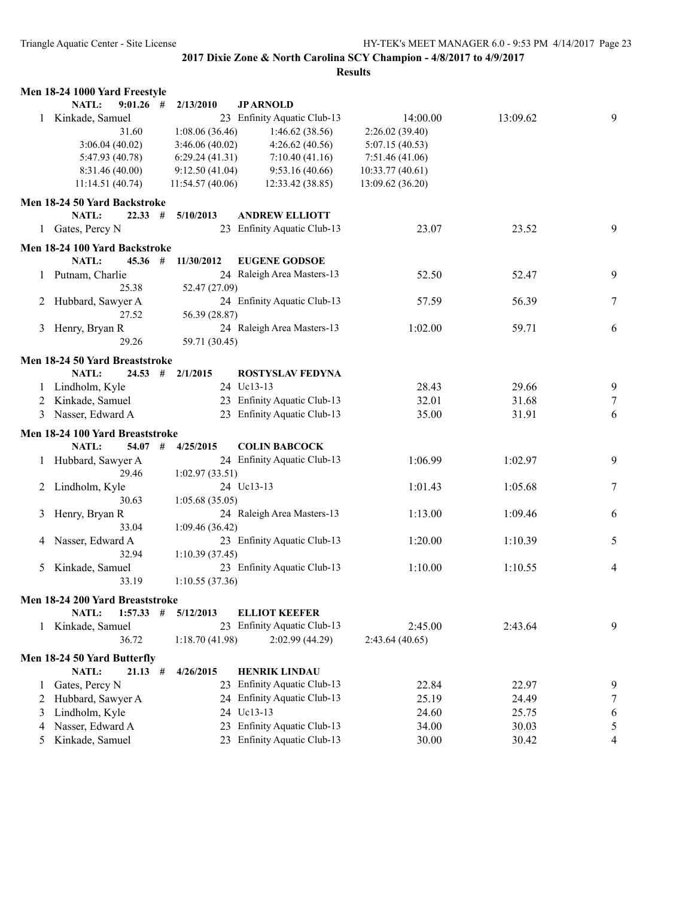|   | Men 18-24 1000 Yard Freestyle   |   |                 |                             |                  |          |        |
|---|---------------------------------|---|-----------------|-----------------------------|------------------|----------|--------|
|   | $9:01.26$ #<br>NATL:            |   | 2/13/2010       | <b>JPARNOLD</b>             |                  |          |        |
| 1 | Kinkade, Samuel                 |   |                 | 23 Enfinity Aquatic Club-13 | 14:00.00         | 13:09.62 | 9      |
|   | 31.60                           |   | 1:08.06(36.46)  | 1:46.62(38.56)              | 2:26.02(39.40)   |          |        |
|   | 3:06.04(40.02)                  |   | 3:46.06(40.02)  | 4:26.62(40.56)              | 5:07.15(40.53)   |          |        |
|   | 5:47.93 (40.78)                 |   | 6:29.24(41.31)  | 7:10.40(41.16)              | 7:51.46(41.06)   |          |        |
|   | 8:31.46 (40.00)                 |   | 9:12.50(41.04)  | 9:53.16(40.66)              | 10:33.77(40.61)  |          |        |
|   | 11:14.51(40.74)                 |   | 11:54.57(40.06) | 12:33.42 (38.85)            | 13:09.62 (36.20) |          |        |
|   | Men 18-24 50 Yard Backstroke    |   |                 |                             |                  |          |        |
|   | <b>NATL:</b><br>22.33           | # | 5/10/2013       | <b>ANDREW ELLIOTT</b>       |                  |          |        |
|   | 1 Gates, Percy N                |   |                 | 23 Enfinity Aquatic Club-13 | 23.07            | 23.52    | 9      |
|   |                                 |   |                 |                             |                  |          |        |
|   | Men 18-24 100 Yard Backstroke   |   |                 |                             |                  |          |        |
|   | NATL:<br>45.36#                 |   | 11/30/2012      | <b>EUGENE GODSOE</b>        |                  |          |        |
|   | 1 Putnam, Charlie               |   |                 | 24 Raleigh Area Masters-13  | 52.50            | 52.47    | 9      |
|   | 25.38                           |   | 52.47 (27.09)   |                             |                  |          |        |
| 2 | Hubbard, Sawyer A<br>27.52      |   |                 | 24 Enfinity Aquatic Club-13 | 57.59            | 56.39    | 7      |
|   |                                 |   | 56.39 (28.87)   | 24 Raleigh Area Masters-13  |                  |          |        |
| 3 | Henry, Bryan R<br>29.26         |   | 59.71 (30.45)   |                             | 1:02.00          | 59.71    | 6      |
|   |                                 |   |                 |                             |                  |          |        |
|   | Men 18-24 50 Yard Breaststroke  |   |                 |                             |                  |          |        |
|   | NATL:<br>24.53                  | # | 2/1/2015        | <b>ROSTYSLAV FEDYNA</b>     |                  |          |        |
|   | Lindholm, Kyle                  |   |                 | 24 Uc13-13                  | 28.43            | 29.66    | 9      |
| 2 | Kinkade, Samuel                 |   |                 | 23 Enfinity Aquatic Club-13 | 32.01            | 31.68    | $\tau$ |
| 3 | Nasser, Edward A                |   |                 | 23 Enfinity Aquatic Club-13 | 35.00            | 31.91    | 6      |
|   | Men 18-24 100 Yard Breaststroke |   |                 |                             |                  |          |        |
|   | <b>NATL:</b><br>$54.07$ #       |   | 4/25/2015       | <b>COLIN BABCOCK</b>        |                  |          |        |
|   | Hubbard, Sawyer A               |   |                 | 24 Enfinity Aquatic Club-13 | 1:06.99          | 1:02.97  | 9      |
|   | 29.46                           |   | 1:02.97(33.51)  |                             |                  |          |        |
| 2 | Lindholm, Kyle                  |   |                 | 24 Uc13-13                  | 1:01.43          | 1:05.68  | 7      |
|   | 30.63                           |   | 1:05.68(35.05)  |                             |                  |          |        |
| 3 | Henry, Bryan R                  |   |                 | 24 Raleigh Area Masters-13  | 1:13.00          | 1:09.46  | 6      |
|   | 33.04                           |   | 1:09.46 (36.42) |                             |                  |          |        |
| 4 | Nasser, Edward A                |   |                 | 23 Enfinity Aquatic Club-13 | 1:20.00          | 1:10.39  | 5      |
|   | 32.94                           |   | 1:10.39(37.45)  |                             |                  |          |        |
| 5 | Kinkade, Samuel                 |   |                 | 23 Enfinity Aquatic Club-13 | 1:10.00          | 1:10.55  | 4      |
|   | 33.19                           |   | 1:10.55(37.36)  |                             |                  |          |        |
|   | Men 18-24 200 Yard Breaststroke |   |                 |                             |                  |          |        |
|   | 1:57.33<br><b>NATL:</b>         | # | 5/12/2013       | <b>ELLIOT KEEFER</b>        |                  |          |        |
| 1 | Kinkade, Samuel                 |   |                 | 23 Enfinity Aquatic Club-13 | 2:45.00          | 2:43.64  | 9      |
|   | 36.72                           |   | 1:18.70(41.98)  | 2:02.99(44.29)              | 2:43.64(40.65)   |          |        |
|   |                                 |   |                 |                             |                  |          |        |
|   | Men 18-24 50 Yard Butterfly     |   |                 |                             |                  |          |        |
|   | <b>NATL:</b><br>$21.13$ #       |   | 4/26/2015       | <b>HENRIK LINDAU</b>        |                  |          |        |
| 1 | Gates, Percy N                  |   |                 | 23 Enfinity Aquatic Club-13 | 22.84            | 22.97    | 9      |
| 2 | Hubbard, Sawyer A               |   |                 | 24 Enfinity Aquatic Club-13 | 25.19            | 24.49    | 7      |
| 3 | Lindholm, Kyle                  |   |                 | 24 Uc13-13                  | 24.60            | 25.75    | 6      |
| 4 | Nasser, Edward A                |   |                 | 23 Enfinity Aquatic Club-13 | 34.00            | 30.03    | 5      |
| 5 | Kinkade, Samuel                 |   |                 | 23 Enfinity Aquatic Club-13 | 30.00            | 30.42    | 4      |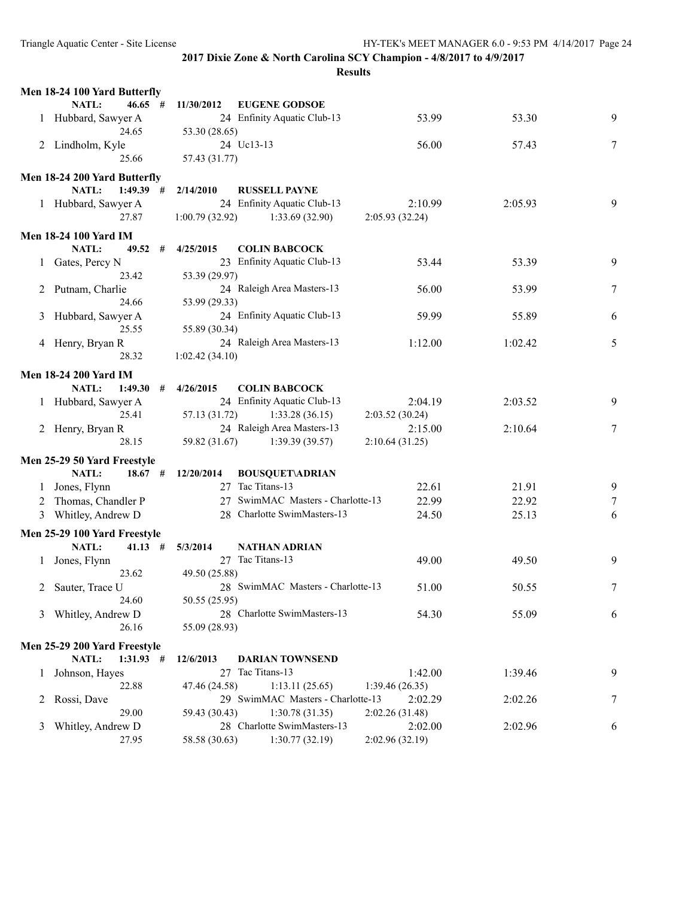|              | Men 18-24 100 Yard Butterfly |                |                                   |                 |         |        |
|--------------|------------------------------|----------------|-----------------------------------|-----------------|---------|--------|
|              | NATL:<br>$46.65$ #           | 11/30/2012     | <b>EUGENE GODSOE</b>              |                 |         |        |
|              | 1 Hubbard, Sawyer A          |                | 24 Enfinity Aquatic Club-13       | 53.99           | 53.30   | 9      |
|              | 24.65                        | 53.30 (28.65)  |                                   |                 |         |        |
|              | 2 Lindholm, Kyle             |                | 24 Uc13-13                        | 56.00           | 57.43   | 7      |
|              | 25.66                        | 57.43 (31.77)  |                                   |                 |         |        |
|              | Men 18-24 200 Yard Butterfly |                |                                   |                 |         |        |
|              | NATL:<br>$1:49.39$ #         | 2/14/2010      | <b>RUSSELL PAYNE</b>              |                 |         |        |
|              | 1 Hubbard, Sawyer A          |                | 24 Enfinity Aquatic Club-13       | 2:10.99         | 2:05.93 | 9      |
|              | 27.87                        | 1:00.79(32.92) | 1:33.69 (32.90)                   | 2:05.93 (32.24) |         |        |
|              |                              |                |                                   |                 |         |        |
|              | <b>Men 18-24 100 Yard IM</b> |                |                                   |                 |         |        |
|              | NATL:<br>49.52<br>#          | 4/25/2015      | <b>COLIN BABCOCK</b>              |                 |         |        |
|              | 1 Gates, Percy N             |                | 23 Enfinity Aquatic Club-13       | 53.44           | 53.39   | 9      |
|              | 23.42                        | 53.39 (29.97)  |                                   |                 |         |        |
|              | 2 Putnam, Charlie            |                | 24 Raleigh Area Masters-13        | 56.00           | 53.99   | 7      |
|              | 24.66                        | 53.99 (29.33)  |                                   |                 |         |        |
| 3            | Hubbard, Sawyer A            |                | 24 Enfinity Aquatic Club-13       | 59.99           | 55.89   | 6      |
|              | 25.55                        | 55.89 (30.34)  |                                   |                 |         |        |
|              | 4 Henry, Bryan R             |                | 24 Raleigh Area Masters-13        | 1:12.00         | 1:02.42 | 5      |
|              | 28.32                        | 1:02.42(34.10) |                                   |                 |         |        |
|              | <b>Men 18-24 200 Yard IM</b> |                |                                   |                 |         |        |
|              | NATL:<br>1:49.30<br>#        | 4/26/2015      | <b>COLIN BABCOCK</b>              |                 |         |        |
|              | 1 Hubbard, Sawyer A          |                | 24 Enfinity Aquatic Club-13       | 2:04.19         | 2:03.52 | 9      |
|              | 25.41                        | 57.13 (31.72)  | 1:33.28(36.15)                    | 2:03.52(30.24)  |         |        |
|              | 2 Henry, Bryan R             |                | 24 Raleigh Area Masters-13        | 2:15.00         | 2:10.64 | 7      |
|              | 28.15                        | 59.82 (31.67)  | 1:39.39(39.57)                    | 2:10.64(31.25)  |         |        |
|              | Men 25-29 50 Yard Freestyle  |                |                                   |                 |         |        |
|              | <b>NATL:</b><br>$18.67$ #    | 12/20/2014     | <b>BOUSQUET\ADRIAN</b>            |                 |         |        |
|              | 1 Jones, Flynn               |                | 27 Tac Titans-13                  | 22.61           | 21.91   | 9      |
|              | 2 Thomas, Chandler P         |                | 27 SwimMAC Masters - Charlotte-13 | 22.99           | 22.92   | $\tau$ |
|              | 3 Whitley, Andrew D          |                | 28 Charlotte SwimMasters-13       | 24.50           | 25.13   | 6      |
|              |                              |                |                                   |                 |         |        |
|              | Men 25-29 100 Yard Freestyle |                |                                   |                 |         |        |
|              | NATL:<br>$41.13$ #           | 5/3/2014       | <b>NATHAN ADRIAN</b>              |                 |         |        |
| $\mathbf{1}$ | Jones, Flynn                 |                | 27 Tac Titans-13                  | 49.00           | 49.50   | 9      |
|              | 23.62                        | 49.50 (25.88)  |                                   |                 |         |        |
|              | 2 Sauter, Trace U            |                | 28 SwimMAC Masters - Charlotte-13 | 51.00           | 50.55   | 7      |
|              | 24.60                        | 50.55 (25.95)  |                                   |                 |         |        |
| 3            | Whitley, Andrew D            |                | 28 Charlotte SwimMasters-13       | 54.30           | 55.09   | 6      |
|              | 26.16                        | 55.09 (28.93)  |                                   |                 |         |        |
|              | Men 25-29 200 Yard Freestyle |                |                                   |                 |         |        |
|              | NATL:<br>$1:31.93$ #         | 12/6/2013      | <b>DARIAN TOWNSEND</b>            |                 |         |        |
| 1            | Johnson, Hayes               | 27             | Tac Titans-13                     | 1:42.00         | 1:39.46 | 9      |
|              | 22.88                        | 47.46 (24.58)  | 1:13.11(25.65)                    | 1:39.46(26.35)  |         |        |
|              | Rossi, Dave                  |                | 29 SwimMAC Masters - Charlotte-13 | 2:02.29         | 2:02.26 | 7      |
|              | 29.00                        | 59.43 (30.43)  | 1:30.78(31.35)                    | 2:02.26 (31.48) |         |        |
| 3            | Whitley, Andrew D            |                | 28 Charlotte SwimMasters-13       | 2:02.00         | 2:02.96 | 6      |
|              | 27.95                        | 58.58 (30.63)  | 1:30.77(32.19)                    | 2:02.96 (32.19) |         |        |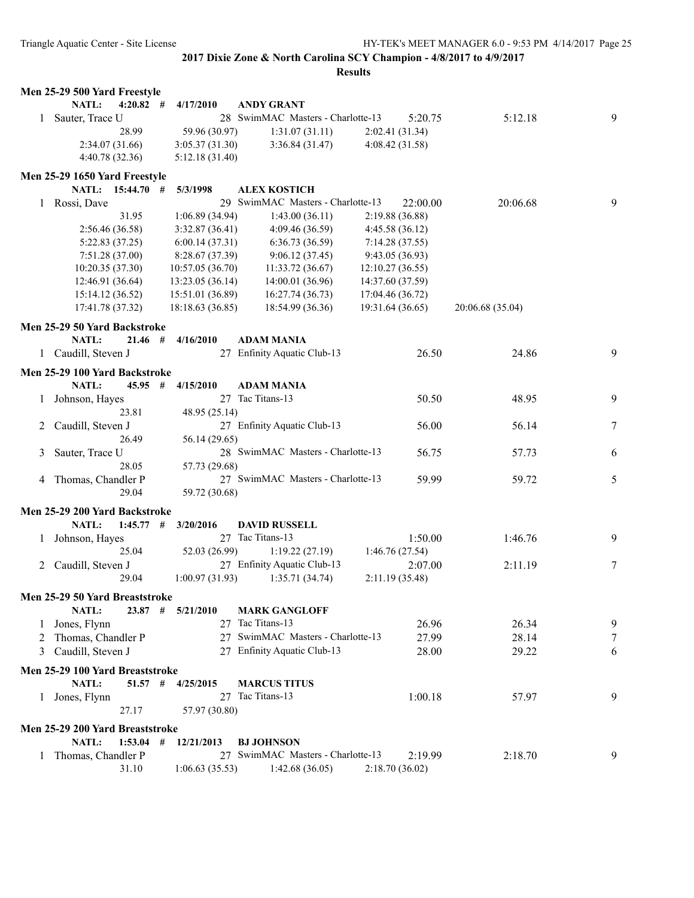|   | Men 25-29 500 Yard Freestyle            |                  |   |                  |                                          |                 |                  |          |                  |   |
|---|-----------------------------------------|------------------|---|------------------|------------------------------------------|-----------------|------------------|----------|------------------|---|
|   | NATL:                                   | $4:20.82$ #      |   | 4/17/2010        | <b>ANDY GRANT</b>                        |                 |                  |          |                  |   |
| 1 | Sauter, Trace U                         |                  |   |                  | 28 SwimMAC Masters - Charlotte-13        |                 |                  | 5:20.75  | 5:12.18          | 9 |
|   |                                         | 28.99            |   | 59.96 (30.97)    |                                          | 1:31.07(31.11)  | 2:02.41(31.34)   |          |                  |   |
|   |                                         | 2:34.07(31.66)   |   | 3:05.37(31.30)   |                                          | 3:36.84(31.47)  | 4:08.42 (31.58)  |          |                  |   |
|   |                                         | 4:40.78 (32.36)  |   | 5:12.18(31.40)   |                                          |                 |                  |          |                  |   |
|   | Men 25-29 1650 Yard Freestyle           |                  |   |                  |                                          |                 |                  |          |                  |   |
|   |                                         | NATL: 15:44.70 # |   | 5/3/1998         | <b>ALEX KOSTICH</b>                      |                 |                  |          |                  |   |
| 1 | Rossi, Dave                             |                  |   |                  | 29 SwimMAC Masters - Charlotte-13        |                 |                  | 22:00.00 | 20:06.68         | 9 |
|   |                                         | 31.95            |   | 1:06.89(34.94)   |                                          | 1:43.00(36.11)  | 2:19.88 (36.88)  |          |                  |   |
|   |                                         | 2:56.46 (36.58)  |   | 3:32.87(36.41)   |                                          | 4:09.46 (36.59) | 4:45.58 (36.12)  |          |                  |   |
|   |                                         | 5:22.83 (37.25)  |   | 6:00.14(37.31)   |                                          | 6:36.73(36.59)  | 7:14.28(37.55)   |          |                  |   |
|   |                                         | 7:51.28 (37.00)  |   | 8:28.67 (37.39)  |                                          | 9:06.12(37.45)  | 9:43.05 (36.93)  |          |                  |   |
|   |                                         | 10:20.35(37.30)  |   | 10:57.05(36.70)  | 11:33.72(36.67)                          |                 | 12:10.27(36.55)  |          |                  |   |
|   |                                         | 12:46.91 (36.64) |   | 13:23.05 (36.14) | 14:00.01 (36.96)                         |                 | 14:37.60 (37.59) |          |                  |   |
|   |                                         | 15:14.12 (36.52) |   | 15:51.01 (36.89) | 16:27.74 (36.73)                         |                 | 17:04.46 (36.72) |          |                  |   |
|   |                                         | 17:41.78 (37.32) |   | 18:18.63 (36.85) | 18:54.99 (36.36)                         |                 | 19:31.64 (36.65) |          | 20:06.68 (35.04) |   |
|   | Men 25-29 50 Yard Backstroke            |                  |   |                  |                                          |                 |                  |          |                  |   |
|   | NATL:                                   | $21.46$ #        |   | 4/16/2010        | <b>ADAM MANIA</b>                        |                 |                  |          |                  |   |
|   | 1 Caudill, Steven J                     |                  |   |                  | 27 Enfinity Aquatic Club-13              |                 |                  |          |                  | 9 |
|   |                                         |                  |   |                  |                                          |                 |                  | 26.50    | 24.86            |   |
|   | Men 25-29 100 Yard Backstroke           |                  |   |                  |                                          |                 |                  |          |                  |   |
|   | <b>NATL:</b>                            | 45.95            | # | 4/15/2010        | <b>ADAM MANIA</b>                        |                 |                  |          |                  |   |
|   | Johnson, Hayes                          |                  |   |                  | 27 Tac Titans-13                         |                 |                  | 50.50    | 48.95            | 9 |
|   |                                         | 23.81            |   | 48.95 (25.14)    |                                          |                 |                  |          |                  |   |
| 2 | Caudill, Steven J                       |                  |   |                  | 27 Enfinity Aquatic Club-13              |                 |                  | 56.00    | 56.14            | 7 |
|   |                                         | 26.49            |   | 56.14 (29.65)    |                                          |                 |                  |          |                  |   |
| 3 | Sauter, Trace U                         |                  |   |                  | 28 SwimMAC Masters - Charlotte-13        |                 |                  | 56.75    | 57.73            | 6 |
|   |                                         | 28.05            |   | 57.73 (29.68)    |                                          |                 |                  |          |                  |   |
| 4 | Thomas, Chandler P                      |                  |   |                  | 27 SwimMAC Masters - Charlotte-13        |                 |                  | 59.99    | 59.72            | 5 |
|   |                                         | 29.04            |   | 59.72 (30.68)    |                                          |                 |                  |          |                  |   |
|   | Men 25-29 200 Yard Backstroke           |                  |   |                  |                                          |                 |                  |          |                  |   |
|   | <b>NATL:</b>                            | 1:45.77          | # | 3/20/2016        | <b>DAVID RUSSELL</b>                     |                 |                  |          |                  |   |
| 1 | Johnson, Hayes                          |                  |   |                  | 27 Tac Titans-13                         |                 |                  | 1:50.00  | 1:46.76          | 9 |
|   |                                         | 25.04            |   | 52.03 (26.99)    |                                          | 1:19.22(27.19)  | 1:46.76(27.54)   |          |                  |   |
|   | 2 Caudill, Steven J                     |                  |   |                  | 27 Enfinity Aquatic Club-13              |                 |                  | 2:07.00  | 2:11.19          | 7 |
|   |                                         | 29.04            |   | 1:00.97(31.93)   |                                          | 1:35.71(34.74)  | 2:11.19 (35.48)  |          |                  |   |
|   |                                         |                  |   |                  |                                          |                 |                  |          |                  |   |
|   | Men 25-29 50 Yard Breaststroke<br>NATL: | $23.87$ #        |   | 5/21/2010        |                                          |                 |                  |          |                  |   |
|   | Jones, Flynn                            |                  |   |                  | <b>MARK GANGLOFF</b><br>27 Tac Titans-13 |                 |                  | 26.96    | 26.34            | 9 |
|   |                                         |                  |   |                  | 27 SwimMAC Masters - Charlotte-13        |                 |                  | 27.99    |                  |   |
| 2 | Thomas, Chandler P                      |                  |   |                  |                                          |                 |                  |          | 28.14            | 7 |
| 3 | Caudill, Steven J                       |                  |   |                  | 27 Enfinity Aquatic Club-13              |                 |                  | 28.00    | 29.22            | 6 |
|   | Men 25-29 100 Yard Breaststroke         |                  |   |                  |                                          |                 |                  |          |                  |   |
|   | NATL:                                   | $51.57$ #        |   | 4/25/2015        | <b>MARCUS TITUS</b>                      |                 |                  |          |                  |   |
| 1 | Jones, Flynn                            |                  |   | 27               | Tac Titans-13                            |                 |                  | 1:00.18  | 57.97            | 9 |
|   |                                         | 27.17            |   | 57.97 (30.80)    |                                          |                 |                  |          |                  |   |
|   | Men 25-29 200 Yard Breaststroke         |                  |   |                  |                                          |                 |                  |          |                  |   |
|   | NATL:                                   | $1:53.04$ #      |   | 12/21/2013       | <b>BJ JOHNSON</b>                        |                 |                  |          |                  |   |
| 1 | Thomas, Chandler P                      |                  |   |                  | 27 SwimMAC Masters - Charlotte-13        |                 |                  | 2:19.99  | 2:18.70          | 9 |
|   |                                         | 31.10            |   | 1:06.63(35.53)   |                                          | 1:42.68(36.05)  | 2:18.70(36.02)   |          |                  |   |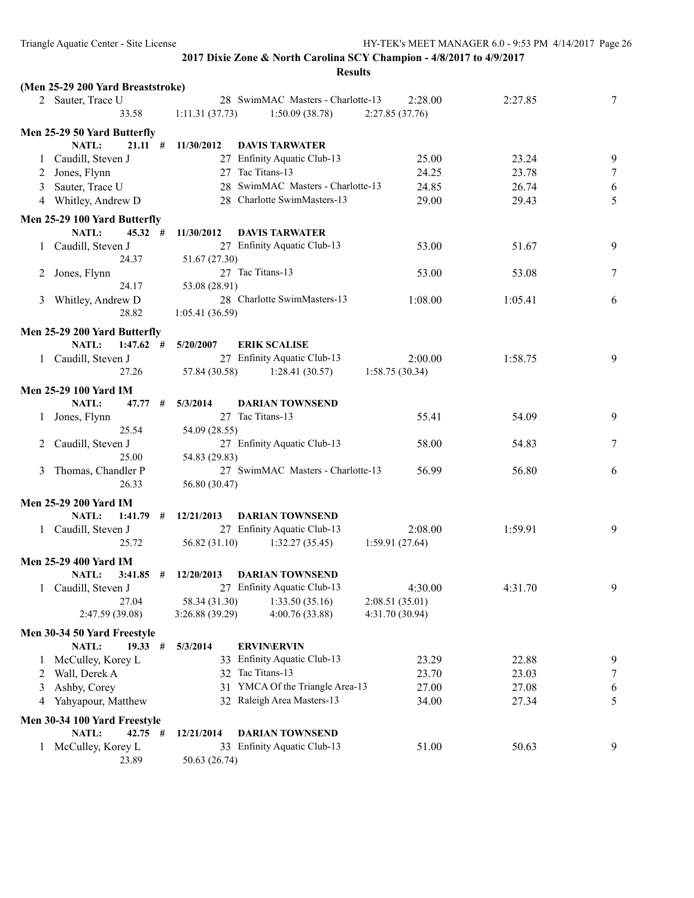|         | (Men 25-29 200 Yard Breaststroke) |                 |                                   |                 |         |        |
|---------|-----------------------------------|-----------------|-----------------------------------|-----------------|---------|--------|
|         | 2 Sauter, Trace U                 |                 | 28 SwimMAC Masters - Charlotte-13 | 2:28.00         | 2:27.85 | 7      |
|         | 33.58                             | 1:11.31(37.73)  | 1:50.09(38.78)                    | 2:27.85(37.76)  |         |        |
|         | Men 25-29 50 Yard Butterfly       |                 |                                   |                 |         |        |
|         | NATL:<br>21.11#                   | 11/30/2012      | <b>DAVIS TARWATER</b>             |                 |         |        |
|         | 1 Caudill, Steven J               |                 | 27 Enfinity Aquatic Club-13       | 25.00           | 23.24   | 9      |
|         | 2 Jones, Flynn                    |                 | 27 Tac Titans-13                  | 24.25           | 23.78   | $\tau$ |
| 3       | Sauter, Trace U                   |                 | 28 SwimMAC Masters - Charlotte-13 | 24.85           | 26.74   | 6      |
|         | 4 Whitley, Andrew D               |                 | 28 Charlotte SwimMasters-13       | 29.00           | 29.43   | 5      |
|         | Men 25-29 100 Yard Butterfly      |                 |                                   |                 |         |        |
|         | NATL:<br>45.32#                   | 11/30/2012      | <b>DAVIS TARWATER</b>             |                 |         |        |
|         | 1 Caudill, Steven J               |                 | 27 Enfinity Aquatic Club-13       | 53.00           | 51.67   | 9      |
|         | 24.37                             | 51.67 (27.30)   |                                   |                 |         |        |
|         | 2 Jones, Flynn                    |                 | 27 Tac Titans-13                  | 53.00           | 53.08   | 7      |
|         | 24.17                             | 53.08 (28.91)   |                                   |                 |         |        |
| 3       | Whitley, Andrew D                 |                 | 28 Charlotte SwimMasters-13       | 1:08.00         | 1:05.41 | 6      |
|         | 28.82                             | 1:05.41(36.59)  |                                   |                 |         |        |
|         |                                   |                 |                                   |                 |         |        |
|         | Men 25-29 200 Yard Butterfly      |                 |                                   |                 |         |        |
|         | NATL:<br>$1:47.62$ #              | 5/20/2007       | <b>ERIK SCALISE</b>               |                 |         |        |
|         | 1 Caudill, Steven J               |                 | 27 Enfinity Aquatic Club-13       | 2:00.00         | 1:58.75 | 9      |
|         | 27.26                             | 57.84 (30.58)   | 1:28.41(30.57)                    | 1:58.75(30.34)  |         |        |
|         | <b>Men 25-29 100 Yard IM</b>      |                 |                                   |                 |         |        |
|         | NATL:<br>47.77 #                  | 5/3/2014        | <b>DARIAN TOWNSEND</b>            |                 |         |        |
|         | 1 Jones, Flynn                    |                 | 27 Tac Titans-13                  | 55.41           | 54.09   | 9      |
|         | 25.54                             | 54.09 (28.55)   |                                   |                 |         |        |
|         | Caudill, Steven J                 |                 | 27 Enfinity Aquatic Club-13       | 58.00           | 54.83   | 7      |
|         | 25.00                             | 54.83 (29.83)   |                                   |                 |         |        |
| 3       | Thomas, Chandler P                |                 | 27 SwimMAC Masters - Charlotte-13 | 56.99           | 56.80   | 6      |
|         | 26.33                             | 56.80 (30.47)   |                                   |                 |         |        |
|         | <b>Men 25-29 200 Yard IM</b>      |                 |                                   |                 |         |        |
|         | <b>NATL:</b><br>$1:41.79$ #       | 12/21/2013      | <b>DARIAN TOWNSEND</b>            |                 |         |        |
|         | 1 Caudill, Steven J               |                 | 27 Enfinity Aquatic Club-13       | 2:08.00         | 1:59.91 | 9      |
|         | 25.72                             | 56.82 (31.10)   | 1:32.27(35.45)                    | 1:59.91(27.64)  |         |        |
|         | <b>Men 25-29 400 Yard IM</b>      |                 |                                   |                 |         |        |
|         | NATL:<br>$3:41.85$ #              | 12/20/2013      | <b>DARIAN TOWNSEND</b>            |                 |         |        |
|         | 1 Caudill, Steven J               |                 | 27 Enfinity Aquatic Club-13       | 4:30.00         | 4:31.70 | 9      |
|         | 27.04                             | 58.34 (31.30)   | 1:33.50(35.16)                    | 2:08.51(35.01)  |         |        |
|         | 2:47.59 (39.08)                   | 3:26.88 (39.29) | 4:00.76(33.88)                    | 4:31.70 (30.94) |         |        |
|         |                                   |                 |                                   |                 |         |        |
|         | Men 30-34 50 Yard Freestyle       |                 |                                   |                 |         |        |
|         | NATL:<br>19.33#                   | 5/3/2014        | <b>ERVIN\ERVIN</b>                |                 |         |        |
| $\perp$ | McCulley, Korey L                 |                 | 33 Enfinity Aquatic Club-13       | 23.29           | 22.88   | 9      |
| 2       | Wall, Derek A                     |                 | 32 Tac Titans-13                  | 23.70           | 23.03   | 7      |
| 3       | Ashby, Corey                      | 31              | YMCA Of the Triangle Area-13      | 27.00           | 27.08   | 6      |
| 4       | Yahyapour, Matthew                |                 | 32 Raleigh Area Masters-13        | 34.00           | 27.34   | 5      |
|         | Men 30-34 100 Yard Freestyle      |                 |                                   |                 |         |        |
|         | NATL:<br>$42.75$ #                | 12/21/2014      | <b>DARIAN TOWNSEND</b>            |                 |         |        |
|         | 1 McCulley, Korey L               |                 | 33 Enfinity Aquatic Club-13       | 51.00           | 50.63   | 9      |
|         | 23.89                             | 50.63 (26.74)   |                                   |                 |         |        |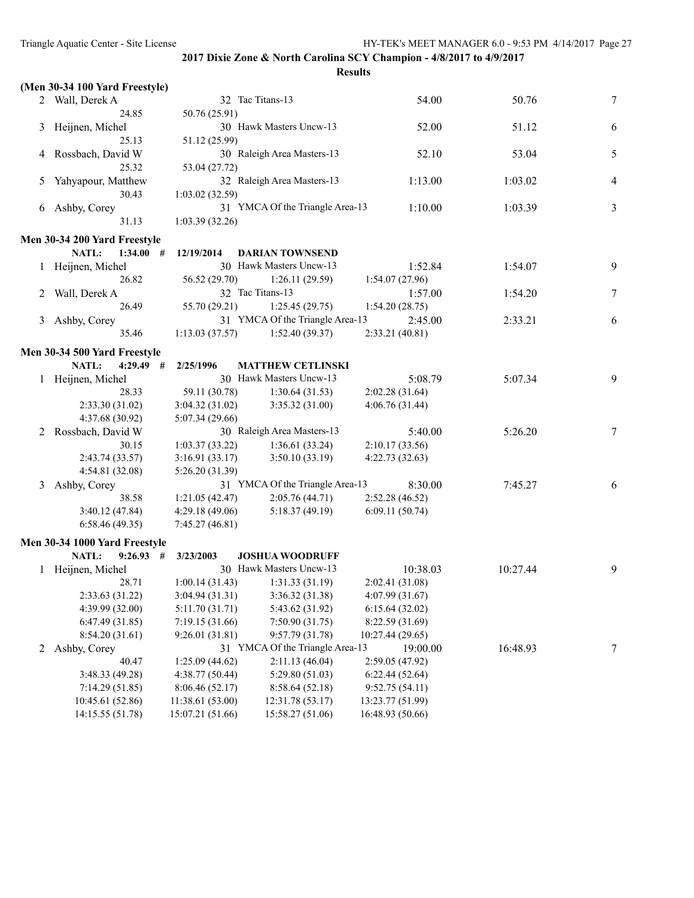|   | (Men 30-34 100 Yard Freestyle) |                  |                                 |                  |          |   |
|---|--------------------------------|------------------|---------------------------------|------------------|----------|---|
|   | 2 Wall, Derek A                |                  | 32 Tac Titans-13                | 54.00            | 50.76    | 7 |
|   | 24.85                          | 50.76 (25.91)    |                                 |                  |          |   |
| 3 | Heijnen, Michel                |                  | 30 Hawk Masters Uncw-13         | 52.00            | 51.12    | 6 |
|   | 25.13                          | 51.12 (25.99)    |                                 |                  |          |   |
| 4 | Rossbach, David W              |                  | 30 Raleigh Area Masters-13      | 52.10            | 53.04    | 5 |
|   | 25.32                          | 53.04 (27.72)    |                                 |                  |          |   |
| 5 | Yahyapour, Matthew             |                  | 32 Raleigh Area Masters-13      | 1:13.00          | 1:03.02  | 4 |
|   | 30.43                          | 1:03.02(32.59)   |                                 |                  |          |   |
| 6 | Ashby, Corey                   |                  | 31 YMCA Of the Triangle Area-13 | 1:10.00          | 1:03.39  | 3 |
|   | 31.13                          | 1:03.39(32.26)   |                                 |                  |          |   |
|   |                                |                  |                                 |                  |          |   |
|   | Men 30-34 200 Yard Freestyle   |                  |                                 |                  |          |   |
|   | NATL:<br>1:34.00#              | 12/19/2014       | <b>DARIAN TOWNSEND</b>          |                  |          |   |
|   | Heijnen, Michel                |                  | 30 Hawk Masters Uncw-13         | 1:52.84          | 1:54.07  | 9 |
|   | 26.82                          | 56.52 (29.70)    | 1:26.11(29.59)                  | 1:54.07(27.96)   |          |   |
| 2 | Wall, Derek A                  |                  | 32 Tac Titans-13                | 1:57.00          | 1:54.20  | 7 |
|   | 26.49                          | 55.70 (29.21)    | 1:25.45(29.75)                  | 1:54.20(28.75)   |          |   |
| 3 | Ashby, Corey                   |                  | 31 YMCA Of the Triangle Area-13 | 2:45.00          | 2:33.21  | 6 |
|   | 35.46                          | 1:13.03(37.57)   | 1:52.40(39.37)                  | 2:33.21 (40.81)  |          |   |
|   | Men 30-34 500 Yard Freestyle   |                  |                                 |                  |          |   |
|   | NATL:<br>$4:29.49$ #           | 2/25/1996        | <b>MATTHEW CETLINSKI</b>        |                  |          |   |
|   | 1 Heijnen, Michel              |                  | 30 Hawk Masters Uncw-13         | 5:08.79          | 5:07.34  | 9 |
|   | 28.33                          | 59.11 (30.78)    | 1:30.64(31.53)                  | 2:02.28(31.64)   |          |   |
|   | 2:33.30(31.02)                 | 3:04.32(31.02)   | 3:35.32(31.00)                  | 4:06.76(31.44)   |          |   |
|   | 4:37.68 (30.92)                | 5:07.34(29.66)   |                                 |                  |          |   |
| 2 | Rossbach, David W              |                  | 30 Raleigh Area Masters-13      | 5:40.00          | 5:26.20  | 7 |
|   | 30.15                          | 1:03.37(33.22)   | 1:36.61(33.24)                  | 2:10.17(33.56)   |          |   |
|   | 2:43.74 (33.57)                | 3:16.91 (33.17)  | 3:50.10(33.19)                  | 4:22.73(32.63)   |          |   |
|   | 4:54.81 (32.08)                | 5:26.20 (31.39)  |                                 |                  |          |   |
| 3 | Ashby, Corey                   |                  | 31 YMCA Of the Triangle Area-13 | 8:30.00          | 7:45.27  | 6 |
|   | 38.58                          | 1:21.05(42.47)   | 2:05.76(44.71)                  | 2:52.28 (46.52)  |          |   |
|   | 3:40.12(47.84)                 | 4:29.18 (49.06)  | 5:18.37(49.19)                  | 6:09.11(50.74)   |          |   |
|   | 6:58.46(49.35)                 | 7:45.27 (46.81)  |                                 |                  |          |   |
|   |                                |                  |                                 |                  |          |   |
|   | Men 30-34 1000 Yard Freestyle  |                  |                                 |                  |          |   |
|   | NATL:<br>$9:26.93$ #           | 3/23/2003        | <b>JOSHUA WOODRUFF</b>          |                  |          |   |
|   | Heijnen, Michel                |                  | 30 Hawk Masters Uncw-13         | 10:38.03         | 10:27.44 | 9 |
|   | 28.71                          | 1:00.14(31.43)   | 1:31.33(31.19)                  | 2:02.41 (31.08)  |          |   |
|   | 2:33.63 (31.22)                | 3:04.94 (31.31)  | 3:36.32 (31.38)                 | 4:07.99 (31.67)  |          |   |
|   | 4:39.99 (32.00)                | 5:11.70(31.71)   | 5:43.62 (31.92)                 | 6:15.64(32.02)   |          |   |
|   | 6:47.49(31.85)                 | 7:19.15(31.66)   | 7:50.90 (31.75)                 | 8:22.59 (31.69)  |          |   |
|   | 8:54.20 (31.61)                | 9:26.01(31.81)   | 9:57.79 (31.78)                 | 10:27.44 (29.65) |          |   |
| 2 | Ashby, Corey                   |                  | 31 YMCA Of the Triangle Area-13 | 19:00.00         | 16:48.93 | 7 |
|   | 40.47                          | 1:25.09(44.62)   | 2:11.13 (46.04)                 | 2:59.05 (47.92)  |          |   |
|   | 3:48.33 (49.28)                | 4:38.77 (50.44)  | 5:29.80 (51.03)                 | 6:22.44(52.64)   |          |   |
|   | 7:14.29(51.85)                 | 8:06.46 (52.17)  | 8:58.64(52.18)                  | 9:52.75(54.11)   |          |   |
|   | 10:45.61 (52.86)               | 11:38.61 (53.00) | 12:31.78 (53.17)                | 13:23.77 (51.99) |          |   |
|   | 14:15.55 (51.78)               | 15:07.21 (51.66) | 15:58.27 (51.06)                | 16:48.93 (50.66) |          |   |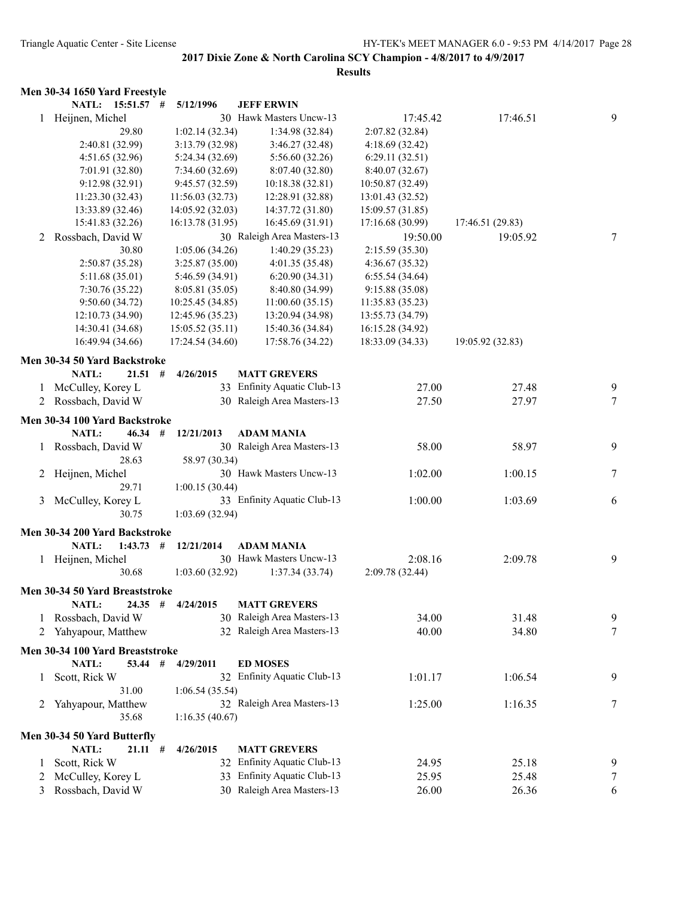|   | Men 30-34 1650 Yard Freestyle   |                  |                             |                  |                  |                 |
|---|---------------------------------|------------------|-----------------------------|------------------|------------------|-----------------|
|   | NATL: 15:51.57 #                | 5/12/1996        | <b>JEFF ERWIN</b>           |                  |                  |                 |
|   | 1 Heijnen, Michel               |                  | 30 Hawk Masters Uncw-13     | 17:45.42         | 17:46.51         | 9               |
|   | 29.80                           | 1:02.14(32.34)   | 1:34.98 (32.84)             | 2:07.82 (32.84)  |                  |                 |
|   | 2:40.81 (32.99)                 | 3:13.79(32.98)   | 3:46.27(32.48)              | 4:18.69(32.42)   |                  |                 |
|   | 4:51.65 (32.96)                 | 5:24.34 (32.69)  | 5:56.60 (32.26)             | 6:29.11(32.51)   |                  |                 |
|   | 7:01.91 (32.80)                 | 7:34.60(32.69)   | 8:07.40 (32.80)             | 8:40.07(32.67)   |                  |                 |
|   | 9:12.98 (32.91)                 | 9:45.57 (32.59)  | 10:18.38 (32.81)            | 10:50.87 (32.49) |                  |                 |
|   | 11:23.30 (32.43)                | 11:56.03(32.73)  | 12:28.91 (32.88)            | 13:01.43 (32.52) |                  |                 |
|   | 13:33.89 (32.46)                | 14:05.92 (32.03) | 14:37.72 (31.80)            | 15:09.57 (31.85) |                  |                 |
|   | 15:41.83 (32.26)                | 16:13.78 (31.95) | 16:45.69 (31.91)            | 17:16.68 (30.99) | 17:46.51 (29.83) |                 |
| 2 | Rossbach, David W               |                  | 30 Raleigh Area Masters-13  | 19:50.00         | 19:05.92         | 7               |
|   | 30.80                           | 1:05.06(34.26)   | 1:40.29(35.23)              | 2:15.59 (35.30)  |                  |                 |
|   | 2:50.87 (35.28)                 | 3:25.87(35.00)   | 4:01.35 (35.48)             | 4:36.67 (35.32)  |                  |                 |
|   | 5:11.68(35.01)                  | 5:46.59 (34.91)  | 6:20.90(34.31)              | 6:55.54(34.64)   |                  |                 |
|   | 7:30.76 (35.22)                 | 8:05.81 (35.05)  | 8:40.80 (34.99)             | 9:15.88 (35.08)  |                  |                 |
|   | 9:50.60(34.72)                  | 10:25.45 (34.85) | 11:00.60(35.15)             | 11:35.83 (35.23) |                  |                 |
|   | 12:10.73 (34.90)                | 12:45.96 (35.23) | 13:20.94 (34.98)            | 13:55.73 (34.79) |                  |                 |
|   | 14:30.41 (34.68)                | 15:05.52(35.11)  | 15:40.36 (34.84)            | 16:15.28 (34.92) |                  |                 |
|   | 16:49.94 (34.66)                | 17:24.54 (34.60) | 17:58.76 (34.22)            | 18:33.09 (34.33) | 19:05.92 (32.83) |                 |
|   | Men 30-34 50 Yard Backstroke    |                  |                             |                  |                  |                 |
|   | <b>NATL:</b><br>$21.51$ #       | 4/26/2015        | <b>MATT GREVERS</b>         |                  |                  |                 |
| 1 | McCulley, Korey L               |                  | 33 Enfinity Aquatic Club-13 | 27.00            | 27.48            | 9               |
|   | 2 Rossbach, David W             |                  | 30 Raleigh Area Masters-13  | 27.50            | 27.97            | $7\phantom{.0}$ |
|   | Men 30-34 100 Yard Backstroke   |                  |                             |                  |                  |                 |
|   | NATL:<br>46.34                  | #<br>12/21/2013  | <b>ADAM MANIA</b>           |                  |                  |                 |
|   | Rossbach, David W               |                  | 30 Raleigh Area Masters-13  | 58.00            | 58.97            | 9               |
|   | 28.63                           | 58.97 (30.34)    |                             |                  |                  |                 |
| 2 | Heijnen, Michel                 |                  | 30 Hawk Masters Uncw-13     | 1:02.00          | 1:00.15          | 7               |
|   | 29.71                           | 1:00.15(30.44)   |                             |                  |                  |                 |
| 3 | McCulley, Korey L               |                  | 33 Enfinity Aquatic Club-13 | 1:00.00          | 1:03.69          | 6               |
|   | 30.75                           | 1:03.69(32.94)   |                             |                  |                  |                 |
|   |                                 |                  |                             |                  |                  |                 |
|   | Men 30-34 200 Yard Backstroke   |                  |                             |                  |                  |                 |
|   | NATL:<br>1:43.73                | #<br>12/21/2014  | <b>ADAM MANIA</b>           |                  |                  |                 |
|   | 1 Heijnen, Michel               |                  | 30 Hawk Masters Uncw-13     | 2:08.16          | 2:09.78          | 9               |
|   | 30.68                           | 1:03.60(32.92)   | 1:37.34(33.74)              | 2:09.78 (32.44)  |                  |                 |
|   | Men 30-34 50 Yard Breaststroke  |                  |                             |                  |                  |                 |
|   | NATL:<br>$24.35$ #              | 4/24/2015        | <b>MATT GREVERS</b>         |                  |                  |                 |
| 1 | Rossbach, David W               |                  | 30 Raleigh Area Masters-13  | 34.00            | 31.48            | 9               |
| 2 | Yahyapour, Matthew              |                  | 32 Raleigh Area Masters-13  | 40.00            | 34.80            | 7               |
|   | Men 30-34 100 Yard Breaststroke |                  |                             |                  |                  |                 |
|   | NATL:<br>53.44                  | 4/29/2011<br>#   | <b>ED MOSES</b>             |                  |                  |                 |
| 1 | Scott, Rick W                   |                  | 32 Enfinity Aquatic Club-13 | 1:01.17          | 1:06.54          | 9               |
|   | 31.00                           | 1:06.54(35.54)   |                             |                  |                  |                 |
| 2 | Yahyapour, Matthew              |                  | 32 Raleigh Area Masters-13  | 1:25.00          | 1:16.35          | 7               |
|   | 35.68                           | 1:16.35(40.67)   |                             |                  |                  |                 |
|   |                                 |                  |                             |                  |                  |                 |
|   | Men 30-34 50 Yard Butterfly     |                  |                             |                  |                  |                 |
|   | NATL:<br>21.11#                 | 4/26/2015        | <b>MATT GREVERS</b>         |                  |                  |                 |
| 1 | Scott, Rick W                   |                  | 32 Enfinity Aquatic Club-13 | 24.95            | 25.18            | 9               |
| 2 | McCulley, Korey L               |                  | 33 Enfinity Aquatic Club-13 | 25.95            | 25.48            | 7               |
| 3 | Rossbach, David W               |                  | 30 Raleigh Area Masters-13  | 26.00            | 26.36            | 6               |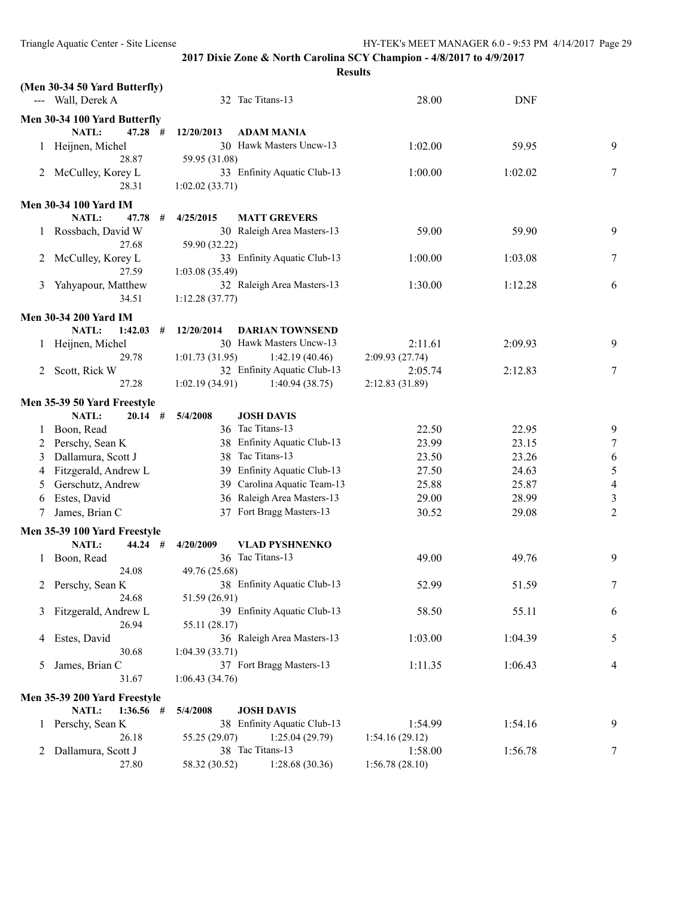|              | (Men 30-34 50 Yard Butterfly) |                 |                             |                 |            |                |
|--------------|-------------------------------|-----------------|-----------------------------|-----------------|------------|----------------|
|              | --- Wall, Derek A             |                 | 32 Tac Titans-13            | 28.00           | <b>DNF</b> |                |
|              | Men 30-34 100 Yard Butterfly  |                 |                             |                 |            |                |
|              | $47.28$ #<br><b>NATL:</b>     | 12/20/2013      | ADAM MANIA                  |                 |            |                |
|              | Heijnen, Michel               |                 | 30 Hawk Masters Uncw-13     | 1:02.00         | 59.95      | 9              |
|              | 28.87                         | 59.95 (31.08)   |                             |                 |            |                |
| 2            | McCulley, Korey L             |                 | 33 Enfinity Aquatic Club-13 | 1:00.00         | 1:02.02    | 7              |
|              | 28.31                         | 1:02.02(33.71)  |                             |                 |            |                |
|              | <b>Men 30-34 100 Yard IM</b>  |                 |                             |                 |            |                |
|              | NATL:<br>47.78<br>#           | 4/25/2015       | <b>MATT GREVERS</b>         |                 |            |                |
|              | Rossbach, David W             |                 | 30 Raleigh Area Masters-13  | 59.00           | 59.90      | 9              |
|              | 27.68                         | 59.90 (32.22)   |                             |                 |            |                |
| 2            | McCulley, Korey L             |                 | 33 Enfinity Aquatic Club-13 | 1:00.00         | 1:03.08    | 7              |
|              | 27.59                         | 1:03.08 (35.49) |                             |                 |            |                |
| 3            | Yahyapour, Matthew            |                 | 32 Raleigh Area Masters-13  | 1:30.00         | 1:12.28    | 6              |
|              | 34.51                         | 1:12.28(37.77)  |                             |                 |            |                |
|              | <b>Men 30-34 200 Yard IM</b>  |                 |                             |                 |            |                |
|              | NATL:<br>1:42.03<br>#         | 12/20/2014      | <b>DARIAN TOWNSEND</b>      |                 |            |                |
|              | Heijnen, Michel               |                 | 30 Hawk Masters Uncw-13     | 2:11.61         | 2:09.93    | 9              |
|              | 29.78                         | 1:01.73(31.95)  | 1:42.19 (40.46)             | 2:09.93(27.74)  |            |                |
| 2            | Scott, Rick W                 |                 | 32 Enfinity Aquatic Club-13 | 2:05.74         | 2:12.83    | 7              |
|              | 27.28                         | 1:02.19(34.91)  | 1:40.94(38.75)              | 2:12.83 (31.89) |            |                |
|              | Men 35-39 50 Yard Freestyle   |                 |                             |                 |            |                |
|              | NATL:<br>$20.14$ #            | 5/4/2008        | <b>JOSH DAVIS</b>           |                 |            |                |
|              | 1 Boon, Read                  |                 | 36 Tac Titans-13            | 22.50           | 22.95      | 9              |
|              | 2 Perschy, Sean K             |                 | 38 Enfinity Aquatic Club-13 | 23.99           | 23.15      | $\tau$         |
| 3            | Dallamura, Scott J            |                 | 38 Tac Titans-13            | 23.50           | 23.26      | 6              |
| 4            | Fitzgerald, Andrew L          |                 | 39 Enfinity Aquatic Club-13 | 27.50           | 24.63      | $\mathfrak s$  |
| 5            | Gerschutz, Andrew             |                 | 39 Carolina Aquatic Team-13 | 25.88           | 25.87      | $\overline{4}$ |
| 6            | Estes, David                  |                 | 36 Raleigh Area Masters-13  | 29.00           | 28.99      | $\mathfrak{Z}$ |
| 7            | James, Brian C                |                 | 37 Fort Bragg Masters-13    | 30.52           | 29.08      | $\overline{2}$ |
|              | Men 35-39 100 Yard Freestyle  |                 |                             |                 |            |                |
|              | <b>NATL:</b><br>$44.24$ #     | 4/20/2009       | <b>VLAD PYSHNENKO</b>       |                 |            |                |
| $\mathbf{1}$ | Boon, Read                    |                 | 36 Tac Titans-13            | 49.00           | 49.76      | 9              |
|              | 24.08                         | 49.76 (25.68)   |                             |                 |            |                |
|              | 2 Perschy, Sean K             |                 | 38 Enfinity Aquatic Club-13 | 52.99           | 51.59      |                |
|              | 24.68                         | 51.59 (26.91)   |                             |                 |            |                |
| 3            | Fitzgerald, Andrew L          |                 | 39 Enfinity Aquatic Club-13 | 58.50           | 55.11      | 6              |
|              | 26.94                         | 55.11 (28.17)   |                             |                 |            |                |
| 4            | Estes, David                  |                 | 36 Raleigh Area Masters-13  | 1:03.00         | 1:04.39    | 5              |
|              | 30.68                         | 1:04.39(33.71)  |                             |                 |            |                |
| 5            | James, Brian C                |                 | 37 Fort Bragg Masters-13    | 1:11.35         | 1:06.43    | 4              |
|              | 31.67                         | 1:06.43(34.76)  |                             |                 |            |                |
|              | Men 35-39 200 Yard Freestyle  |                 |                             |                 |            |                |
|              | NATL:<br>$1:36.56$ #          | 5/4/2008        | <b>JOSH DAVIS</b>           |                 |            |                |
|              | 1 Perschy, Sean K             |                 | 38 Enfinity Aquatic Club-13 | 1:54.99         | 1:54.16    | 9              |
|              | 26.18                         | 55.25 (29.07)   | 1:25.04(29.79)              | 1:54.16(29.12)  |            |                |
| 2            | Dallamura, Scott J            |                 | 38 Tac Titans-13            | 1:58.00         | 1:56.78    | 7              |
|              | 27.80                         | 58.32 (30.52)   | 1:28.68(30.36)              | 1:56.78(28.10)  |            |                |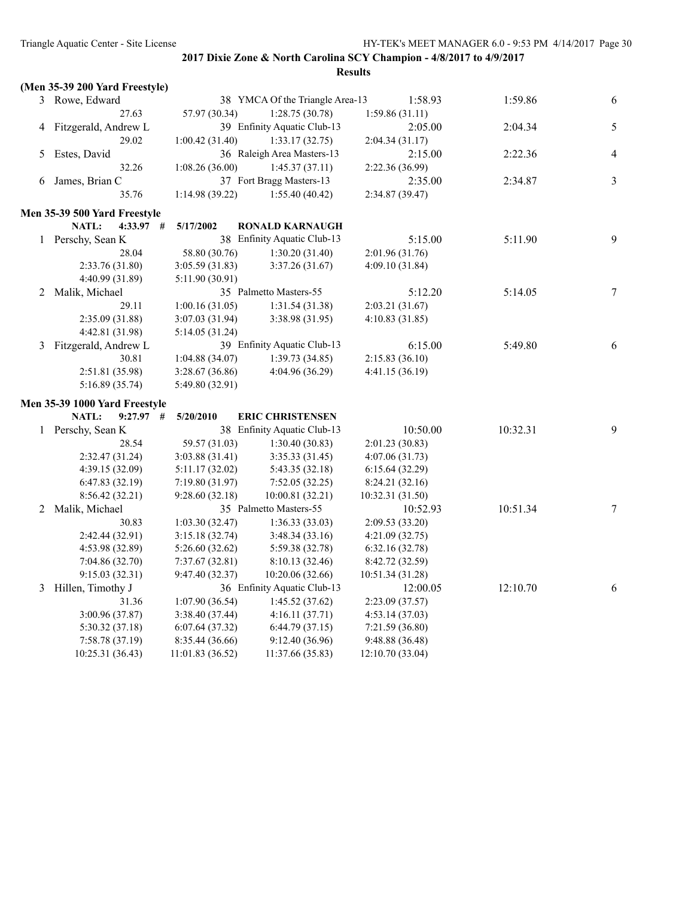|              | (Men 35-39 200 Yard Freestyle) |                 |                                 |                  |          |                  |
|--------------|--------------------------------|-----------------|---------------------------------|------------------|----------|------------------|
|              | 3 Rowe, Edward                 |                 | 38 YMCA Of the Triangle Area-13 | 1:58.93          | 1:59.86  | 6                |
|              | 27.63                          | 57.97 (30.34)   | 1:28.75(30.78)                  | 1:59.86(31.11)   |          |                  |
| 4            | Fitzgerald, Andrew L           |                 | 39 Enfinity Aquatic Club-13     | 2:05.00          | 2:04.34  | $\sqrt{5}$       |
|              | 29.02                          | 1:00.42(31.40)  | 1:33.17(32.75)                  | 2:04.34(31.17)   |          |                  |
| 5.           | Estes, David                   |                 | 36 Raleigh Area Masters-13      | 2:15.00          | 2:22.36  | $\overline{4}$   |
|              | 32.26                          | 1:08.26(36.00)  | 1:45.37(37.11)                  | 2:22.36 (36.99)  |          |                  |
| 6            | James, Brian C                 |                 | 37 Fort Bragg Masters-13        | 2:35.00          | 2:34.87  | $\mathfrak{Z}$   |
|              | 35.76                          | 1:14.98 (39.22) | 1:55.40 (40.42)                 | 2:34.87 (39.47)  |          |                  |
|              | Men 35-39 500 Yard Freestyle   |                 |                                 |                  |          |                  |
|              | NATL:<br>$4:33.97$ #           | 5/17/2002       | <b>RONALD KARNAUGH</b>          |                  |          |                  |
| $\mathbf{1}$ | Perschy, Sean K                |                 | 38 Enfinity Aquatic Club-13     | 5:15.00          | 5:11.90  | 9                |
|              | 28.04                          | 58.80 (30.76)   | 1:30.20(31.40)                  | 2:01.96 (31.76)  |          |                  |
|              | 2:33.76 (31.80)                | 3:05.59 (31.83) | 3:37.26(31.67)                  | 4:09.10 (31.84)  |          |                  |
|              | 4:40.99 (31.89)                | 5:11.90 (30.91) |                                 |                  |          |                  |
| 2            | Malik, Michael                 |                 | 35 Palmetto Masters-55          | 5:12.20          | 5:14.05  | $\boldsymbol{7}$ |
|              | 29.11                          | 1:00.16(31.05)  | 1:31.54(31.38)                  | 2:03.21 (31.67)  |          |                  |
|              | 2:35.09 (31.88)                | 3:07.03(31.94)  | 3:38.98 (31.95)                 | 4:10.83(31.85)   |          |                  |
|              | 4:42.81 (31.98)                | 5:14.05 (31.24) |                                 |                  |          |                  |
| 3            | Fitzgerald, Andrew L           |                 | 39 Enfinity Aquatic Club-13     | 6:15.00          | 5:49.80  | 6                |
|              | 30.81                          | 1:04.88(34.07)  | 1:39.73(34.85)                  | 2:15.83(36.10)   |          |                  |
|              | 2:51.81 (35.98)                | 3:28.67(36.86)  | 4:04.96 (36.29)                 | 4:41.15(36.19)   |          |                  |
|              | 5:16.89 (35.74)                | 5:49.80 (32.91) |                                 |                  |          |                  |
|              | Men 35-39 1000 Yard Freestyle  |                 |                                 |                  |          |                  |
|              | NATL:<br>$9:27.97$ #           | 5/20/2010       | <b>ERIC CHRISTENSEN</b>         |                  |          |                  |
|              | 1 Perschy, Sean K              |                 | 38 Enfinity Aquatic Club-13     | 10:50.00         | 10:32.31 | 9                |
|              | 28.54                          | 59.57 (31.03)   | 1:30.40(30.83)                  | 2:01.23 (30.83)  |          |                  |
|              | 2:32.47 (31.24)                | 3:03.88(31.41)  | 3:35.33(31.45)                  | 4:07.06(31.73)   |          |                  |
|              | 4:39.15(32.09)                 | 5:11.17 (32.02) | 5:43.35 (32.18)                 | 6:15.64(32.29)   |          |                  |
|              | 6:47.83(32.19)                 | 7:19.80(31.97)  | 7:52.05(32.25)                  | 8:24.21 (32.16)  |          |                  |
|              | 8:56.42 (32.21)                | 9:28.60(32.18)  | 10:00.81(32.21)                 | 10:32.31 (31.50) |          |                  |
| 2            | Malik, Michael                 |                 | 35 Palmetto Masters-55          | 10:52.93         | 10:51.34 | $\boldsymbol{7}$ |
|              | 30.83                          | 1:03.30(32.47)  | 1:36.33(33.03)                  | 2:09.53(33.20)   |          |                  |
|              | 2:42.44 (32.91)                | 3:15.18 (32.74) | 3:48.34(33.16)                  | 4:21.09 (32.75)  |          |                  |
|              | 4:53.98 (32.89)                | 5:26.60(32.62)  | 5:59.38 (32.78)                 | 6:32.16(32.78)   |          |                  |
|              | 7:04.86 (32.70)                | 7:37.67(32.81)  | 8:10.13(32.46)                  | 8:42.72 (32.59)  |          |                  |
|              | 9:15.03(32.31)                 | 9:47.40(32.37)  | 10:20.06 (32.66)                | 10:51.34 (31.28) |          |                  |
| 3            | Hillen, Timothy J              |                 | 36 Enfinity Aquatic Club-13     | 12:00.05         | 12:10.70 | 6                |
|              | 31.36                          | 1:07.90(36.54)  | 1:45.52(37.62)                  | 2:23.09(37.57)   |          |                  |
|              | 3:00.96 (37.87)                | 3:38.40(37.44)  | 4:16.11(37.71)                  | 4:53.14(37.03)   |          |                  |
|              | 5:30.32 (37.18)                | 6:07.64(37.32)  | 6:44.79(37.15)                  | 7:21.59(36.80)   |          |                  |
|              | 7:58.78 (37.19)                | 8:35.44 (36.66) | 9:12.40(36.96)                  | 9:48.88(36.48)   |          |                  |
|              | 10:25.31 (36.43)               | 11:01.83(36.52) | 11:37.66 (35.83)                | 12:10.70(33.04)  |          |                  |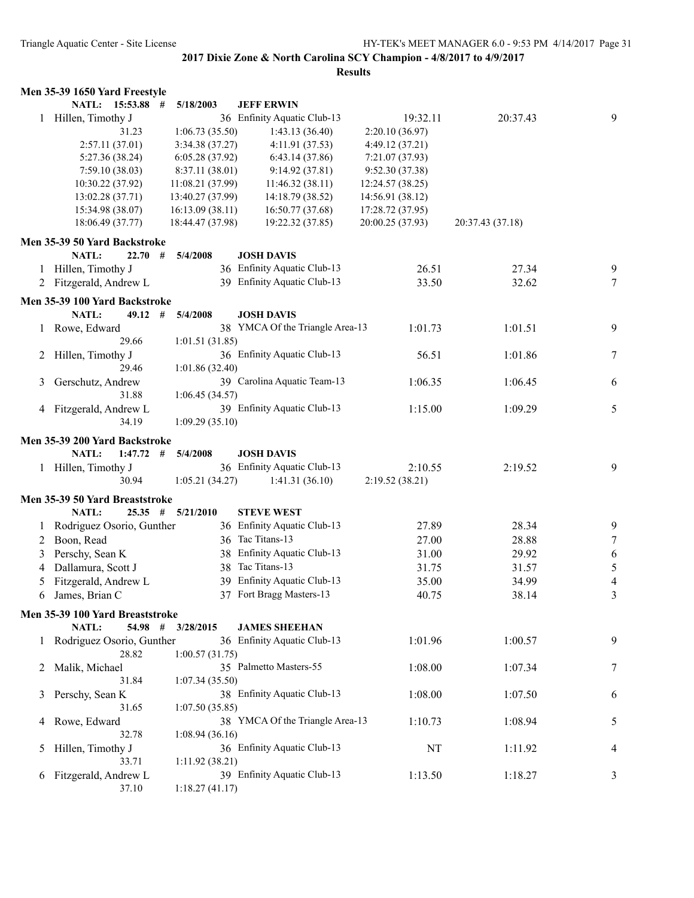|   | Men 35-39 1650 Yard Freestyle   |                  |                                 |                  |                  |        |
|---|---------------------------------|------------------|---------------------------------|------------------|------------------|--------|
|   | NATL: 15:53.88 #                | 5/18/2003        | <b>JEFF ERWIN</b>               |                  |                  |        |
|   | 1 Hillen, Timothy J             |                  | 36 Enfinity Aquatic Club-13     | 19:32.11         | 20:37.43         | 9      |
|   | 31.23                           | 1:06.73(35.50)   | 1:43.13(36.40)                  | 2:20.10 (36.97)  |                  |        |
|   | 2:57.11(37.01)                  | 3:34.38(37.27)   | 4:11.91(37.53)                  | 4:49.12(37.21)   |                  |        |
|   | 5:27.36(38.24)                  | 6:05.28(37.92)   | 6:43.14(37.86)                  | 7:21.07 (37.93)  |                  |        |
|   | 7:59.10(38.03)                  | 8:37.11 (38.01)  | 9:14.92(37.81)                  | 9:52.30(37.38)   |                  |        |
|   | 10:30.22 (37.92)                | 11:08.21(37.99)  | 11:46.32(38.11)                 | 12:24.57 (38.25) |                  |        |
|   | 13:02.28 (37.71)                | 13:40.27 (37.99) | 14:18.79 (38.52)                | 14:56.91 (38.12) |                  |        |
|   | 15:34.98 (38.07)                | 16:13.09(38.11)  | 16:50.77 (37.68)                | 17:28.72 (37.95) |                  |        |
|   | 18:06.49 (37.77)                | 18:44.47 (37.98) | 19:22.32 (37.85)                | 20:00.25 (37.93) | 20:37.43 (37.18) |        |
|   | Men 35-39 50 Yard Backstroke    |                  |                                 |                  |                  |        |
|   | <b>NATL:</b><br>22.70#          | 5/4/2008         | <b>JOSH DAVIS</b>               |                  |                  |        |
|   | 1 Hillen, Timothy J             |                  | 36 Enfinity Aquatic Club-13     | 26.51            | 27.34            | 9      |
|   | 2 Fitzgerald, Andrew L          |                  | 39 Enfinity Aquatic Club-13     | 33.50            | 32.62            | $\tau$ |
|   | Men 35-39 100 Yard Backstroke   |                  |                                 |                  |                  |        |
|   | NATL:<br>#<br>49.12             | 5/4/2008         | <b>JOSH DAVIS</b>               |                  |                  |        |
|   | 1 Rowe, Edward                  |                  | 38 YMCA Of the Triangle Area-13 | 1:01.73          | 1:01.51          | 9      |
|   | 29.66                           | 1:01.51(31.85)   |                                 |                  |                  |        |
| 2 | Hillen, Timothy J               |                  | 36 Enfinity Aquatic Club-13     | 56.51            | 1:01.86          | 7      |
|   | 29.46                           | 1:01.86 (32.40)  |                                 |                  |                  |        |
| 3 | Gerschutz, Andrew               |                  | 39 Carolina Aquatic Team-13     | 1:06.35          | 1:06.45          | 6      |
|   | 31.88                           | 1:06.45(34.57)   |                                 |                  |                  |        |
| 4 | Fitzgerald, Andrew L            |                  | 39 Enfinity Aquatic Club-13     | 1:15.00          | 1:09.29          | 5      |
|   | 34.19                           | 1:09.29(35.10)   |                                 |                  |                  |        |
|   | Men 35-39 200 Yard Backstroke   |                  |                                 |                  |                  |        |
|   | NATL:<br>$1:47.72$ #            | 5/4/2008         | <b>JOSH DAVIS</b>               |                  |                  |        |
|   | 1 Hillen, Timothy J             |                  | 36 Enfinity Aquatic Club-13     | 2:10.55          | 2:19.52          | 9      |
|   | 30.94                           | 1:05.21(34.27)   | 1:41.31(36.10)                  | 2:19.52(38.21)   |                  |        |
|   | Men 35-39 50 Yard Breaststroke  |                  |                                 |                  |                  |        |
|   | $25.35$ #<br><b>NATL:</b>       | 5/21/2010        | <b>STEVE WEST</b>               |                  |                  |        |
|   | Rodriguez Osorio, Gunther       |                  | 36 Enfinity Aquatic Club-13     | 27.89            | 28.34            | 9      |
| 2 | Boon, Read                      |                  | 36 Tac Titans-13                | 27.00            | 28.88            | $\tau$ |
| 3 | Perschy, Sean K                 |                  | 38 Enfinity Aquatic Club-13     | 31.00            | 29.92            | 6      |
| 4 | Dallamura, Scott J              |                  | 38 Tac Titans-13                | 31.75            | 31.57            | 5      |
| 5 | Fitzgerald, Andrew L            |                  | 39 Enfinity Aquatic Club-13     | 35.00            | 34.99            | 4      |
| 6 | James, Brian C                  |                  | 37 Fort Bragg Masters-13        | 40.75            | 38.14            | 3      |
|   | Men 35-39 100 Yard Breaststroke |                  |                                 |                  |                  |        |
|   | NATL:<br>54.98 #                | 3/28/2015        | <b>JAMES SHEEHAN</b>            |                  |                  |        |
|   | Rodriguez Osorio, Gunther       |                  | 36 Enfinity Aquatic Club-13     | 1:01.96          | 1:00.57          | 9      |
|   | 28.82                           | 1:00.57(31.75)   |                                 |                  |                  |        |
| 2 | Malik, Michael                  |                  | 35 Palmetto Masters-55          | 1:08.00          | 1:07.34          | 7      |
|   | 31.84                           | 1:07.34(35.50)   |                                 |                  |                  |        |
| 3 | Perschy, Sean K                 |                  | 38 Enfinity Aquatic Club-13     | 1:08.00          | 1:07.50          | 6      |
|   | 31.65                           | 1:07.50(35.85)   |                                 |                  |                  |        |
| 4 | Rowe, Edward                    |                  | 38 YMCA Of the Triangle Area-13 | 1:10.73          | 1:08.94          | 5      |
|   | 32.78                           | 1:08.94(36.16)   |                                 |                  |                  |        |
| 5 | Hillen, Timothy J               |                  | 36 Enfinity Aquatic Club-13     | NT               | 1:11.92          | 4      |
|   | 33.71                           | 1:11.92(38.21)   |                                 |                  |                  |        |
| 6 | Fitzgerald, Andrew L            |                  | 39 Enfinity Aquatic Club-13     | 1:13.50          | 1:18.27          | 3      |
|   | 37.10                           | 1:18.27(41.17)   |                                 |                  |                  |        |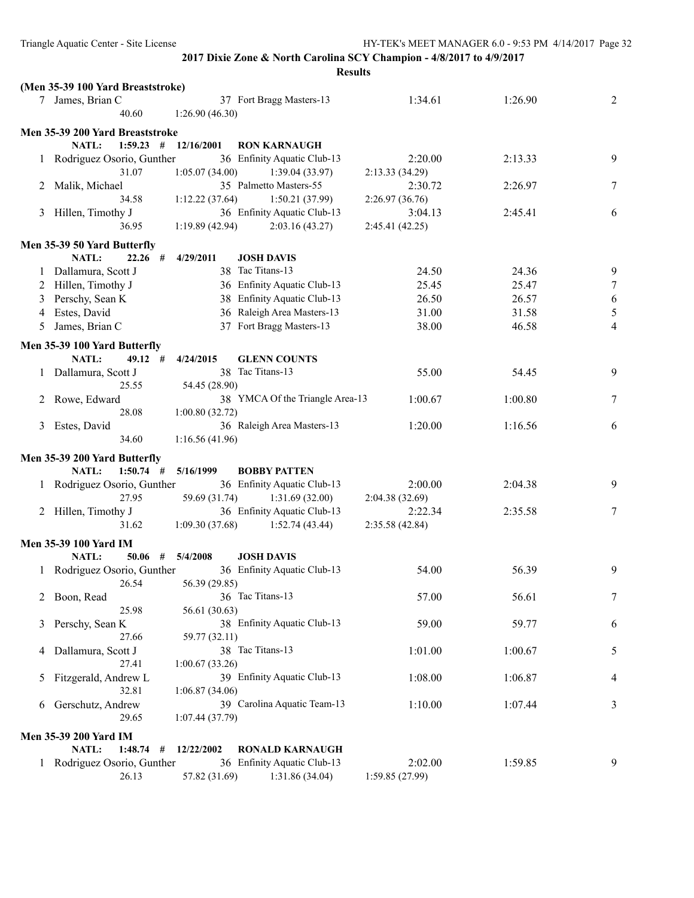|   |                                   |                 | <b>Results</b>                                |                           |         |               |
|---|-----------------------------------|-----------------|-----------------------------------------------|---------------------------|---------|---------------|
|   | (Men 35-39 100 Yard Breaststroke) |                 |                                               |                           |         |               |
|   | 7 James, Brian C                  |                 | 37 Fort Bragg Masters-13                      | 1:34.61                   | 1:26.90 | 2             |
|   | 40.60                             | 1:26.90(46.30)  |                                               |                           |         |               |
|   | Men 35-39 200 Yard Breaststroke   |                 |                                               |                           |         |               |
|   | <b>NATL:</b><br>$1:59.23$ #       | 12/16/2001      | <b>RON KARNAUGH</b>                           |                           |         |               |
|   | 1 Rodriguez Osorio, Gunther       |                 | 36 Enfinity Aquatic Club-13                   | 2:20.00                   | 2:13.33 | 9             |
|   | 31.07                             | 1:05.07(34.00)  | 1:39.04(33.97)                                | 2:13.33(34.29)            |         |               |
|   | 2 Malik, Michael                  |                 | 35 Palmetto Masters-55                        | 2:30.72                   | 2:26.97 | $\tau$        |
|   | 34.58                             | 1:12.22(37.64)  | 1:50.21(37.99)                                | 2:26.97(36.76)            |         |               |
|   | 3 Hillen, Timothy J               |                 | 36 Enfinity Aquatic Club-13                   | 3:04.13                   | 2:45.41 | 6             |
|   | 36.95                             | 1:19.89(42.94)  | 2:03.16(43.27)                                | 2:45.41(42.25)            |         |               |
|   | Men 35-39 50 Yard Butterfly       |                 |                                               |                           |         |               |
|   | <b>NATL:</b><br>$22.26$ #         | 4/29/2011       | <b>JOSH DAVIS</b>                             |                           |         |               |
|   | 1 Dallamura, Scott J              |                 | 38 Tac Titans-13                              | 24.50                     | 24.36   | 9             |
| 2 | Hillen, Timothy J                 |                 | 36 Enfinity Aquatic Club-13                   | 25.45                     | 25.47   | $\tau$        |
| 3 | Perschy, Sean K                   |                 | 38 Enfinity Aquatic Club-13                   | 26.50                     | 26.57   | 6             |
| 4 | Estes, David                      |                 | 36 Raleigh Area Masters-13                    | 31.00                     | 31.58   | $\mathfrak s$ |
| 5 | James, Brian C                    |                 | 37 Fort Bragg Masters-13                      | 38.00                     | 46.58   | 4             |
|   |                                   |                 |                                               |                           |         |               |
|   | Men 35-39 100 Yard Butterfly      |                 |                                               |                           |         |               |
|   | NATL:<br>$49.12$ #                | 4/24/2015       | <b>GLENN COUNTS</b><br>38 Tac Titans-13       | 55.00                     | 54.45   | 9             |
|   | 1 Dallamura, Scott J<br>25.55     |                 |                                               |                           |         |               |
|   |                                   | 54.45 (28.90)   | 38 YMCA Of the Triangle Area-13               | 1:00.67                   | 1:00.80 | 7             |
|   | Rowe, Edward<br>28.08             | 1:00.80(32.72)  |                                               |                           |         |               |
| 3 | Estes, David                      |                 | 36 Raleigh Area Masters-13                    | 1:20.00                   | 1:16.56 | 6             |
|   | 34.60                             | 1:16.56(41.96)  |                                               |                           |         |               |
|   |                                   |                 |                                               |                           |         |               |
|   | Men 35-39 200 Yard Butterfly      |                 |                                               |                           |         |               |
|   | <b>NATL:</b><br>$1:50.74$ #       | 5/16/1999       | <b>BOBBY PATTEN</b>                           |                           |         |               |
|   | 1 Rodriguez Osorio, Gunther       |                 | 36 Enfinity Aquatic Club-13                   | 2:00.00                   | 2:04.38 | 9             |
|   | 27.95                             | 59.69 (31.74)   | 1:31.69(32.00)<br>36 Enfinity Aquatic Club-13 | 2:04.38(32.69)            | 2:35.58 |               |
|   | 2 Hillen, Timothy J<br>31.62      | 1:09.30(37.68)  | 1:52.74(43.44)                                | 2:22.34<br>2:35.58(42.84) |         | 7             |
|   |                                   |                 |                                               |                           |         |               |
|   | <b>Men 35-39 100 Yard IM</b>      |                 |                                               |                           |         |               |
|   | NATL:<br>50.06 # $5/4/2008$       |                 | <b>JOSH DAVIS</b>                             |                           |         |               |
|   | 1 Rodriguez Osorio, Gunther       |                 | 36 Enfinity Aquatic Club-13                   | 54.00                     | 56.39   | 9             |
|   | 26.54                             | 56.39 (29.85)   |                                               |                           |         |               |
|   | Boon, Read                        |                 | 36 Tac Titans-13                              | 57.00                     | 56.61   | 7             |
|   | 25.98                             | 56.61 (30.63)   |                                               |                           |         |               |
| 3 | Perschy, Sean K<br>27.66          |                 | 38 Enfinity Aquatic Club-13                   | 59.00                     | 59.77   | 6             |
|   |                                   | 59.77 (32.11)   | 38 Tac Titans-13                              |                           | 1:00.67 |               |
| 4 | Dallamura, Scott J<br>27.41       | 1:00.67(33.26)  |                                               | 1:01.00                   |         | 5             |
| 5 | Fitzgerald, Andrew L              |                 | 39 Enfinity Aquatic Club-13                   | 1:08.00                   | 1:06.87 | 4             |
|   | 32.81                             | 1:06.87(34.06)  |                                               |                           |         |               |
| 6 | Gerschutz, Andrew                 |                 | 39 Carolina Aquatic Team-13                   | 1:10.00                   | 1:07.44 | 3             |
|   | 29.65                             | 1:07.44 (37.79) |                                               |                           |         |               |
|   |                                   |                 |                                               |                           |         |               |
|   | <b>Men 35-39 200 Yard IM</b>      |                 |                                               |                           |         |               |
|   | NATL:<br>$1:48.74$ #              | 12/22/2002      | <b>RONALD KARNAUGH</b>                        |                           |         |               |
|   | 1 Rodriguez Osorio, Gunther       |                 | 36 Enfinity Aquatic Club-13                   | 2:02.00                   | 1:59.85 | 9             |
|   | 26.13                             | 57.82 (31.69)   | 1:31.86(34.04)                                | 1:59.85(27.99)            |         |               |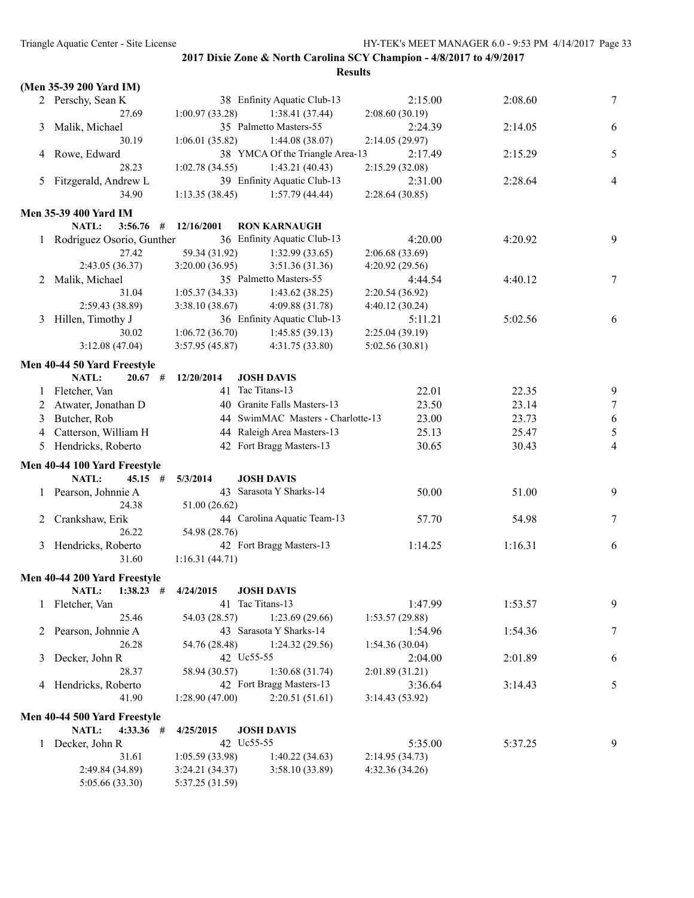|         | (Men 35-39 200 Yard IM)      |                 |                                   |                 |         |                |
|---------|------------------------------|-----------------|-----------------------------------|-----------------|---------|----------------|
|         | 2 Perschy, Sean K            |                 | 38 Enfinity Aquatic Club-13       | 2:15.00         | 2:08.60 | 7              |
|         | 27.69                        | 1:00.97(33.28)  | 1:38.41(37.44)                    | 2:08.60(30.19)  |         |                |
| 3       | Malik, Michael               |                 | 35 Palmetto Masters-55            | 2:24.39         | 2:14.05 | 6              |
|         | 30.19                        | 1:06.01(35.82)  | 1:44.08(38.07)                    | 2:14.05 (29.97) |         |                |
|         | 4 Rowe, Edward               |                 | 38 YMCA Of the Triangle Area-13   | 2:17.49         | 2:15.29 | 5              |
|         | 28.23                        |                 |                                   |                 |         |                |
|         |                              | 1:02.78(34.55)  | 1:43.21(40.43)                    | 2:15.29(32.08)  |         |                |
|         | 5 Fitzgerald, Andrew L       |                 | 39 Enfinity Aquatic Club-13       | 2:31.00         | 2:28.64 | $\overline{4}$ |
|         | 34.90                        | 1:13.35(38.45)  | 1:57.79(44.44)                    | 2:28.64(30.85)  |         |                |
|         | <b>Men 35-39 400 Yard IM</b> |                 |                                   |                 |         |                |
|         | NATL:<br>$3:56.76$ #         | 12/16/2001      | <b>RON KARNAUGH</b>               |                 |         |                |
|         | 1 Rodriguez Osorio, Gunther  |                 | 36 Enfinity Aquatic Club-13       | 4:20.00         | 4:20.92 | 9              |
|         | 27.42                        | 59.34 (31.92)   | 1:32.99(33.65)                    | 2:06.68 (33.69) |         |                |
|         | 2:43.05 (36.37)              | 3:20.00(36.95)  | 3:51.36 (31.36)                   | 4:20.92(29.56)  |         |                |
|         | 2 Malik, Michael             |                 | 35 Palmetto Masters-55            | 4:44.54         | 4:40.12 | 7              |
|         | 31.04                        | 1:05.37(34.33)  | 1:43.62(38.25)                    | 2:20.54(36.92)  |         |                |
|         | 2:59.43 (38.89)              | 3:38.10(38.67)  | 4:09.88(31.78)                    | 4:40.12(30.24)  |         |                |
|         |                              |                 |                                   |                 |         |                |
| 3       | Hillen, Timothy J            |                 | 36 Enfinity Aquatic Club-13       | 5:11.21         | 5:02.56 | 6              |
|         | 30.02                        | 1:06.72(36.70)  | 1:45.85(39.13)                    | 2:25.04 (39.19) |         |                |
|         | 3:12.08(47.04)               | 3:57.95(45.87)  | 4:31.75 (33.80)                   | 5:02.56(30.81)  |         |                |
|         | Men 40-44 50 Yard Freestyle  |                 |                                   |                 |         |                |
|         | NATL:<br>$20.67$ #           | 12/20/2014      | <b>JOSH DAVIS</b>                 |                 |         |                |
| $\perp$ | Fletcher, Van                |                 | 41 Tac Titans-13                  | 22.01           | 22.35   | 9              |
| 2       | Atwater, Jonathan D          |                 | 40 Granite Falls Masters-13       | 23.50           | 23.14   | $\tau$         |
| 3       | Butcher, Rob                 |                 | 44 SwimMAC Masters - Charlotte-13 | 23.00           | 23.73   | 6              |
|         |                              |                 | 44 Raleigh Area Masters-13        |                 |         |                |
| 4       | Catterson, William H         |                 |                                   | 25.13           | 25.47   | 5              |
| 5       | Hendricks, Roberto           |                 | 42 Fort Bragg Masters-13          | 30.65           | 30.43   | $\overline{4}$ |
|         | Men 40-44 100 Yard Freestyle |                 |                                   |                 |         |                |
|         | NATL:<br>$45.15$ #           | 5/3/2014        | <b>JOSH DAVIS</b>                 |                 |         |                |
|         | 1 Pearson, Johnnie A         |                 | 43 Sarasota Y Sharks-14           | 50.00           | 51.00   | 9              |
|         | 24.38                        | 51.00 (26.62)   |                                   |                 |         |                |
| 2       | Crankshaw, Erik              |                 | 44 Carolina Aquatic Team-13       | 57.70           | 54.98   | 7              |
|         | 26.22                        | 54.98 (28.76)   |                                   |                 |         |                |
| 3       | Hendricks, Roberto           |                 | 42 Fort Bragg Masters-13          | 1:14.25         | 1:16.31 | 6              |
|         | 31.60                        | 1:16.31(44.71)  |                                   |                 |         |                |
|         |                              |                 |                                   |                 |         |                |
|         | Men 40-44 200 Yard Freestyle |                 |                                   |                 |         |                |
|         | NATL:<br>$1:38.23$ #         | 4/24/2015       | <b>JOSH DAVIS</b>                 |                 |         |                |
|         | 1 Fletcher, Van              |                 | 41 Tac Titans-13                  | 1:47.99         | 1:53.57 | 9              |
|         | 25.46                        | 54.03 (28.57)   | 1:23.69(29.66)                    | 1:53.57(29.88)  |         |                |
|         | 2 Pearson, Johnnie A         |                 | 43 Sarasota Y Sharks-14           | 1:54.96         | 1:54.36 | 7              |
|         | 26.28                        | 54.76 (28.48)   | 1:24.32(29.56)                    | 1:54.36(30.04)  |         |                |
| 3       | Decker, John R               | 42 Uc55-55      |                                   | 2:04.00         | 2:01.89 | 6              |
|         | 28.37                        | 58.94 (30.57)   | 1:30.68(31.74)                    | 2:01.89(31.21)  |         |                |
|         | 4 Hendricks, Roberto         |                 | 42 Fort Bragg Masters-13          |                 |         | 5              |
|         | 41.90                        | 1:28.90(47.00)  | 2:20.51(51.61)                    | 3:36.64         | 3:14.43 |                |
|         |                              |                 |                                   | 3:14.43(53.92)  |         |                |
|         | Men 40-44 500 Yard Freestyle |                 |                                   |                 |         |                |
|         | NATL:<br>$4:33.36$ #         | 4/25/2015       | <b>JOSH DAVIS</b>                 |                 |         |                |
|         | 1 Decker, John R             | 42 Uc55-55      |                                   | 5:35.00         | 5:37.25 | 9              |
|         | 31.61                        | 1:05.59(33.98)  | 1:40.22(34.63)                    | 2:14.95 (34.73) |         |                |
|         | 2:49.84 (34.89)              | 3:24.21 (34.37) | 3:58.10(33.89)                    | 4:32.36 (34.26) |         |                |
|         | 5:05.66 (33.30)              | 5:37.25 (31.59) |                                   |                 |         |                |
|         |                              |                 |                                   |                 |         |                |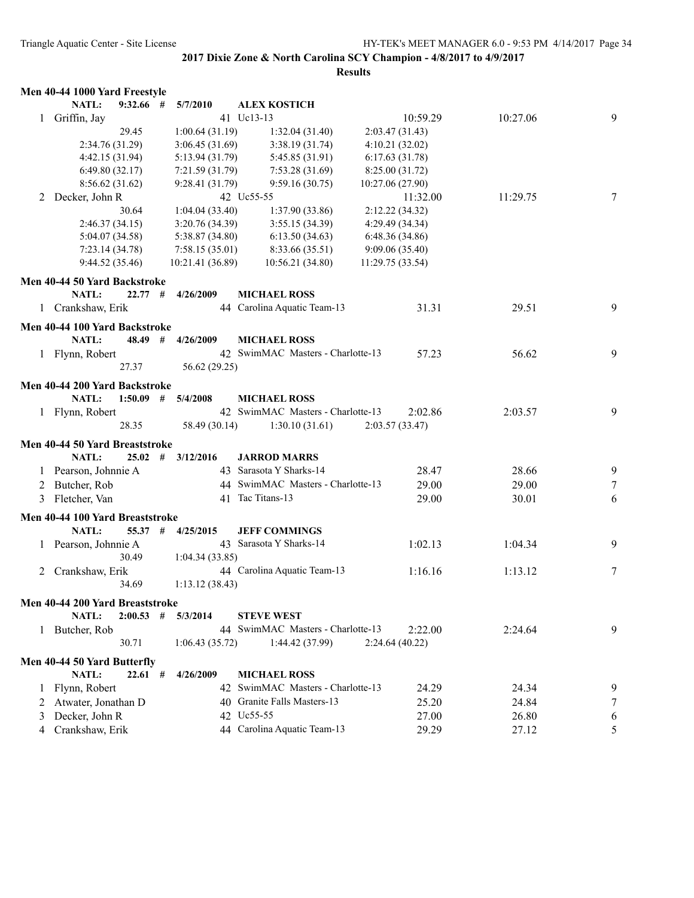|              | Men 40-44 1000 Yard Freestyle   |                  |                                   |                  |          |   |
|--------------|---------------------------------|------------------|-----------------------------------|------------------|----------|---|
|              | NATL:<br>$9:32.66$ #            | 5/7/2010         | <b>ALEX KOSTICH</b>               |                  |          |   |
| $\mathbf{1}$ | Griffin, Jay                    |                  | 41 Uc13-13                        | 10:59.29         | 10:27.06 | 9 |
|              | 29.45                           | 1:00.64(31.19)   | 1:32.04(31.40)                    | 2:03.47(31.43)   |          |   |
|              | 2:34.76 (31.29)                 | 3:06.45(31.69)   | 3:38.19(31.74)                    | 4:10.21(32.02)   |          |   |
|              | 4:42.15 (31.94)                 | 5:13.94 (31.79)  | 5:45.85 (31.91)                   | 6:17.63(31.78)   |          |   |
|              | 6:49.80(32.17)                  | 7:21.59 (31.79)  | 7:53.28 (31.69)                   | 8:25.00 (31.72)  |          |   |
|              | 8:56.62(31.62)                  | 9:28.41 (31.79)  | 9:59.16(30.75)                    | 10:27.06 (27.90) |          |   |
| 2            | Decker, John R                  |                  | 42 Uc55-55                        | 11:32.00         | 11:29.75 | 7 |
|              | 30.64                           | 1:04.04(33.40)   | 1:37.90(33.86)                    | 2:12.22 (34.32)  |          |   |
|              | 2:46.37(34.15)                  | 3:20.76(34.39)   | 3:55.15(34.39)                    | 4:29.49 (34.34)  |          |   |
|              | 5:04.07 (34.58)                 | 5:38.87 (34.80)  | 6:13.50(34.63)                    | 6:48.36 (34.86)  |          |   |
|              | 7:23.14(34.78)                  | 7:58.15(35.01)   | 8:33.66 (35.51)                   | 9:09.06(35.40)   |          |   |
|              | 9:44.52 (35.46)                 | 10:21.41 (36.89) | 10:56.21 (34.80)                  | 11:29.75 (33.54) |          |   |
|              | Men 40-44 50 Yard Backstroke    |                  |                                   |                  |          |   |
|              | <b>NATL:</b><br>22.77#          | 4/26/2009        | <b>MICHAEL ROSS</b>               |                  |          |   |
|              | 1 Crankshaw, Erik               |                  | 44 Carolina Aquatic Team-13       | 31.31            | 29.51    | 9 |
|              |                                 |                  |                                   |                  |          |   |
|              | Men 40-44 100 Yard Backstroke   |                  |                                   |                  |          |   |
|              | NATL:<br>48.49                  | #<br>4/26/2009   | <b>MICHAEL ROSS</b>               |                  |          |   |
|              | 1 Flynn, Robert                 |                  | 42 SwimMAC Masters - Charlotte-13 | 57.23            | 56.62    | 9 |
|              | 27.37                           | 56.62 (29.25)    |                                   |                  |          |   |
|              | Men 40-44 200 Yard Backstroke   |                  |                                   |                  |          |   |
|              | NATL:<br>1:50.09                | 5/4/2008<br>#    | <b>MICHAEL ROSS</b>               |                  |          |   |
|              | 1 Flynn, Robert                 |                  | 42 SwimMAC Masters - Charlotte-13 | 2:02.86          | 2:03.57  | 9 |
|              | 28.35                           | 58.49 (30.14)    | 1:30.10(31.61)                    | 2:03.57(33.47)   |          |   |
|              | Men 40-44 50 Yard Breaststroke  |                  |                                   |                  |          |   |
|              | <b>NATL:</b><br>25.02           | #<br>3/12/2016   | <b>JARROD MARRS</b>               |                  |          |   |
|              | Pearson, Johnnie A              |                  | 43 Sarasota Y Sharks-14           | 28.47            | 28.66    | 9 |
|              | Butcher, Rob                    |                  | 44 SwimMAC Masters - Charlotte-13 | 29.00            | 29.00    |   |
| 2            |                                 |                  | 41 Tac Titans-13                  |                  |          | 7 |
| 3            | Fletcher, Van                   |                  |                                   | 29.00            | 30.01    | 6 |
|              | Men 40-44 100 Yard Breaststroke |                  |                                   |                  |          |   |
|              | NATL:<br>55.37                  | #<br>4/25/2015   | <b>JEFF COMMINGS</b>              |                  |          |   |
|              | Pearson, Johnnie A              |                  | 43 Sarasota Y Sharks-14           | 1:02.13          | 1:04.34  | 9 |
|              | 30.49                           | 1:04.34(33.85)   |                                   |                  |          |   |
| 2            | Crankshaw, Erik                 |                  | 44 Carolina Aquatic Team-13       | 1:16.16          | 1:13.12  | 7 |
|              | 34.69                           | 1:13.12(38.43)   |                                   |                  |          |   |
|              | Men 40-44 200 Yard Breaststroke |                  |                                   |                  |          |   |
|              | NATL:<br>$2:00.53$ #            | 5/3/2014         | <b>STEVE WEST</b>                 |                  |          |   |
|              | 1 Butcher, Rob                  |                  | 44 SwimMAC Masters - Charlotte-13 | 2:22.00          | 2:24.64  | 9 |
|              | 30.71                           | 1:06.43(35.72)   | 1:44.42 (37.99)                   | 2:24.64(40.22)   |          |   |
|              |                                 |                  |                                   |                  |          |   |
|              | Men 40-44 50 Yard Butterfly     |                  |                                   |                  |          |   |
|              | NATL:<br>$22.61$ #              | 4/26/2009        | <b>MICHAEL ROSS</b>               |                  |          |   |
|              | Flynn, Robert                   |                  | 42 SwimMAC Masters - Charlotte-13 | 24.29            | 24.34    | 9 |
| 2            | Atwater, Jonathan D             |                  | 40 Granite Falls Masters-13       | 25.20            | 24.84    | 7 |
| 3            | Decker, John R                  |                  | 42 Uc55-55                        | 27.00            | 26.80    | 6 |
| 4            | Crankshaw, Erik                 |                  | 44 Carolina Aquatic Team-13       | 29.29            | 27.12    | 5 |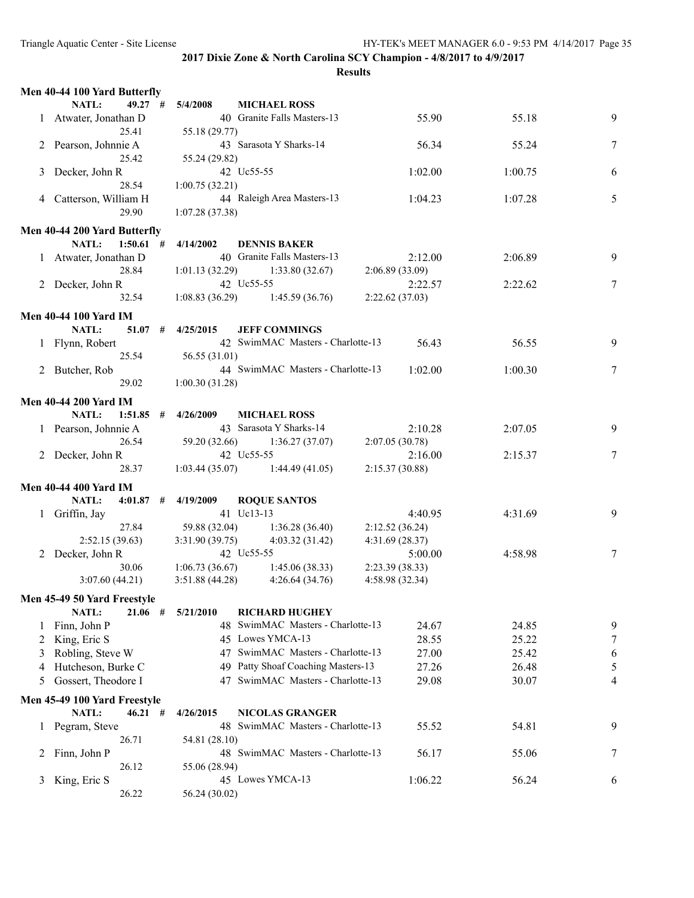|    | Men 40-44 100 Yard Butterfly |   |                |                                                           |                 |         |                 |
|----|------------------------------|---|----------------|-----------------------------------------------------------|-----------------|---------|-----------------|
|    | <b>NATL:</b><br>$49.27$ #    |   | 5/4/2008       | <b>MICHAEL ROSS</b>                                       |                 |         |                 |
|    | 1 Atwater, Jonathan D        |   |                | 40 Granite Falls Masters-13                               | 55.90           | 55.18   | 9               |
|    | 25.41                        |   | 55.18 (29.77)  |                                                           |                 |         |                 |
|    | 2 Pearson, Johnnie A         |   |                | 43 Sarasota Y Sharks-14                                   | 56.34           | 55.24   | 7               |
|    | 25.42                        |   | 55.24 (29.82)  |                                                           |                 |         |                 |
| 3  | Decker, John R               |   |                | 42 Uc55-55                                                | 1:02.00         | 1:00.75 | 6               |
|    | 28.54                        |   | 1:00.75(32.21) |                                                           |                 |         |                 |
|    | 4 Catterson, William H       |   |                | 44 Raleigh Area Masters-13                                | 1:04.23         | 1:07.28 | 5               |
|    | 29.90                        |   | 1:07.28(37.38) |                                                           |                 |         |                 |
|    | Men 40-44 200 Yard Butterfly |   |                |                                                           |                 |         |                 |
|    | $1:50.61$ #<br>NATL:         |   | 4/14/2002      | <b>DENNIS BAKER</b>                                       |                 |         |                 |
|    | 1 Atwater, Jonathan D        |   |                | 40 Granite Falls Masters-13                               | 2:12.00         | 2:06.89 | 9               |
|    | 28.84                        |   | 1:01.13(32.29) | 1:33.80(32.67)                                            | 2:06.89(33.09)  |         |                 |
|    | 2 Decker, John R             |   |                | 42 Uc55-55                                                | 2:22.57         | 2:22.62 | 7               |
|    | 32.54                        |   | 1:08.83(36.29) | 1:45.59 (36.76)                                           | 2:22.62(37.03)  |         |                 |
|    |                              |   |                |                                                           |                 |         |                 |
|    | <b>Men 40-44 100 Yard IM</b> |   |                |                                                           |                 |         |                 |
|    | NATL:<br>51.07               | # | 4/25/2015      | <b>JEFF COMMINGS</b><br>42 SwimMAC Masters - Charlotte-13 |                 |         |                 |
|    | 1 Flynn, Robert              |   |                |                                                           | 56.43           | 56.55   | 9               |
|    | 25.54                        |   | 56.55 (31.01)  | 44 SwimMAC Masters - Charlotte-13                         |                 |         |                 |
|    | 2 Butcher, Rob               |   |                |                                                           | 1:02.00         | 1:00.30 | $7\phantom{.0}$ |
|    | 29.02                        |   | 1:00.30(31.28) |                                                           |                 |         |                 |
|    | <b>Men 40-44 200 Yard IM</b> |   |                |                                                           |                 |         |                 |
|    | <b>NATL:</b><br>$1:51.85$ #  |   | 4/26/2009      | <b>MICHAEL ROSS</b>                                       |                 |         |                 |
|    | 1 Pearson, Johnnie A         |   |                | 43 Sarasota Y Sharks-14                                   | 2:10.28         | 2:07.05 | 9               |
|    | 26.54                        |   | 59.20 (32.66)  | 1:36.27(37.07)                                            | 2:07.05(30.78)  |         |                 |
|    | 2 Decker, John R             |   |                | 42 Uc55-55                                                | 2:16.00         | 2:15.37 | 7               |
|    | 28.37                        |   | 1:03.44(35.07) | 1:44.49(41.05)                                            | 2:15.37(30.88)  |         |                 |
|    | <b>Men 40-44 400 Yard IM</b> |   |                |                                                           |                 |         |                 |
|    | NATL:<br>$4:01.87$ #         |   | 4/19/2009      | <b>ROQUE SANTOS</b>                                       |                 |         |                 |
| 1. | Griffin, Jay                 |   |                | 41 Uc13-13                                                | 4:40.95         | 4:31.69 | 9               |
|    | 27.84                        |   | 59.88 (32.04)  | 1:36.28(36.40)                                            | 2:12.52(36.24)  |         |                 |
|    | 2:52.15(39.63)               |   | 3:31.90(39.75) | 4:03.32(31.42)                                            | 4:31.69 (28.37) |         |                 |
| 2  | Decker, John R               |   |                | 42 Uc55-55                                                | 5:00.00         | 4:58.98 | $\tau$          |
|    | 30.06                        |   | 1:06.73(36.67) | 1:45.06(38.33)                                            | 2:23.39(38.33)  |         |                 |
|    | 3:07.60(44.21)               |   | 3:51.88(44.28) | 4:26.64(34.76)                                            | 4:58.98 (32.34) |         |                 |
|    | Men 45-49 50 Yard Freestyle  |   |                |                                                           |                 |         |                 |
|    | <b>NATL:</b><br>$21.06$ #    |   | 5/21/2010      | <b>RICHARD HUGHEY</b>                                     |                 |         |                 |
|    | Finn, John P                 |   |                | 48 SwimMAC Masters - Charlotte-13                         | 24.67           | 24.85   | 9               |
| 2  | King, Eric S                 |   |                | 45 Lowes YMCA-13                                          | 28.55           | 25.22   | 7               |
| 3  | Robling, Steve W             |   |                | 47 SwimMAC Masters - Charlotte-13                         | 27.00           | 25.42   | 6               |
| 4  | Hutcheson, Burke C           |   | 49             | Patty Shoaf Coaching Masters-13                           | 27.26           | 26.48   | 5               |
| 5  | Gossert, Theodore I          |   | 47             | SwimMAC Masters - Charlotte-13                            | 29.08           | 30.07   | 4               |
|    |                              |   |                |                                                           |                 |         |                 |
|    | Men 45-49 100 Yard Freestyle |   |                |                                                           |                 |         |                 |
|    | <b>NATL:</b><br>$46.21$ #    |   | 4/26/2015      | <b>NICOLAS GRANGER</b>                                    |                 |         |                 |
|    | Pegram, Steve                |   |                | 48 SwimMAC Masters - Charlotte-13                         | 55.52           | 54.81   | 9               |
|    | 26.71                        |   | 54.81 (28.10)  |                                                           |                 |         |                 |
| 2  | Finn, John P                 |   |                | 48 SwimMAC Masters - Charlotte-13                         | 56.17           | 55.06   | 7               |
|    | 26.12                        |   | 55.06 (28.94)  |                                                           |                 |         |                 |
| 3  | King, Eric S                 |   |                | 45 Lowes YMCA-13                                          | 1:06.22         | 56.24   | 6               |
|    | 26.22                        |   | 56.24 (30.02)  |                                                           |                 |         |                 |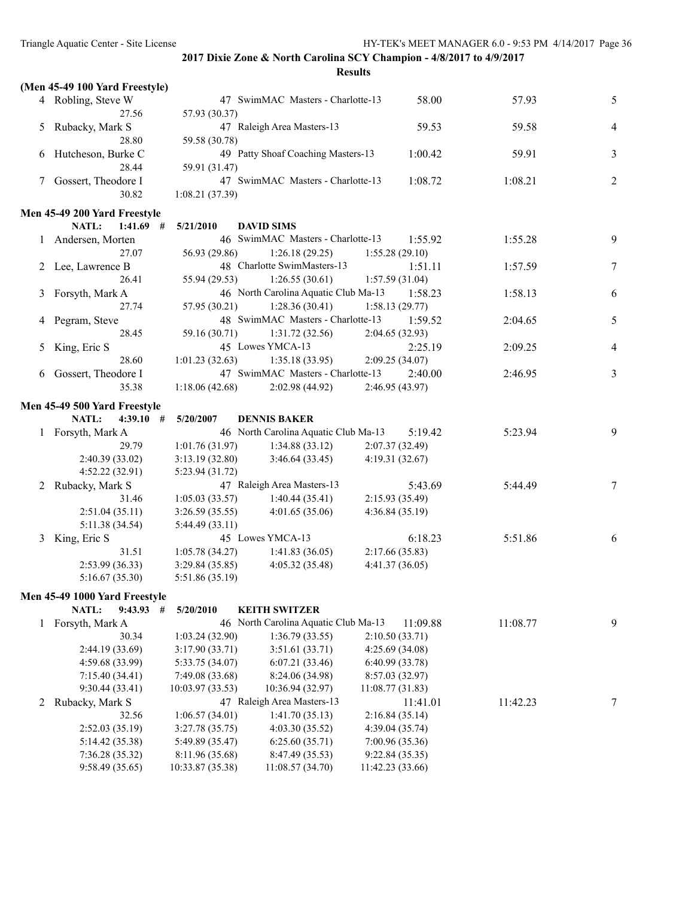|   |                                                             |                  | Results                              |                  |          |                |
|---|-------------------------------------------------------------|------------------|--------------------------------------|------------------|----------|----------------|
|   | (Men 45-49 100 Yard Freestyle)                              |                  |                                      |                  |          |                |
|   | 4 Robling, Steve W                                          |                  | 47 SwimMAC Masters - Charlotte-13    | 58.00            | 57.93    | 5              |
|   | 27.56                                                       | 57.93 (30.37)    |                                      |                  |          |                |
| 5 | Rubacky, Mark S                                             |                  | 47 Raleigh Area Masters-13           | 59.53            | 59.58    | 4              |
|   | 28.80                                                       | 59.58 (30.78)    |                                      |                  |          |                |
| 6 | Hutcheson, Burke C                                          |                  | 49 Patty Shoaf Coaching Masters-13   | 1:00.42          | 59.91    | 3              |
|   | 28.44                                                       | 59.91 (31.47)    |                                      |                  |          |                |
|   | 7 Gossert, Theodore I                                       |                  | 47 SwimMAC Masters - Charlotte-13    | 1:08.72          | 1:08.21  | $\overline{c}$ |
|   | 30.82                                                       | 1:08.21(37.39)   |                                      |                  |          |                |
|   |                                                             |                  |                                      |                  |          |                |
|   | Men 45-49 200 Yard Freestyle<br><b>NATL:</b><br>$1:41.69$ # | 5/21/2010        | <b>DAVID SIMS</b>                    |                  |          |                |
|   |                                                             |                  | 46 SwimMAC Masters - Charlotte-13    | 1:55.92          | 1:55.28  | 9              |
|   | 1 Andersen, Morten                                          |                  |                                      |                  |          |                |
|   | 27.07                                                       | 56.93 (29.86)    | 1:26.18(29.25)                       | 1:55.28(29.10)   |          |                |
|   | 2 Lee, Lawrence B                                           |                  | 48 Charlotte SwimMasters-13          | 1:51.11          | 1:57.59  | $\tau$         |
|   | 26.41                                                       | 55.94 (29.53)    | 1:26.55(30.61)                       | 1:57.59(31.04)   |          |                |
| 3 | Forsyth, Mark A                                             |                  | 46 North Carolina Aquatic Club Ma-13 | 1:58.23          | 1:58.13  | 6              |
|   | 27.74                                                       | 57.95 (30.21)    | 1:28.36(30.41)                       | 1:58.13(29.77)   |          |                |
| 4 | Pegram, Steve                                               |                  | 48 SwimMAC Masters - Charlotte-13    | 1:59.52          | 2:04.65  | 5              |
|   | 28.45                                                       | 59.16 (30.71)    | 1:31.72(32.56)                       | 2:04.65(32.93)   |          |                |
| 5 | King, Eric S                                                |                  | 45 Lowes YMCA-13                     | 2:25.19          | 2:09.25  | 4              |
|   | 28.60                                                       | 1:01.23(32.63)   | 1:35.18(33.95)                       | 2:09.25 (34.07)  |          |                |
| 6 | Gossert, Theodore I                                         |                  | 47 SwimMAC Masters - Charlotte-13    | 2:40.00          | 2:46.95  | 3              |
|   | 35.38                                                       | 1:18.06(42.68)   | 2:02.98(44.92)                       | 2:46.95 (43.97)  |          |                |
|   | Men 45-49 500 Yard Freestyle                                |                  |                                      |                  |          |                |
|   | NATL:<br>4:39.10#                                           | 5/20/2007        | <b>DENNIS BAKER</b>                  |                  |          |                |
|   | 1 Forsyth, Mark A                                           |                  | 46 North Carolina Aquatic Club Ma-13 | 5:19.42          | 5:23.94  | 9              |
|   | 29.79                                                       | 1:01.76(31.97)   | 1:34.88(33.12)                       | 2:07.37(32.49)   |          |                |
|   | 2:40.39 (33.02)                                             | 3:13.19(32.80)   | 3:46.64(33.45)                       | 4:19.31 (32.67)  |          |                |
|   | 4:52.22 (32.91)                                             | 5:23.94 (31.72)  |                                      |                  |          |                |
|   | 2 Rubacky, Mark S                                           |                  | 47 Raleigh Area Masters-13           | 5:43.69          | 5:44.49  | 7              |
|   | 31.46                                                       | 1:05.03(33.57)   | 1:40.44(35.41)                       | 2:15.93 (35.49)  |          |                |
|   | 2:51.04(35.11)                                              | 3:26.59(35.55)   | 4:01.65(35.06)                       | 4:36.84 (35.19)  |          |                |
|   | 5:11.38 (34.54)                                             | 5:44.49 (33.11)  |                                      |                  |          |                |
| 3 | King, Eric S                                                |                  | 45 Lowes YMCA-13                     | 6:18.23          | 5:51.86  | 6              |
|   | 31.51                                                       | 1:05.78(34.27)   | 1:41.83(36.05)                       | 2:17.66(35.83)   |          |                |
|   | 2:53.99 (36.33)                                             | 3:29.84(35.85)   | 4:05.32(35.48)                       | 4:41.37(36.05)   |          |                |
|   | 5:16.67(35.30)                                              | 5:51.86 (35.19)  |                                      |                  |          |                |
|   |                                                             |                  |                                      |                  |          |                |
|   | Men 45-49 1000 Yard Freestyle                               |                  |                                      |                  |          |                |
|   | NATL:<br>$9:43.93$ #                                        | 5/20/2010        | <b>KEITH SWITZER</b>                 |                  |          |                |
| 1 | Forsyth, Mark A                                             |                  | 46 North Carolina Aquatic Club Ma-13 | 11:09.88         | 11:08.77 | 9              |
|   | 30.34                                                       | 1:03.24(32.90)   | 1:36.79(33.55)                       | 2:10.50(33.71)   |          |                |
|   | 2:44.19 (33.69)                                             | 3:17.90(33.71)   | 3:51.61(33.71)                       | 4:25.69 (34.08)  |          |                |
|   | 4:59.68 (33.99)                                             | 5:33.75 (34.07)  | 6:07.21(33.46)                       | 6:40.99 (33.78)  |          |                |
|   | 7:15.40 (34.41)                                             | 7:49.08 (33.68)  | 8:24.06 (34.98)                      | 8:57.03 (32.97)  |          |                |
|   | 9:30.44 (33.41)                                             | 10:03.97 (33.53) | 10:36.94 (32.97)                     | 11:08.77 (31.83) |          |                |
| 2 | Rubacky, Mark S                                             |                  | 47 Raleigh Area Masters-13           | 11:41.01         | 11:42.23 | 7              |
|   | 32.56                                                       | 1:06.57(34.01)   | 1:41.70(35.13)                       | 2:16.84(35.14)   |          |                |
|   | 2:52.03 (35.19)                                             | 3:27.78 (35.75)  | 4:03.30 (35.52)                      | 4:39.04 (35.74)  |          |                |
|   | 5:14.42 (35.38)                                             | 5:49.89 (35.47)  | 6:25.60(35.71)                       | 7:00.96 (35.36)  |          |                |
|   | 7:36.28(35.32)                                              | 8:11.96 (35.68)  | 8:47.49 (35.53)                      | 9:22.84 (35.35)  |          |                |

9:58.49 (35.65) 10:33.87 (35.38) 11:08.57 (34.70) 11:42.23 (33.66)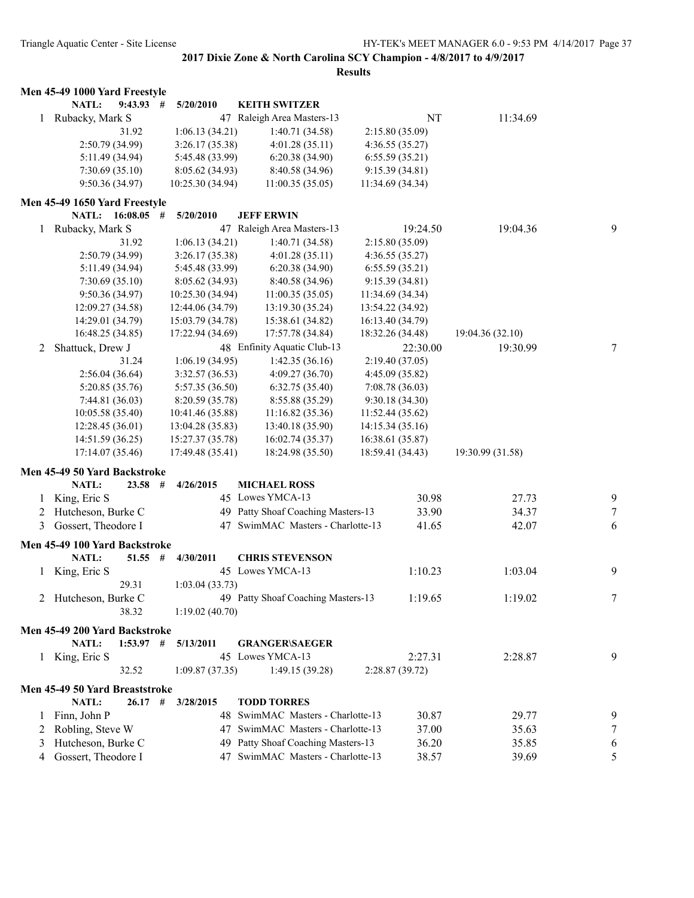|   | Men 45-49 1000 Yard Freestyle                       |                  |                                    |                  |                  |   |
|---|-----------------------------------------------------|------------------|------------------------------------|------------------|------------------|---|
|   | NATL:<br>$9:43.93$ #                                | 5/20/2010        | <b>KEITH SWITZER</b>               |                  |                  |   |
| 1 | Rubacky, Mark S                                     |                  | 47 Raleigh Area Masters-13         | NT               | 11:34.69         |   |
|   | 31.92                                               | 1:06.13(34.21)   | 1:40.71 (34.58)                    | 2:15.80(35.09)   |                  |   |
|   | 2:50.79 (34.99)                                     | 3:26.17(35.38)   | 4:01.28(35.11)                     | 4:36.55(35.27)   |                  |   |
|   | 5:11.49 (34.94)                                     | 5:45.48 (33.99)  | 6:20.38(34.90)                     | 6:55.59(35.21)   |                  |   |
|   | 7:30.69(35.10)                                      | 8:05.62(34.93)   | 8:40.58 (34.96)                    | 9:15.39(34.81)   |                  |   |
|   | 9:50.36 (34.97)                                     | 10:25.30(34.94)  | 11:00.35(35.05)                    | 11:34.69 (34.34) |                  |   |
|   | Men 45-49 1650 Yard Freestyle                       |                  |                                    |                  |                  |   |
|   | NATL: 16:08.05 #                                    | 5/20/2010        | <b>JEFF ERWIN</b>                  |                  |                  |   |
| 1 | Rubacky, Mark S                                     |                  | 47 Raleigh Area Masters-13         | 19:24.50         | 19:04.36         | 9 |
|   | 31.92                                               | 1:06.13(34.21)   | 1:40.71 (34.58)                    | 2:15.80 (35.09)  |                  |   |
|   | 2:50.79 (34.99)                                     | 3:26.17(35.38)   | 4:01.28(35.11)                     | 4:36.55(35.27)   |                  |   |
|   | 5:11.49 (34.94)                                     | 5:45.48 (33.99)  | 6:20.38(34.90)                     | 6:55.59(35.21)   |                  |   |
|   | 7:30.69(35.10)                                      | 8:05.62(34.93)   | 8:40.58 (34.96)                    | 9:15.39(34.81)   |                  |   |
|   | 9:50.36(34.97)                                      | 10:25.30 (34.94) | 11:00.35(35.05)                    | 11:34.69 (34.34) |                  |   |
|   | 12:09.27 (34.58)                                    | 12:44.06 (34.79) | 13:19.30 (35.24)                   | 13:54.22 (34.92) |                  |   |
|   | 14:29.01 (34.79)                                    | 15:03.79 (34.78) | 15:38.61 (34.82)                   | 16:13.40 (34.79) |                  |   |
|   | 16:48.25 (34.85)                                    | 17:22.94 (34.69) | 17:57.78 (34.84)                   | 18:32.26 (34.48) | 19:04.36 (32.10) |   |
| 2 | Shattuck, Drew J                                    |                  | 48 Enfinity Aquatic Club-13        | 22:30.00         | 19:30.99         | 7 |
|   | 31.24                                               | 1:06.19(34.95)   | 1:42.35(36.16)                     | 2:19.40(37.05)   |                  |   |
|   | 2:56.04(36.64)                                      | 3:32.57(36.53)   | 4:09.27 (36.70)                    | 4:45.09 (35.82)  |                  |   |
|   | 5:20.85 (35.76)                                     | 5:57.35 (36.50)  | 6:32.75(35.40)                     | 7:08.78 (36.03)  |                  |   |
|   | 7:44.81 (36.03)                                     | 8:20.59 (35.78)  | 8:55.88 (35.29)                    | 9:30.18(34.30)   |                  |   |
|   | 10:05.58 (35.40)                                    | 10:41.46 (35.88) | 11:16.82(35.36)                    | 11:52.44 (35.62) |                  |   |
|   | 12:28.45(36.01)                                     | 13:04.28 (35.83) | 13:40.18 (35.90)                   | 14:15.34 (35.16) |                  |   |
|   | 14:51.59 (36.25)                                    | 15:27.37 (35.78) | 16:02.74 (35.37)                   | 16:38.61 (35.87) |                  |   |
|   | 17:14.07 (35.46)                                    | 17:49.48 (35.41) | 18:24.98 (35.50)                   | 18:59.41 (34.43) | 19:30.99 (31.58) |   |
|   | Men 45-49 50 Yard Backstroke                        |                  |                                    |                  |                  |   |
|   | NATL:<br>$23.58$ #                                  | 4/26/2015        | <b>MICHAEL ROSS</b>                |                  |                  |   |
| 1 | King, Eric S                                        |                  | 45 Lowes YMCA-13                   | 30.98            | 27.73            | 9 |
|   | 2 Hutcheson, Burke C                                |                  | 49 Patty Shoaf Coaching Masters-13 | 33.90            | 34.37            | 7 |
| 3 | Gossert, Theodore I                                 |                  | 47 SwimMAC Masters - Charlotte-13  | 41.65            | 42.07            | 6 |
|   |                                                     |                  |                                    |                  |                  |   |
|   | Men 45-49 100 Yard Backstroke<br>NATL:<br>$51.55$ # | 4/30/2011        | <b>CHRIS STEVENSON</b>             |                  |                  |   |
|   |                                                     |                  | 45 Lowes YMCA-13                   |                  | 1:03.04          | 9 |
|   | 1 King, Eric S                                      |                  |                                    | 1:10.23          |                  |   |
|   | 29.31                                               | 1:03.04(33.73)   | 49 Patty Shoaf Coaching Masters-13 |                  |                  |   |
|   | 2 Hutcheson, Burke C                                |                  |                                    | 1:19.65          | 1:19.02          | 7 |
|   | 38.32                                               | 1:19.02(40.70)   |                                    |                  |                  |   |
|   | Men 45-49 200 Yard Backstroke                       |                  |                                    |                  |                  |   |
|   | $1:53.97$ #<br>NATL:                                | 5/13/2011        | <b>GRANGER\SAEGER</b>              |                  |                  |   |
|   | 1 King, Eric S                                      |                  | 45 Lowes YMCA-13                   | 2:27.31          | 2:28.87          | 9 |
|   | 32.52                                               | 1:09.87(37.35)   | 1:49.15(39.28)                     | 2:28.87(39.72)   |                  |   |
|   | Men 45-49 50 Yard Breaststroke                      |                  |                                    |                  |                  |   |
|   | NATL:<br>26.17#                                     | 3/28/2015        | <b>TODD TORRES</b>                 |                  |                  |   |
| 1 | Finn, John P                                        |                  | 48 SwimMAC Masters - Charlotte-13  | 30.87            | 29.77            | 9 |
| 2 | Robling, Steve W                                    |                  | 47 SwimMAC Masters - Charlotte-13  | 37.00            | 35.63            | 7 |
| 3 | Hutcheson, Burke C                                  |                  | 49 Patty Shoaf Coaching Masters-13 | 36.20            | 35.85            | 6 |
| 4 | Gossert, Theodore I                                 |                  | 47 SwimMAC Masters - Charlotte-13  | 38.57            | 39.69            | 5 |
|   |                                                     |                  |                                    |                  |                  |   |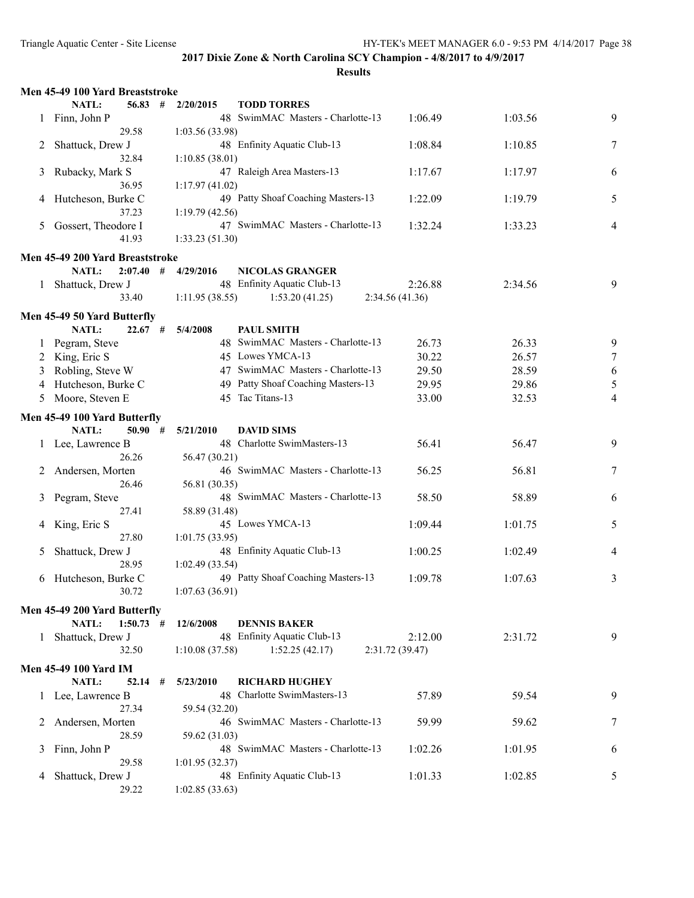|         | Men 45-49 100 Yard Breaststroke |   |                |                                    |                |         |                |
|---------|---------------------------------|---|----------------|------------------------------------|----------------|---------|----------------|
|         | NATL:<br>56.83                  | # | 2/20/2015      | <b>TODD TORRES</b>                 |                |         |                |
|         | Finn, John P                    |   |                | 48 SwimMAC Masters - Charlotte-13  | 1:06.49        | 1:03.56 | 9              |
|         | 29.58                           |   | 1:03.56(33.98) |                                    |                |         |                |
| 2       | Shattuck, Drew J                |   |                | 48 Enfinity Aquatic Club-13        | 1:08.84        | 1:10.85 | 7              |
|         | 32.84                           |   | 1:10.85(38.01) |                                    |                |         |                |
| 3       | Rubacky, Mark S                 |   |                | 47 Raleigh Area Masters-13         | 1:17.67        | 1:17.97 | 6              |
|         | 36.95                           |   | 1:17.97(41.02) |                                    |                |         |                |
| 4       | Hutcheson, Burke C              |   |                | 49 Patty Shoaf Coaching Masters-13 | 1:22.09        | 1:19.79 | 5              |
|         | 37.23                           |   | 1:19.79(42.56) |                                    |                |         |                |
| 5       | Gossert, Theodore I             |   |                | 47 SwimMAC Masters - Charlotte-13  | 1:32.24        | 1:33.23 | 4              |
|         | 41.93                           |   | 1:33.23(51.30) |                                    |                |         |                |
|         | Men 45-49 200 Yard Breaststroke |   |                |                                    |                |         |                |
|         | $2:07.40$ #<br><b>NATL:</b>     |   | 4/29/2016      | <b>NICOLAS GRANGER</b>             |                |         |                |
|         | Shattuck, Drew J                |   |                | 48 Enfinity Aquatic Club-13        | 2:26.88        | 2:34.56 | 9              |
|         | 33.40                           |   | 1:11.95(38.55) | 1:53.20(41.25)                     | 2:34.56(41.36) |         |                |
|         |                                 |   |                |                                    |                |         |                |
|         | Men 45-49 50 Yard Butterfly     |   |                |                                    |                |         |                |
|         | NATL:<br>22.67                  | # | 5/4/2008       | <b>PAUL SMITH</b>                  |                |         |                |
| $\perp$ | Pegram, Steve                   |   |                | 48 SwimMAC Masters - Charlotte-13  | 26.73          | 26.33   | 9              |
|         | 2 King, Eric S                  |   |                | 45 Lowes YMCA-13                   | 30.22          | 26.57   | $\tau$         |
| 3       | Robling, Steve W                |   |                | 47 SwimMAC Masters - Charlotte-13  | 29.50          | 28.59   | $\sqrt{6}$     |
| 4       | Hutcheson, Burke C              |   |                | 49 Patty Shoaf Coaching Masters-13 | 29.95          | 29.86   | 5              |
| 5       | Moore, Steven E                 |   |                | 45 Tac Titans-13                   | 33.00          | 32.53   | $\overline{4}$ |
|         | Men 45-49 100 Yard Butterfly    |   |                |                                    |                |         |                |
|         | NATL:<br>$50.90$ #              |   | 5/21/2010      | <b>DAVID SIMS</b>                  |                |         |                |
|         | 1 Lee, Lawrence B               |   |                | 48 Charlotte SwimMasters-13        | 56.41          | 56.47   | 9              |
|         | 26.26                           |   | 56.47 (30.21)  |                                    |                |         |                |
| 2       | Andersen, Morten                |   |                | 46 SwimMAC Masters - Charlotte-13  | 56.25          | 56.81   | 7              |
|         | 26.46                           |   | 56.81 (30.35)  |                                    |                |         |                |
| 3       | Pegram, Steve                   |   |                | 48 SwimMAC Masters - Charlotte-13  | 58.50          | 58.89   | 6              |
|         | 27.41                           |   | 58.89 (31.48)  |                                    |                |         |                |
| 4       | King, Eric S                    |   |                | 45 Lowes YMCA-13                   | 1:09.44        | 1:01.75 | 5              |
|         | 27.80                           |   | 1:01.75(33.95) |                                    |                |         |                |
| 5       | Shattuck, Drew J                |   |                | 48 Enfinity Aquatic Club-13        | 1:00.25        | 1:02.49 | 4              |
|         | 28.95                           |   | 1:02.49(33.54) |                                    |                |         |                |
| 6       | Hutcheson, Burke C              |   |                | 49 Patty Shoaf Coaching Masters-13 | 1:09.78        | 1:07.63 | 3              |
|         | 30.72                           |   | 1:07.63(36.91) |                                    |                |         |                |
|         | Men 45-49 200 Yard Butterfly    |   |                |                                    |                |         |                |
|         | <b>NATL:</b><br>$1:50.73$ #     |   | 12/6/2008      | <b>DENNIS BAKER</b>                |                |         |                |
| 1.      | Shattuck, Drew J                |   |                | 48 Enfinity Aquatic Club-13        | 2:12.00        | 2:31.72 | 9              |
|         | 32.50                           |   | 1:10.08(37.58) | 1:52.25(42.17)                     | 2:31.72(39.47) |         |                |
|         |                                 |   |                |                                    |                |         |                |
|         | <b>Men 45-49 100 Yard IM</b>    |   |                |                                    |                |         |                |
|         | NATL:<br>$52.14$ #              |   | 5/23/2010      | <b>RICHARD HUGHEY</b>              |                |         |                |
|         | 1 Lee, Lawrence B               |   |                | 48 Charlotte SwimMasters-13        | 57.89          | 59.54   | 9              |
|         | 27.34                           |   | 59.54 (32.20)  |                                    |                |         |                |
| 2       | Andersen, Morten                |   |                | 46 SwimMAC Masters - Charlotte-13  | 59.99          | 59.62   | 7              |
|         | 28.59                           |   | 59.62 (31.03)  | 48 SwimMAC Masters - Charlotte-13  | 1:02.26        | 1:01.95 |                |
| 3       | Finn, John P<br>29.58           |   | 1:01.95(32.37) |                                    |                |         | 6              |
| 4       | Shattuck, Drew J                |   |                | 48 Enfinity Aquatic Club-13        | 1:01.33        | 1:02.85 | 5              |
|         | 29.22                           |   | 1:02.85(33.63) |                                    |                |         |                |
|         |                                 |   |                |                                    |                |         |                |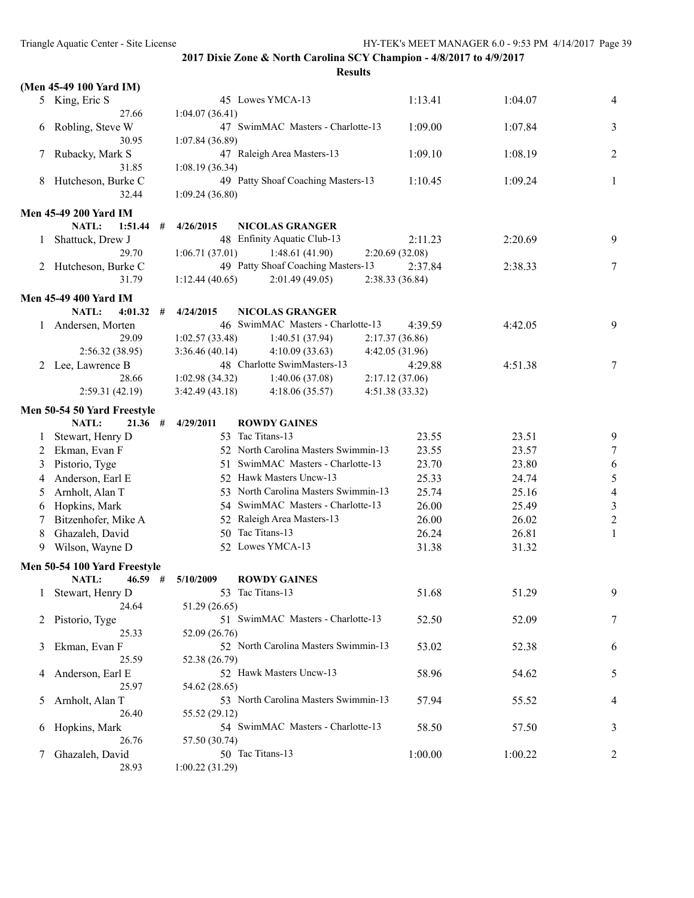|   | (Men 45-49 100 Yard IM)      |                 |                                      |                 |         |                |
|---|------------------------------|-----------------|--------------------------------------|-----------------|---------|----------------|
|   | 5 King, Eric S               |                 | 45 Lowes YMCA-13                     | 1:13.41         | 1:04.07 | 4              |
|   | 27.66                        | 1:04.07(36.41)  |                                      |                 |         |                |
| 6 | Robling, Steve W             |                 | 47 SwimMAC Masters - Charlotte-13    | 1:09.00         | 1:07.84 | 3              |
|   | 30.95                        | 1:07.84 (36.89) |                                      |                 |         |                |
| 7 | Rubacky, Mark S              |                 | 47 Raleigh Area Masters-13           | 1:09.10         | 1:08.19 | 2              |
|   | 31.85                        | 1:08.19 (36.34) |                                      |                 |         |                |
| 8 | Hutcheson, Burke C           |                 | 49 Patty Shoaf Coaching Masters-13   | 1:10.45         | 1:09.24 | 1              |
|   | 32.44                        | 1:09.24(36.80)  |                                      |                 |         |                |
|   |                              |                 |                                      |                 |         |                |
|   | <b>Men 45-49 200 Yard IM</b> |                 |                                      |                 |         |                |
|   | NATL:<br>1:51.44<br>#        | 4/26/2015       | <b>NICOLAS GRANGER</b>               |                 |         |                |
| 1 | Shattuck, Drew J             |                 | 48 Enfinity Aquatic Club-13          | 2:11.23         | 2:20.69 | 9              |
|   | 29.70                        | 1:06.71(37.01)  | 1:48.61(41.90)                       | 2:20.69 (32.08) |         |                |
| 2 | Hutcheson, Burke C           |                 | 49 Patty Shoaf Coaching Masters-13   | 2:37.84         | 2:38.33 | 7              |
|   | 31.79                        | 1:12.44(40.65)  | 2:01.49(49.05)                       | 2:38.33 (36.84) |         |                |
|   | <b>Men 45-49 400 Yard IM</b> |                 |                                      |                 |         |                |
|   | <b>NATL:</b><br>4:01.32<br># | 4/24/2015       | <b>NICOLAS GRANGER</b>               |                 |         |                |
| 1 | Andersen, Morten             |                 | 46 SwimMAC Masters - Charlotte-13    | 4:39.59         | 4:42.05 | 9              |
|   | 29.09                        | 1:02.57(33.48)  | 1:40.51(37.94)                       | 2:17.37(36.86)  |         |                |
|   | 2:56.32(38.95)               | 3:36.46(40.14)  | 4:10.09(33.63)                       | 4:42.05 (31.96) |         |                |
| 2 | Lee, Lawrence B              |                 | 48 Charlotte SwimMasters-13          | 4:29.88         | 4:51.38 | 7              |
|   | 28.66                        | 1:02.98(34.32)  | 1:40.06(37.08)                       | 2:17.12(37.06)  |         |                |
|   | 2:59.31(42.19)               | 3:42.49(43.18)  | 4:18.06(35.57)                       | 4:51.38 (33.32) |         |                |
|   | Men 50-54 50 Yard Freestyle  |                 |                                      |                 |         |                |
|   | NATL:<br>$21.36$ #           | 4/29/2011       | <b>ROWDY GAINES</b>                  |                 |         |                |
| 1 | Stewart, Henry D             |                 | 53 Tac Titans-13                     | 23.55           | 23.51   | 9              |
| 2 | Ekman, Evan F                |                 | 52 North Carolina Masters Swimmin-13 | 23.55           | 23.57   | $\tau$         |
| 3 | Pistorio, Tyge               |                 | 51 SwimMAC Masters - Charlotte-13    | 23.70           | 23.80   | 6              |
| 4 | Anderson, Earl E             |                 | 52 Hawk Masters Uncw-13              | 25.33           | 24.74   | $\sqrt{5}$     |
| 5 | Arnholt, Alan T              |                 | 53 North Carolina Masters Swimmin-13 | 25.74           | 25.16   | $\overline{4}$ |
| 6 | Hopkins, Mark                |                 | 54 SwimMAC Masters - Charlotte-13    | 26.00           | 25.49   | $\mathfrak{Z}$ |
|   | Bitzenhofer, Mike A          |                 | 52 Raleigh Area Masters-13           | 26.00           | 26.02   | $\sqrt{2}$     |
| 7 |                              |                 | 50 Tac Titans-13                     |                 |         |                |
| 8 | Ghazaleh, David              |                 |                                      | 26.24           | 26.81   | 1              |
| 9 | Wilson, Wayne D              |                 | 52 Lowes YMCA-13                     | 31.38           | 31.32   |                |
|   | Men 50-54 100 Yard Freestyle |                 |                                      |                 |         |                |
|   | NATL:<br>$46.59$ #           | 5/10/2009       | <b>ROWDY GAINES</b>                  |                 |         |                |
| 1 | Stewart, Henry D             |                 | 53 Tac Titans-13                     | 51.68           | 51.29   | 9              |
|   | 24.64                        | 51.29 (26.65)   |                                      |                 |         |                |
| 2 | Pistorio, Tyge               |                 | 51 SwimMAC Masters - Charlotte-13    | 52.50           | 52.09   | 7              |
|   | 25.33                        | 52.09 (26.76)   |                                      |                 |         |                |
| 3 | Ekman, Evan F                |                 | 52 North Carolina Masters Swimmin-13 | 53.02           | 52.38   | 6              |
|   | 25.59                        | 52.38 (26.79)   |                                      |                 |         |                |
| 4 | Anderson, Earl E             |                 | 52 Hawk Masters Uncw-13              | 58.96           | 54.62   | 5              |
|   | 25.97                        | 54.62 (28.65)   |                                      |                 |         |                |
| 5 | Arnholt, Alan T              |                 | 53 North Carolina Masters Swimmin-13 | 57.94           | 55.52   | 4              |
|   | 26.40                        | 55.52 (29.12)   |                                      |                 |         |                |
| 6 | Hopkins, Mark                |                 | 54 SwimMAC Masters - Charlotte-13    | 58.50           | 57.50   | 3              |
|   | 26.76                        | 57.50 (30.74)   |                                      |                 |         |                |
| 7 | Ghazaleh, David              |                 | 50 Tac Titans-13                     | 1:00.00         | 1:00.22 | 2              |
|   | 28.93                        | 1:00.22(31.29)  |                                      |                 |         |                |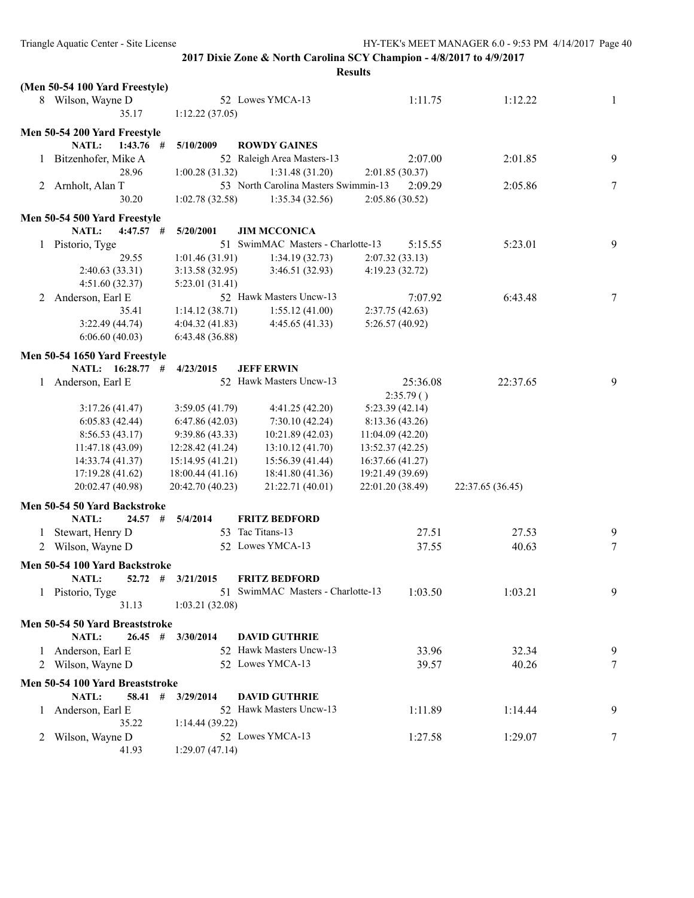|              |                                 |                  |                                      | <b>Results</b>   |                  |   |
|--------------|---------------------------------|------------------|--------------------------------------|------------------|------------------|---|
|              | (Men 50-54 100 Yard Freestyle)  |                  |                                      |                  |                  |   |
|              | 8 Wilson, Wayne D               |                  | 52 Lowes YMCA-13                     | 1:11.75          | 1:12.22          | 1 |
|              | 35.17                           | 1:12.22(37.05)   |                                      |                  |                  |   |
|              |                                 |                  |                                      |                  |                  |   |
|              | Men 50-54 200 Yard Freestyle    |                  |                                      |                  |                  |   |
|              | NATL:<br>$1:43.76$ #            | 5/10/2009        | <b>ROWDY GAINES</b>                  |                  |                  |   |
|              | Bitzenhofer, Mike A<br>1        |                  | 52 Raleigh Area Masters-13           | 2:07.00          | 2:01.85          | 9 |
|              | 28.96                           | 1:00.28(31.32)   | 1:31.48 (31.20)                      | 2:01.85(30.37)   |                  |   |
|              | 2 Arnholt, Alan T               |                  | 53 North Carolina Masters Swimmin-13 | 2:09.29          | 2:05.86          | 7 |
|              | 30.20                           | 1:02.78(32.58)   | 1:35.34(32.56)                       | 2:05.86 (30.52)  |                  |   |
|              | Men 50-54 500 Yard Freestyle    |                  |                                      |                  |                  |   |
|              | <b>NATL:</b><br>$4:47.57$ #     | 5/20/2001        | <b>JIM MCCONICA</b>                  |                  |                  |   |
|              | 1 Pistorio, Tyge                |                  | 51 SwimMAC Masters - Charlotte-13    | 5:15.55          | 5:23.01          | 9 |
|              | 29.55                           | 1:01.46(31.91)   | 1:34.19(32.73)                       | 2:07.32(33.13)   |                  |   |
|              |                                 |                  |                                      |                  |                  |   |
|              | 2:40.63 (33.31)                 | 3:13.58(32.95)   | 3:46.51(32.93)                       | 4:19.23 (32.72)  |                  |   |
|              | 4:51.60 (32.37)                 | 5:23.01 (31.41)  |                                      |                  |                  |   |
| 2            | Anderson, Earl E                |                  | 52 Hawk Masters Uncw-13              | 7:07.92          | 6:43.48          | 7 |
|              | 35.41                           | 1:14.12(38.71)   | 1:55.12(41.00)                       | 2:37.75(42.63)   |                  |   |
|              | 3:22.49(44.74)                  | 4:04.32(41.83)   | 4:45.65(41.33)                       | 5:26.57(40.92)   |                  |   |
|              | 6:06.60(40.03)                  | 6:43.48(36.88)   |                                      |                  |                  |   |
|              | Men 50-54 1650 Yard Freestyle   |                  |                                      |                  |                  |   |
|              | NATL: 16:28.77 #                | 4/23/2015        | <b>JEFF ERWIN</b>                    |                  |                  |   |
|              | 1 Anderson, Earl E              |                  | 52 Hawk Masters Uncw-13              | 25:36.08         | 22:37.65         | 9 |
|              |                                 |                  |                                      | 2:35.79()        |                  |   |
|              | 3:17.26(41.47)                  | 3:59.05(41.79)   | 4:41.25 (42.20)                      | 5:23.39(42.14)   |                  |   |
|              | 6:05.83(42.44)                  | 6:47.86(42.03)   | 7:30.10(42.24)                       | 8:13.36(43.26)   |                  |   |
|              | 8:56.53(43.17)                  | 9:39.86(43.33)   | 10:21.89(42.03)                      | 11:04.09(42.20)  |                  |   |
|              |                                 |                  | 13:10.12 (41.70)                     |                  |                  |   |
|              | 11:47.18 (43.09)                | 12:28.42 (41.24) |                                      | 13:52.37 (42.25) |                  |   |
|              | 14:33.74 (41.37)                | 15:14.95(41.21)  | 15:56.39 (41.44)                     | 16:37.66 (41.27) |                  |   |
|              | 17:19.28 (41.62)                | 18:00.44(41.16)  | 18:41.80 (41.36)                     | 19:21.49 (39.69) |                  |   |
|              | 20:02.47 (40.98)                | 20:42.70 (40.23) | 21:22.71 (40.01)                     | 22:01.20 (38.49) | 22:37.65 (36.45) |   |
|              | Men 50-54 50 Yard Backstroke    |                  |                                      |                  |                  |   |
|              | NATL:<br>24.57                  | #<br>5/4/2014    | <b>FRITZ BEDFORD</b>                 |                  |                  |   |
|              | 1 Stewart, Henry D              |                  | 53 Tac Titans-13                     | 27.51            | 27.53            | 9 |
|              | 2 Wilson, Wayne D               |                  | 52 Lowes YMCA-13                     | 37.55            | 40.63            | 7 |
|              |                                 |                  |                                      |                  |                  |   |
|              | Men 50-54 100 Yard Backstroke   |                  |                                      |                  |                  |   |
|              | NATL:<br>52.72 #                | 3/21/2015        | <b>FRITZ BEDFORD</b>                 |                  |                  |   |
|              | 1 Pistorio, Tyge                |                  | 51 SwimMAC Masters - Charlotte-13    | 1:03.50          | 1:03.21          | 9 |
|              | 31.13                           | 1:03.21(32.08)   |                                      |                  |                  |   |
|              | Men 50-54 50 Yard Breaststroke  |                  |                                      |                  |                  |   |
|              | <b>NATL:</b><br>$26.45$ #       | 3/30/2014        | <b>DAVID GUTHRIE</b>                 |                  |                  |   |
| $\mathbf{1}$ | Anderson, Earl E                |                  | 52 Hawk Masters Uncw-13              | 33.96            | 32.34            | 9 |
|              |                                 |                  | 52 Lowes YMCA-13                     |                  |                  |   |
|              | 2 Wilson, Wayne D               |                  |                                      | 39.57            | 40.26            | 7 |
|              | Men 50-54 100 Yard Breaststroke |                  |                                      |                  |                  |   |
|              | NATL:<br>58.41 #                | 3/29/2014        | <b>DAVID GUTHRIE</b>                 |                  |                  |   |
| $\perp$      | Anderson, Earl E                |                  | 52 Hawk Masters Uncw-13              | 1:11.89          | 1:14.44          | 9 |
|              | 35.22                           | 1:14.44(39.22)   |                                      |                  |                  |   |
|              | Wilson, Wayne D                 |                  | 52 Lowes YMCA-13                     | 1:27.58          | 1:29.07          | 7 |
|              | 41.93                           | 1:29.07(47.14)   |                                      |                  |                  |   |
|              |                                 |                  |                                      |                  |                  |   |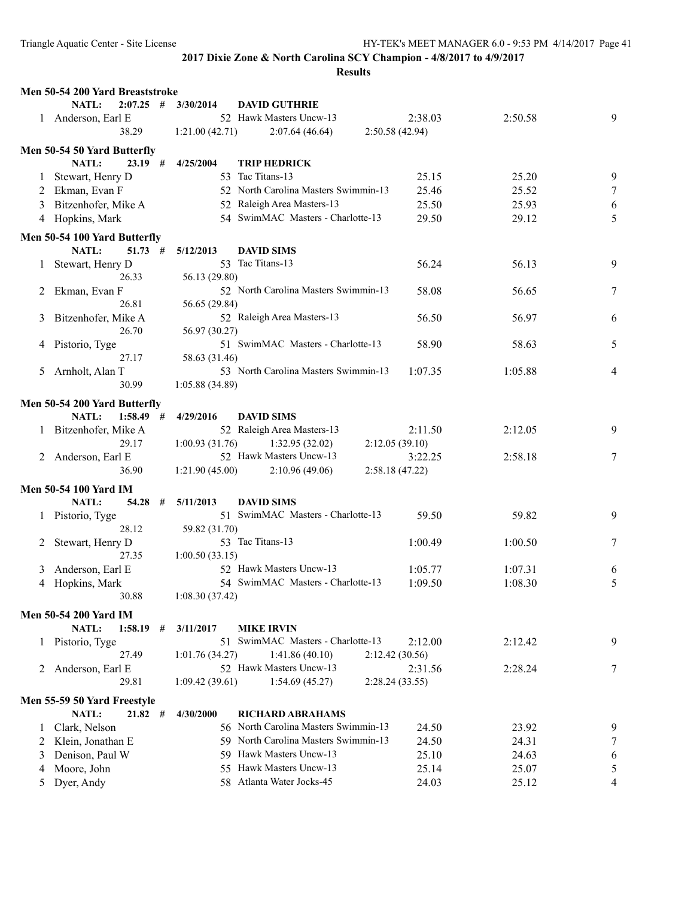|   | Men 50-54 200 Yard Breaststroke |   |                 |                                      |                 |         |   |
|---|---------------------------------|---|-----------------|--------------------------------------|-----------------|---------|---|
|   | $2:07.25$ #<br><b>NATL:</b>     |   | 3/30/2014       | <b>DAVID GUTHRIE</b>                 |                 |         |   |
|   | 1 Anderson, Earl E              |   |                 | 52 Hawk Masters Uncw-13              | 2:38.03         | 2:50.58 | 9 |
|   | 38.29                           |   | 1:21.00(42.71)  | 2:07.64(46.64)                       | 2:50.58 (42.94) |         |   |
|   | Men 50-54 50 Yard Butterfly     |   |                 |                                      |                 |         |   |
|   | NATL:<br>23.19#                 |   | 4/25/2004       | <b>TRIP HEDRICK</b>                  |                 |         |   |
|   | Stewart, Henry D                |   |                 | 53 Tac Titans-13                     | 25.15           | 25.20   | 9 |
| 2 | Ekman, Evan F                   |   |                 | 52 North Carolina Masters Swimmin-13 | 25.46           | 25.52   | 7 |
| 3 | Bitzenhofer, Mike A             |   |                 | 52 Raleigh Area Masters-13           | 25.50           | 25.93   | 6 |
|   | 4 Hopkins, Mark                 |   |                 | 54 SwimMAC Masters - Charlotte-13    | 29.50           | 29.12   | 5 |
|   |                                 |   |                 |                                      |                 |         |   |
|   | Men 50-54 100 Yard Butterfly    |   |                 |                                      |                 |         |   |
|   | NATL:<br>$51.73$ #              |   | 5/12/2013       | <b>DAVID SIMS</b>                    |                 |         |   |
|   | 1 Stewart, Henry D              |   |                 | 53 Tac Titans-13                     | 56.24           | 56.13   | 9 |
|   | 26.33                           |   | 56.13 (29.80)   |                                      |                 |         |   |
| 2 | Ekman, Evan F                   |   |                 | 52 North Carolina Masters Swimmin-13 | 58.08           | 56.65   | 7 |
|   | 26.81                           |   | 56.65 (29.84)   |                                      |                 |         |   |
| 3 | Bitzenhofer, Mike A             |   |                 | 52 Raleigh Area Masters-13           | 56.50           | 56.97   | 6 |
|   | 26.70                           |   | 56.97 (30.27)   |                                      |                 |         |   |
|   | 4 Pistorio, Tyge                |   |                 | 51 SwimMAC Masters - Charlotte-13    | 58.90           | 58.63   | 5 |
|   | 27.17                           |   | 58.63 (31.46)   |                                      |                 |         |   |
| 5 | Arnholt, Alan T                 |   |                 | 53 North Carolina Masters Swimmin-13 | 1:07.35         | 1:05.88 | 4 |
|   | 30.99                           |   | 1:05.88 (34.89) |                                      |                 |         |   |
|   | Men 50-54 200 Yard Butterfly    |   |                 |                                      |                 |         |   |
|   | NATL:<br>1:58.49                | # | 4/29/2016       | <b>DAVID SIMS</b>                    |                 |         |   |
|   | 1 Bitzenhofer, Mike A           |   |                 | 52 Raleigh Area Masters-13           | 2:11.50         | 2:12.05 | 9 |
|   | 29.17                           |   | 1:00.93(31.76)  | 1:32.95(32.02)                       | 2:12.05(39.10)  |         |   |
|   | 2 Anderson, Earl E              |   |                 | 52 Hawk Masters Uncw-13              | 3:22.25         | 2:58.18 | 7 |
|   | 36.90                           |   | 1:21.90(45.00)  | 2:10.96(49.06)                       | 2:58.18(47.22)  |         |   |
|   | <b>Men 50-54 100 Yard IM</b>    |   |                 |                                      |                 |         |   |
|   | NATL:<br>$54.28$ #              |   | 5/11/2013       | <b>DAVID SIMS</b>                    |                 |         |   |
|   | 1 Pistorio, Tyge                |   |                 | 51 SwimMAC Masters - Charlotte-13    | 59.50           | 59.82   | 9 |
|   | 28.12                           |   | 59.82 (31.70)   |                                      |                 |         |   |
|   | Stewart, Henry D                |   |                 | 53 Tac Titans-13                     | 1:00.49         | 1:00.50 | 7 |
|   | 27.35                           |   | 1:00.50(33.15)  |                                      |                 |         |   |
| 3 | Anderson, Earl E                |   |                 | 52 Hawk Masters Uncw-13              | 1:05.77         | 1:07.31 | 6 |
| 4 | Hopkins, Mark                   |   |                 | 54 SwimMAC Masters - Charlotte-13    | 1:09.50         | 1:08.30 | 5 |
|   | 30.88                           |   | 1:08.30(37.42)  |                                      |                 |         |   |
|   |                                 |   |                 |                                      |                 |         |   |
|   | <b>Men 50-54 200 Yard IM</b>    |   |                 |                                      |                 |         |   |
|   | NATL:<br>1:58.19                | # | 3/11/2017       | <b>MIKE IRVIN</b>                    |                 |         |   |
|   | 1 Pistorio, Tyge                |   |                 | 51 SwimMAC Masters - Charlotte-13    | 2:12.00         | 2:12.42 | 9 |
|   | 27.49                           |   | 1:01.76(34.27)  | 1:41.86(40.10)                       | 2:12.42(30.56)  |         |   |
| 2 | Anderson, Earl E                |   |                 | 52 Hawk Masters Uncw-13              | 2:31.56         | 2:28.24 | 7 |
|   | 29.81                           |   | 1:09.42(39.61)  | 1:54.69(45.27)                       | 2:28.24(33.55)  |         |   |
|   | Men 55-59 50 Yard Freestyle     |   |                 |                                      |                 |         |   |
|   | NATL:<br>$21.82$ #              |   | 4/30/2000       | <b>RICHARD ABRAHAMS</b>              |                 |         |   |
|   | Clark, Nelson                   |   |                 | 56 North Carolina Masters Swimmin-13 | 24.50           | 23.92   | 9 |
| 2 | Klein, Jonathan E               |   |                 | 59 North Carolina Masters Swimmin-13 | 24.50           | 24.31   | 7 |
| 3 | Denison, Paul W                 |   |                 | 59 Hawk Masters Uncw-13              | 25.10           | 24.63   | 6 |
| 4 | Moore, John                     |   |                 | 55 Hawk Masters Uncw-13              | 25.14           | 25.07   | 5 |
| 5 | Dyer, Andy                      |   |                 | 58 Atlanta Water Jocks-45            | 24.03           | 25.12   | 4 |
|   |                                 |   |                 |                                      |                 |         |   |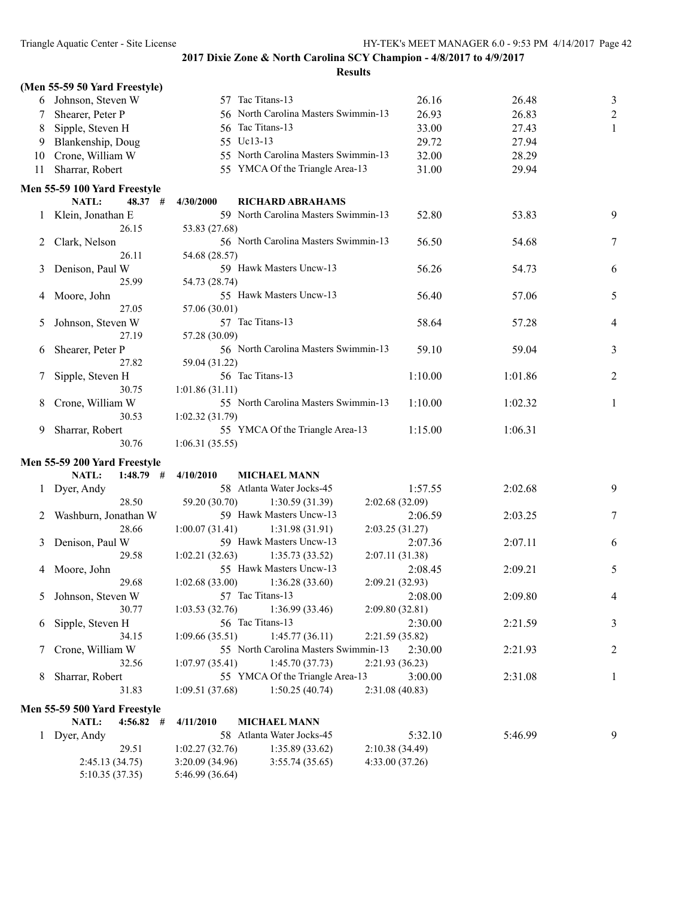|    | (Men 55-59 50 Yard Freestyle) |                  |                                      |                 |                |                |
|----|-------------------------------|------------------|--------------------------------------|-----------------|----------------|----------------|
|    | 6 Johnson, Steven W           | 57 Tac Titans-13 |                                      |                 | 26.16<br>26.48 | 3              |
| 7  | Shearer, Peter P              |                  | 56 North Carolina Masters Swimmin-13 |                 | 26.93<br>26.83 | $\overline{c}$ |
| 8  | Sipple, Steven H              | 56 Tac Titans-13 |                                      |                 | 33.00<br>27.43 | 1              |
| 9  | Blankenship, Doug             | 55 Uc13-13       |                                      |                 | 29.72<br>27.94 |                |
| 10 | Crone, William W              |                  | 55 North Carolina Masters Swimmin-13 |                 | 32.00<br>28.29 |                |
| 11 | Sharrar, Robert               |                  | 55 YMCA Of the Triangle Area-13      |                 | 31.00<br>29.94 |                |
|    | Men 55-59 100 Yard Freestyle  |                  |                                      |                 |                |                |
|    | NATL:<br>48.37#               | 4/30/2000        | <b>RICHARD ABRAHAMS</b>              |                 |                |                |
|    | Klein, Jonathan E             |                  | 59 North Carolina Masters Swimmin-13 |                 | 52.80<br>53.83 | 9              |
|    | 26.15                         | 53.83 (27.68)    |                                      |                 |                |                |
| 2  | Clark, Nelson                 |                  | 56 North Carolina Masters Swimmin-13 |                 | 56.50<br>54.68 | 7              |
|    | 26.11                         | 54.68 (28.57)    |                                      |                 |                |                |
| 3  | Denison, Paul W               |                  | 59 Hawk Masters Uncw-13              |                 | 56.26<br>54.73 | 6              |
|    | 25.99                         | 54.73 (28.74)    |                                      |                 |                |                |
| 4  | Moore, John                   |                  | 55 Hawk Masters Uncw-13              |                 | 57.06<br>56.40 | 5              |
|    | 27.05                         | 57.06 (30.01)    |                                      |                 |                |                |
| 5  | Johnson, Steven W             | 57 Tac Titans-13 |                                      |                 | 58.64<br>57.28 | 4              |
|    | 27.19                         | 57.28 (30.09)    |                                      |                 |                |                |
| 6  | Shearer, Peter P              |                  | 56 North Carolina Masters Swimmin-13 |                 | 59.10<br>59.04 | 3              |
|    | 27.82                         | 59.04 (31.22)    |                                      |                 |                |                |
|    | Sipple, Steven H              | 56 Tac Titans-13 |                                      | 1:10.00         | 1:01.86        | 2              |
|    | 30.75                         | 1:01.86(31.11)   |                                      |                 |                |                |
| 8  | Crone, William W              |                  | 55 North Carolina Masters Swimmin-13 | 1:10.00         | 1:02.32        | 1              |
|    | 30.53                         | 1:02.32(31.79)   |                                      |                 |                |                |
| 9  | Sharrar, Robert               |                  | 55 YMCA Of the Triangle Area-13      | 1:15.00         | 1:06.31        |                |
|    | 30.76                         | 1:06.31(35.55)   |                                      |                 |                |                |
|    | Men 55-59 200 Yard Freestyle  |                  |                                      |                 |                |                |
|    | NATL:<br>$1:48.79$ #          | 4/10/2010        | <b>MICHAEL MANN</b>                  |                 |                |                |
|    | Dyer, Andy                    |                  | 58 Atlanta Water Jocks-45            | 1:57.55         | 2:02.68        | 9              |
|    | 28.50                         | 59.20 (30.70)    | 1:30.59(31.39)                       | 2:02.68 (32.09) |                |                |
| 2  | Washburn, Jonathan W          |                  | 59 Hawk Masters Uncw-13              | 2:06.59         | 2:03.25        | 7              |
|    | 28.66                         | 1:00.07(31.41)   | 1:31.98(31.91)                       | 2:03.25 (31.27) |                |                |
| 3  | Denison, Paul W               |                  | 59 Hawk Masters Uncw-13              | 2:07.36         | 2:07.11        | 6              |
|    | 29.58                         | 1:02.21(32.63)   | 1:35.73(33.52)                       | 2:07.11 (31.38) |                |                |
| 4  | Moore, John                   |                  | 55 Hawk Masters Uncw-13              | 2:08.45         | 2:09.21        | 5              |
|    | 29.68                         | 1:02.68(33.00)   | 1:36.28(33.60)                       | 2:09.21 (32.93) |                |                |
| 5  | Johnson, Steven W             | 57 Tac Titans-13 |                                      | 2:08.00         | 2:09.80        | 4              |
|    | 30.77                         | 1:03.53(32.76)   | 1:36.99(33.46)                       | 2:09.80(32.81)  |                |                |
| 6  | Sipple, Steven H              | 56 Tac Titans-13 |                                      | 2:30.00         | 2:21.59        | 3              |
|    | 34.15                         | 1:09.66(35.51)   | 1:45.77(36.11)                       | 2:21.59 (35.82) |                |                |
| 7  | Crone, William W              |                  | 55 North Carolina Masters Swimmin-13 | 2:30.00         | 2:21.93        | 2              |
|    | 32.56                         | 1:07.97(35.41)   | 1:45.70(37.73)                       | 2:21.93(36.23)  |                |                |
| 8  | Sharrar, Robert               |                  | 55 YMCA Of the Triangle Area-13      | 3:00.00         | 2:31.08        | 1              |
|    | 31.83                         | 1:09.51 (37.68)  | 1:50.25(40.74)                       | 2:31.08 (40.83) |                |                |
|    | Men 55-59 500 Yard Freestyle  |                  |                                      |                 |                |                |
|    | NATL:<br>$4:56.82$ #          | 4/11/2010        | <b>MICHAEL MANN</b>                  |                 |                |                |
| 1  | Dyer, Andy                    |                  | 58 Atlanta Water Jocks-45            | 5:32.10         | 5:46.99        | 9              |
|    | 29.51                         | 1:02.27(32.76)   | 1:35.89(33.62)                       | 2:10.38 (34.49) |                |                |
|    | 2:45.13(34.75)                | 3:20.09 (34.96)  | 3:55.74(35.65)                       | 4:33.00 (37.26) |                |                |
|    | 5:10.35 (37.35)               | 5:46.99 (36.64)  |                                      |                 |                |                |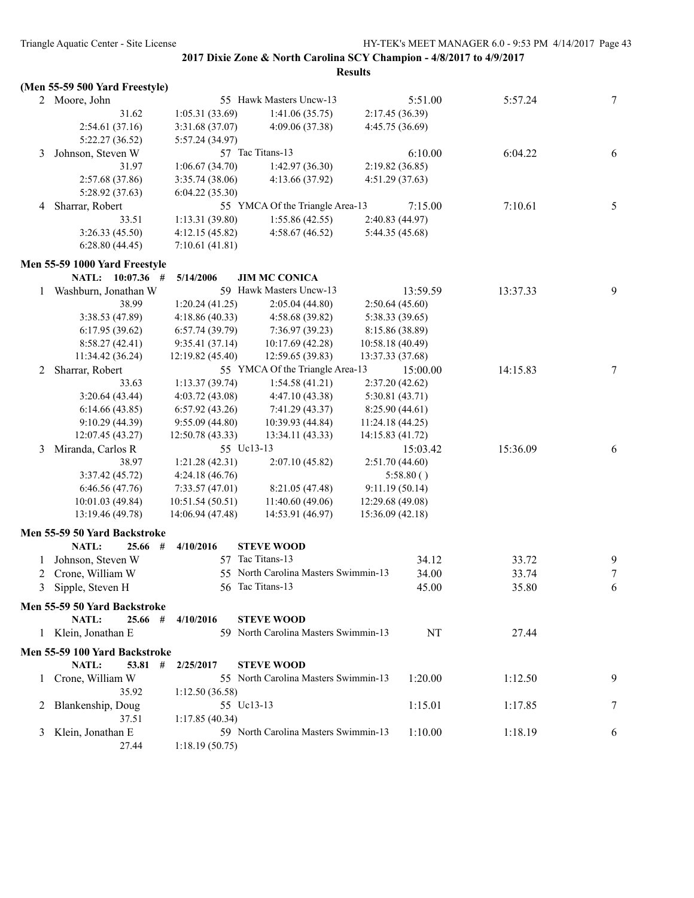|   | (Men 55-59 500 Yard Freestyle) |                  |                                      |                  |          |          |                  |
|---|--------------------------------|------------------|--------------------------------------|------------------|----------|----------|------------------|
|   | 2 Moore, John                  |                  | 55 Hawk Masters Uncw-13              |                  | 5:51.00  | 5:57.24  | 7                |
|   | 31.62                          | 1:05.31(33.69)   | 1:41.06(35.75)                       | 2:17.45 (36.39)  |          |          |                  |
|   | 2:54.61(37.16)                 | 3:31.68 (37.07)  | 4:09.06 (37.38)                      | 4:45.75 (36.69)  |          |          |                  |
|   | 5:22.27 (36.52)                | 5:57.24 (34.97)  |                                      |                  |          |          |                  |
| 3 | Johnson, Steven W              |                  | 57 Tac Titans-13                     |                  | 6:10.00  | 6:04.22  | 6                |
|   | 31.97                          | 1:06.67(34.70)   | 1:42.97(36.30)                       | 2:19.82(36.85)   |          |          |                  |
|   | 2:57.68 (37.86)                | 3:35.74(38.06)   | 4:13.66(37.92)                       | 4:51.29(37.63)   |          |          |                  |
|   | 5:28.92 (37.63)                | 6:04.22(35.30)   |                                      |                  |          |          |                  |
| 4 | Sharrar, Robert                |                  | 55 YMCA Of the Triangle Area-13      |                  | 7:15.00  | 7:10.61  | 5                |
|   | 33.51                          | 1:13.31(39.80)   | 1:55.86(42.55)                       | 2:40.83 (44.97)  |          |          |                  |
|   | 3:26.33(45.50)                 | 4:12.15(45.82)   | 4:58.67(46.52)                       | 5:44.35 (45.68)  |          |          |                  |
|   | 6:28.80(44.45)                 | 7:10.61(41.81)   |                                      |                  |          |          |                  |
|   |                                |                  |                                      |                  |          |          |                  |
|   | Men 55-59 1000 Yard Freestyle  |                  |                                      |                  |          |          |                  |
|   | NATL: 10:07.36 #               | 5/14/2006        | <b>JIM MC CONICA</b>                 |                  |          |          |                  |
| 1 | Washburn, Jonathan W           |                  | 59 Hawk Masters Uncw-13              |                  | 13:59.59 | 13:37.33 | 9                |
|   | 38.99                          | 1:20.24(41.25)   | 2:05.04(44.80)                       | 2:50.64(45.60)   |          |          |                  |
|   | 3:38.53 (47.89)                | 4:18.86(40.33)   | 4:58.68 (39.82)                      | 5:38.33 (39.65)  |          |          |                  |
|   | 6:17.95(39.62)                 | 6:57.74(39.79)   | 7:36.97 (39.23)                      | 8:15.86 (38.89)  |          |          |                  |
|   | 8:58.27(42.41)                 | 9:35.41(37.14)   | 10:17.69(42.28)                      | 10:58.18 (40.49) |          |          |                  |
|   | 11:34.42 (36.24)               | 12:19.82 (45.40) | 12:59.65 (39.83)                     | 13:37.33 (37.68) |          |          |                  |
| 2 | Sharrar, Robert                |                  | 55 YMCA Of the Triangle Area-13      |                  | 15:00.00 | 14:15.83 | 7                |
|   | 33.63                          | 1:13.37(39.74)   | 1:54.58(41.21)                       | 2:37.20(42.62)   |          |          |                  |
|   | 3:20.64(43.44)                 | 4:03.72 (43.08)  | 4:47.10 (43.38)                      | 5:30.81(43.71)   |          |          |                  |
|   | 6:14.66(43.85)                 | 6:57.92(43.26)   | 7:41.29 (43.37)                      | 8:25.90(44.61)   |          |          |                  |
|   | 9:10.29(44.39)                 | 9:55.09(44.80)   | 10:39.93 (44.84)                     | 11:24.18(44.25)  |          |          |                  |
|   | 12:07.45 (43.27)               | 12:50.78 (43.33) | 13:34.11 (43.33)                     | 14:15.83 (41.72) |          |          |                  |
| 3 | Miranda, Carlos R              |                  | 55 Uc13-13                           |                  | 15:03.42 | 15:36.09 | 6                |
|   | 38.97                          | 1:21.28(42.31)   | 2:07.10(45.82)                       | 2:51.70(44.60)   |          |          |                  |
|   | 3:37.42(45.72)                 | 4:24.18(46.76)   |                                      | 5:58.80()        |          |          |                  |
|   | 6:46.56(47.76)                 | 7:33.57(47.01)   | 8:21.05 (47.48)                      | 9:11.19(50.14)   |          |          |                  |
|   | 10:01.03(49.84)                | 10:51.54(50.51)  | 11:40.60(49.06)                      | 12:29.68 (49.08) |          |          |                  |
|   | 13:19.46 (49.78)               | 14:06.94 (47.48) | 14:53.91 (46.97)                     | 15:36.09 (42.18) |          |          |                  |
|   | Men 55-59 50 Yard Backstroke   |                  |                                      |                  |          |          |                  |
|   | NATL:<br>25.66<br>#            | 4/10/2016        | <b>STEVE WOOD</b>                    |                  |          |          |                  |
| 1 | Johnson, Steven W              |                  | 57 Tac Titans-13                     |                  | 34.12    | 33.72    | 9                |
| 2 | Crone, William W               |                  | 55 North Carolina Masters Swimmin-13 |                  | 34.00    | 33.74    | $\boldsymbol{7}$ |
|   | 3 Sipple, Steven H             |                  | 56 Tac Titans-13                     |                  | 45.00    | 35.80    | 6                |
|   | Men 55-59 50 Yard Backstroke   |                  |                                      |                  |          |          |                  |
|   | NATL:<br>25.66#                | 4/10/2016        | <b>STEVE WOOD</b>                    |                  |          |          |                  |
|   | 1 Klein, Jonathan E            |                  | 59 North Carolina Masters Swimmin-13 |                  | NT       | 27.44    |                  |
|   |                                |                  |                                      |                  |          |          |                  |
|   | Men 55-59 100 Yard Backstroke  |                  |                                      |                  |          |          |                  |
|   | NATL:<br>53.81 #               | 2/25/2017        | <b>STEVE WOOD</b>                    |                  |          |          |                  |
| 1 | Crone, William W               |                  | 55 North Carolina Masters Swimmin-13 |                  | 1:20.00  | 1:12.50  | 9                |
|   | 35.92                          | 1:12.50(36.58)   |                                      |                  |          |          |                  |
| 2 | Blankenship, Doug              |                  | 55 Uc13-13                           |                  | 1:15.01  | 1:17.85  | 7                |
|   | 37.51                          | 1:17.85(40.34)   |                                      |                  |          |          |                  |
| 3 | Klein, Jonathan E              |                  | 59 North Carolina Masters Swimmin-13 |                  | 1:10.00  | 1:18.19  | 6                |
|   | 27.44                          | 1:18.19(50.75)   |                                      |                  |          |          |                  |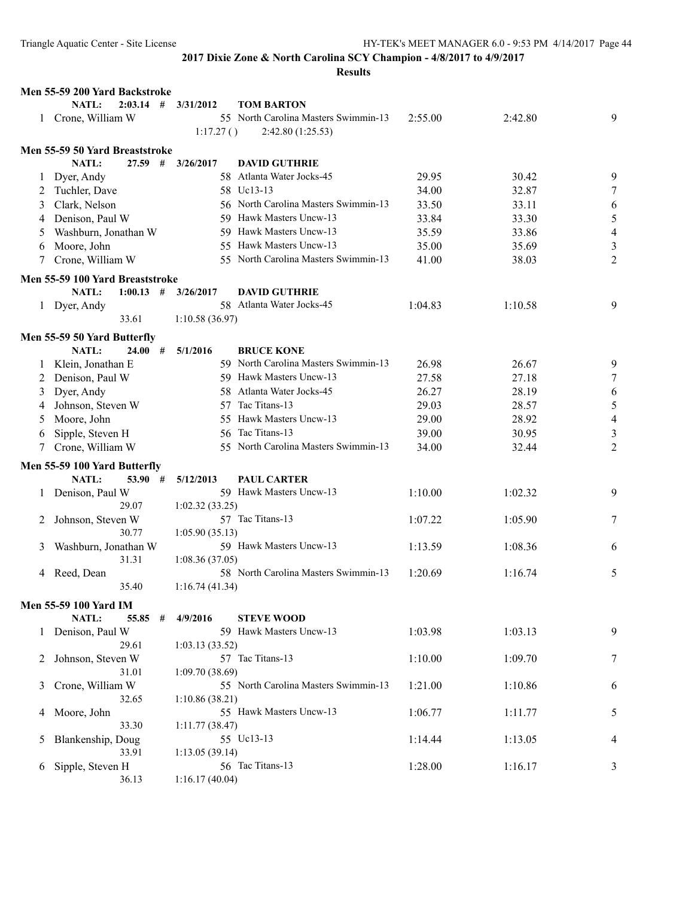|              | Men 55-59 200 Yard Backstroke   |                |                                      |         |         |                          |
|--------------|---------------------------------|----------------|--------------------------------------|---------|---------|--------------------------|
|              | <b>NATL:</b><br>$2:03.14$ #     | 3/31/2012      | <b>TOM BARTON</b>                    |         |         |                          |
| 1            | Crone, William W                |                | 55 North Carolina Masters Swimmin-13 | 2:55.00 | 2:42.80 | 9                        |
|              |                                 | 1:17.27()      | 2:42.80(1:25.53)                     |         |         |                          |
|              | Men 55-59 50 Yard Breaststroke  |                |                                      |         |         |                          |
|              | <b>NATL:</b><br>$27.59$ #       | 3/26/2017      | <b>DAVID GUTHRIE</b>                 |         |         |                          |
|              | Dyer, Andy                      |                | 58 Atlanta Water Jocks-45            | 29.95   | 30.42   | 9                        |
| 2            | Tuchler, Dave                   |                | 58 Uc13-13                           | 34.00   | 32.87   | 7                        |
| 3            | Clark, Nelson                   |                | 56 North Carolina Masters Swimmin-13 | 33.50   | 33.11   | 6                        |
| 4            | Denison, Paul W                 |                | 59 Hawk Masters Uncw-13              | 33.84   | 33.30   | 5                        |
| 5            | Washburn, Jonathan W            |                | 59 Hawk Masters Uncw-13              | 35.59   | 33.86   | $\overline{\mathcal{A}}$ |
|              |                                 |                | 55 Hawk Masters Uncw-13              |         |         |                          |
| 6            | Moore, John                     |                |                                      | 35.00   | 35.69   | $\mathfrak{Z}$           |
|              | Crone, William W                |                | 55 North Carolina Masters Swimmin-13 | 41.00   | 38.03   | 2                        |
|              | Men 55-59 100 Yard Breaststroke |                |                                      |         |         |                          |
|              | NATL:<br>1:00.13<br>#           | 3/26/2017      | <b>DAVID GUTHRIE</b>                 |         |         |                          |
|              | 1 Dyer, Andy                    |                | 58 Atlanta Water Jocks-45            | 1:04.83 | 1:10.58 | 9                        |
|              | 33.61                           | 1:10.58(36.97) |                                      |         |         |                          |
|              | Men 55-59 50 Yard Butterfly     |                |                                      |         |         |                          |
|              | NATL:<br>24.00#                 | 5/1/2016       | <b>BRUCE KONE</b>                    |         |         |                          |
| $\mathbf{I}$ | Klein, Jonathan E               |                | 59 North Carolina Masters Swimmin-13 | 26.98   | 26.67   | 9                        |
| 2            | Denison, Paul W                 |                | 59 Hawk Masters Uncw-13              | 27.58   | 27.18   | 7                        |
| 3            | Dyer, Andy                      |                | 58 Atlanta Water Jocks-45            | 26.27   | 28.19   | 6                        |
| 4            | Johnson, Steven W               |                | 57 Tac Titans-13                     | 29.03   | 28.57   | 5                        |
| 5            | Moore, John                     |                | 55 Hawk Masters Uncw-13              | 29.00   | 28.92   | $\overline{4}$           |
| 6            | Sipple, Steven H                |                | 56 Tac Titans-13                     | 39.00   | 30.95   | 3                        |
|              | Crone, William W                |                | 55 North Carolina Masters Swimmin-13 | 34.00   | 32.44   | $\overline{2}$           |
|              |                                 |                |                                      |         |         |                          |
|              | Men 55-59 100 Yard Butterfly    |                |                                      |         |         |                          |
|              | <b>NATL:</b><br>53.90#          | 5/12/2013      | <b>PAUL CARTER</b>                   |         |         |                          |
|              | Denison, Paul W                 |                | 59 Hawk Masters Uncw-13              | 1:10.00 | 1:02.32 | 9                        |
|              | 29.07                           | 1:02.32(33.25) |                                      |         |         |                          |
| 2            | Johnson, Steven W               |                | 57 Tac Titans-13                     | 1:07.22 | 1:05.90 | 7                        |
|              | 30.77                           | 1:05.90(35.13) |                                      |         |         |                          |
| 3            | Washburn, Jonathan W            |                | 59 Hawk Masters Uncw-13              | 1:13.59 | 1:08.36 | 6                        |
|              | 31.31                           | 1:08.36(37.05) | 58 North Carolina Masters Swimmin-13 |         |         |                          |
| 4            | Reed, Dean<br>35.40             | 1:16.74(41.34) |                                      | 1:20.69 | 1:16.74 | 5                        |
|              |                                 |                |                                      |         |         |                          |
|              | Men 55-59 100 Yard IM           |                |                                      |         |         |                          |
|              | NATL:<br>55.85                  | 4/9/2016<br>#  | <b>STEVE WOOD</b>                    |         |         |                          |
|              | Denison, Paul W                 |                | 59 Hawk Masters Uncw-13              | 1:03.98 | 1:03.13 | 9                        |
|              | 29.61                           | 1:03.13(33.52) |                                      |         |         |                          |
| 2            | Johnson, Steven W               |                | 57 Tac Titans-13                     | 1:10.00 | 1:09.70 | 7                        |
|              | 31.01                           | 1:09.70(38.69) |                                      |         |         |                          |
| 3            | Crone, William W                |                | 55 North Carolina Masters Swimmin-13 | 1:21.00 | 1:10.86 | 6                        |
|              | 32.65                           | 1:10.86(38.21) |                                      |         |         |                          |
| 4            | Moore, John                     |                | 55 Hawk Masters Uncw-13              | 1:06.77 | 1:11.77 | 5                        |
|              | 33.30                           | 1:11.77(38.47) |                                      |         |         |                          |
| 5            | Blankenship, Doug               |                | 55 Uc13-13                           | 1:14.44 | 1:13.05 | 4                        |
|              | 33.91                           | 1:13.05(39.14) |                                      |         |         |                          |
| 6            | Sipple, Steven H                |                | 56 Tac Titans-13                     | 1:28.00 | 1:16.17 | 3                        |
|              | 36.13                           | 1:16.17(40.04) |                                      |         |         |                          |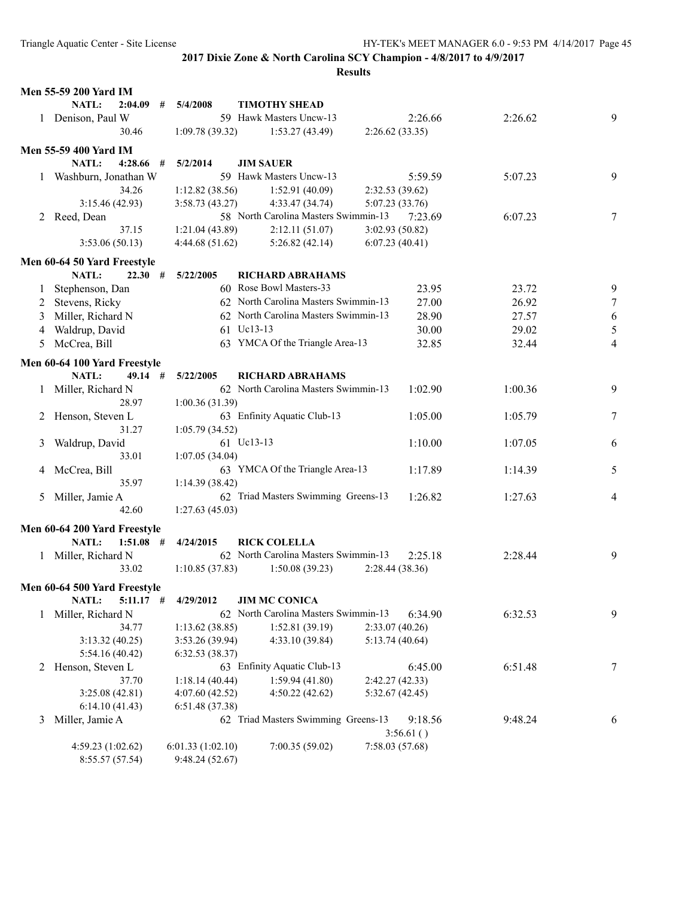|         | <b>Men 55-59 200 Yard IM</b> |                  |                                      |                 |         |         |                |
|---------|------------------------------|------------------|--------------------------------------|-----------------|---------|---------|----------------|
|         | NATL:<br>2:04.09<br>#        | 5/4/2008         | <b>TIMOTHY SHEAD</b>                 |                 |         |         |                |
|         | 1 Denison, Paul W            |                  | 59 Hawk Masters Uncw-13              |                 | 2:26.66 | 2:26.62 | 9              |
|         | 30.46                        | 1:09.78(39.32)   | 1:53.27(43.49)                       | 2:26.62(33.35)  |         |         |                |
|         | <b>Men 55-59 400 Yard IM</b> |                  |                                      |                 |         |         |                |
|         | NATL:<br>4:28.66<br>#        | 5/2/2014         | <b>JIM SAUER</b>                     |                 |         |         |                |
|         | Washburn, Jonathan W         |                  | 59 Hawk Masters Uncw-13              |                 | 5:59.59 | 5:07.23 | 9              |
|         | 34.26                        | 1:12.82(38.56)   | 1:52.91(40.09)                       | 2:32.53(39.62)  |         |         |                |
|         | 3:15.46(42.93)               | 3:58.73(43.27)   | 4:33.47 (34.74)                      | 5:07.23 (33.76) |         |         |                |
|         | 2 Reed, Dean                 |                  | 58 North Carolina Masters Swimmin-13 |                 | 7:23.69 | 6:07.23 | 7              |
|         | 37.15                        | 1:21.04(43.89)   | 2:12.11(51.07)                       | 3:02.93 (50.82) |         |         |                |
|         | 3:53.06(50.13)               | 4:44.68(51.62)   | 5:26.82(42.14)                       | 6:07.23(40.41)  |         |         |                |
|         | Men 60-64 50 Yard Freestyle  |                  |                                      |                 |         |         |                |
|         | NATL:<br>#<br>22.30          | 5/22/2005        | <b>RICHARD ABRAHAMS</b>              |                 |         |         |                |
| $\perp$ | Stephenson, Dan              |                  | 60 Rose Bowl Masters-33              |                 | 23.95   | 23.72   | 9              |
| 2       | Stevens, Ricky               |                  | 62 North Carolina Masters Swimmin-13 |                 | 27.00   | 26.92   | 7              |
| 3       | Miller, Richard N            |                  | 62 North Carolina Masters Swimmin-13 |                 | 28.90   | 27.57   | 6              |
| 4       | Waldrup, David               |                  | 61 Uc13-13                           |                 | 30.00   | 29.02   | 5              |
| 5       | McCrea, Bill                 |                  | 63 YMCA Of the Triangle Area-13      |                 | 32.85   | 32.44   | 4              |
|         |                              |                  |                                      |                 |         |         |                |
|         | Men 60-64 100 Yard Freestyle |                  |                                      |                 |         |         |                |
|         | NATL:<br>49.14#              | 5/22/2005        | RICHARD ABRAHAMS                     |                 |         |         |                |
|         | Miller, Richard N            |                  | 62 North Carolina Masters Swimmin-13 |                 | 1:02.90 | 1:00.36 | 9              |
|         | 28.97                        | 1:00.36(31.39)   |                                      |                 |         |         |                |
|         | Henson, Steven L             |                  | 63 Enfinity Aquatic Club-13          |                 | 1:05.00 | 1:05.79 | 7              |
|         | 31.27                        | 1:05.79(34.52)   |                                      |                 |         |         |                |
| 3       | Waldrup, David               |                  | 61 Uc13-13                           |                 | 1:10.00 | 1:07.05 | 6              |
|         | 33.01                        | 1:07.05(34.04)   |                                      |                 |         |         |                |
| 4       | McCrea, Bill                 |                  | 63 YMCA Of the Triangle Area-13      |                 | 1:17.89 | 1:14.39 | 5              |
|         | 35.97                        | 1:14.39(38.42)   |                                      |                 |         |         |                |
| 5       | Miller, Jamie A              |                  | 62 Triad Masters Swimming Greens-13  |                 | 1:26.82 | 1:27.63 | $\overline{4}$ |
|         | 42.60                        | 1:27.63(45.03)   |                                      |                 |         |         |                |
|         | Men 60-64 200 Yard Freestyle |                  |                                      |                 |         |         |                |
|         | NATL:<br>$1:51.08$ #         | 4/24/2015        | <b>RICK COLELLA</b>                  |                 |         |         |                |
| 1       | Miller, Richard N            |                  | 62 North Carolina Masters Swimmin-13 |                 | 2:25.18 | 2:28.44 | 9              |
|         | 33.02                        | 1:10.85(37.83)   | 1:50.08(39.23)                       | 2:28.44 (38.36) |         |         |                |
|         | Men 60-64 500 Yard Freestyle |                  |                                      |                 |         |         |                |
|         | NATL:<br>$5:11.17$ #         | 4/29/2012        | <b>JIM MC CONICA</b>                 |                 |         |         |                |
| 1       | Miller, Richard N            |                  | 62 North Carolina Masters Swimmin-13 |                 | 6:34.90 | 6:32.53 | 9              |
|         | 34.77                        | 1:13.62(38.85)   | 1:52.81(39.19)                       | 2:33.07(40.26)  |         |         |                |
|         | 3:13.32(40.25)               | 3:53.26 (39.94)  | 4:33.10 (39.84)                      | 5:13.74(40.64)  |         |         |                |
|         | 5:54.16 (40.42)              | 6:32.53(38.37)   |                                      |                 |         |         |                |
| 2       | Henson, Steven L             |                  | 63 Enfinity Aquatic Club-13          |                 | 6:45.00 | 6:51.48 | 7              |
|         | 37.70                        | 1:18.14(40.44)   | 1:59.94(41.80)                       | 2:42.27 (42.33) |         |         |                |
|         | 3:25.08(42.81)               | 4:07.60(42.52)   | 4:50.22(42.62)                       | 5:32.67(42.45)  |         |         |                |
|         | 6:14.10(41.43)               | 6:51.48(37.38)   |                                      |                 |         |         |                |
| 3       | Miller, Jamie A              |                  | 62 Triad Masters Swimming Greens-13  |                 | 9:18.56 | 9:48.24 | 6              |
|         |                              |                  |                                      | 3:56.61()       |         |         |                |
|         | 4:59.23 (1:02.62)            | 6:01.33(1:02.10) | 7:00.35(59.02)                       | 7:58.03(57.68)  |         |         |                |
|         | 8:55.57 (57.54)              | 9:48.24 (52.67)  |                                      |                 |         |         |                |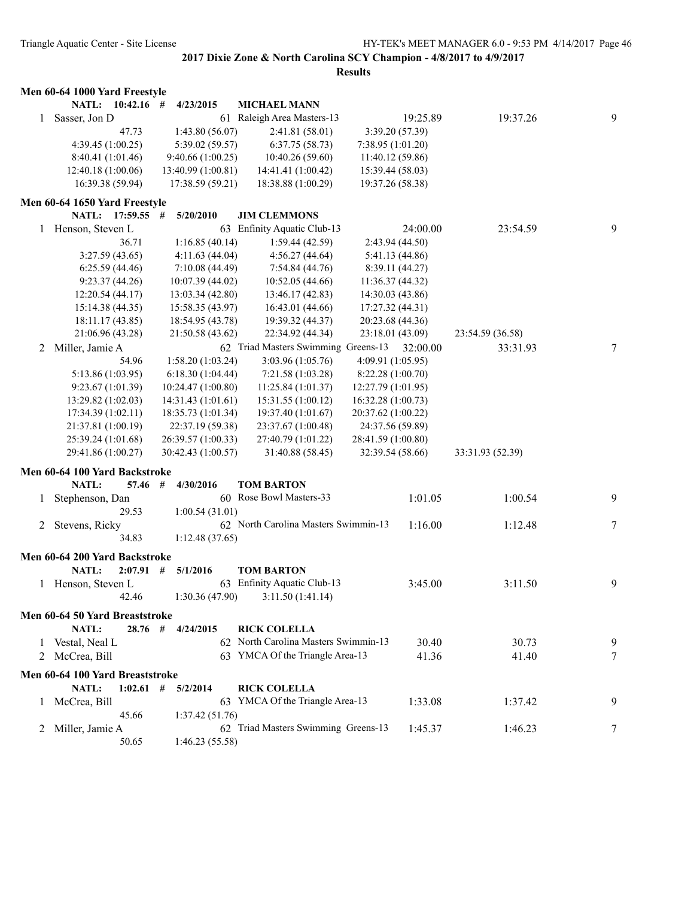|              | Men 60-64 1000 Yard Freestyle   |                    |                                      |                    |                  |   |
|--------------|---------------------------------|--------------------|--------------------------------------|--------------------|------------------|---|
|              | NATL: 10:42.16 #                | 4/23/2015          | <b>MICHAEL MANN</b>                  |                    |                  |   |
| 1            | Sasser, Jon D                   |                    | 61 Raleigh Area Masters-13           | 19:25.89           | 19:37.26         | 9 |
|              | 47.73                           | 1:43.80(56.07)     | 2:41.81 (58.01)                      | 3:39.20 (57.39)    |                  |   |
|              | 4:39.45 (1:00.25)               | 5:39.02 (59.57)    | 6:37.75(58.73)                       | 7:38.95(1:01.20)   |                  |   |
|              | 8:40.41 (1:01.46)               | 9:40.66(1:00.25)   | 10:40.26(59.60)                      | 11:40.12 (59.86)   |                  |   |
|              | 12:40.18 (1:00.06)              | 13:40.99 (1:00.81) | 14:41.41 (1:00.42)                   | 15:39.44 (58.03)   |                  |   |
|              | 16:39.38 (59.94)                | 17:38.59 (59.21)   | 18:38.88 (1:00.29)                   | 19:37.26 (58.38)   |                  |   |
|              | Men 60-64 1650 Yard Freestyle   |                    |                                      |                    |                  |   |
|              | NATL: 17:59.55 #                | 5/20/2010          | <b>JIM CLEMMONS</b>                  |                    |                  |   |
| 1            | Henson, Steven L                |                    | 63 Enfinity Aquatic Club-13          | 24:00.00           | 23:54.59         | 9 |
|              | 36.71                           | 1:16.85(40.14)     | 1:59.44(42.59)                       | 2:43.94(44.50)     |                  |   |
|              | 3:27.59(43.65)                  | 4:11.63(44.04)     | 4:56.27(44.64)                       | 5:41.13 (44.86)    |                  |   |
|              | 6:25.59(44.46)                  | 7:10.08 (44.49)    | 7:54.84(44.76)                       | 8:39.11 (44.27)    |                  |   |
|              | 9:23.37(44.26)                  | 10:07.39 (44.02)   | 10:52.05(44.66)                      | 11:36.37(44.32)    |                  |   |
|              | 12:20.54 (44.17)                | 13:03.34 (42.80)   | 13:46.17 (42.83)                     | 14:30.03 (43.86)   |                  |   |
|              | 15:14.38(44.35)                 | 15:58.35 (43.97)   | 16:43.01 (44.66)                     | 17:27.32 (44.31)   |                  |   |
|              | 18:11.17(43.85)                 | 18:54.95 (43.78)   | 19:39.32 (44.37)                     | 20:23.68 (44.36)   |                  |   |
|              | 21:06.96 (43.28)                | 21:50.58 (43.62)   | 22:34.92 (44.34)                     | 23:18.01 (43.09)   | 23:54.59 (36.58) |   |
| 2            | Miller, Jamie A                 |                    | 62 Triad Masters Swimming Greens-13  | 32:00.00           | 33:31.93         | 7 |
|              | 54.96                           | 1:58.20 (1:03.24)  | 3:03.96(1:05.76)                     | 4:09.91 (1:05.95)  |                  |   |
|              | 5:13.86 (1:03.95)               | 6:18.30(1:04.44)   | 7:21.58 (1:03.28)                    | 8:22.28 (1:00.70)  |                  |   |
|              | 9:23.67(1:01.39)                | 10:24.47 (1:00.80) | 11:25.84(1:01.37)                    | 12:27.79 (1:01.95) |                  |   |
|              | 13:29.82(1:02.03)               | 14:31.43(1:01.61)  | 15:31.55 (1:00.12)                   | 16:32.28 (1:00.73) |                  |   |
|              | 17:34.39(1:02.11)               | 18:35.73 (1:01.34) | 19:37.40 (1:01.67)                   | 20:37.62 (1:00.22) |                  |   |
|              | 21:37.81 (1:00.19)              | 22:37.19 (59.38)   | 23:37.67 (1:00.48)                   | 24:37.56 (59.89)   |                  |   |
|              | 25:39.24 (1:01.68)              | 26:39.57 (1:00.33) | 27:40.79 (1:01.22)                   | 28:41.59 (1:00.80) |                  |   |
|              | 29:41.86 (1:00.27)              | 30:42.43 (1:00.57) | 31:40.88 (58.45)                     | 32:39.54 (58.66)   | 33:31.93 (52.39) |   |
|              |                                 |                    |                                      |                    |                  |   |
|              | Men 60-64 100 Yard Backstroke   |                    |                                      |                    |                  |   |
|              | NATL:<br>57.46                  | $\#$<br>4/30/2016  | <b>TOM BARTON</b>                    |                    |                  |   |
| $\mathbf{1}$ | Stephenson, Dan                 |                    | 60 Rose Bowl Masters-33              | 1:01.05            | 1:00.54          | 9 |
|              | 29.53                           | 1:00.54(31.01)     |                                      |                    |                  |   |
| 2            | Stevens, Ricky                  |                    | 62 North Carolina Masters Swimmin-13 | 1:16.00            | 1:12.48          | 7 |
|              | 34.83                           | 1:12.48(37.65)     |                                      |                    |                  |   |
|              | Men 60-64 200 Yard Backstroke   |                    |                                      |                    |                  |   |
|              | <b>NATL:</b><br>$2:07.91$ #     | 5/1/2016           | <b>TOM BARTON</b>                    |                    |                  |   |
|              | 1 Henson, Steven L              |                    | 63 Enfinity Aquatic Club-13          | 3:45.00            | 3:11.50          | 9 |
|              | 42.46                           |                    | $1:30.36(47.90)$ $3:11.50(1:41.14)$  |                    |                  |   |
|              |                                 |                    |                                      |                    |                  |   |
|              | Men 60-64 50 Yard Breaststroke  |                    |                                      |                    |                  |   |
|              | NATL:<br>$28.76$ #              | 4/24/2015          | <b>RICK COLELLA</b>                  |                    |                  |   |
| $\perp$      | Vestal, Neal L                  |                    | 62 North Carolina Masters Swimmin-13 | 30.40              | 30.73            | 9 |
| 2            | McCrea, Bill                    |                    | 63 YMCA Of the Triangle Area-13      | 41.36              | 41.40            | 7 |
|              | Men 60-64 100 Yard Breaststroke |                    |                                      |                    |                  |   |
|              | NATL:<br>$1:02.61$ #            | 5/2/2014           | <b>RICK COLELLA</b>                  |                    |                  |   |
| $\perp$      | McCrea, Bill                    |                    | 63 YMCA Of the Triangle Area-13      | 1:33.08            | 1:37.42          | 9 |
|              | 45.66                           | 1:37.42(51.76)     |                                      |                    |                  |   |
| 2            | Miller, Jamie A                 |                    | 62 Triad Masters Swimming Greens-13  | 1:45.37            | 1:46.23          | 7 |
|              | 50.65                           | 1:46.23 (55.58)    |                                      |                    |                  |   |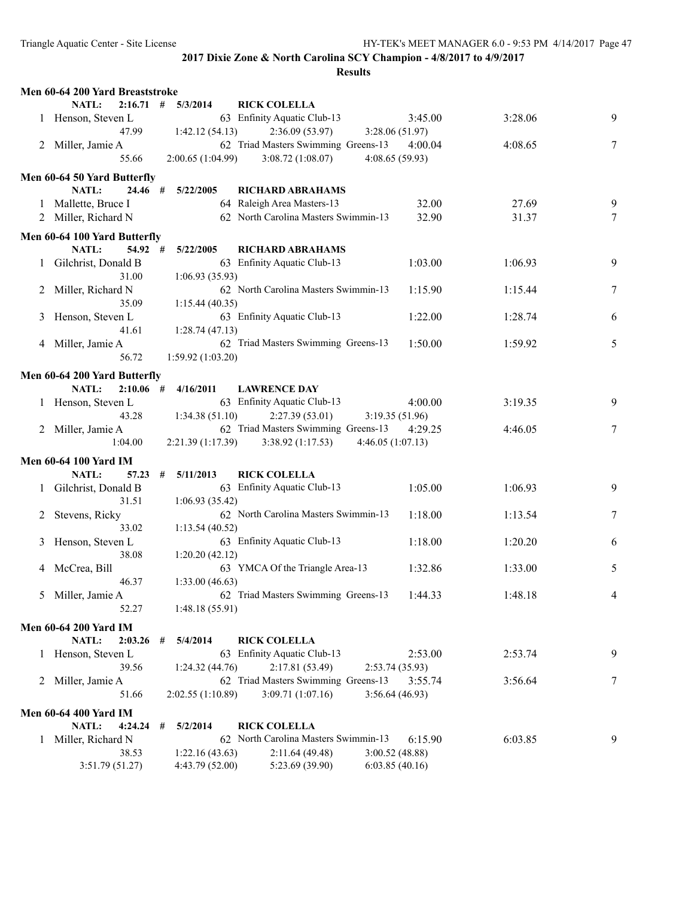|   | Men 60-64 200 Yard Breaststroke |                        |                                             |                  |         |        |
|---|---------------------------------|------------------------|---------------------------------------------|------------------|---------|--------|
|   | NATL:                           | $2:16.71$ # $5/3/2014$ | <b>RICK COLELLA</b>                         |                  |         |        |
|   | 1 Henson, Steven L              |                        | 63 Enfinity Aquatic Club-13                 | 3:45.00          | 3:28.06 | 9      |
|   | 47.99                           | 1:42.12(54.13)         | 2:36.09(53.97)                              | 3:28.06 (51.97)  |         |        |
|   | 2 Miller, Jamie A               |                        | 62 Triad Masters Swimming Greens-13 4:00.04 |                  | 4:08.65 | 7      |
|   | 55.66                           | 2:00.65(1:04.99)       | 3:08.72(1:08.07)                            | 4:08.65(59.93)   |         |        |
|   | Men 60-64 50 Yard Butterfly     |                        |                                             |                  |         |        |
|   | NATL:<br>24.46#                 | 5/22/2005              | <b>RICHARD ABRAHAMS</b>                     |                  |         |        |
|   | 1 Mallette, Bruce I             |                        | 64 Raleigh Area Masters-13                  | 32.00            | 27.69   | 9      |
|   | 2 Miller, Richard N             |                        | 62 North Carolina Masters Swimmin-13        | 32.90            | 31.37   | 7      |
|   |                                 |                        |                                             |                  |         |        |
|   | Men 60-64 100 Yard Butterfly    |                        |                                             |                  |         |        |
|   | NATL:<br>$54.92 +$              | 5/22/2005              | <b>RICHARD ABRAHAMS</b>                     |                  |         |        |
|   | 1 Gilchrist, Donald B           |                        | 63 Enfinity Aquatic Club-13                 | 1:03.00          | 1:06.93 | 9      |
|   | 31.00                           | 1:06.93(35.93)         |                                             |                  |         |        |
|   | 2 Miller, Richard N             |                        | 62 North Carolina Masters Swimmin-13        | 1:15.90          | 1:15.44 | $\tau$ |
|   | 35.09                           | 1:15.44(40.35)         |                                             |                  |         |        |
|   | 3 Henson, Steven L              |                        | 63 Enfinity Aquatic Club-13                 | 1:22.00          | 1:28.74 | 6      |
|   | 41.61                           | 1:28.74(47.13)         |                                             |                  |         |        |
|   | 4 Miller, Jamie A               |                        | 62 Triad Masters Swimming Greens-13         | 1:50.00          | 1:59.92 | 5      |
|   | 56.72                           | 1:59.92 (1:03.20)      |                                             |                  |         |        |
|   | Men 60-64 200 Yard Butterfly    |                        |                                             |                  |         |        |
|   | NATL:<br>$2:10.06$ #            | 4/16/2011              | <b>LAWRENCE DAY</b>                         |                  |         |        |
|   | 1 Henson, Steven L              |                        | 63 Enfinity Aquatic Club-13                 | 4:00.00          | 3:19.35 | 9      |
|   | 43.28                           | 1:34.38(51.10)         | 2:27.39(53.01)                              | 3:19.35 (51.96)  |         |        |
|   | 2 Miller, Jamie A               |                        | 62 Triad Masters Swimming Greens-13         | 4:29.25          | 4:46.05 | 7      |
|   | 1:04.00                         | 2:21.39(1:17.39)       | 3:38.92 (1:17.53)                           | 4:46.05(1:07.13) |         |        |
|   | <b>Men 60-64 100 Yard IM</b>    |                        |                                             |                  |         |        |
|   | NATL:<br>57.23                  | 5/11/2013<br>#         | <b>RICK COLELLA</b>                         |                  |         |        |
|   | 1 Gilchrist, Donald B           |                        | 63 Enfinity Aquatic Club-13                 | 1:05.00          | 1:06.93 | 9      |
|   | 31.51                           | 1:06.93(35.42)         |                                             |                  |         |        |
| 2 | Stevens, Ricky                  |                        | 62 North Carolina Masters Swimmin-13        | 1:18.00          | 1:13.54 | $\tau$ |
|   | 33.02                           | 1:13.54(40.52)         |                                             |                  |         |        |
| 3 | Henson, Steven L                |                        | 63 Enfinity Aquatic Club-13                 | 1:18.00          | 1:20.20 | 6      |
|   | 38.08                           | 1:20.20(42.12)         |                                             |                  |         |        |
|   | 4 McCrea, Bill                  |                        | 63 YMCA Of the Triangle Area-13             | 1:32.86          | 1:33.00 | 5      |
|   | 46.37                           | 1:33.00(46.63)         |                                             |                  |         |        |
|   | 5 Miller, Jamie A               |                        | 62 Triad Masters Swimming Greens-13 1:44.33 |                  | 1:48.18 |        |
|   | 52.27                           | 1:48.18(55.91)         |                                             |                  |         |        |
|   |                                 |                        |                                             |                  |         |        |
|   | <b>Men 60-64 200 Yard IM</b>    |                        |                                             |                  |         |        |
|   | NATL:<br>2:03.26                | 5/4/2014<br>#          | <b>RICK COLELLA</b>                         |                  |         |        |
|   | 1 Henson, Steven L              |                        | 63 Enfinity Aquatic Club-13                 | 2:53.00          | 2:53.74 | 9      |
|   | 39.56                           | 1:24.32(44.76)         | 2:17.81 (53.49)                             | 2:53.74(35.93)   |         |        |
| 2 | Miller, Jamie A                 |                        | 62 Triad Masters Swimming Greens-13         | 3:55.74          | 3:56.64 | 7      |
|   | 51.66                           | 2:02.55(1:10.89)       | 3:09.71(1:07.16)                            | 3:56.64(46.93)   |         |        |
|   | <b>Men 60-64 400 Yard IM</b>    |                        |                                             |                  |         |        |
|   | NATL:<br>4:24.24                | 5/2/2014<br>#          | <b>RICK COLELLA</b>                         |                  |         |        |
| 1 | Miller, Richard N               |                        | 62 North Carolina Masters Swimmin-13        | 6:15.90          | 6:03.85 | 9      |
|   | 38.53                           | 1:22.16(43.63)         | 2:11.64(49.48)                              | 3:00.52(48.88)   |         |        |
|   | 3:51.79 (51.27)                 | 4:43.79 (52.00)        | 5:23.69 (39.90)                             | 6:03.85(40.16)   |         |        |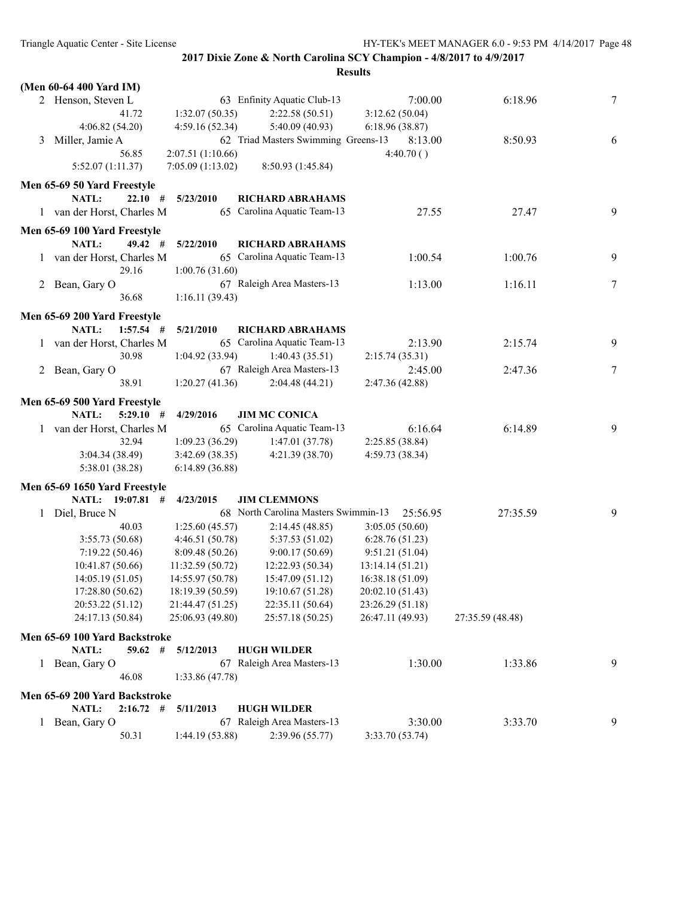|         | (Men 60-64 400 Yard IM)       |                   |                                      |                  |                  |   |
|---------|-------------------------------|-------------------|--------------------------------------|------------------|------------------|---|
|         | 2 Henson, Steven L            |                   | 63 Enfinity Aquatic Club-13          | 7:00.00          | 6:18.96          | 7 |
|         | 41.72                         | 1:32.07(50.35)    | 2:22.58(50.51)                       | 3:12.62(50.04)   |                  |   |
|         | 4:06.82(54.20)                | 4:59.16(52.34)    | 5:40.09(40.93)                       | 6:18.96(38.87)   |                  |   |
| 3       | Miller, Jamie A               |                   | 62 Triad Masters Swimming Greens-13  | 8:13.00          | 8:50.93          | 6 |
|         | 56.85                         | 2:07.51 (1:10.66) |                                      | 4:40.70()        |                  |   |
|         | 5:52.07(1:11.37)              | 7:05.09(1:13.02)  | 8:50.93 (1:45.84)                    |                  |                  |   |
|         | Men 65-69 50 Yard Freestyle   |                   |                                      |                  |                  |   |
|         | <b>NATL:</b><br>22.10#        | 5/23/2010         | <b>RICHARD ABRAHAMS</b>              |                  |                  |   |
|         | 1 van der Horst, Charles M    |                   | 65 Carolina Aquatic Team-13          | 27.55            | 27.47            | 9 |
|         |                               |                   |                                      |                  |                  |   |
|         | Men 65-69 100 Yard Freestyle  |                   |                                      |                  |                  |   |
|         | NATL:<br>49.42#               | 5/22/2010         | <b>RICHARD ABRAHAMS</b>              |                  |                  |   |
|         | 1 van der Horst, Charles M    |                   | 65 Carolina Aquatic Team-13          | 1:00.54          | 1:00.76          | 9 |
|         | 29.16                         | 1:00.76(31.60)    |                                      |                  |                  |   |
|         | 2 Bean, Gary O                |                   | 67 Raleigh Area Masters-13           | 1:13.00          | 1:16.11          | 7 |
|         | 36.68                         | 1:16.11(39.43)    |                                      |                  |                  |   |
|         | Men 65-69 200 Yard Freestyle  |                   |                                      |                  |                  |   |
|         | NATL:<br>$1:57.54$ #          | 5/21/2010         | <b>RICHARD ABRAHAMS</b>              |                  |                  |   |
|         | 1 van der Horst, Charles M    |                   | 65 Carolina Aquatic Team-13          | 2:13.90          | 2:15.74          | 9 |
|         | 30.98                         | 1:04.92(33.94)    | 1:40.43(35.51)                       | 2:15.74(35.31)   |                  |   |
| 2       | Bean, Gary O                  |                   | 67 Raleigh Area Masters-13           | 2:45.00          | 2:47.36          | 7 |
|         | 38.91                         | 1:20.27(41.36)    | 2:04.48(44.21)                       | 2:47.36 (42.88)  |                  |   |
|         |                               |                   |                                      |                  |                  |   |
|         | Men 65-69 500 Yard Freestyle  |                   |                                      |                  |                  |   |
|         | NATL:<br>$5:29.10$ #          | 4/29/2016         | <b>JIM MC CONICA</b>                 |                  |                  |   |
|         | 1 van der Horst, Charles M    |                   | 65 Carolina Aquatic Team-13          | 6:16.64          | 6:14.89          | 9 |
|         | 32.94                         | 1:09.23(36.29)    | 1:47.01(37.78)                       | 2:25.85 (38.84)  |                  |   |
|         | 3:04.34 (38.49)               | 3:42.69(38.35)    | 4:21.39 (38.70)                      | 4:59.73 (38.34)  |                  |   |
|         | 5:38.01 (38.28)               | 6:14.89(36.88)    |                                      |                  |                  |   |
|         | Men 65-69 1650 Yard Freestyle |                   |                                      |                  |                  |   |
|         | NATL: 19:07.81 #              | 4/23/2015         | <b>JIM CLEMMONS</b>                  |                  |                  |   |
|         | 1 Diel, Bruce N               |                   | 68 North Carolina Masters Swimmin-13 | 25:56.95         | 27:35.59         | 9 |
|         | 40.03                         | 1:25.60(45.57)    | 2:14.45(48.85)                       | 3:05.05(50.60)   |                  |   |
|         | 3:55.73(50.68)                | 4:46.51(50.78)    | 5:37.53 (51.02)                      | 6:28.76(51.23)   |                  |   |
|         | 7:19.22(50.46)                | 8:09.48(50.26)    | 9:00.17(50.69)                       | 9:51.21(51.04)   |                  |   |
|         | 10:41.87 (50.66)              | 11:32.59(50.72)   | 12:22.93 (50.34)                     | 13:14.14(51.21)  |                  |   |
|         | 14:05.19 (51.05)              | 14:55.97 (50.78)  | 15:47.09 (51.12)                     | 16:38.18 (51.09) |                  |   |
|         | 17:28.80 (50.62)              | 18:19.39 (50.59)  | 19:10.67 (51.28)                     | 20:02.10 (51.43) |                  |   |
|         | 20:53.22 (51.12)              | 21:44.47 (51.25)  | 22:35.11 (50.64)                     | 23:26.29 (51.18) |                  |   |
|         | 24:17.13 (50.84)              | 25:06.93 (49.80)  | 25:57.18 (50.25)                     | 26:47.11 (49.93) | 27:35.59 (48.48) |   |
|         |                               |                   |                                      |                  |                  |   |
|         | Men 65-69 100 Yard Backstroke |                   |                                      |                  |                  |   |
|         | NATL:<br>59.62                | #<br>5/12/2013    | <b>HUGH WILDER</b>                   |                  |                  |   |
|         | 1 Bean, Gary O                |                   | 67 Raleigh Area Masters-13           | 1:30.00          | 1:33.86          | 9 |
|         | 46.08                         | 1:33.86(47.78)    |                                      |                  |                  |   |
|         | Men 65-69 200 Yard Backstroke |                   |                                      |                  |                  |   |
|         | NATL:<br>$2:16.72$ #          | 5/11/2013         | <b>HUGH WILDER</b>                   |                  |                  |   |
| $\perp$ | Bean, Gary O                  |                   | 67 Raleigh Area Masters-13           | 3:30.00          | 3:33.70          | 9 |
|         | 50.31                         | 1:44.19 (53.88)   | 2:39.96 (55.77)                      | 3:33.70 (53.74)  |                  |   |
|         |                               |                   |                                      |                  |                  |   |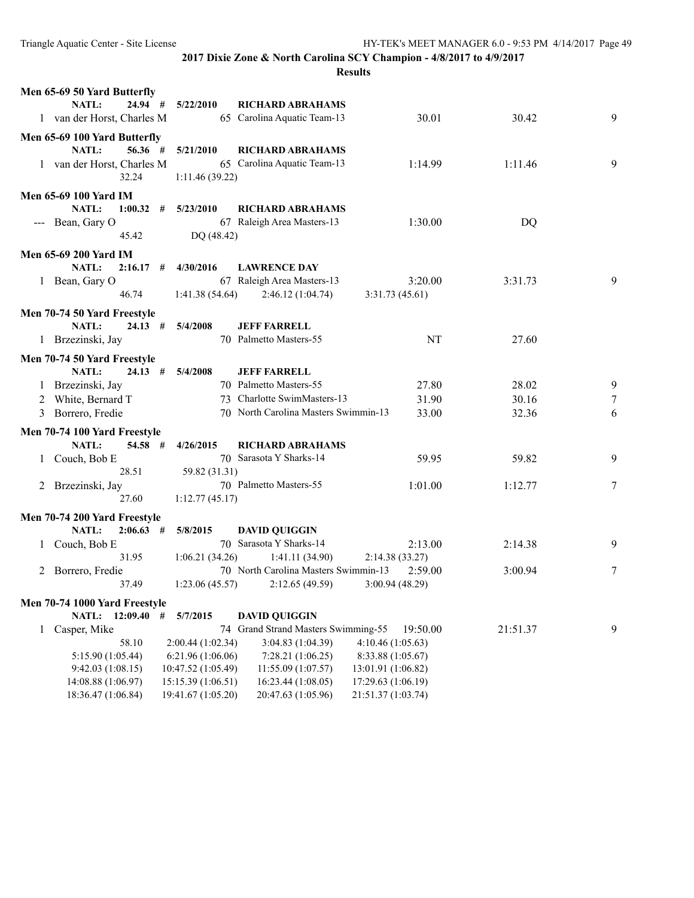| Men 65-69 50 Yard Butterfly                          |                                         |                                                                                    |          |   |
|------------------------------------------------------|-----------------------------------------|------------------------------------------------------------------------------------|----------|---|
| <b>NATL:</b><br>24.94 #                              | 5/22/2010                               | <b>RICHARD ABRAHAMS</b>                                                            |          |   |
| 1 van der Horst, Charles M                           |                                         | 65 Carolina Aquatic Team-13<br>30.01                                               | 30.42    | 9 |
| Men 65-69 100 Yard Butterfly                         |                                         |                                                                                    |          |   |
| 56.36#<br><b>NATL:</b>                               | 5/21/2010                               | <b>RICHARD ABRAHAMS</b>                                                            |          |   |
| 1 van der Horst, Charles M                           |                                         | 65 Carolina Aquatic Team-13<br>1:14.99                                             | 1:11.46  | 9 |
| 32.24                                                | 1:11.46(39.22)                          |                                                                                    |          |   |
| <b>Men 65-69 100 Yard IM</b>                         |                                         |                                                                                    |          |   |
| NATL:<br>1:00.32                                     | #<br>5/23/2010                          | <b>RICHARD ABRAHAMS</b>                                                            |          |   |
| --- Bean, Gary O                                     |                                         | 67 Raleigh Area Masters-13<br>1:30.00                                              | DQ       |   |
| 45.42                                                | DQ (48.42)                              |                                                                                    |          |   |
|                                                      |                                         |                                                                                    |          |   |
| <b>Men 65-69 200 Yard IM</b>                         |                                         |                                                                                    |          |   |
| NATL:<br>2:16.17                                     | 4/30/2016<br>#                          | <b>LAWRENCE DAY</b>                                                                |          |   |
| 1 Bean, Gary O<br>46.74                              |                                         | 67 Raleigh Area Masters-13<br>3:20.00                                              | 3:31.73  | 9 |
|                                                      | 1:41.38(54.64)                          | 2:46.12(1:04.74)<br>3:31.73(45.61)                                                 |          |   |
| Men 70-74 50 Yard Freestyle                          |                                         |                                                                                    |          |   |
| NATL:<br>24.13#                                      | 5/4/2008                                | <b>JEFF FARRELL</b>                                                                |          |   |
| 1 Brzezinski, Jay                                    |                                         | 70 Palmetto Masters-55<br>NT                                                       | 27.60    |   |
| Men 70-74 50 Yard Freestyle                          |                                         |                                                                                    |          |   |
| <b>NATL:</b><br>24.13#                               | 5/4/2008                                | <b>JEFF FARRELL</b>                                                                |          |   |
| 1 Brzezinski, Jay                                    |                                         | 70 Palmetto Masters-55<br>27.80                                                    | 28.02    | 9 |
| 2 White, Bernard T                                   |                                         | 73 Charlotte SwimMasters-13<br>31.90                                               | 30.16    | 7 |
| Borrero, Fredie<br>3                                 |                                         | 70 North Carolina Masters Swimmin-13<br>33.00                                      | 32.36    | 6 |
| Men 70-74 100 Yard Freestyle                         |                                         |                                                                                    |          |   |
| <b>NATL:</b><br>54.58 #                              | 4/26/2015                               | <b>RICHARD ABRAHAMS</b>                                                            |          |   |
| Couch, Bob E<br>$\mathbf{1}$                         |                                         | 70 Sarasota Y Sharks-14<br>59.95                                                   | 59.82    | 9 |
| 28.51                                                | 59.82 (31.31)                           |                                                                                    |          |   |
| 2 Brzezinski, Jay                                    |                                         | 70 Palmetto Masters-55<br>1:01.00                                                  | 1:12.77  | 7 |
| 27.60                                                | 1:12.77(45.17)                          |                                                                                    |          |   |
|                                                      |                                         |                                                                                    |          |   |
| Men 70-74 200 Yard Freestyle<br>NATL:<br>$2:06.63$ # | 5/8/2015                                | <b>DAVID QUIGGIN</b>                                                               |          |   |
| Couch, Bob E<br>$\mathbf{I}$                         |                                         | 70 Sarasota Y Sharks-14<br>2:13.00                                                 | 2:14.38  | 9 |
| 31.95                                                | 1:06.21(34.26)                          | 1:41.11(34.90)<br>2:14.38(33.27)                                                   |          |   |
| Borrero, Fredie<br>2                                 |                                         | 70 North Carolina Masters Swimmin-13<br>2:59.00                                    | 3:00.94  | 7 |
| 37.49                                                | 1:23.06(45.57)                          | 2:12.65 (49.59)<br>3:00.94(48.29)                                                  |          |   |
|                                                      |                                         |                                                                                    |          |   |
| Men 70-74 1000 Yard Freestyle                        |                                         |                                                                                    |          |   |
| NATL: 12:09.40 #                                     | 5/7/2015                                | <b>DAVID QUIGGIN</b>                                                               |          |   |
| Casper, Mike<br>1                                    |                                         | 74 Grand Strand Masters Swimming-55<br>19:50.00                                    | 21:51.37 | 9 |
| 58.10                                                | 2:00.44 (1:02.34)                       | 3:04.83 (1:04.39)<br>4:10.46(1:05.63)                                              |          |   |
| 5:15.90 (1:05.44)<br>9:42.03(1:08.15)                | 6:21.96 (1:06.06)<br>10:47.52 (1:05.49) | 7:28.21 (1:06.25)<br>8:33.88 (1:05.67)<br>11:55.09 (1:07.57)<br>13:01.91 (1:06.82) |          |   |
| 14:08.88 (1:06.97)                                   | 15:15.39 (1:06.51)                      | 16:23.44 (1:08.05)<br>17:29.63 (1:06.19)                                           |          |   |
| 18:36.47 (1:06.84)                                   | 19:41.67 (1:05.20)                      | 20:47.63 (1:05.96)<br>21:51.37 (1:03.74)                                           |          |   |
|                                                      |                                         |                                                                                    |          |   |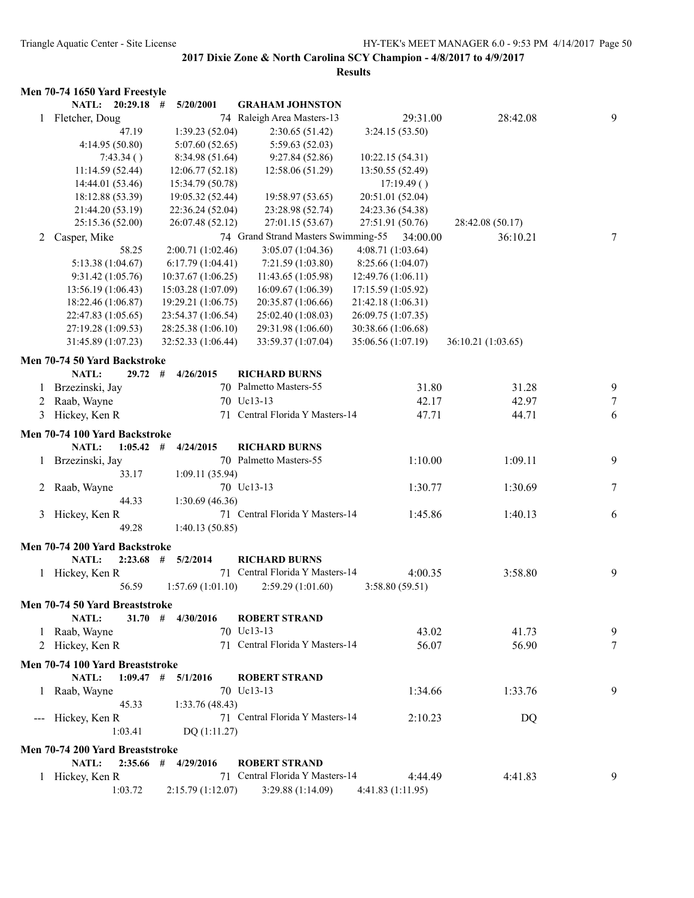|   | Men 70-74 1650 Yard Freestyle   |                          |                                     |                    |                    |        |
|---|---------------------------------|--------------------------|-------------------------------------|--------------------|--------------------|--------|
|   | NATL: 20:29.18                  | 5/20/2001<br>#           | <b>GRAHAM JOHNSTON</b>              |                    |                    |        |
|   | 1 Fletcher, Doug                |                          | 74 Raleigh Area Masters-13          | 29:31.00           | 28:42.08           | 9      |
|   | 47.19                           | 1:39.23(52.04)           | 2:30.65(51.42)                      | 3:24.15(53.50)     |                    |        |
|   | 4:14.95 (50.80)                 | 5:07.60(52.65)           | 5:59.63 (52.03)                     |                    |                    |        |
|   | 7:43.34()                       | 8:34.98(51.64)           | 9:27.84(52.86)                      | 10:22.15 (54.31)   |                    |        |
|   | 11:14.59(52.44)                 | 12:06.77(52.18)          | 12:58.06 (51.29)                    | 13:50.55 (52.49)   |                    |        |
|   | 14:44.01 (53.46)                | 15:34.79 (50.78)         |                                     | 17:19.49()         |                    |        |
|   | 18:12.88 (53.39)                | 19:05.32 (52.44)         | 19:58.97 (53.65)                    | 20:51.01 (52.04)   |                    |        |
|   | 21:44.20 (53.19)                | 22:36.24 (52.04)         | 23:28.98 (52.74)                    | 24:23.36 (54.38)   |                    |        |
|   | 25:15.36 (52.00)                | 26:07.48 (52.12)         | 27:01.15 (53.67)                    | 27:51.91 (50.76)   | 28:42.08 (50.17)   |        |
| 2 | Casper, Mike                    |                          | 74 Grand Strand Masters Swimming-55 | 34:00.00           | 36:10.21           | 7      |
|   | 58.25                           | 2:00.71 (1:02.46)        | 3:05.07 (1:04.36)                   | 4:08.71 (1:03.64)  |                    |        |
|   | 5:13.38 (1:04.67)               | 6:17.79(1:04.41)         | 7:21.59(1:03.80)                    | 8:25.66(1:04.07)   |                    |        |
|   | 9:31.42(1:05.76)                | 10:37.67(1:06.25)        | 11:43.65 (1:05.98)                  | 12:49.76(1:06.11)  |                    |        |
|   | 13:56.19(1:06.43)               | 15:03.28 (1:07.09)       | 16:09.67(1:06.39)                   | 17:15.59 (1:05.92) |                    |        |
|   | 18:22.46 (1:06.87)              | 19:29.21 (1:06.75)       | 20:35.87 (1:06.66)                  | 21:42.18 (1:06.31) |                    |        |
|   | 22:47.83 (1:05.65)              | 23:54.37 (1:06.54)       | 25:02.40 (1:08.03)                  | 26:09.75 (1:07.35) |                    |        |
|   | 27:19.28 (1:09.53)              | 28:25.38 (1:06.10)       | 29:31.98 (1:06.60)                  | 30:38.66 (1:06.68) |                    |        |
|   | 31:45.89 (1:07.23)              | 32:52.33 (1:06.44)       | 33:59.37 (1:07.04)                  | 35:06.56 (1:07.19) | 36:10.21 (1:03.65) |        |
|   |                                 |                          |                                     |                    |                    |        |
|   | Men 70-74 50 Yard Backstroke    |                          |                                     |                    |                    |        |
|   | NATL:                           | 29.72<br>#<br>4/26/2015  | <b>RICHARD BURNS</b>                |                    |                    |        |
| 1 | Brzezinski, Jay                 |                          | 70 Palmetto Masters-55              | 31.80              | 31.28              | 9      |
| 2 | Raab, Wayne                     |                          | 70 Uc13-13                          | 42.17              | 42.97              | $\tau$ |
| 3 | Hickey, Ken R                   | 71                       | Central Florida Y Masters-14        | 47.71              | 44.71              | 6      |
|   | Men 70-74 100 Yard Backstroke   |                          |                                     |                    |                    |        |
|   | NATL:                           | $1:05.42$ #<br>4/24/2015 | <b>RICHARD BURNS</b>                |                    |                    |        |
| 1 | Brzezinski, Jay                 |                          | 70 Palmetto Masters-55              | 1:10.00            | 1:09.11            | 9      |
|   | 33.17                           | 1:09.11(35.94)           |                                     |                    |                    |        |
| 2 | Raab, Wayne                     |                          | 70 Uc13-13                          | 1:30.77            | 1:30.69            | 7      |
|   | 44.33                           | 1:30.69(46.36)           |                                     |                    |                    |        |
| 3 | Hickey, Ken R                   |                          | 71 Central Florida Y Masters-14     | 1:45.86            | 1:40.13            | 6      |
|   | 49.28                           | 1:40.13(50.85)           |                                     |                    |                    |        |
|   |                                 |                          |                                     |                    |                    |        |
|   | Men 70-74 200 Yard Backstroke   |                          |                                     |                    |                    |        |
|   | NATL:<br>2:23.68                | #<br>5/2/2014            | <b>RICHARD BURNS</b>                |                    |                    |        |
|   | 1 Hickey, Ken R                 |                          | 71 Central Florida Y Masters-14     | 4:00.35            | 3:58.80            | 9      |
|   | 56.59                           | 1:57.69(1:01.10)         | 2:59.29(1:01.60)                    | 3:58.80(59.51)     |                    |        |
|   | Men 70-74 50 Yard Breaststroke  |                          |                                     |                    |                    |        |
|   | NATL:                           | 31.70#<br>4/30/2016      | <b>ROBERT STRAND</b>                |                    |                    |        |
|   | Raab, Wayne                     |                          | 70 Uc13-13                          | 43.02              | 41.73              | 9      |
|   | 2 Hickey, Ken R                 |                          | 71 Central Florida Y Masters-14     | 56.07              | 56.90              | $\tau$ |
|   |                                 |                          |                                     |                    |                    |        |
|   | Men 70-74 100 Yard Breaststroke |                          |                                     |                    |                    |        |
|   | NATL:                           | $1:09.47$ #<br>5/1/2016  | <b>ROBERT STRAND</b>                |                    |                    |        |
|   | 1 Raab, Wayne                   |                          | 70 Uc13-13                          | 1:34.66            | 1:33.76            | 9      |
|   | 45.33                           | 1:33.76(48.43)           |                                     |                    |                    |        |
|   | --- Hickey, Ken R               |                          | 71 Central Florida Y Masters-14     | 2:10.23            | DQ                 |        |
|   | 1:03.41                         | DQ(1:11.27)              |                                     |                    |                    |        |
|   | Men 70-74 200 Yard Breaststroke |                          |                                     |                    |                    |        |
|   | NATL:<br>2:35.66                | #<br>4/29/2016           | <b>ROBERT STRAND</b>                |                    |                    |        |
|   | 1 Hickey, Ken R                 |                          | 71 Central Florida Y Masters-14     | 4:44.49            | 4:41.83            | 9      |
|   | 1:03.72                         | 2:15.79(1:12.07)         | 3:29.88 (1:14.09)                   | 4:41.83 (1:11.95)  |                    |        |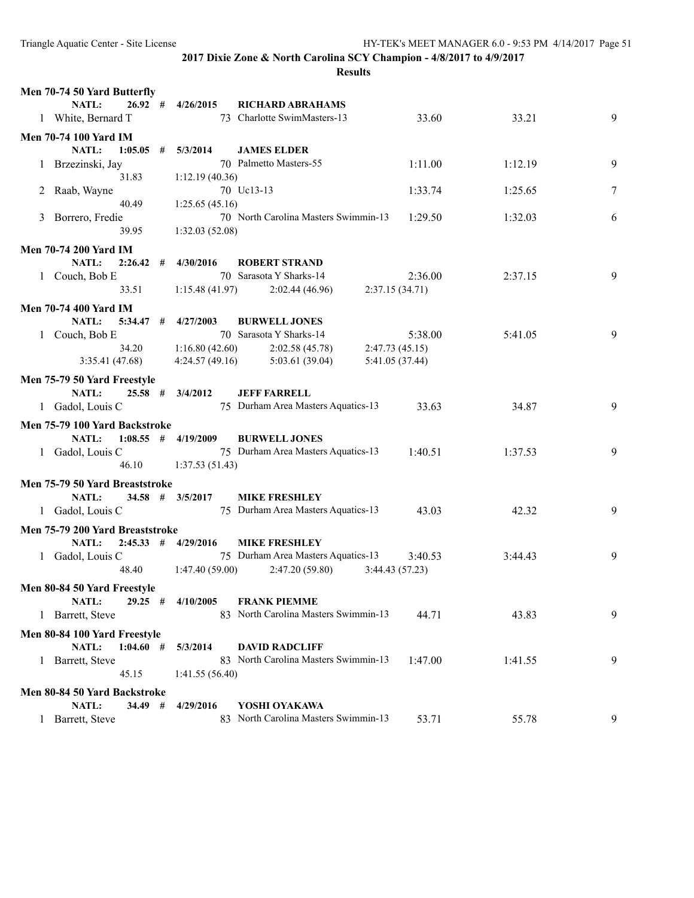| Men 70-74 50 Yard Butterfly     |   |                         |                                      |                 |         |   |
|---------------------------------|---|-------------------------|--------------------------------------|-----------------|---------|---|
| <b>NATL:</b><br>26.92#          |   | 4/26/2015               | <b>RICHARD ABRAHAMS</b>              |                 |         |   |
| 1 White, Bernard T              |   |                         | 73 Charlotte SwimMasters-13          | 33.60           | 33.21   | 9 |
| <b>Men 70-74 100 Yard IM</b>    |   |                         |                                      |                 |         |   |
| <b>NATL:</b><br>1:05.05         | # | 5/3/2014                | <b>JAMES ELDER</b>                   |                 |         |   |
| 1 Brzezinski, Jay               |   |                         | 70 Palmetto Masters-55               | 1:11.00         | 1:12.19 | 9 |
| 31.83                           |   | 1:12.19(40.36)          |                                      |                 |         |   |
| Raab, Wayne                     |   |                         | 70 Uc13-13                           | 1:33.74         | 1:25.65 | 7 |
| 40.49                           |   | 1:25.65(45.16)          |                                      |                 |         |   |
| Borrero, Fredie<br>3            |   |                         | 70 North Carolina Masters Swimmin-13 | 1:29.50         | 1:32.03 | 6 |
| 39.95                           |   | 1:32.03(52.08)          |                                      |                 |         |   |
| <b>Men 70-74 200 Yard IM</b>    |   |                         |                                      |                 |         |   |
| NATL:<br>2:26.42                | # | 4/30/2016               | <b>ROBERT STRAND</b>                 |                 |         |   |
| 1 Couch, Bob E                  |   |                         | 70 Sarasota Y Sharks-14              | 2:36.00         | 2:37.15 | 9 |
| 33.51                           |   | 1:15.48(41.97)          | 2:02.44(46.96)                       | 2:37.15(34.71)  |         |   |
| <b>Men 70-74 400 Yard IM</b>    |   |                         |                                      |                 |         |   |
| NATL:<br>$5:34.47$ #            |   | 4/27/2003               | <b>BURWELL JONES</b>                 |                 |         |   |
| Couch, Bob E<br>1               |   |                         | 70 Sarasota Y Sharks-14              | 5:38.00         | 5:41.05 | 9 |
| 34.20                           |   | 1:16.80(42.60)          | 2:02.58(45.78)                       | 2:47.73(45.15)  |         |   |
| 3:35.41(47.68)                  |   | 4:24.57(49.16)          | 5:03.61(39.04)                       | 5:41.05 (37.44) |         |   |
| Men 75-79 50 Yard Freestyle     |   |                         |                                      |                 |         |   |
| <b>NATL:</b><br>$25.58$ #       |   | 3/4/2012                | <b>JEFF FARRELL</b>                  |                 |         |   |
| 1 Gadol, Louis C                |   |                         | 75 Durham Area Masters Aquatics-13   | 33.63           | 34.87   | 9 |
| Men 75-79 100 Yard Backstroke   |   |                         |                                      |                 |         |   |
| $1:08.55$ #<br>NATL:            |   | 4/19/2009               | <b>BURWELL JONES</b>                 |                 |         |   |
| 1 Gadol, Louis C                |   |                         | 75 Durham Area Masters Aquatics-13   | 1:40.51         | 1:37.53 | 9 |
| 46.10                           |   | 1:37.53(51.43)          |                                      |                 |         |   |
|                                 |   |                         |                                      |                 |         |   |
| Men 75-79 50 Yard Breaststroke  |   |                         |                                      |                 |         |   |
| <b>NATL:</b><br>$34.58$ #       |   | 3/5/2017                | <b>MIKE FRESHLEY</b>                 | 43.03           | 42.32   | 9 |
| 1 Gadol, Louis C                |   |                         | 75 Durham Area Masters Aquatics-13   |                 |         |   |
| Men 75-79 200 Yard Breaststroke |   |                         |                                      |                 |         |   |
| NATL:                           |   | $2:45.33$ # $4/29/2016$ | <b>MIKE FRESHLEY</b>                 |                 |         |   |
| 1 Gadol, Louis C                |   |                         | 75 Durham Area Masters Aquatics-13   | 3:40.53         | 3:44.43 | 9 |
| 48.40                           |   | 1:47.40(59.00)          | 2:47.20(59.80)                       | 3:44.43(57.23)  |         |   |
| Men 80-84 50 Yard Freestyle     |   |                         |                                      |                 |         |   |
| NATL:<br>$29.25$ #              |   | 4/10/2005               | <b>FRANK PIEMME</b>                  |                 |         |   |
| Barrett, Steve<br>$\perp$       |   |                         | 83 North Carolina Masters Swimmin-13 | 44.71           | 43.83   | 9 |
| Men 80-84 100 Yard Freestyle    |   |                         |                                      |                 |         |   |
| 1:04.60#<br><b>NATL:</b>        |   | 5/3/2014                | <b>DAVID RADCLIFF</b>                |                 |         |   |
| 1 Barrett, Steve                |   |                         | 83 North Carolina Masters Swimmin-13 | 1:47.00         | 1:41.55 | 9 |
| 45.15                           |   | 1:41.55(56.40)          |                                      |                 |         |   |
| Men 80-84 50 Yard Backstroke    |   |                         |                                      |                 |         |   |
| NATL:<br>34.49 #                |   | 4/29/2016               | YOSHI OYAKAWA                        |                 |         |   |
| Barrett, Steve<br>1             |   | 83                      | North Carolina Masters Swimmin-13    | 53.71           | 55.78   | 9 |
|                                 |   |                         |                                      |                 |         |   |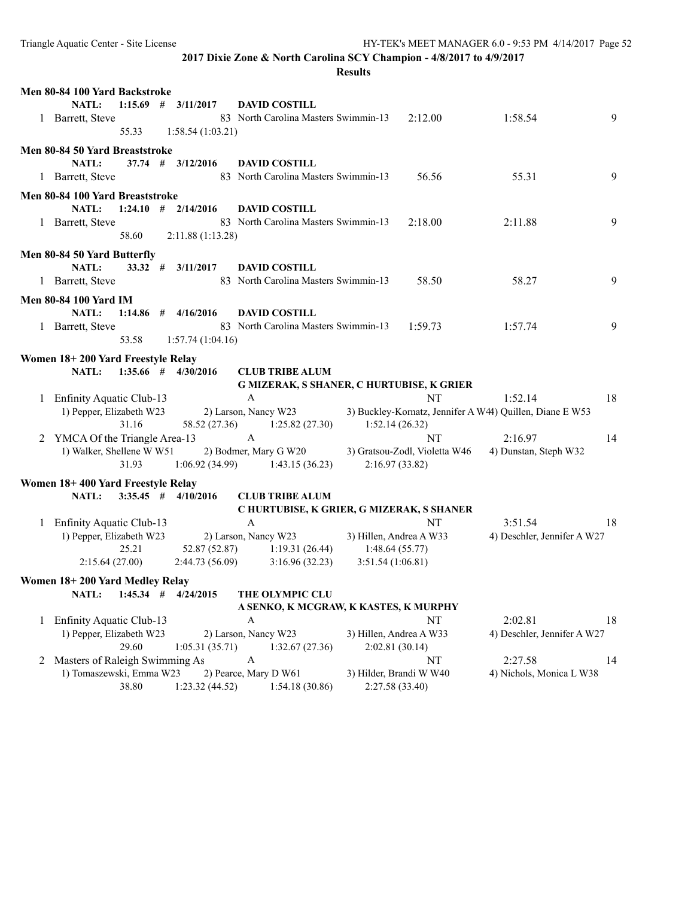|   | Men 80-84 100 Yard Backstroke                              |           |                                 |              |                                                     |                               |                                                          |    |
|---|------------------------------------------------------------|-----------|---------------------------------|--------------|-----------------------------------------------------|-------------------------------|----------------------------------------------------------|----|
|   | NATL:                                                      |           | $1:15.69$ # $3/11/2017$         |              | <b>DAVID COSTILL</b>                                |                               |                                                          |    |
|   | 1 Barrett, Steve                                           |           |                                 |              | 83 North Carolina Masters Swimmin-13                | 2:12.00                       | 1:58.54                                                  | 9  |
|   |                                                            | 55.33     | 1:58.54(1:03.21)                |              |                                                     |                               |                                                          |    |
|   | Men 80-84 50 Yard Breaststroke                             |           |                                 |              |                                                     |                               |                                                          |    |
|   | NATL:                                                      | $37.74$ # | 3/12/2016                       |              | <b>DAVID COSTILL</b>                                |                               |                                                          |    |
|   | 1 Barrett, Steve                                           |           |                                 |              | 83 North Carolina Masters Swimmin-13                | 56.56                         | 55.31                                                    | 9  |
|   | Men 80-84 100 Yard Breaststroke                            |           |                                 |              |                                                     |                               |                                                          |    |
|   | NATL:                                                      |           | $1:24.10$ # $2/14/2016$         |              | <b>DAVID COSTILL</b>                                |                               |                                                          |    |
|   | 1 Barrett, Steve                                           |           |                                 |              | 83 North Carolina Masters Swimmin-13                | 2:18.00                       | 2:11.88                                                  | 9  |
|   |                                                            | 58.60     | 2:11.88 (1:13.28)               |              |                                                     |                               |                                                          |    |
|   |                                                            |           |                                 |              |                                                     |                               |                                                          |    |
|   | Men 80-84 50 Yard Butterfly<br>NATL:                       | 33.32#    | 3/11/2017                       |              | <b>DAVID COSTILL</b>                                |                               |                                                          |    |
|   | 1 Barrett, Steve                                           |           |                                 |              | 83 North Carolina Masters Swimmin-13                | 58.50                         | 58.27                                                    | 9  |
|   |                                                            |           |                                 |              |                                                     |                               |                                                          |    |
|   | <b>Men 80-84 100 Yard IM</b>                               |           |                                 |              |                                                     |                               |                                                          |    |
|   | NATL:                                                      |           | $1:14.86$ # $4/16/2016$         |              | <b>DAVID COSTILL</b>                                |                               |                                                          |    |
|   | 1 Barrett, Steve                                           |           |                                 |              | 83 North Carolina Masters Swimmin-13                | 1:59.73                       | 1:57.74                                                  | 9  |
|   |                                                            | 53.58     | 1:57.74(1:04.16)                |              |                                                     |                               |                                                          |    |
|   | Women 18+200 Yard Freestyle Relay                          |           |                                 |              |                                                     |                               |                                                          |    |
|   | NATL:                                                      |           | $1:35.66$ # $4/30/2016$         |              | <b>CLUB TRIBE ALUM</b>                              |                               |                                                          |    |
|   |                                                            |           |                                 |              | G MIZERAK, S SHANER, C HURTUBISE, K GRIER           |                               |                                                          |    |
|   | 1 Enfinity Aquatic Club-13                                 |           |                                 | A            |                                                     | NT                            | 1:52.14                                                  | 18 |
|   | 1) Pepper, Elizabeth W23                                   |           |                                 |              | 2) Larson, Nancy W23                                |                               | 3) Buckley-Kornatz, Jennifer A W44) Quillen, Diane E W53 |    |
|   |                                                            | 31.16     | 58.52 (27.36)                   |              | 1:25.82(27.30)                                      | 1:52.14(26.32)                |                                                          |    |
| 2 | YMCA Of the Triangle Area-13                               |           |                                 | A            |                                                     | NT                            | 2:16.97                                                  | 14 |
|   | 1) Walker, Shellene W W51                                  | 31.93     |                                 |              | 2) Bodmer, Mary G W20                               | 3) Gratsou-Zodl, Violetta W46 | 4) Dunstan, Steph W32                                    |    |
|   |                                                            |           |                                 |              | $1:06.92(34.99)$ $1:43.15(36.23)$                   | 2:16.97(33.82)                |                                                          |    |
|   | Women 18+400 Yard Freestyle Relay                          |           |                                 |              |                                                     |                               |                                                          |    |
|   | NATL:                                                      |           | $3:35.45$ # $4/10/2016$         |              | <b>CLUB TRIBE ALUM</b>                              |                               |                                                          |    |
|   |                                                            |           |                                 |              | C HURTUBISE, K GRIER, G MIZERAK, S SHANER           |                               |                                                          |    |
|   | 1 Enfinity Aquatic Club-13                                 |           |                                 | $\mathbf{A}$ |                                                     | NT                            | 3:51.54                                                  | 18 |
|   | 1) Pepper, Elizabeth W23                                   |           |                                 |              | 2) Larson, Nancy W23                                | 3) Hillen, Andrea A W33       | 4) Deschler, Jennifer A W27                              |    |
|   | 2:15.64(27.00)                                             | 25.21     | 52.87 (52.87)<br>2:44.73(56.09) |              | $1:19.31(26.44)$ $1:48.64(55.77)$<br>3:16.96(32.23) | 3:51.54 (1:06.81)             |                                                          |    |
|   |                                                            |           |                                 |              |                                                     |                               |                                                          |    |
|   | Women 18+200 Yard Medley Relay                             |           |                                 |              |                                                     |                               |                                                          |    |
|   |                                                            |           | NATL: 1:45.34 # 4/24/2015       |              | THE OLYMPIC CLU                                     |                               |                                                          |    |
|   |                                                            |           |                                 |              | A SENKO, K MCGRAW, K KASTES, K MURPHY               |                               |                                                          |    |
| 1 | Enfinity Aquatic Club-13                                   |           |                                 | A            |                                                     | NT                            | 2:02.81                                                  | 18 |
|   | 1) Pepper, Elizabeth W23                                   |           |                                 |              | 2) Larson, Nancy W23                                | 3) Hillen, Andrea A W33       | 4) Deschler, Jennifer A W27                              |    |
|   |                                                            | 29.60     | 1:05.31(35.71)                  | A            | 1:32.67(27.36)                                      | 2:02.81 (30.14)               |                                                          |    |
| 2 | Masters of Raleigh Swimming As<br>1) Tomaszewski, Emma W23 |           |                                 |              | 2) Pearce, Mary D W61                               | NT<br>3) Hilder, Brandi W W40 | 2:27.58<br>4) Nichols, Monica L W38                      | 14 |
|   |                                                            | 38.80     | 1:23.32(44.52)                  |              | 1:54.18(30.86)                                      | 2:27.58 (33.40)               |                                                          |    |
|   |                                                            |           |                                 |              |                                                     |                               |                                                          |    |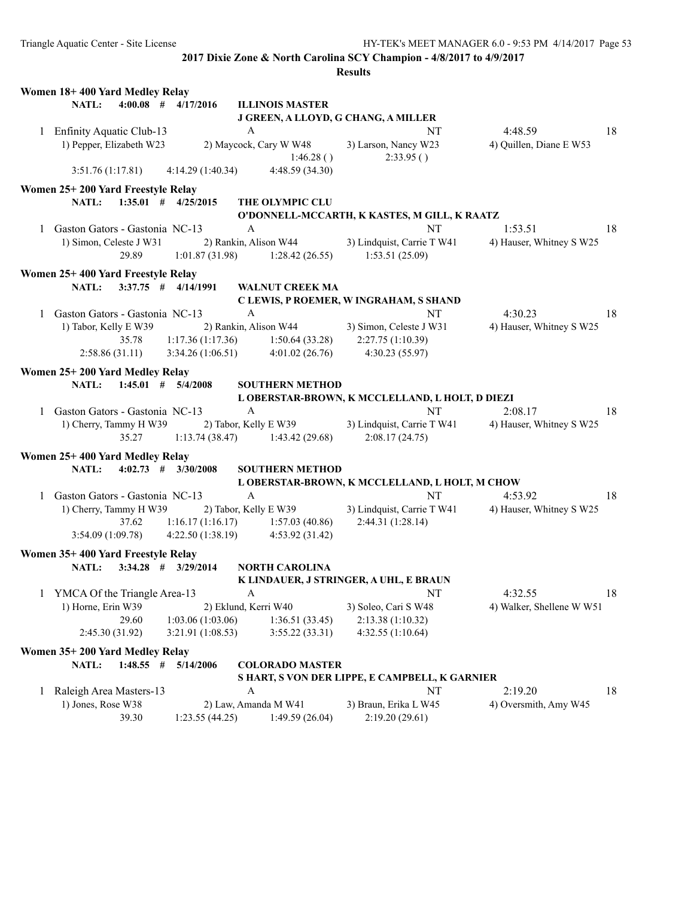|   | Women 18+400 Yard Medley Relay                                          |                                                      |                                                                           |                           |    |
|---|-------------------------------------------------------------------------|------------------------------------------------------|---------------------------------------------------------------------------|---------------------------|----|
|   | $4:00.08$ # $4/17/2016$<br><b>NATL:</b>                                 | <b>ILLINOIS MASTER</b>                               |                                                                           |                           |    |
|   |                                                                         | J GREEN, A LLOYD, G CHANG, A MILLER                  |                                                                           |                           |    |
|   | 1 Enfinity Aquatic Club-13                                              | $\mathbf{A}$                                         | NT                                                                        | 4:48.59                   | 18 |
|   | 1) Pepper, Elizabeth W23                                                | 2) Maycock, Cary W W48                               | 3) Larson, Nancy W23                                                      | 4) Quillen, Diane E W53   |    |
|   |                                                                         | 1:46.28()                                            | 2:33.95()                                                                 |                           |    |
|   | 4:14.29(1:40.34)<br>3:51.76(1:17.81)                                    | 4:48.59(34.30)                                       |                                                                           |                           |    |
|   | Women 25+200 Yard Freestyle Relay                                       |                                                      |                                                                           |                           |    |
|   | $1:35.01$ # $4/25/2015$<br><b>NATL:</b>                                 | THE OLYMPIC CLU                                      |                                                                           |                           |    |
|   |                                                                         |                                                      | O'DONNELL-MCCARTH, K KASTES, M GILL, K RAATZ                              |                           |    |
|   | 1 Gaston Gators - Gastonia NC-13                                        | $\mathbf{A}$                                         | NT                                                                        | 1:53.51                   | 18 |
|   | 1) Simon, Celeste J W31                                                 |                                                      | 2) Rankin, Alison W44 3) Lindquist, Carrie T W41                          | 4) Hauser, Whitney S W25  |    |
|   | 29.89                                                                   | 1:01.87 (31.98) 1:28.42 (26.55) 1:53.51 (25.09)      |                                                                           |                           |    |
|   | Women 25+400 Yard Freestyle Relay                                       |                                                      |                                                                           |                           |    |
|   | $3:37.75$ # $4/14/1991$<br><b>NATL:</b>                                 | <b>WALNUT CREEK MA</b>                               |                                                                           |                           |    |
|   |                                                                         |                                                      | C LEWIS, P ROEMER, W INGRAHAM, S SHAND                                    |                           |    |
|   | 1 Gaston Gators - Gastonia NC-13                                        | A                                                    | NT                                                                        | 4:30.23                   | 18 |
|   | 1) Tabor, Kelly E W39                                                   | 2) Rankin, Alison W44 3) Simon, Celeste J W31        |                                                                           | 4) Hauser, Whitney S W25  |    |
|   | 35.78                                                                   | 1:17.36 (1:17.36) 1:50.64 (33.28) 2:27.75 (1:10.39)  |                                                                           |                           |    |
|   | 2:58.86(31.11)                                                          | $3:34.26(1:06.51)$ $4:01.02(26.76)$ $4:30.23(55.97)$ |                                                                           |                           |    |
|   |                                                                         |                                                      |                                                                           |                           |    |
|   | Women 25+200 Yard Medley Relay                                          |                                                      |                                                                           |                           |    |
|   | <b>NATL:</b><br>$1:45.01$ # $5/4/2008$                                  | <b>SOUTHERN METHOD</b>                               |                                                                           |                           |    |
|   |                                                                         |                                                      | L OBERSTAR-BROWN, K MCCLELLAND, L HOLT, D DIEZI                           |                           |    |
|   | 1 Gaston Gators - Gastonia NC-13                                        | $\mathbf{A}$                                         | NT                                                                        | 2:08.17                   | 18 |
|   | 1) Cherry, Tammy H W39 2) Tabor, Kelly E W39 3) Lindquist, Carrie T W41 |                                                      |                                                                           | 4) Hauser, Whitney S W25  |    |
|   |                                                                         | 35.27 1:13.74 (38.47) 1:43.42 (29.68)                | 2:08.17(24.75)                                                            |                           |    |
|   | Women 25+400 Yard Medley Relay                                          |                                                      |                                                                           |                           |    |
|   | $4:02.73$ # $3/30/2008$<br><b>NATL:</b>                                 | <b>SOUTHERN METHOD</b>                               |                                                                           |                           |    |
|   |                                                                         |                                                      | L OBERSTAR-BROWN, K MCCLELLAND, L HOLT, M CHOW                            |                           |    |
|   | 1 Gaston Gators - Gastonia NC-13                                        | $\mathbf{A}$                                         | NT                                                                        | 4:53.92                   | 18 |
|   | 1) Cherry, Tammy H W39                                                  |                                                      | 2) Tabor, Kelly E W39 3) Lindquist, Carrie T W41 4) Hauser, Whitney S W25 |                           |    |
|   | 37.62                                                                   | $1:16.17(1:16.17)$ $1:57.03(40.86)$                  | 2:44.31 (1:28.14)                                                         |                           |    |
|   | 3:54.09(1:09.78)                                                        | $4:22.50(1:38.19)$ $4:53.92(31.42)$                  |                                                                           |                           |    |
|   | Women 35+400 Yard Freestyle Relay                                       |                                                      |                                                                           |                           |    |
|   | <b>NATL:</b><br>$3:34.28$ # $3/29/2014$                                 | <b>NORTH CAROLINA</b>                                |                                                                           |                           |    |
|   |                                                                         |                                                      | K LINDAUER, J STRINGER, A UHL, E BRAUN                                    |                           |    |
|   | 1 YMCA Of the Triangle Area-13                                          | A                                                    | NT NT                                                                     | 4:32.55                   | 18 |
|   | 1) Horne, Erin W39                                                      | 2) Eklund, Kerri W40                                 | 3) Soleo, Cari S W48                                                      | 4) Walker, Shellene W W51 |    |
|   | 29.60<br>1:03.06(1:03.06)                                               | 1:36.51(33.45)                                       | 2:13.38 (1:10.32)                                                         |                           |    |
|   | 2:45.30(31.92)<br>3:21.91(1:08.53)                                      | 3:55.22(33.31)                                       | 4:32.55 (1:10.64)                                                         |                           |    |
|   | Women 35+200 Yard Medley Relay                                          |                                                      |                                                                           |                           |    |
|   | NATL:<br>$1:48.55$ #<br>5/14/2006                                       |                                                      |                                                                           |                           |    |
|   |                                                                         | <b>COLORADO MASTER</b>                               | S HART, S VON DER LIPPE, E CAMPBELL, K GARNIER                            |                           |    |
|   | Raleigh Area Masters-13                                                 | A                                                    | NT                                                                        | 2:19.20                   | 18 |
| 1 | 1) Jones, Rose W38                                                      |                                                      | 3) Braun, Erika L W45                                                     | 4) Oversmith, Amy W45     |    |
|   | 39.30<br>1:23.55(44.25)                                                 | 2) Law, Amanda M W41<br>1:49.59(26.04)               | 2:19.20(29.61)                                                            |                           |    |
|   |                                                                         |                                                      |                                                                           |                           |    |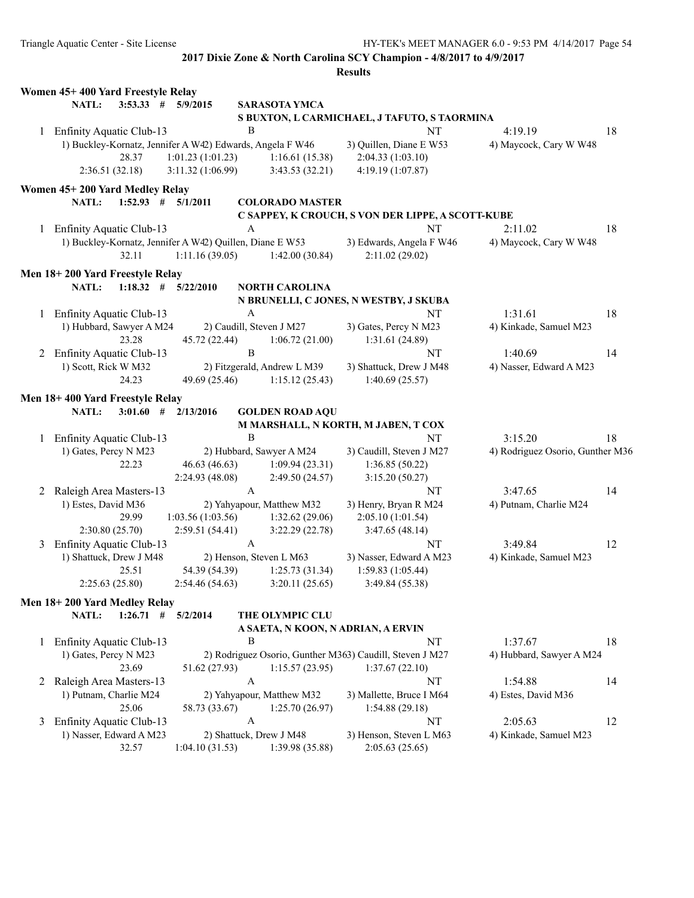|   | Women 45+400 Yard Freestyle Relay                         |                         |                       |                             |                                                          |                                  |    |
|---|-----------------------------------------------------------|-------------------------|-----------------------|-----------------------------|----------------------------------------------------------|----------------------------------|----|
|   | NATL:                                                     | $3:53.33$ # $5/9/2015$  |                       | <b>SARASOTA YMCA</b>        |                                                          |                                  |    |
|   |                                                           |                         |                       |                             | S BUXTON, L CARMICHAEL, J TAFUTO, S TAORMINA             |                                  |    |
|   | 1 Enfinity Aquatic Club-13                                |                         | B                     |                             | NT                                                       | 4:19.19                          | 18 |
|   | 1) Buckley-Kornatz, Jennifer A W42) Edwards, Angela F W46 |                         |                       |                             | 3) Quillen, Diane E W53                                  | 4) Maycock, Cary W W48           |    |
|   | 28.37                                                     | 1:01.23(1:01.23)        |                       | 1:16.61(15.38)              | 2:04.33 (1:03.10)                                        |                                  |    |
|   | 2:36.51(32.18)                                            | 3:11.32(1:06.99)        |                       | 3:43.53(32.21)              | 4:19.19 (1:07.87)                                        |                                  |    |
|   | Women 45+200 Yard Medley Relay                            |                         |                       |                             |                                                          |                                  |    |
|   | NATL:                                                     | $1:52.93$ # $5/1/2011$  |                       | <b>COLORADO MASTER</b>      |                                                          |                                  |    |
|   |                                                           |                         |                       |                             | C SAPPEY, K CROUCH, S VON DER LIPPE, A SCOTT-KUBE        |                                  |    |
| 1 | Enfinity Aquatic Club-13                                  |                         | A                     |                             | NT                                                       | 2:11.02                          | 18 |
|   | 1) Buckley-Kornatz, Jennifer A W42) Quillen, Diane E W53  |                         |                       |                             | 3) Edwards, Angela F W46                                 | 4) Maycock, Cary W W48           |    |
|   | 32.11                                                     | 1:11.16(39.05)          |                       | 1:42.00(30.84)              | 2:11.02(29.02)                                           |                                  |    |
|   | Men 18+200 Yard Freestyle Relay                           |                         |                       |                             |                                                          |                                  |    |
|   | NATL:                                                     | $1:18.32$ # $5/22/2010$ |                       | <b>NORTH CAROLINA</b>       |                                                          |                                  |    |
|   |                                                           |                         |                       |                             | N BRUNELLI, C JONES, N WESTBY, J SKUBA                   |                                  |    |
|   | 1 Enfinity Aquatic Club-13                                |                         | $\boldsymbol{A}$      |                             | NT                                                       | 1:31.61                          | 18 |
|   | 1) Hubbard, Sawyer A M24                                  |                         |                       | 2) Caudill, Steven J M27    | 3) Gates, Percy N M23                                    | 4) Kinkade, Samuel M23           |    |
|   | 23.28                                                     | 45.72 (22.44)           |                       | 1:06.72(21.00)              | 1:31.61(24.89)                                           |                                  |    |
|   | 2 Enfinity Aquatic Club-13                                |                         | $\, {\bf B}$          |                             | NT                                                       | 1:40.69                          | 14 |
|   | 1) Scott, Rick W M32                                      |                         |                       | 2) Fitzgerald, Andrew L M39 | 3) Shattuck, Drew J M48                                  | 4) Nasser, Edward A M23          |    |
|   | 24.23                                                     | 49.69 (25.46)           |                       | 1:15.12(25.43)              | 1:40.69(25.57)                                           |                                  |    |
|   | Men 18+400 Yard Freestyle Relay                           |                         |                       |                             |                                                          |                                  |    |
|   | NATL:<br>$3:01.60$ #                                      | 2/13/2016               |                       | <b>GOLDEN ROAD AQU</b>      |                                                          |                                  |    |
|   |                                                           |                         |                       |                             | M MARSHALL, N KORTH, M JABEN, T COX                      |                                  |    |
| 1 | Enfinity Aquatic Club-13                                  |                         | Β                     |                             | NT                                                       | 3:15.20                          | 18 |
|   | 1) Gates, Percy N M23                                     |                         |                       | 2) Hubbard, Sawyer A M24    | 3) Caudill, Steven J M27                                 | 4) Rodriguez Osorio, Gunther M36 |    |
|   | 22.23                                                     | 46.63 (46.63)           |                       | 1:09.94(23.31)              | 1:36.85(50.22)                                           |                                  |    |
|   |                                                           | 2:24.93(48.08)          |                       | 2:49.50 (24.57)             | 3:15.20(50.27)                                           |                                  |    |
| 2 | Raleigh Area Masters-13                                   |                         | $\mathbf{A}$          |                             | NT                                                       | 3:47.65                          | 14 |
|   | 1) Estes, David M36                                       |                         |                       | 2) Yahyapour, Matthew M32   | 3) Henry, Bryan R M24                                    | 4) Putnam, Charlie M24           |    |
|   | 29.99                                                     | 1:03.56(1:03.56)        |                       | 1:32.62(29.06)              | 2:05.10 (1:01.54)                                        |                                  |    |
|   | 2:30.80(25.70)                                            | 2:59.51(54.41)          |                       | 3:22.29(22.78)              | 3:47.65(48.14)                                           |                                  |    |
| 3 | Enfinity Aquatic Club-13                                  |                         | $\boldsymbol{\rm{A}}$ |                             | NT                                                       | 3:49.84                          | 12 |
|   | 1) Shattuck, Drew J M48                                   |                         |                       | 2) Henson, Steven L M63     | 3) Nasser, Edward A M23                                  | 4) Kinkade, Samuel M23           |    |
|   | 25.51                                                     | 54.39 (54.39)           |                       | 1:25.73(31.34)              | 1:59.83(1:05.44)                                         |                                  |    |
|   | 2:25.63(25.80)                                            | 2:54.46(54.63)          |                       | 3:20.11(25.65)              | 3:49.84 (55.38)                                          |                                  |    |
|   | Men 18+200 Yard Medley Relay                              |                         |                       |                             |                                                          |                                  |    |
|   | NATL:                                                     | $1:26.71$ # $5/2/2014$  |                       | THE OLYMPIC CLU             |                                                          |                                  |    |
|   |                                                           |                         |                       |                             | A SAETA, N KOON, N ADRIAN, A ERVIN                       |                                  |    |
| 1 | Enfinity Aquatic Club-13                                  |                         | В                     |                             | NT                                                       | 1:37.67                          | 18 |
|   | 1) Gates, Percy N M23                                     |                         |                       |                             | 2) Rodriguez Osorio, Gunther M363) Caudill, Steven J M27 | 4) Hubbard, Sawyer A M24         |    |
|   | 23.69                                                     | 51.62 (27.93)           |                       | 1:15.57(23.95)              | 1:37.67(22.10)                                           |                                  |    |
| 2 | Raleigh Area Masters-13                                   |                         | A                     |                             | NT                                                       | 1:54.88                          | 14 |
|   | 1) Putnam, Charlie M24                                    |                         |                       | 2) Yahyapour, Matthew M32   | 3) Mallette, Bruce I M64                                 | 4) Estes, David M36              |    |
|   | 25.06                                                     | 58.73 (33.67)           |                       | 1:25.70(26.97)              | 1:54.88(29.18)                                           |                                  |    |
| 3 | Enfinity Aquatic Club-13                                  |                         | $\mathbf{A}$          |                             | <b>NT</b>                                                | 2:05.63                          | 12 |
|   | 1) Nasser, Edward A M23                                   |                         |                       | 2) Shattuck, Drew J M48     | 3) Henson, Steven L M63                                  | 4) Kinkade, Samuel M23           |    |
|   | 32.57                                                     | 1:04.10(31.53)          |                       | 1:39.98 (35.88)             | 2:05.63(25.65)                                           |                                  |    |
|   |                                                           |                         |                       |                             |                                                          |                                  |    |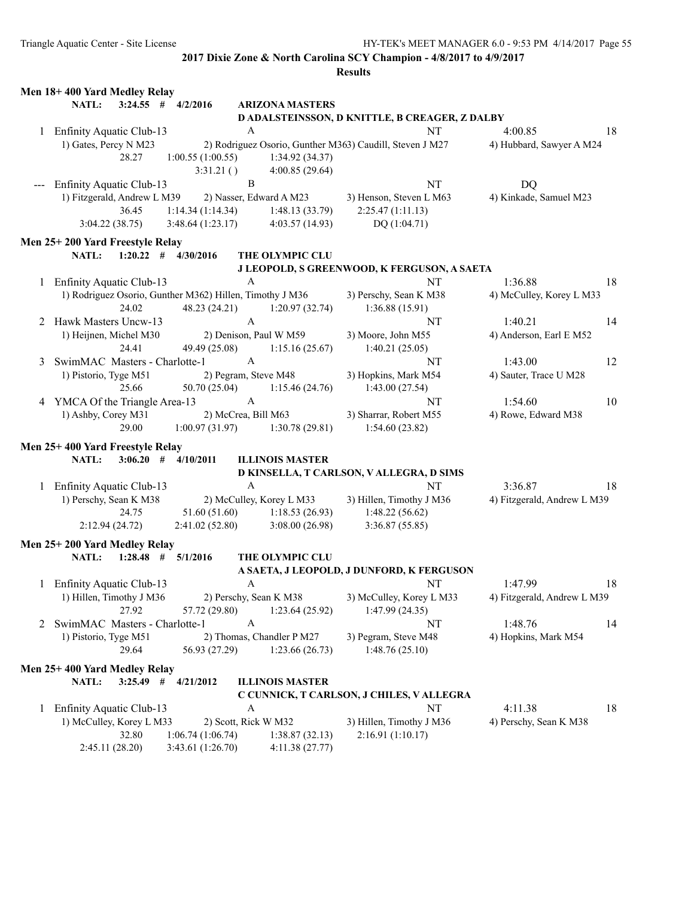| $3:24.55$ # $4/2/2016$<br>NATL:<br><b>ARIZONA MASTERS</b><br>D ADALSTEINSSON, D KNITTLE, B CREAGER, Z DALBY<br>$\mathbf{A}$<br>NT<br>1 Enfinity Aquatic Club-13<br>4:00.85<br>18<br>1) Gates, Percy N M23<br>2) Rodriguez Osorio, Gunther M363) Caudill, Steven J M27<br>4) Hubbard, Sawyer A M24<br>28.27<br>1:00.55(1:00.55)<br>1:34.92(34.37)<br>4:00.85 (29.64)<br>3:31.21()<br>$\, {\bf B}$<br>NT<br><b>DQ</b><br><b>Enfinity Aquatic Club-13</b><br>1) Fitzgerald, Andrew L M39<br>2) Nasser, Edward A M23<br>3) Henson, Steven L M63<br>4) Kinkade, Samuel M23<br>1:14.34(1:14.34)<br>2:25.47(1:11.13)<br>36.45<br>1:48.13(33.79)<br>3:48.64(1:23.17)<br>3:04.22(38.75)<br>4:03.57(14.93)<br>DQ(1:04.71)<br>Men 25+200 Yard Freestyle Relay<br>NATL:<br>$1:20.22$ # $4/30/2016$<br>THE OLYMPIC CLU<br>J LEOPOLD, S GREENWOOD, K FERGUSON, A SAETA<br>NT<br>1:36.88<br>1 Enfinity Aquatic Club-13<br>$\mathsf{A}$<br>18<br>1) Rodriguez Osorio, Gunther M362) Hillen, Timothy J M36<br>3) Perschy, Sean K M38<br>4) McCulley, Korey L M33<br>48.23 (24.21)<br>24.02<br>1:20.97(32.74)<br>1:36.88(15.91)<br>$\mathbf{A}$<br>2 Hawk Masters Uncw-13<br>14<br>NT<br>1:40.21<br>1) Heijnen, Michel M30<br>2) Denison, Paul W M59<br>3) Moore, John M55<br>4) Anderson, Earl E M52<br>24.41<br>49.49 (25.08)<br>1:15.16(25.67)<br>1:40.21(25.05)<br>$\mathbf{A}$<br>SwimMAC Masters - Charlotte-1<br>1:43.00<br>12<br>NT<br>3<br>2) Pegram, Steve M48<br>3) Hopkins, Mark M54<br>4) Sauter, Trace U M28<br>1) Pistorio, Tyge M51<br>25.66<br>50.70 (25.04)<br>1:15.46(24.76)<br>1:43.00(27.54)<br>$\mathbf{A}$<br>4 YMCA Of the Triangle Area-13<br>1:54.60<br>10<br>NT<br>1) Ashby, Corey M31<br>2) McCrea, Bill M63<br>3) Sharrar, Robert M55<br>4) Rowe, Edward M38<br>29.00<br>1:00.97(31.97)<br>1:30.78(29.81)<br>1:54.60(23.82)<br>Men 25+400 Yard Freestyle Relay<br><b>NATL:</b><br>$3:06.20$ # $4/10/2011$<br><b>ILLINOIS MASTER</b><br>D KINSELLA, T CARLSON, V ALLEGRA, D SIMS<br>A<br><b>NT</b><br>1 Enfinity Aquatic Club-13<br>3:36.87<br>18<br>1) Perschy, Sean K M38<br>2) McCulley, Korey L M33<br>3) Hillen, Timothy J M36<br>4) Fitzgerald, Andrew L M39<br>51.60 (51.60)<br>24.75<br>1:18.53(26.93)<br>1:48.22(56.62)<br>2:12.94(24.72)<br>2:41.02(52.80)<br>3:08.00(26.98)<br>3:36.87(55.85)<br>Men 25+200 Yard Medley Relay<br>$1:28.48$ # $5/1/2016$<br><b>NATL:</b><br>THE OLYMPIC CLU<br>A SAETA, J LEOPOLD, J DUNFORD, K FERGUSON<br>NT<br>18<br>1 Enfinity Aquatic Club-13<br>1:47.99<br>A<br>1) Hillen, Timothy J M36<br>2) Perschy, Sean K M38<br>3) McCulley, Korey L M33<br>4) Fitzgerald, Andrew L M39<br>27.92<br>57.72 (29.80)<br>1:23.64 (25.92)<br>1:47.99(24.35)<br>SwimMAC Masters - Charlotte-1<br>1:48.76<br>A<br>NT<br>14<br>2<br>1) Pistorio, Tyge M51<br>2) Thomas, Chandler P M27<br>3) Pegram, Steve M48<br>4) Hopkins, Mark M54<br>29.64<br>56.93 (27.29)<br>1:48.76(25.10)<br>1:23.66(26.73)<br>Men 25+400 Yard Medley Relay<br>NATL:<br>$3:25.49$ #<br><b>ILLINOIS MASTER</b><br>4/21/2012<br>C CUNNICK, T CARLSON, J CHILES, V ALLEGRA<br>$\rm{NT}$<br>Enfinity Aquatic Club-13<br>A<br>4:11.38<br>18<br>1<br>2) Scott, Rick W M32<br>3) Hillen, Timothy J M36<br>1) McCulley, Korey L M33<br>4) Perschy, Sean K M38<br>2:16.91 (1:10.17)<br>32.80<br>1:06.74(1:06.74)<br>1:38.87(32.13)<br>2:45.11 (28.20)<br>3:43.61 (1:26.70)<br>4:11.38(27.77) | Men 18+400 Yard Medley Relay |  |  |
|------------------------------------------------------------------------------------------------------------------------------------------------------------------------------------------------------------------------------------------------------------------------------------------------------------------------------------------------------------------------------------------------------------------------------------------------------------------------------------------------------------------------------------------------------------------------------------------------------------------------------------------------------------------------------------------------------------------------------------------------------------------------------------------------------------------------------------------------------------------------------------------------------------------------------------------------------------------------------------------------------------------------------------------------------------------------------------------------------------------------------------------------------------------------------------------------------------------------------------------------------------------------------------------------------------------------------------------------------------------------------------------------------------------------------------------------------------------------------------------------------------------------------------------------------------------------------------------------------------------------------------------------------------------------------------------------------------------------------------------------------------------------------------------------------------------------------------------------------------------------------------------------------------------------------------------------------------------------------------------------------------------------------------------------------------------------------------------------------------------------------------------------------------------------------------------------------------------------------------------------------------------------------------------------------------------------------------------------------------------------------------------------------------------------------------------------------------------------------------------------------------------------------------------------------------------------------------------------------------------------------------------------------------------------------------------------------------------------------------------------------------------------------------------------------------------------------------------------------------------------------------------------------------------------------------------------------------------------------------------------------------------------------------------------------------------------------------------------------------------------------------------------------------------------------------------------------------------------------------------------------------------------------------------------------------------------------------------------------------------------------------------------------|------------------------------|--|--|
|                                                                                                                                                                                                                                                                                                                                                                                                                                                                                                                                                                                                                                                                                                                                                                                                                                                                                                                                                                                                                                                                                                                                                                                                                                                                                                                                                                                                                                                                                                                                                                                                                                                                                                                                                                                                                                                                                                                                                                                                                                                                                                                                                                                                                                                                                                                                                                                                                                                                                                                                                                                                                                                                                                                                                                                                                                                                                                                                                                                                                                                                                                                                                                                                                                                                                                                                                                                                      |                              |  |  |
|                                                                                                                                                                                                                                                                                                                                                                                                                                                                                                                                                                                                                                                                                                                                                                                                                                                                                                                                                                                                                                                                                                                                                                                                                                                                                                                                                                                                                                                                                                                                                                                                                                                                                                                                                                                                                                                                                                                                                                                                                                                                                                                                                                                                                                                                                                                                                                                                                                                                                                                                                                                                                                                                                                                                                                                                                                                                                                                                                                                                                                                                                                                                                                                                                                                                                                                                                                                                      |                              |  |  |
|                                                                                                                                                                                                                                                                                                                                                                                                                                                                                                                                                                                                                                                                                                                                                                                                                                                                                                                                                                                                                                                                                                                                                                                                                                                                                                                                                                                                                                                                                                                                                                                                                                                                                                                                                                                                                                                                                                                                                                                                                                                                                                                                                                                                                                                                                                                                                                                                                                                                                                                                                                                                                                                                                                                                                                                                                                                                                                                                                                                                                                                                                                                                                                                                                                                                                                                                                                                                      |                              |  |  |
|                                                                                                                                                                                                                                                                                                                                                                                                                                                                                                                                                                                                                                                                                                                                                                                                                                                                                                                                                                                                                                                                                                                                                                                                                                                                                                                                                                                                                                                                                                                                                                                                                                                                                                                                                                                                                                                                                                                                                                                                                                                                                                                                                                                                                                                                                                                                                                                                                                                                                                                                                                                                                                                                                                                                                                                                                                                                                                                                                                                                                                                                                                                                                                                                                                                                                                                                                                                                      |                              |  |  |
|                                                                                                                                                                                                                                                                                                                                                                                                                                                                                                                                                                                                                                                                                                                                                                                                                                                                                                                                                                                                                                                                                                                                                                                                                                                                                                                                                                                                                                                                                                                                                                                                                                                                                                                                                                                                                                                                                                                                                                                                                                                                                                                                                                                                                                                                                                                                                                                                                                                                                                                                                                                                                                                                                                                                                                                                                                                                                                                                                                                                                                                                                                                                                                                                                                                                                                                                                                                                      |                              |  |  |
|                                                                                                                                                                                                                                                                                                                                                                                                                                                                                                                                                                                                                                                                                                                                                                                                                                                                                                                                                                                                                                                                                                                                                                                                                                                                                                                                                                                                                                                                                                                                                                                                                                                                                                                                                                                                                                                                                                                                                                                                                                                                                                                                                                                                                                                                                                                                                                                                                                                                                                                                                                                                                                                                                                                                                                                                                                                                                                                                                                                                                                                                                                                                                                                                                                                                                                                                                                                                      |                              |  |  |
|                                                                                                                                                                                                                                                                                                                                                                                                                                                                                                                                                                                                                                                                                                                                                                                                                                                                                                                                                                                                                                                                                                                                                                                                                                                                                                                                                                                                                                                                                                                                                                                                                                                                                                                                                                                                                                                                                                                                                                                                                                                                                                                                                                                                                                                                                                                                                                                                                                                                                                                                                                                                                                                                                                                                                                                                                                                                                                                                                                                                                                                                                                                                                                                                                                                                                                                                                                                                      |                              |  |  |
|                                                                                                                                                                                                                                                                                                                                                                                                                                                                                                                                                                                                                                                                                                                                                                                                                                                                                                                                                                                                                                                                                                                                                                                                                                                                                                                                                                                                                                                                                                                                                                                                                                                                                                                                                                                                                                                                                                                                                                                                                                                                                                                                                                                                                                                                                                                                                                                                                                                                                                                                                                                                                                                                                                                                                                                                                                                                                                                                                                                                                                                                                                                                                                                                                                                                                                                                                                                                      |                              |  |  |
|                                                                                                                                                                                                                                                                                                                                                                                                                                                                                                                                                                                                                                                                                                                                                                                                                                                                                                                                                                                                                                                                                                                                                                                                                                                                                                                                                                                                                                                                                                                                                                                                                                                                                                                                                                                                                                                                                                                                                                                                                                                                                                                                                                                                                                                                                                                                                                                                                                                                                                                                                                                                                                                                                                                                                                                                                                                                                                                                                                                                                                                                                                                                                                                                                                                                                                                                                                                                      |                              |  |  |
|                                                                                                                                                                                                                                                                                                                                                                                                                                                                                                                                                                                                                                                                                                                                                                                                                                                                                                                                                                                                                                                                                                                                                                                                                                                                                                                                                                                                                                                                                                                                                                                                                                                                                                                                                                                                                                                                                                                                                                                                                                                                                                                                                                                                                                                                                                                                                                                                                                                                                                                                                                                                                                                                                                                                                                                                                                                                                                                                                                                                                                                                                                                                                                                                                                                                                                                                                                                                      |                              |  |  |
|                                                                                                                                                                                                                                                                                                                                                                                                                                                                                                                                                                                                                                                                                                                                                                                                                                                                                                                                                                                                                                                                                                                                                                                                                                                                                                                                                                                                                                                                                                                                                                                                                                                                                                                                                                                                                                                                                                                                                                                                                                                                                                                                                                                                                                                                                                                                                                                                                                                                                                                                                                                                                                                                                                                                                                                                                                                                                                                                                                                                                                                                                                                                                                                                                                                                                                                                                                                                      |                              |  |  |
|                                                                                                                                                                                                                                                                                                                                                                                                                                                                                                                                                                                                                                                                                                                                                                                                                                                                                                                                                                                                                                                                                                                                                                                                                                                                                                                                                                                                                                                                                                                                                                                                                                                                                                                                                                                                                                                                                                                                                                                                                                                                                                                                                                                                                                                                                                                                                                                                                                                                                                                                                                                                                                                                                                                                                                                                                                                                                                                                                                                                                                                                                                                                                                                                                                                                                                                                                                                                      |                              |  |  |
|                                                                                                                                                                                                                                                                                                                                                                                                                                                                                                                                                                                                                                                                                                                                                                                                                                                                                                                                                                                                                                                                                                                                                                                                                                                                                                                                                                                                                                                                                                                                                                                                                                                                                                                                                                                                                                                                                                                                                                                                                                                                                                                                                                                                                                                                                                                                                                                                                                                                                                                                                                                                                                                                                                                                                                                                                                                                                                                                                                                                                                                                                                                                                                                                                                                                                                                                                                                                      |                              |  |  |
|                                                                                                                                                                                                                                                                                                                                                                                                                                                                                                                                                                                                                                                                                                                                                                                                                                                                                                                                                                                                                                                                                                                                                                                                                                                                                                                                                                                                                                                                                                                                                                                                                                                                                                                                                                                                                                                                                                                                                                                                                                                                                                                                                                                                                                                                                                                                                                                                                                                                                                                                                                                                                                                                                                                                                                                                                                                                                                                                                                                                                                                                                                                                                                                                                                                                                                                                                                                                      |                              |  |  |
|                                                                                                                                                                                                                                                                                                                                                                                                                                                                                                                                                                                                                                                                                                                                                                                                                                                                                                                                                                                                                                                                                                                                                                                                                                                                                                                                                                                                                                                                                                                                                                                                                                                                                                                                                                                                                                                                                                                                                                                                                                                                                                                                                                                                                                                                                                                                                                                                                                                                                                                                                                                                                                                                                                                                                                                                                                                                                                                                                                                                                                                                                                                                                                                                                                                                                                                                                                                                      |                              |  |  |
|                                                                                                                                                                                                                                                                                                                                                                                                                                                                                                                                                                                                                                                                                                                                                                                                                                                                                                                                                                                                                                                                                                                                                                                                                                                                                                                                                                                                                                                                                                                                                                                                                                                                                                                                                                                                                                                                                                                                                                                                                                                                                                                                                                                                                                                                                                                                                                                                                                                                                                                                                                                                                                                                                                                                                                                                                                                                                                                                                                                                                                                                                                                                                                                                                                                                                                                                                                                                      |                              |  |  |
|                                                                                                                                                                                                                                                                                                                                                                                                                                                                                                                                                                                                                                                                                                                                                                                                                                                                                                                                                                                                                                                                                                                                                                                                                                                                                                                                                                                                                                                                                                                                                                                                                                                                                                                                                                                                                                                                                                                                                                                                                                                                                                                                                                                                                                                                                                                                                                                                                                                                                                                                                                                                                                                                                                                                                                                                                                                                                                                                                                                                                                                                                                                                                                                                                                                                                                                                                                                                      |                              |  |  |
|                                                                                                                                                                                                                                                                                                                                                                                                                                                                                                                                                                                                                                                                                                                                                                                                                                                                                                                                                                                                                                                                                                                                                                                                                                                                                                                                                                                                                                                                                                                                                                                                                                                                                                                                                                                                                                                                                                                                                                                                                                                                                                                                                                                                                                                                                                                                                                                                                                                                                                                                                                                                                                                                                                                                                                                                                                                                                                                                                                                                                                                                                                                                                                                                                                                                                                                                                                                                      |                              |  |  |
|                                                                                                                                                                                                                                                                                                                                                                                                                                                                                                                                                                                                                                                                                                                                                                                                                                                                                                                                                                                                                                                                                                                                                                                                                                                                                                                                                                                                                                                                                                                                                                                                                                                                                                                                                                                                                                                                                                                                                                                                                                                                                                                                                                                                                                                                                                                                                                                                                                                                                                                                                                                                                                                                                                                                                                                                                                                                                                                                                                                                                                                                                                                                                                                                                                                                                                                                                                                                      |                              |  |  |
|                                                                                                                                                                                                                                                                                                                                                                                                                                                                                                                                                                                                                                                                                                                                                                                                                                                                                                                                                                                                                                                                                                                                                                                                                                                                                                                                                                                                                                                                                                                                                                                                                                                                                                                                                                                                                                                                                                                                                                                                                                                                                                                                                                                                                                                                                                                                                                                                                                                                                                                                                                                                                                                                                                                                                                                                                                                                                                                                                                                                                                                                                                                                                                                                                                                                                                                                                                                                      |                              |  |  |
|                                                                                                                                                                                                                                                                                                                                                                                                                                                                                                                                                                                                                                                                                                                                                                                                                                                                                                                                                                                                                                                                                                                                                                                                                                                                                                                                                                                                                                                                                                                                                                                                                                                                                                                                                                                                                                                                                                                                                                                                                                                                                                                                                                                                                                                                                                                                                                                                                                                                                                                                                                                                                                                                                                                                                                                                                                                                                                                                                                                                                                                                                                                                                                                                                                                                                                                                                                                                      |                              |  |  |
|                                                                                                                                                                                                                                                                                                                                                                                                                                                                                                                                                                                                                                                                                                                                                                                                                                                                                                                                                                                                                                                                                                                                                                                                                                                                                                                                                                                                                                                                                                                                                                                                                                                                                                                                                                                                                                                                                                                                                                                                                                                                                                                                                                                                                                                                                                                                                                                                                                                                                                                                                                                                                                                                                                                                                                                                                                                                                                                                                                                                                                                                                                                                                                                                                                                                                                                                                                                                      |                              |  |  |
|                                                                                                                                                                                                                                                                                                                                                                                                                                                                                                                                                                                                                                                                                                                                                                                                                                                                                                                                                                                                                                                                                                                                                                                                                                                                                                                                                                                                                                                                                                                                                                                                                                                                                                                                                                                                                                                                                                                                                                                                                                                                                                                                                                                                                                                                                                                                                                                                                                                                                                                                                                                                                                                                                                                                                                                                                                                                                                                                                                                                                                                                                                                                                                                                                                                                                                                                                                                                      |                              |  |  |
|                                                                                                                                                                                                                                                                                                                                                                                                                                                                                                                                                                                                                                                                                                                                                                                                                                                                                                                                                                                                                                                                                                                                                                                                                                                                                                                                                                                                                                                                                                                                                                                                                                                                                                                                                                                                                                                                                                                                                                                                                                                                                                                                                                                                                                                                                                                                                                                                                                                                                                                                                                                                                                                                                                                                                                                                                                                                                                                                                                                                                                                                                                                                                                                                                                                                                                                                                                                                      |                              |  |  |
|                                                                                                                                                                                                                                                                                                                                                                                                                                                                                                                                                                                                                                                                                                                                                                                                                                                                                                                                                                                                                                                                                                                                                                                                                                                                                                                                                                                                                                                                                                                                                                                                                                                                                                                                                                                                                                                                                                                                                                                                                                                                                                                                                                                                                                                                                                                                                                                                                                                                                                                                                                                                                                                                                                                                                                                                                                                                                                                                                                                                                                                                                                                                                                                                                                                                                                                                                                                                      |                              |  |  |
|                                                                                                                                                                                                                                                                                                                                                                                                                                                                                                                                                                                                                                                                                                                                                                                                                                                                                                                                                                                                                                                                                                                                                                                                                                                                                                                                                                                                                                                                                                                                                                                                                                                                                                                                                                                                                                                                                                                                                                                                                                                                                                                                                                                                                                                                                                                                                                                                                                                                                                                                                                                                                                                                                                                                                                                                                                                                                                                                                                                                                                                                                                                                                                                                                                                                                                                                                                                                      |                              |  |  |
|                                                                                                                                                                                                                                                                                                                                                                                                                                                                                                                                                                                                                                                                                                                                                                                                                                                                                                                                                                                                                                                                                                                                                                                                                                                                                                                                                                                                                                                                                                                                                                                                                                                                                                                                                                                                                                                                                                                                                                                                                                                                                                                                                                                                                                                                                                                                                                                                                                                                                                                                                                                                                                                                                                                                                                                                                                                                                                                                                                                                                                                                                                                                                                                                                                                                                                                                                                                                      |                              |  |  |
|                                                                                                                                                                                                                                                                                                                                                                                                                                                                                                                                                                                                                                                                                                                                                                                                                                                                                                                                                                                                                                                                                                                                                                                                                                                                                                                                                                                                                                                                                                                                                                                                                                                                                                                                                                                                                                                                                                                                                                                                                                                                                                                                                                                                                                                                                                                                                                                                                                                                                                                                                                                                                                                                                                                                                                                                                                                                                                                                                                                                                                                                                                                                                                                                                                                                                                                                                                                                      |                              |  |  |
|                                                                                                                                                                                                                                                                                                                                                                                                                                                                                                                                                                                                                                                                                                                                                                                                                                                                                                                                                                                                                                                                                                                                                                                                                                                                                                                                                                                                                                                                                                                                                                                                                                                                                                                                                                                                                                                                                                                                                                                                                                                                                                                                                                                                                                                                                                                                                                                                                                                                                                                                                                                                                                                                                                                                                                                                                                                                                                                                                                                                                                                                                                                                                                                                                                                                                                                                                                                                      |                              |  |  |
|                                                                                                                                                                                                                                                                                                                                                                                                                                                                                                                                                                                                                                                                                                                                                                                                                                                                                                                                                                                                                                                                                                                                                                                                                                                                                                                                                                                                                                                                                                                                                                                                                                                                                                                                                                                                                                                                                                                                                                                                                                                                                                                                                                                                                                                                                                                                                                                                                                                                                                                                                                                                                                                                                                                                                                                                                                                                                                                                                                                                                                                                                                                                                                                                                                                                                                                                                                                                      |                              |  |  |
|                                                                                                                                                                                                                                                                                                                                                                                                                                                                                                                                                                                                                                                                                                                                                                                                                                                                                                                                                                                                                                                                                                                                                                                                                                                                                                                                                                                                                                                                                                                                                                                                                                                                                                                                                                                                                                                                                                                                                                                                                                                                                                                                                                                                                                                                                                                                                                                                                                                                                                                                                                                                                                                                                                                                                                                                                                                                                                                                                                                                                                                                                                                                                                                                                                                                                                                                                                                                      |                              |  |  |
|                                                                                                                                                                                                                                                                                                                                                                                                                                                                                                                                                                                                                                                                                                                                                                                                                                                                                                                                                                                                                                                                                                                                                                                                                                                                                                                                                                                                                                                                                                                                                                                                                                                                                                                                                                                                                                                                                                                                                                                                                                                                                                                                                                                                                                                                                                                                                                                                                                                                                                                                                                                                                                                                                                                                                                                                                                                                                                                                                                                                                                                                                                                                                                                                                                                                                                                                                                                                      |                              |  |  |
|                                                                                                                                                                                                                                                                                                                                                                                                                                                                                                                                                                                                                                                                                                                                                                                                                                                                                                                                                                                                                                                                                                                                                                                                                                                                                                                                                                                                                                                                                                                                                                                                                                                                                                                                                                                                                                                                                                                                                                                                                                                                                                                                                                                                                                                                                                                                                                                                                                                                                                                                                                                                                                                                                                                                                                                                                                                                                                                                                                                                                                                                                                                                                                                                                                                                                                                                                                                                      |                              |  |  |
|                                                                                                                                                                                                                                                                                                                                                                                                                                                                                                                                                                                                                                                                                                                                                                                                                                                                                                                                                                                                                                                                                                                                                                                                                                                                                                                                                                                                                                                                                                                                                                                                                                                                                                                                                                                                                                                                                                                                                                                                                                                                                                                                                                                                                                                                                                                                                                                                                                                                                                                                                                                                                                                                                                                                                                                                                                                                                                                                                                                                                                                                                                                                                                                                                                                                                                                                                                                                      |                              |  |  |
|                                                                                                                                                                                                                                                                                                                                                                                                                                                                                                                                                                                                                                                                                                                                                                                                                                                                                                                                                                                                                                                                                                                                                                                                                                                                                                                                                                                                                                                                                                                                                                                                                                                                                                                                                                                                                                                                                                                                                                                                                                                                                                                                                                                                                                                                                                                                                                                                                                                                                                                                                                                                                                                                                                                                                                                                                                                                                                                                                                                                                                                                                                                                                                                                                                                                                                                                                                                                      |                              |  |  |
|                                                                                                                                                                                                                                                                                                                                                                                                                                                                                                                                                                                                                                                                                                                                                                                                                                                                                                                                                                                                                                                                                                                                                                                                                                                                                                                                                                                                                                                                                                                                                                                                                                                                                                                                                                                                                                                                                                                                                                                                                                                                                                                                                                                                                                                                                                                                                                                                                                                                                                                                                                                                                                                                                                                                                                                                                                                                                                                                                                                                                                                                                                                                                                                                                                                                                                                                                                                                      |                              |  |  |
|                                                                                                                                                                                                                                                                                                                                                                                                                                                                                                                                                                                                                                                                                                                                                                                                                                                                                                                                                                                                                                                                                                                                                                                                                                                                                                                                                                                                                                                                                                                                                                                                                                                                                                                                                                                                                                                                                                                                                                                                                                                                                                                                                                                                                                                                                                                                                                                                                                                                                                                                                                                                                                                                                                                                                                                                                                                                                                                                                                                                                                                                                                                                                                                                                                                                                                                                                                                                      |                              |  |  |
|                                                                                                                                                                                                                                                                                                                                                                                                                                                                                                                                                                                                                                                                                                                                                                                                                                                                                                                                                                                                                                                                                                                                                                                                                                                                                                                                                                                                                                                                                                                                                                                                                                                                                                                                                                                                                                                                                                                                                                                                                                                                                                                                                                                                                                                                                                                                                                                                                                                                                                                                                                                                                                                                                                                                                                                                                                                                                                                                                                                                                                                                                                                                                                                                                                                                                                                                                                                                      |                              |  |  |
|                                                                                                                                                                                                                                                                                                                                                                                                                                                                                                                                                                                                                                                                                                                                                                                                                                                                                                                                                                                                                                                                                                                                                                                                                                                                                                                                                                                                                                                                                                                                                                                                                                                                                                                                                                                                                                                                                                                                                                                                                                                                                                                                                                                                                                                                                                                                                                                                                                                                                                                                                                                                                                                                                                                                                                                                                                                                                                                                                                                                                                                                                                                                                                                                                                                                                                                                                                                                      |                              |  |  |
|                                                                                                                                                                                                                                                                                                                                                                                                                                                                                                                                                                                                                                                                                                                                                                                                                                                                                                                                                                                                                                                                                                                                                                                                                                                                                                                                                                                                                                                                                                                                                                                                                                                                                                                                                                                                                                                                                                                                                                                                                                                                                                                                                                                                                                                                                                                                                                                                                                                                                                                                                                                                                                                                                                                                                                                                                                                                                                                                                                                                                                                                                                                                                                                                                                                                                                                                                                                                      |                              |  |  |
|                                                                                                                                                                                                                                                                                                                                                                                                                                                                                                                                                                                                                                                                                                                                                                                                                                                                                                                                                                                                                                                                                                                                                                                                                                                                                                                                                                                                                                                                                                                                                                                                                                                                                                                                                                                                                                                                                                                                                                                                                                                                                                                                                                                                                                                                                                                                                                                                                                                                                                                                                                                                                                                                                                                                                                                                                                                                                                                                                                                                                                                                                                                                                                                                                                                                                                                                                                                                      |                              |  |  |
|                                                                                                                                                                                                                                                                                                                                                                                                                                                                                                                                                                                                                                                                                                                                                                                                                                                                                                                                                                                                                                                                                                                                                                                                                                                                                                                                                                                                                                                                                                                                                                                                                                                                                                                                                                                                                                                                                                                                                                                                                                                                                                                                                                                                                                                                                                                                                                                                                                                                                                                                                                                                                                                                                                                                                                                                                                                                                                                                                                                                                                                                                                                                                                                                                                                                                                                                                                                                      |                              |  |  |
|                                                                                                                                                                                                                                                                                                                                                                                                                                                                                                                                                                                                                                                                                                                                                                                                                                                                                                                                                                                                                                                                                                                                                                                                                                                                                                                                                                                                                                                                                                                                                                                                                                                                                                                                                                                                                                                                                                                                                                                                                                                                                                                                                                                                                                                                                                                                                                                                                                                                                                                                                                                                                                                                                                                                                                                                                                                                                                                                                                                                                                                                                                                                                                                                                                                                                                                                                                                                      |                              |  |  |
|                                                                                                                                                                                                                                                                                                                                                                                                                                                                                                                                                                                                                                                                                                                                                                                                                                                                                                                                                                                                                                                                                                                                                                                                                                                                                                                                                                                                                                                                                                                                                                                                                                                                                                                                                                                                                                                                                                                                                                                                                                                                                                                                                                                                                                                                                                                                                                                                                                                                                                                                                                                                                                                                                                                                                                                                                                                                                                                                                                                                                                                                                                                                                                                                                                                                                                                                                                                                      |                              |  |  |
|                                                                                                                                                                                                                                                                                                                                                                                                                                                                                                                                                                                                                                                                                                                                                                                                                                                                                                                                                                                                                                                                                                                                                                                                                                                                                                                                                                                                                                                                                                                                                                                                                                                                                                                                                                                                                                                                                                                                                                                                                                                                                                                                                                                                                                                                                                                                                                                                                                                                                                                                                                                                                                                                                                                                                                                                                                                                                                                                                                                                                                                                                                                                                                                                                                                                                                                                                                                                      |                              |  |  |
|                                                                                                                                                                                                                                                                                                                                                                                                                                                                                                                                                                                                                                                                                                                                                                                                                                                                                                                                                                                                                                                                                                                                                                                                                                                                                                                                                                                                                                                                                                                                                                                                                                                                                                                                                                                                                                                                                                                                                                                                                                                                                                                                                                                                                                                                                                                                                                                                                                                                                                                                                                                                                                                                                                                                                                                                                                                                                                                                                                                                                                                                                                                                                                                                                                                                                                                                                                                                      |                              |  |  |
|                                                                                                                                                                                                                                                                                                                                                                                                                                                                                                                                                                                                                                                                                                                                                                                                                                                                                                                                                                                                                                                                                                                                                                                                                                                                                                                                                                                                                                                                                                                                                                                                                                                                                                                                                                                                                                                                                                                                                                                                                                                                                                                                                                                                                                                                                                                                                                                                                                                                                                                                                                                                                                                                                                                                                                                                                                                                                                                                                                                                                                                                                                                                                                                                                                                                                                                                                                                                      |                              |  |  |
|                                                                                                                                                                                                                                                                                                                                                                                                                                                                                                                                                                                                                                                                                                                                                                                                                                                                                                                                                                                                                                                                                                                                                                                                                                                                                                                                                                                                                                                                                                                                                                                                                                                                                                                                                                                                                                                                                                                                                                                                                                                                                                                                                                                                                                                                                                                                                                                                                                                                                                                                                                                                                                                                                                                                                                                                                                                                                                                                                                                                                                                                                                                                                                                                                                                                                                                                                                                                      |                              |  |  |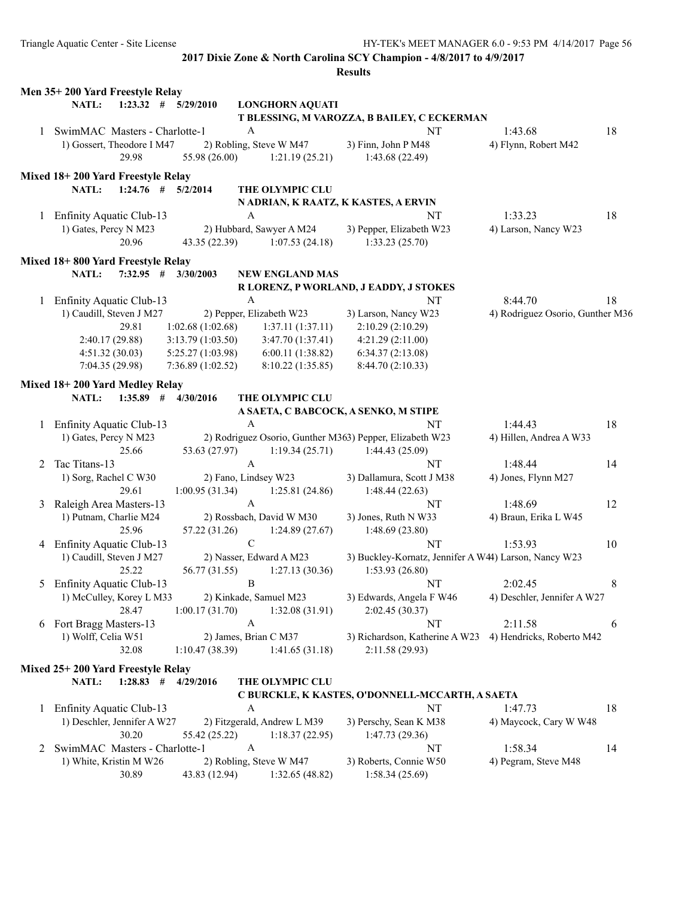|   |                                   |                 |                         |              |                             | <b>Results</b>                                           |                                  |    |
|---|-----------------------------------|-----------------|-------------------------|--------------|-----------------------------|----------------------------------------------------------|----------------------------------|----|
|   | Men 35+200 Yard Freestyle Relay   |                 |                         |              |                             |                                                          |                                  |    |
|   | NATL:                             |                 | $1:23.32$ # $5/29/2010$ |              | <b>LONGHORN AQUATI</b>      |                                                          |                                  |    |
|   |                                   |                 |                         |              |                             | T BLESSING, M VAROZZA, B BAILEY, C ECKERMAN              |                                  |    |
|   | 1 SwimMAC Masters - Charlotte-1   |                 |                         | A            |                             | NT                                                       | 1:43.68                          | 18 |
|   | 1) Gossert, Theodore I M47        |                 |                         |              | 2) Robling, Steve W M47     | 3) Finn, John P M48                                      | 4) Flynn, Robert M42             |    |
|   |                                   | 29.98           | 55.98 (26.00)           |              | 1:21.19(25.21)              | 1:43.68 (22.49)                                          |                                  |    |
|   | Mixed 18+200 Yard Freestyle Relay |                 |                         |              |                             |                                                          |                                  |    |
|   | NATL:                             |                 | $1:24.76$ # $5/2/2014$  |              | THE OLYMPIC CLU             |                                                          |                                  |    |
|   |                                   |                 |                         |              |                             | N ADRIAN, K RAATZ, K KASTES, A ERVIN                     |                                  |    |
| 1 | <b>Enfinity Aquatic Club-13</b>   |                 |                         | A            |                             | NT                                                       | 1:33.23                          | 18 |
|   | 1) Gates, Percy N M23             |                 |                         |              | 2) Hubbard, Sawyer A M24    | 3) Pepper, Elizabeth W23                                 | 4) Larson, Nancy W23             |    |
|   |                                   | 20.96           | 43.35 (22.39)           |              | 1:07.53(24.18)              | 1:33.23(25.70)                                           |                                  |    |
|   | Mixed 18+800 Yard Freestyle Relay |                 |                         |              |                             |                                                          |                                  |    |
|   | NATL:                             | $7:32.95$ #     | 3/30/2003               |              | <b>NEW ENGLAND MAS</b>      |                                                          |                                  |    |
|   |                                   |                 |                         |              |                             | R LORENZ, P WORLAND, J EADDY, J STOKES                   |                                  |    |
|   | 1 Enfinity Aquatic Club-13        |                 |                         | A            |                             | NT                                                       | 8:44.70                          | 18 |
|   | 1) Caudill, Steven J M27          |                 |                         |              | 2) Pepper, Elizabeth W23    | 3) Larson, Nancy W23                                     | 4) Rodriguez Osorio, Gunther M36 |    |
|   |                                   | 29.81           | 1:02.68(1:02.68)        |              | 1:37.11(1:37.11)            | 2:10.29 (2:10.29)                                        |                                  |    |
|   |                                   | 2:40.17 (29.88) | 3:13.79(1:03.50)        |              | 3:47.70(1:37.41)            | 4:21.29(2:11.00)                                         |                                  |    |
|   |                                   | 4:51.32(30.03)  | 5:25.27(1:03.98)        |              | 6:00.11(1:38.82)            | 6:34.37(2:13.08)                                         |                                  |    |
|   |                                   | 7:04.35 (29.98) | 7:36.89(1:02.52)        |              | 8:10.22(1:35.85)            | 8:44.70 (2:10.33)                                        |                                  |    |
|   |                                   |                 |                         |              |                             |                                                          |                                  |    |
|   | Mixed 18+200 Yard Medley Relay    |                 |                         |              |                             |                                                          |                                  |    |
|   | NATL:                             | $1:35.89$ #     | 4/30/2016               |              | THE OLYMPIC CLU             |                                                          |                                  |    |
|   | <b>Enfinity Aquatic Club-13</b>   |                 |                         | A            |                             | A SAETA, C BABCOCK, A SENKO, M STIPE<br>NT               | 1:44.43                          | 18 |
| 1 | 1) Gates, Percy N M23             |                 |                         |              |                             | 2) Rodriguez Osorio, Gunther M363) Pepper, Elizabeth W23 | 4) Hillen, Andrea A W33          |    |
|   |                                   | 25.66           | 53.63 (27.97)           |              | 1:19.34(25.71)              | 1:44.43 (25.09)                                          |                                  |    |
| 2 | Tac Titans-13                     |                 |                         | A            |                             | NT                                                       | 1:48.44                          | 14 |
|   | 1) Sorg, Rachel C W30             |                 |                         |              | 2) Fano, Lindsey W23        | 3) Dallamura, Scott J M38                                | 4) Jones, Flynn M27              |    |
|   |                                   | 29.61           | 1:00.95(31.34)          |              | 1:25.81 (24.86)             | 1:48.44(22.63)                                           |                                  |    |
| 3 | Raleigh Area Masters-13           |                 |                         | $\mathbf{A}$ |                             | NT                                                       | 1:48.69                          | 12 |
|   | 1) Putnam, Charlie M24            |                 |                         |              | 2) Rossbach, David W M30    | 3) Jones, Ruth N W33                                     | 4) Braun, Erika L W45            |    |
|   |                                   | 25.96           | 57.22 (31.26)           |              | 1:24.89(27.67)              | 1:48.69(23.80)                                           |                                  |    |
|   | 4 Enfinity Aquatic Club-13        |                 |                         | $\mathsf C$  |                             | NT                                                       | 1:53.93                          | 10 |
|   | 1) Caudill, Steven J M27          |                 |                         |              | 2) Nasser, Edward A M23     | 3) Buckley-Kornatz, Jennifer A W44) Larson, Nancy W23    |                                  |    |
|   |                                   | 25.22           | 56.77 (31.55)           |              | 1:27.13(30.36)              | 1:53.93 (26.80)                                          |                                  |    |
|   | 5 Enfinity Aquatic Club-13        |                 |                         | $\bf{B}$     |                             | NT                                                       | 2:02.45                          | 8  |
|   | 1) McCulley, Korey L M33          |                 |                         |              | 2) Kinkade, Samuel M23      | 3) Edwards, Angela F W46                                 | 4) Deschler, Jennifer A W27      |    |
|   |                                   | 28.47           | 1:00.17(31.70)          |              | 1:32.08(31.91)              | 2:02.45 (30.37)                                          |                                  |    |
| 6 | Fort Bragg Masters-13             |                 |                         | A            |                             | NT                                                       | 2:11.58                          | 6  |
|   | 1) Wolff, Celia W51               |                 |                         |              | 2) James, Brian C M37       | 3) Richardson, Katherine A W23                           | 4) Hendricks, Roberto M42        |    |
|   |                                   | 32.08           | 1:10.47(38.39)          |              | 1:41.65(31.18)              | 2:11.58 (29.93)                                          |                                  |    |
|   |                                   |                 |                         |              |                             |                                                          |                                  |    |
|   | Mixed 25+200 Yard Freestyle Relay |                 |                         |              |                             |                                                          |                                  |    |
|   | NATL:                             |                 | $1:28.83$ # $4/29/2016$ |              | THE OLYMPIC CLU             |                                                          |                                  |    |
|   | 1 Enfinity Aquatic Club-13        |                 |                         | A            |                             | C BURCKLE, K KASTES, O'DONNELL-MCCARTH, A SAETA<br>NT    | 1:47.73                          | 18 |
|   | 1) Deschler, Jennifer A W27       |                 |                         |              | 2) Fitzgerald, Andrew L M39 | 3) Perschy, Sean K M38                                   | 4) Maycock, Cary W W48           |    |
|   |                                   | 30.20           | 55.42 (25.22)           |              | 1:18.37(22.95)              | 1:47.73 (29.36)                                          |                                  |    |
| 2 | SwimMAC Masters - Charlotte-1     |                 |                         | A            |                             | NT                                                       | 1:58.34                          | 14 |
|   | 1) White, Kristin M W26           |                 |                         |              | 2) Robling, Steve W M47     | 3) Roberts, Connie W50                                   | 4) Pegram, Steve M48             |    |
|   |                                   | 30.89           | 43.83 (12.94)           |              | 1:32.65(48.82)              | 1:58.34(25.69)                                           |                                  |    |
|   |                                   |                 |                         |              |                             |                                                          |                                  |    |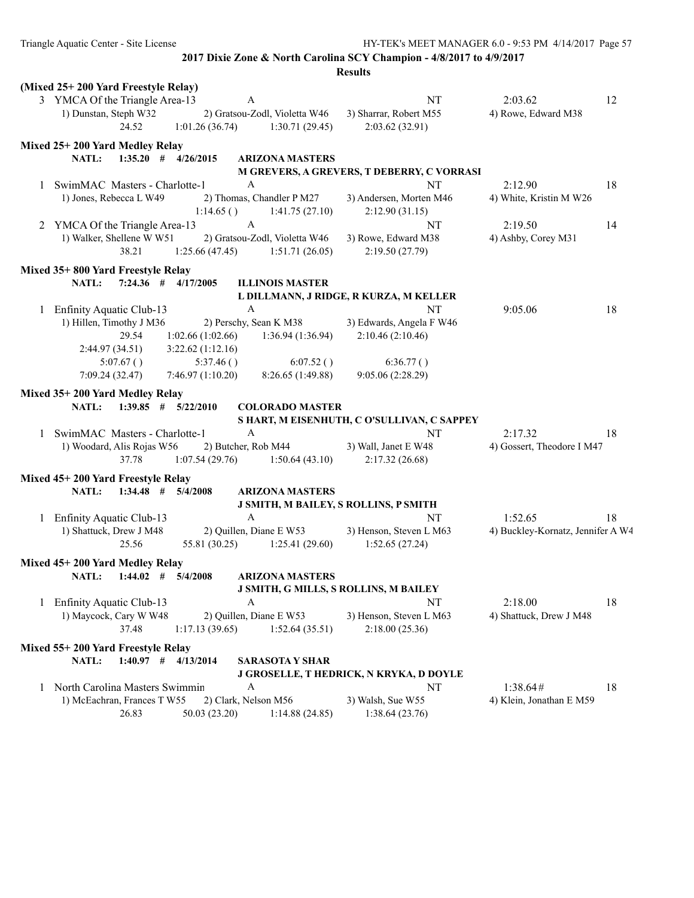|   | (Mixed 25+200 Yard Freestyle Relay)     |                                       |                               |                                              |                                   |    |
|---|-----------------------------------------|---------------------------------------|-------------------------------|----------------------------------------------|-----------------------------------|----|
|   | 3 YMCA Of the Triangle Area-13          | A                                     |                               | NT                                           | 2:03.62                           | 12 |
|   | 1) Dunstan, Steph W32                   |                                       | 2) Gratsou-Zodl, Violetta W46 | 3) Sharrar, Robert M55                       | 4) Rowe, Edward M38               |    |
|   | 24.52                                   | 1:01.26(36.74)                        | 1:30.71(29.45)                | 2:03.62 (32.91)                              |                                   |    |
|   | Mixed 25+200 Yard Medley Relay          |                                       |                               |                                              |                                   |    |
|   | NATL:<br>$1:35.20$ # $4/26/2015$        |                                       | <b>ARIZONA MASTERS</b>        |                                              |                                   |    |
|   |                                         |                                       |                               | M GREVERS, A GREVERS, T DEBERRY, C VORRASI   |                                   |    |
| 1 | SwimMAC Masters - Charlotte-1           | A                                     |                               | NT                                           | 2:12.90                           | 18 |
|   | 1) Jones, Rebecca L W49                 |                                       | 2) Thomas, Chandler P M27     | 3) Andersen, Morten M46                      | 4) White, Kristin M W26           |    |
|   |                                         | 1:14.65()                             | 1:41.75(27.10)                | 2:12.90(31.15)                               |                                   |    |
| 2 | YMCA Of the Triangle Area-13            | A                                     |                               | NT                                           | 2:19.50                           | 14 |
|   | 1) Walker, Shellene W W51               |                                       | 2) Gratsou-Zodl, Violetta W46 | 3) Rowe, Edward M38                          | 4) Ashby, Corey M31               |    |
|   | 38.21                                   | 1:25.66(47.45)                        | 1:51.71(26.05)                | 2:19.50 (27.79)                              |                                   |    |
|   | Mixed 35+800 Yard Freestyle Relay       |                                       |                               |                                              |                                   |    |
|   | NATL:<br>$7:24.36$ # $4/17/2005$        |                                       | <b>ILLINOIS MASTER</b>        |                                              |                                   |    |
|   |                                         |                                       |                               | L DILLMANN, J RIDGE, R KURZA, M KELLER       |                                   |    |
|   | 1 Enfinity Aquatic Club-13              | A                                     |                               | NT                                           | 9:05.06                           | 18 |
|   | 1) Hillen, Timothy J M36                | 2) Perschy, Sean K M38                |                               | 3) Edwards, Angela F W46                     |                                   |    |
|   | 29.54                                   | 1:02.66(1:02.66)                      | 1:36.94 (1:36.94)             | 2:10.46(2:10.46)                             |                                   |    |
|   |                                         |                                       |                               |                                              |                                   |    |
|   | 2:44.97 (34.51)<br>5:07.67()            | 3:22.62(1:12.16)                      |                               |                                              |                                   |    |
|   |                                         | 5:37.46()<br>7:46.97(1:10.20)         | 6:07.52()                     | 6:36.77()                                    |                                   |    |
|   | 7:09.24 (32.47)                         |                                       | 8:26.65 (1:49.88)             | 9:05.06 (2:28.29)                            |                                   |    |
|   | Mixed 35+200 Yard Medley Relay          |                                       |                               |                                              |                                   |    |
|   | $1:39.85$ # $5/22/2010$<br><b>NATL:</b> |                                       | <b>COLORADO MASTER</b>        |                                              |                                   |    |
|   |                                         |                                       |                               | S HART, M EISENHUTH, C O'SULLIVAN, C SAPPEY  |                                   |    |
| 1 | SwimMAC Masters - Charlotte-1           | A                                     |                               | <b>NT</b>                                    | 2:17.32                           | 18 |
|   | 1) Woodard, Alis Rojas W56              | 2) Butcher, Rob M44                   |                               | 3) Wall, Janet E W48                         | 4) Gossert, Theodore I M47        |    |
|   | 37.78                                   | 1:07.54(29.76)                        | 1:50.64(43.10)                | 2:17.32(26.68)                               |                                   |    |
|   | Mixed 45+200 Yard Freestyle Relay       |                                       |                               |                                              |                                   |    |
|   | NATL:<br>$1:34.48$ # $5/4/2008$         |                                       | <b>ARIZONA MASTERS</b>        |                                              |                                   |    |
|   |                                         |                                       |                               | <b>J SMITH, M BAILEY, S ROLLINS, P SMITH</b> |                                   |    |
| 1 | <b>Enfinity Aquatic Club-13</b>         | $\mathbf{A}$                          |                               | NT                                           | 1:52.65                           | 18 |
|   | 1) Shattuck, Drew J M48                 | 2) Quillen, Diane E W53               |                               | 3) Henson, Steven L M63                      | 4) Buckley-Kornatz, Jennifer A W4 |    |
|   | 25.56                                   | 55.81 (30.25)                         | 1:25.41(29.60)                | 1:52.65(27.24)                               |                                   |    |
|   |                                         |                                       |                               |                                              |                                   |    |
|   | Mixed 45+200 Yard Medley Relay          |                                       |                               |                                              |                                   |    |
|   | NATL:<br>$1:44.02$ #                    | 5/4/2008                              | <b>ARIZONA MASTERS</b>        |                                              |                                   |    |
|   |                                         |                                       |                               | J SMITH, G MILLS, S ROLLINS, M BAILEY        |                                   |    |
|   | <b>Enfinity Aquatic Club-13</b>         | A                                     |                               | NT                                           | 2:18.00                           | 18 |
|   | 1) Maycock, Cary W W48                  | 2) Quillen, Diane E W53               |                               | 3) Henson, Steven L M63                      | 4) Shattuck, Drew J M48           |    |
|   | 37.48                                   | 1:17.13(39.65)                        | 1:52.64(35.51)                | 2:18.00(25.36)                               |                                   |    |
|   | Mixed 55+200 Yard Freestyle Relay       |                                       |                               |                                              |                                   |    |
|   | NATL:<br>$1:40.97$ # $4/13/2014$        |                                       | <b>SARASOTA Y SHAR</b>        |                                              |                                   |    |
|   |                                         |                                       |                               | J GROSELLE, T HEDRICK, N KRYKA, D DOYLE      |                                   |    |
|   |                                         |                                       |                               |                                              | 1:38.64#                          | 18 |
| 1 | North Carolina Masters Swimmin          | A                                     |                               | NT                                           |                                   |    |
|   |                                         |                                       |                               |                                              |                                   |    |
|   | 1) McEachran, Frances T W55<br>26.83    | 2) Clark, Nelson M56<br>50.03 (23.20) | 1:14.88(24.85)                | 3) Walsh, Sue W55<br>1:38.64(23.76)          | 4) Klein, Jonathan E M59          |    |